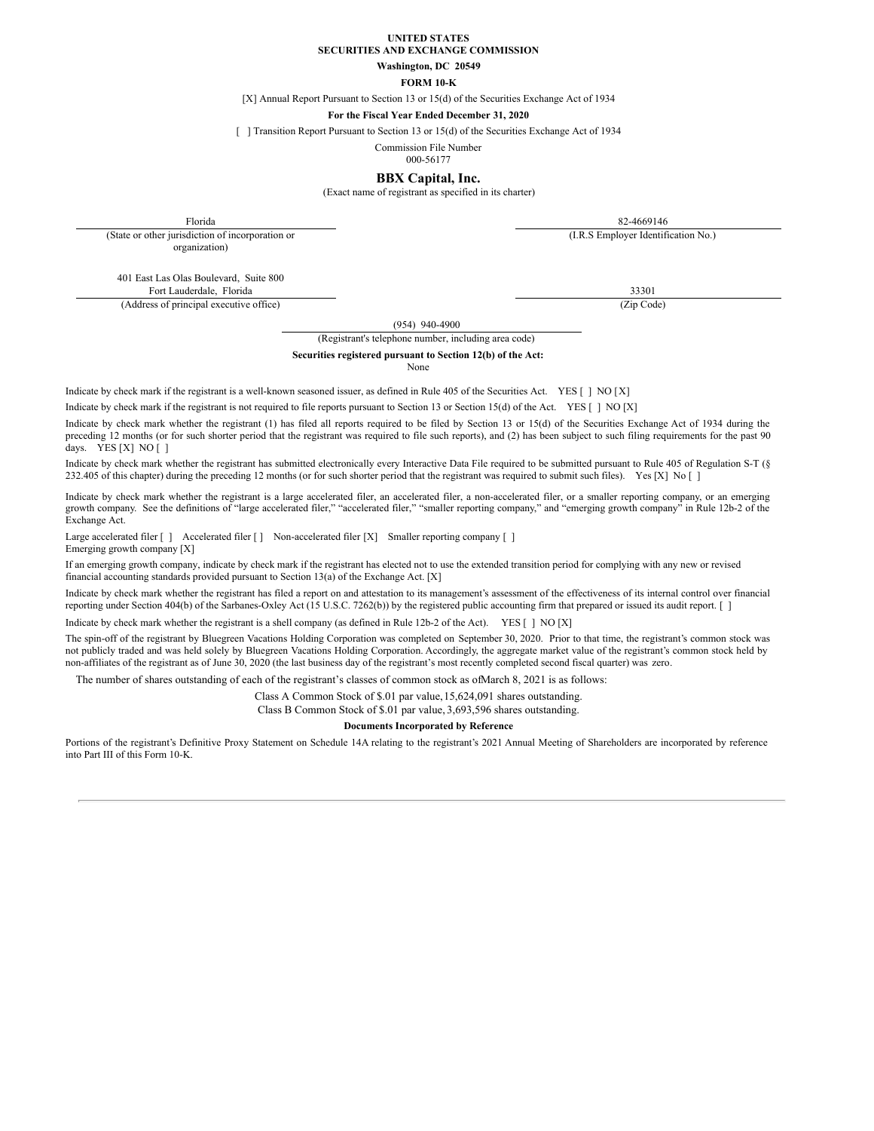## **UNITED STATES SECURITIES AND EXCHANGE COMMISSION**

**Washington, DC 20549**

**FORM 10-K**

[X] Annual Report Pursuant to Section 13 or 15(d) of the Securities Exchange Act of 1934

#### **For the Fiscal Year Ended December 31, 2020**

[ ] Transition Report Pursuant to Section 13 or 15(d) of the Securities Exchange Act of 1934

Commission File Number 000-56177

**BBX Capital, Inc.**

(Exact name of registrant as specified in its charter)

Florida 82-4669146

(State or other jurisdiction of incorporation or organization)

401 East Las Olas Boulevard, Suite 800 Fort Lauderdale, Florida 33301

(Address of principal executive office) (Zip Code)

(954) 940-4900

(Registrant's telephone number, including area code)

**Securities registered pursuant to Section 12(b) of the Act:**

None

Indicate by check mark if the registrant is a well-known seasoned issuer, as defined in Rule 405 of the Securities Act. YES [ ] NO [X]

Indicate by check mark if the registrant is not required to file reports pursuant to Section 13 or Section 15(d) of the Act. YES [ ] NO [X]

Indicate by check mark whether the registrant (1) has filed all reports required to be filed by Section 13 or 15(d) of the Securities Exchange Act of 1934 during the preceding 12 months (or for such shorter period that the registrant was required to file such reports), and (2) has been subject to such filing requirements for the past 90 days. YES [X] NO [ ]

Indicate by check mark whether the registrant has submitted electronically every Interactive Data File required to be submitted pursuant to Rule 405 of Regulation S-T (§ 232.405 of this chapter) during the preceding 12 months (or for such shorter period that the registrant was required to submit such files). Yes [X] No [ ]

Indicate by check mark whether the registrant is a large accelerated filer, an accelerated filer, a non-accelerated filer, or a smaller reporting company, or an emerging growth company. See the definitions of "large accelerated filer," "accelerated filer," "smaller reporting company," and "emerging growth company" in Rule 12b-2 of the Exchange Act.

Large accelerated filer  $\lceil \cdot \rceil$  Accelerated filer  $\lceil \cdot \rceil$  Non-accelerated filer  $\lceil \cdot \rceil$  Smaller reporting company  $\lceil \cdot \rceil$ Emerging growth company [X]

If an emerging growth company, indicate by check mark if the registrant has elected not to use the extended transition period for complying with any new or revised financial accounting standards provided pursuant to Section 13(a) of the Exchange Act. [X]

Indicate by check mark whether the registrant has filed a report on and attestation to its management's assessment of the effectiveness of its internal control over financial reporting under Section 404(b) of the Sarbanes-Oxley Act (15 U.S.C. 7262(b)) by the registered public accounting firm that prepared or issued its audit report. [ ]

Indicate by check mark whether the registrant is a shell company (as defined in Rule 12b-2 of the Act). YES [ ] NO [X]

The spin-off of the registrant by Bluegreen Vacations Holding Corporation was completed on September 30, 2020. Prior to that time, the registrant's common stock was not publicly traded and was held solely by Bluegreen Vacations Holding Corporation. Accordingly, the aggregate market value of the registrant's common stock held by non-affiliates of the registrant as of June 30, 2020 (the last business day of the registrant's most recently completed second fiscal quarter) was zero.

The number of shares outstanding of each of the registrant's classes of common stock as ofMarch 8, 2021 is as follows:

Class A Common Stock of \$.01 par value,15,624,091 shares outstanding.

Class B Common Stock of \$.01 par value, 3,693,596 shares outstanding.

#### **Documents Incorporated by Reference**

Portions of the registrant's Definitive Proxy Statement on Schedule 14A relating to the registrant's 2021 Annual Meeting of Shareholders are incorporated by reference into Part III of this Form 10-K.

(I.R.S Employer Identification No.)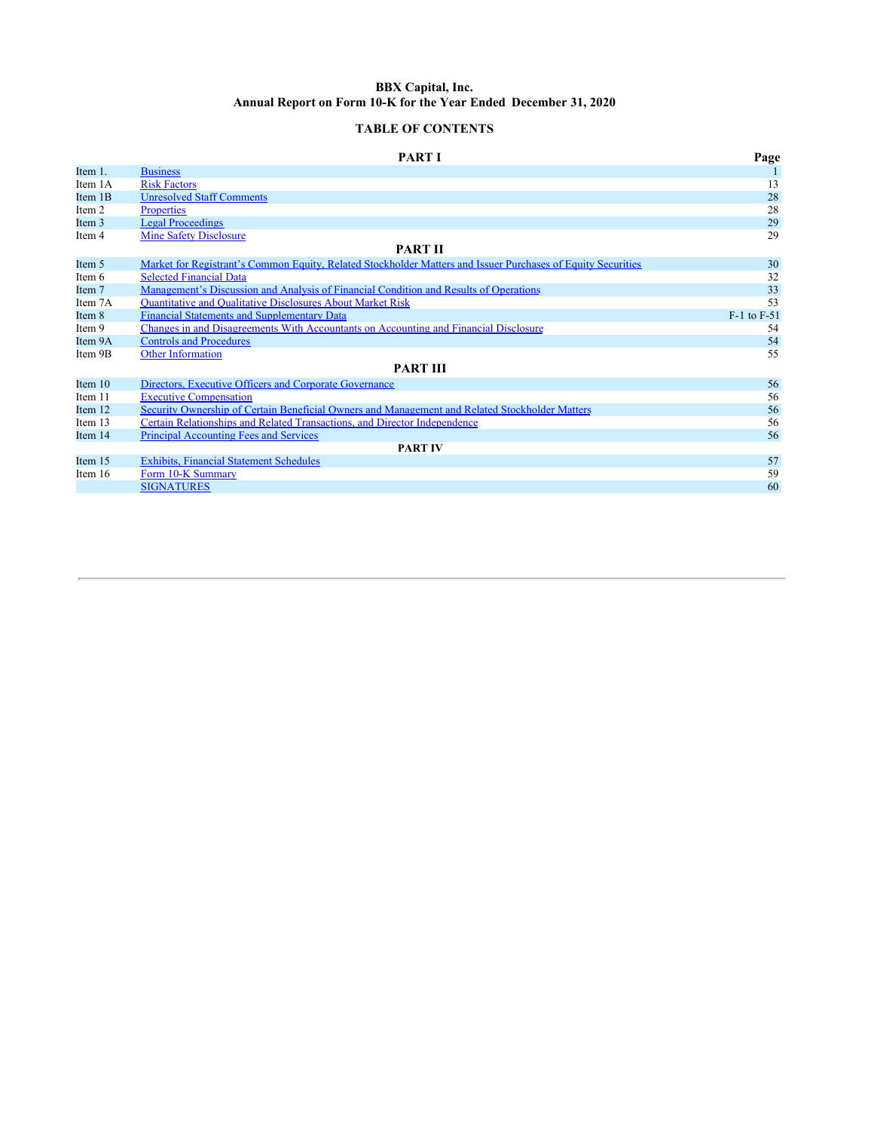## **BBX Capital, Inc. Annual Report on Form 10-K for the Year Ended December 31, 2020**

## **TABLE OF CONTENTS**

<span id="page-1-0"></span>

|                   | <b>PART I</b>                                                                                                | Page            |  |  |
|-------------------|--------------------------------------------------------------------------------------------------------------|-----------------|--|--|
| Item 1.           | <b>Business</b>                                                                                              |                 |  |  |
| Item 1A           | <b>Risk Factors</b>                                                                                          | 13              |  |  |
| Item 1B           | <b>Unresolved Staff Comments</b>                                                                             | 28              |  |  |
| Item 2            | <b>Properties</b>                                                                                            | 28              |  |  |
| Item <sub>3</sub> | <b>Legal Proceedings</b>                                                                                     | 29              |  |  |
| Item 4            | <b>Mine Safety Disclosure</b>                                                                                | 29              |  |  |
|                   | <b>PART II</b>                                                                                               |                 |  |  |
| Item 5            | Market for Registrant's Common Equity, Related Stockholder Matters and Issuer Purchases of Equity Securities | 30              |  |  |
| Item 6            | <b>Selected Financial Data</b>                                                                               | 32              |  |  |
| Item 7            | Management's Discussion and Analysis of Financial Condition and Results of Operations                        | 33              |  |  |
| Item 7A           | <b>Ouantitative and Oualitative Disclosures About Market Risk</b>                                            | 53              |  |  |
| Item 8            | <b>Financial Statements and Supplementary Data</b>                                                           | $F-1$ to $F-51$ |  |  |
| Item 9            | Changes in and Disagreements With Accountants on Accounting and Financial Disclosure                         | 54              |  |  |
| Item 9A           | <b>Controls and Procedures</b>                                                                               | 54              |  |  |
| Item 9B           | Other Information                                                                                            | 55              |  |  |
| <b>PART III</b>   |                                                                                                              |                 |  |  |
| Item 10           | Directors, Executive Officers and Corporate Governance                                                       | 56              |  |  |
| Item 11           | <b>Executive Compensation</b>                                                                                | 56              |  |  |
| Item 12           | Security Ownership of Certain Beneficial Owners and Management and Related Stockholder Matters               | 56              |  |  |
| Item 13           | Certain Relationships and Related Transactions, and Director Independence                                    | 56              |  |  |
| Item 14           | <b>Principal Accounting Fees and Services</b>                                                                | 56              |  |  |
| <b>PART IV</b>    |                                                                                                              |                 |  |  |
| Item 15           | <b>Exhibits, Financial Statement Schedules</b>                                                               | 57              |  |  |
| Item 16           | Form 10-K Summary                                                                                            | 59              |  |  |
|                   | <b>SIGNATURES</b>                                                                                            | 60              |  |  |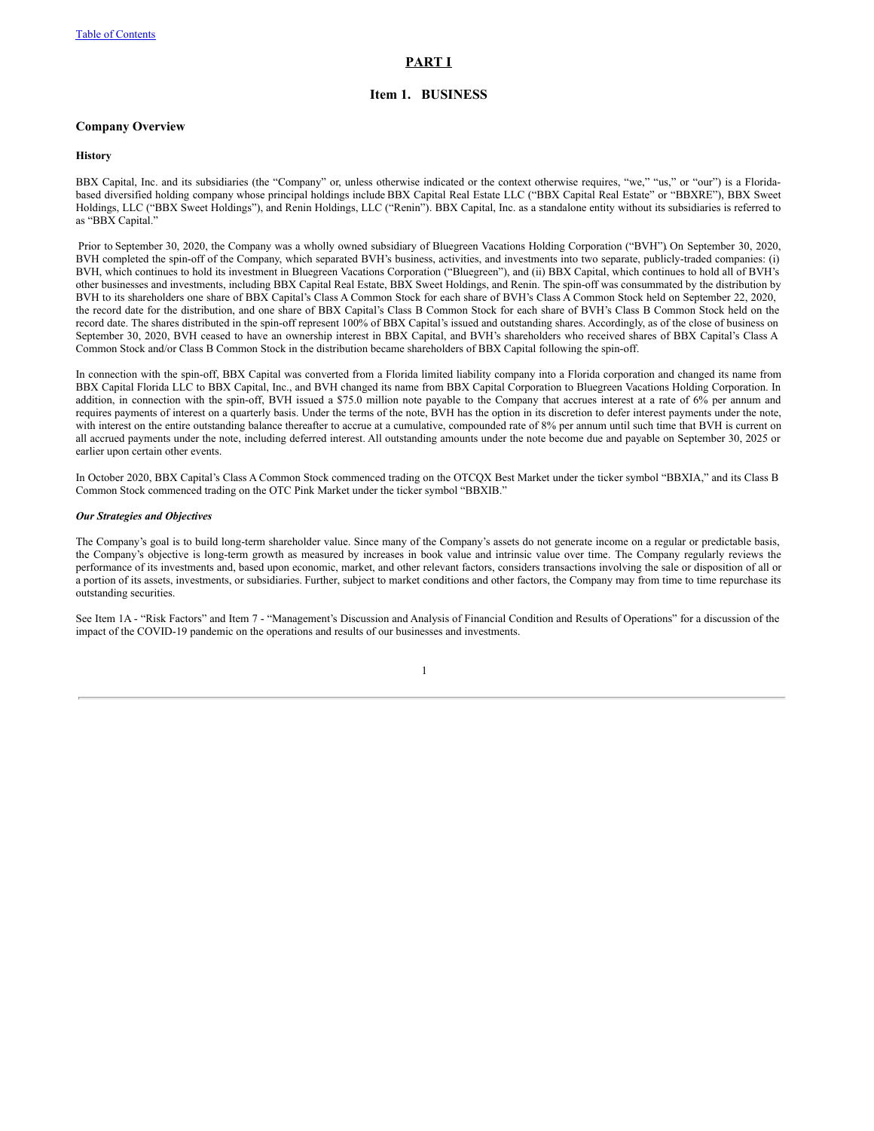## <span id="page-2-0"></span>**PART I**

## **Item 1. BUSINESS**

## **Company Overview**

#### **History**

BBX Capital, Inc. and its subsidiaries (the "Company" or, unless otherwise indicated or the context otherwise requires, "we," "us," or "our") is a Floridabased diversified holding company whose principal holdings include BBX Capital Real Estate LLC ("BBX Capital Real Estate" or "BBXRE"), BBX Sweet Holdings, LLC ("BBX Sweet Holdings"), and Renin Holdings, LLC ("Renin"). BBX Capital, Inc. as a standalone entity without its subsidiaries is referred to as "BBX Capital."

Prior to September 30, 2020, the Company was a wholly owned subsidiary of Bluegreen Vacations Holding Corporation ("BVH"). On September 30, 2020, BVH completed the spin-off of the Company, which separated BVH's business, activities, and investments into two separate, publicly-traded companies: (i) BVH, which continues to hold its investment in Bluegreen Vacations Corporation ("Bluegreen"), and (ii) BBX Capital, which continues to hold all of BVH's other businesses and investments, including BBX Capital Real Estate, BBX Sweet Holdings, and Renin. The spin-off was consummated by the distribution by BVH to its shareholders one share of BBX Capital's Class A Common Stock for each share of BVH's Class A Common Stock held on September 22, 2020, the record date for the distribution, and one share of BBX Capital's Class B Common Stock for each share of BVH's Class B Common Stock held on the record date. The shares distributed in the spin-off represent 100% of BBX Capital's issued and outstanding shares. Accordingly, as of the close of business on September 30, 2020, BVH ceased to have an ownership interest in BBX Capital, and BVH's shareholders who received shares of BBX Capital's Class A Common Stock and/or Class B Common Stock in the distribution became shareholders of BBX Capital following the spin-off.

In connection with the spin-off, BBX Capital was converted from a Florida limited liability company into a Florida corporation and changed its name from BBX Capital Florida LLC to BBX Capital, Inc., and BVH changed its name from BBX Capital Corporation to Bluegreen Vacations Holding Corporation. In addition, in connection with the spin-off, BVH issued a \$75.0 million note payable to the Company that accrues interest at a rate of 6% per annum and requires payments of interest on a quarterly basis. Under the terms of the note, BVH has the option in its discretion to defer interest payments under the note, with interest on the entire outstanding balance thereafter to accrue at a cumulative, compounded rate of 8% per annum until such time that BVH is current on all accrued payments under the note, including deferred interest. All outstanding amounts under the note become due and payable on September 30, 2025 or earlier upon certain other events.

In October 2020, BBX Capital's Class A Common Stock commenced trading on the OTCQX Best Market under the ticker symbol "BBXIA," and its Class B Common Stock commenced trading on the OTC Pink Market under the ticker symbol "BBXIB."

## *Our Strategies and Objectives*

The Company's goal is to build long-term shareholder value. Since many of the Company's assets do not generate income on a regular or predictable basis, the Company's objective is long-term growth as measured by increases in book value and intrinsic value over time. The Company regularly reviews the performance of its investments and, based upon economic, market, and other relevant factors, considers transactions involving the sale or disposition of all or a portion of its assets, investments, or subsidiaries. Further, subject to market conditions and other factors, the Company may from time to time repurchase its outstanding securities.

See Item 1A - "Risk Factors" and Item 7 - "Management's Discussion and Analysis of Financial Condition and Results of Operations" for a discussion of the impact of the COVID-19 pandemic on the operations and results of our businesses and investments.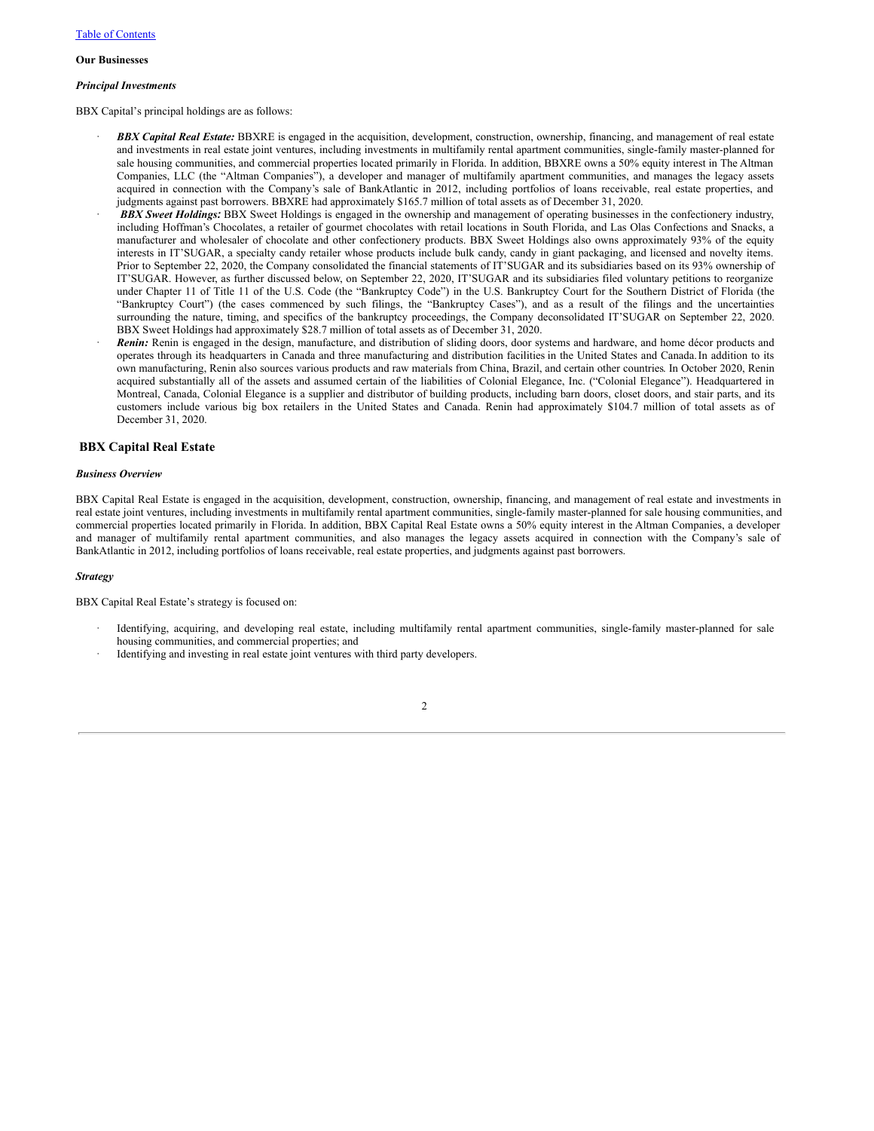## **Our Businesses**

#### *Principal Investments*

BBX Capital's principal holdings are as follows:

- · *BBX Capital Real Estate:* BBXRE is engaged in the acquisition, development, construction, ownership, financing, and management of real estate and investments in real estate joint ventures, including investments in multifamily rental apartment communities, single-family master-planned for sale housing communities, and commercial properties located primarily in Florida. In addition, BBXRE owns a 50% equity interest in The Altman Companies, LLC (the "Altman Companies"), a developer and manager of multifamily apartment communities, and manages the legacy assets acquired in connection with the Company's sale of BankAtlantic in 2012, including portfolios of loans receivable, real estate properties, and judgments against past borrowers. BBXRE had approximately \$165.7 million of total assets as of December 31, 2020.
- · *BBX Sweet Holdings:* BBX Sweet Holdings is engaged in the ownership and management of operating businesses in the confectionery industry, including Hoffman's Chocolates, a retailer of gourmet chocolates with retail locations in South Florida, and Las Olas Confections and Snacks, a manufacturer and wholesaler of chocolate and other confectionery products. BBX Sweet Holdings also owns approximately 93% of the equity interests in IT'SUGAR, a specialty candy retailer whose products include bulk candy, candy in giant packaging, and licensed and novelty items. Prior to September 22, 2020, the Company consolidated the financial statements of IT'SUGAR and its subsidiaries based on its 93% ownership of IT'SUGAR. However, as further discussed below, on September 22, 2020, IT'SUGAR and its subsidiaries filed voluntary petitions to reorganize under Chapter 11 of Title 11 of the U.S. Code (the "Bankruptcy Code") in the U.S. Bankruptcy Court for the Southern District of Florida (the "Bankruptcy Court") (the cases commenced by such filings, the "Bankruptcy Cases"), and as a result of the filings and the uncertainties surrounding the nature, timing, and specifics of the bankruptcy proceedings, the Company deconsolidated IT'SUGAR on September 22, 2020. BBX Sweet Holdings had approximately \$28.7 million of total assets as of December 31, 2020.
- Renin: Renin is engaged in the design, manufacture, and distribution of sliding doors, door systems and hardware, and home décor products and operates through its headquarters in Canada and three manufacturing and distribution facilities in the United States and Canada.In addition to its own manufacturing, Renin also sources various products and raw materials from China, Brazil, and certain other countries. In October 2020, Renin acquired substantially all of the assets and assumed certain of the liabilities of Colonial Elegance, Inc. ("Colonial Elegance"). Headquartered in Montreal, Canada, Colonial Elegance is a supplier and distributor of building products, including barn doors, closet doors, and stair parts, and its customers include various big box retailers in the United States and Canada. Renin had approximately \$104.7 million of total assets as of December 31, 2020.

## **BBX Capital Real Estate**

#### *Business Overview*

BBX Capital Real Estate is engaged in the acquisition, development, construction, ownership, financing, and management of real estate and investments in real estate joint ventures, including investments in multifamily rental apartment communities, single-family master-planned for sale housing communities, and commercial properties located primarily in Florida. In addition, BBX Capital Real Estate owns a 50% equity interest in the Altman Companies, a developer and manager of multifamily rental apartment communities, and also manages the legacy assets acquired in connection with the Company's sale of BankAtlantic in 2012, including portfolios of loans receivable, real estate properties, and judgments against past borrowers.

#### *Strategy*

BBX Capital Real Estate's strategy is focused on:

- Identifying, acquiring, and developing real estate, including multifamily rental apartment communities, single-family master-planned for sale housing communities, and commercial properties; and
- Identifying and investing in real estate joint ventures with third party developers.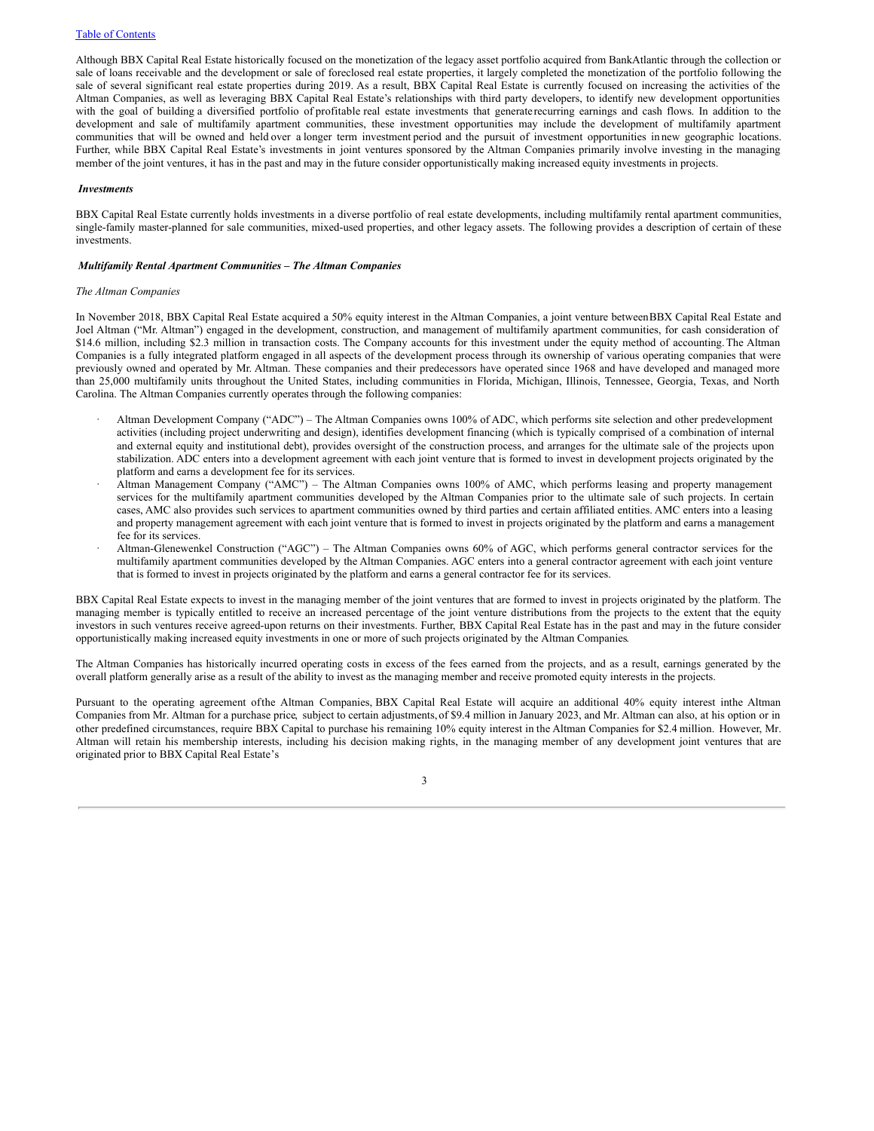Although BBX Capital Real Estate historically focused on the monetization of the legacy asset portfolio acquired from BankAtlantic through the collection or sale of loans receivable and the development or sale of foreclosed real estate properties, it largely completed the monetization of the portfolio following the sale of several significant real estate properties during 2019. As a result, BBX Capital Real Estate is currently focused on increasing the activities of the Altman Companies, as well as leveraging BBX Capital Real Estate's relationships with third party developers, to identify new development opportunities with the goal of building a diversified portfolio of profitable real estate investments that generate recurring earnings and cash flows. In addition to the development and sale of multifamily apartment communities, these investment opportunities may include the development of multifamily apartment communities that will be owned and held over a longer term investment period and the pursuit of investment opportunities in new geographic locations. Further, while BBX Capital Real Estate's investments in joint ventures sponsored by the Altman Companies primarily involve investing in the managing member of the joint ventures, it has in the past and may in the future consider opportunistically making increased equity investments in projects.

## *Investments*

BBX Capital Real Estate currently holds investments in a diverse portfolio of real estate developments, including multifamily rental apartment communities, single-family master-planned for sale communities, mixed-used properties, and other legacy assets. The following provides a description of certain of these investments.

#### *Multifamily Rental Apartment Communities – The Altman Companies*

#### *The Altman Companies*

In November 2018, BBX Capital Real Estate acquired a 50% equity interest in the Altman Companies, a joint venture betweenBBX Capital Real Estate and Joel Altman ("Mr. Altman") engaged in the development, construction, and management of multifamily apartment communities, for cash consideration of \$14.6 million, including \$2.3 million in transaction costs. The Company accounts for this investment under the equity method of accounting. The Altman Companies is a fully integrated platform engaged in all aspects of the development process through its ownership of various operating companies that were previously owned and operated by Mr. Altman. These companies and their predecessors have operated since 1968 and have developed and managed more than 25,000 multifamily units throughout the United States, including communities in Florida, Michigan, Illinois, Tennessee, Georgia, Texas, and North Carolina. The Altman Companies currently operates through the following companies:

- · Altman Development Company ("ADC") The Altman Companies owns 100% of ADC, which performs site selection and other predevelopment activities (including project underwriting and design), identifies development financing (which is typically comprised of a combination of internal and external equity and institutional debt), provides oversight of the construction process, and arranges for the ultimate sale of the projects upon stabilization. ADC enters into a development agreement with each joint venture that is formed to invest in development projects originated by the platform and earns a development fee for its services.
- Altman Management Company ("AMC") The Altman Companies owns 100% of AMC, which performs leasing and property management services for the multifamily apartment communities developed by the Altman Companies prior to the ultimate sale of such projects. In certain cases, AMC also provides such services to apartment communities owned by third parties and certain affiliated entities. AMC enters into a leasing and property management agreement with each joint venture that is formed to invest in projects originated by the platform and earns a management fee for its services.
- · Altman-Glenewenkel Construction ("AGC") The Altman Companies owns 60% of AGC, which performs general contractor services for the multifamily apartment communities developed by the Altman Companies. AGC enters into a general contractor agreement with each joint venture that is formed to invest in projects originated by the platform and earns a general contractor fee for its services.

BBX Capital Real Estate expects to invest in the managing member of the joint ventures that are formed to invest in projects originated by the platform. The managing member is typically entitled to receive an increased percentage of the joint venture distributions from the projects to the extent that the equity investors in such ventures receive agreed-upon returns on their investments. Further, BBX Capital Real Estate has in the past and may in the future consider opportunistically making increased equity investments in one or more of such projects originated by the Altman Companies.

The Altman Companies has historically incurred operating costs in excess of the fees earned from the projects, and as a result, earnings generated by the overall platform generally arise as a result of the ability to invest as the managing member and receive promoted equity interests in the projects.

Pursuant to the operating agreement ofthe Altman Companies, BBX Capital Real Estate will acquire an additional 40% equity interest inthe Altman Companies from Mr. Altman for a purchase price, subject to certain adjustments, of \$9.4 million in January 2023, and Mr. Altman can also, at his option or in other predefined circumstances, require BBX Capital to purchase his remaining 10% equity interest in the Altman Companies for \$2.4 million. However, Mr. Altman will retain his membership interests, including his decision making rights, in the managing member of any development joint ventures that are originated prior to BBX Capital Real Estate's

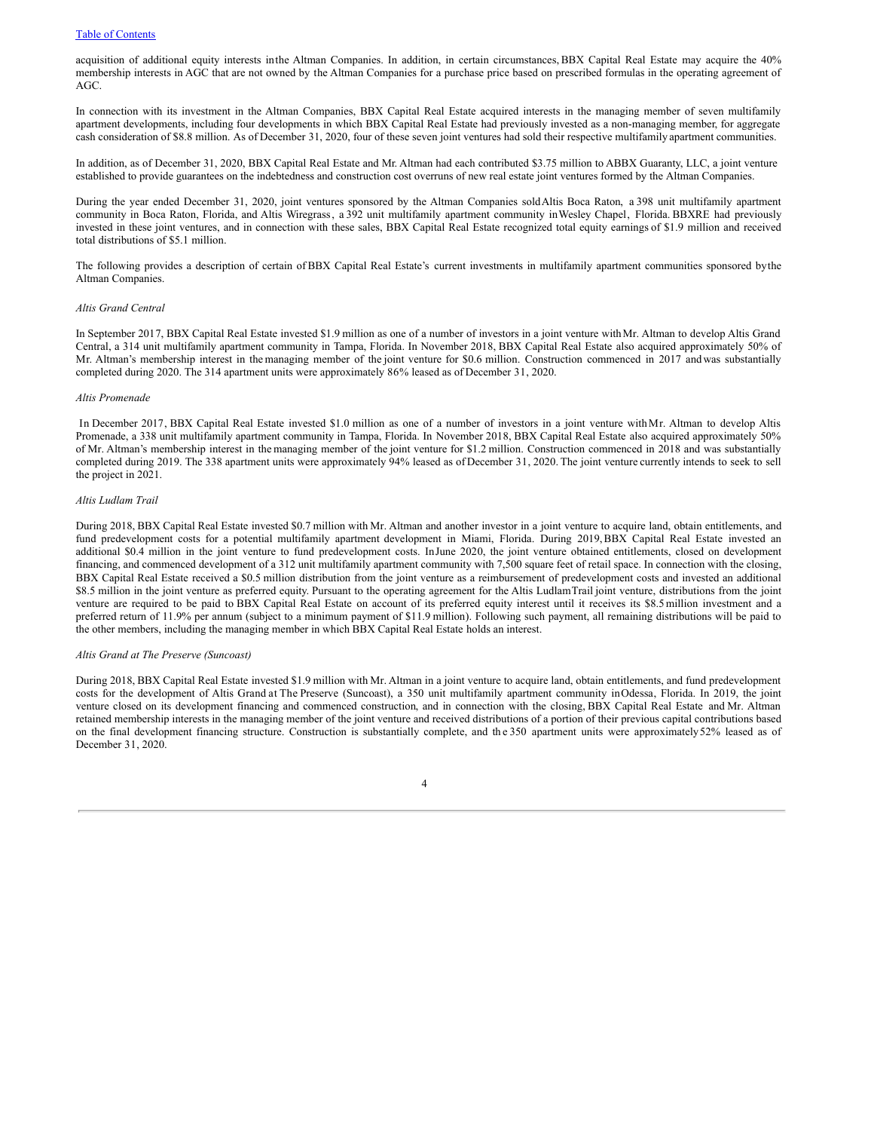acquisition of additional equity interests inthe Altman Companies. In addition, in certain circumstances, BBX Capital Real Estate may acquire the 40% membership interests in AGC that are not owned by the Altman Companies for a purchase price based on prescribed formulas in the operating agreement of AGC.

In connection with its investment in the Altman Companies, BBX Capital Real Estate acquired interests in the managing member of seven multifamily apartment developments, including four developments in which BBX Capital Real Estate had previously invested as a non-managing member, for aggregate cash consideration of \$8.8 million. As of December 31, 2020, four of these seven joint ventures had sold their respective multifamily apartment communities.

In addition, as of December 31, 2020, BBX Capital Real Estate and Mr. Altman had each contributed \$3.75 million to ABBX Guaranty, LLC, a joint venture established to provide guarantees on the indebtedness and construction cost overruns of new real estate joint ventures formed by the Altman Companies.

During the year ended December 31, 2020, joint ventures sponsored by the Altman Companies soldAltis Boca Raton, a 398 unit multifamily apartment community in Boca Raton, Florida, and Altis Wiregrass, a 392 unit multifamily apartment community inWesley Chapel, Florida. BBXRE had previously invested in these joint ventures, and in connection with these sales, BBX Capital Real Estate recognized total equity earnings of \$1.9 million and received total distributions of \$5.1 million.

The following provides a description of certain of BBX Capital Real Estate's current investments in multifamily apartment communities sponsored bythe Altman Companies.

#### *Altis Grand Central*

In September 2017, BBX Capital Real Estate invested \$1.9 million as one of a number of investors in a joint venture withMr. Altman to develop Altis Grand Central, a 314 unit multifamily apartment community in Tampa, Florida. In November 2018, BBX Capital Real Estate also acquired approximately 50% of Mr. Altman's membership interest in the managing member of the joint venture for \$0.6 million. Construction commenced in 2017 andwas substantially completed during 2020. The 314 apartment units were approximately 86% leased as of December 31, 2020.

## *Altis Promenade*

In December 2017, BBX Capital Real Estate invested \$1.0 million as one of a number of investors in a joint venture withMr. Altman to develop Altis Promenade, a 338 unit multifamily apartment community in Tampa, Florida. In November 2018, BBX Capital Real Estate also acquired approximately 50% of Mr. Altman's membership interest in the managing member of the joint venture for \$1.2 million. Construction commenced in 2018 and was substantially completed during 2019. The 338 apartment units were approximately 94% leased as of December 31, 2020. The joint venture currently intends to seek to sell the project in 2021.

## *Altis Ludlam Trail*

During 2018, BBX Capital Real Estate invested \$0.7 million with Mr. Altman and another investor in a joint venture to acquire land, obtain entitlements, and fund predevelopment costs for a potential multifamily apartment development in Miami, Florida. During 2019,BBX Capital Real Estate invested an additional \$0.4 million in the joint venture to fund predevelopment costs. InJune 2020, the joint venture obtained entitlements, closed on development financing, and commenced development of a 312 unit multifamily apartment community with 7,500 square feet of retail space. In connection with the closing, BBX Capital Real Estate received a \$0.5 million distribution from the joint venture as a reimbursement of predevelopment costs and invested an additional \$8.5 million in the joint venture as preferred equity. Pursuant to the operating agreement for the Altis LudlamTrail joint venture, distributions from the joint venture are required to be paid to BBX Capital Real Estate on account of its preferred equity interest until it receives its \$8.5million investment and a preferred return of 11.9% per annum (subject to a minimum payment of \$11.9 million). Following such payment, all remaining distributions will be paid to the other members, including the managing member in which BBX Capital Real Estate holds an interest.

#### *Altis Grand at The Preserve (Suncoast)*

During 2018, BBX Capital Real Estate invested \$1.9 million with Mr. Altman in a joint venture to acquire land, obtain entitlements, and fund predevelopment costs for the development of Altis Grand at The Preserve (Suncoast), a 350 unit multifamily apartment community inOdessa, Florida. In 2019, the joint venture closed on its development financing and commenced construction, and in connection with the closing, BBX Capital Real Estate and Mr. Altman retained membership interests in the managing member of the joint venture and received distributions of a portion of their previous capital contributions based on the final development financing structure. Construction is substantially complete, and the 350 apartment units were approximately 52% leased as of December 31, 2020.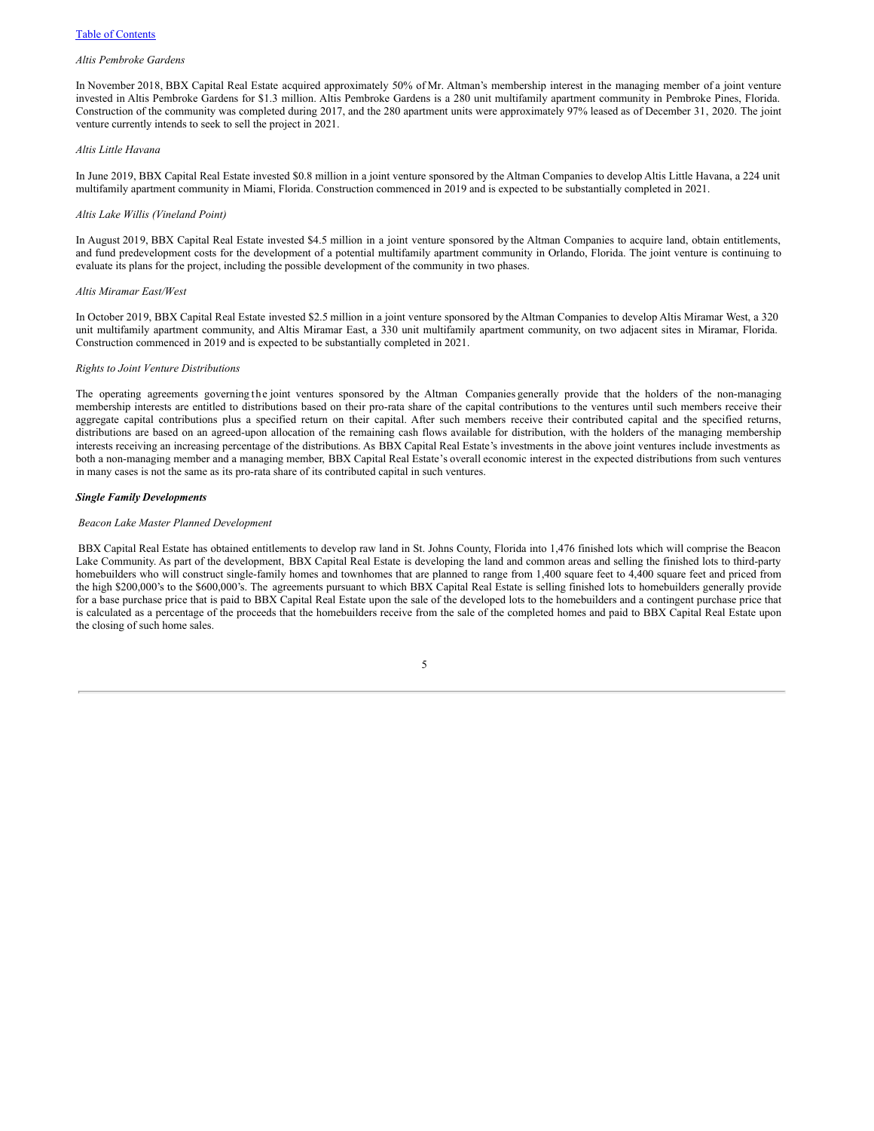## *Altis Pembroke Gardens*

In November 2018, BBX Capital Real Estate acquired approximately 50% of Mr. Altman's membership interest in the managing member of a joint venture invested in Altis Pembroke Gardens for \$1.3 million. Altis Pembroke Gardens is a 280 unit multifamily apartment community in Pembroke Pines, Florida. Construction of the community was completed during 2017, and the 280 apartment units were approximately 97% leased as of December 31, 2020. The joint venture currently intends to seek to sell the project in 2021.

#### *Altis Little Havana*

In June 2019, BBX Capital Real Estate invested \$0.8 million in a joint venture sponsored by the Altman Companies to develop Altis Little Havana, a 224 unit multifamily apartment community in Miami, Florida. Construction commenced in 2019 and is expected to be substantially completed in 2021.

#### *Altis Lake Willis (Vineland Point)*

In August 2019, BBX Capital Real Estate invested \$4.5 million in a joint venture sponsored by the Altman Companies to acquire land, obtain entitlements, and fund predevelopment costs for the development of a potential multifamily apartment community in Orlando, Florida. The joint venture is continuing to evaluate its plans for the project, including the possible development of the community in two phases.

#### *Altis Miramar East/West*

In October 2019, BBX Capital Real Estate invested \$2.5 million in a joint venture sponsored by the Altman Companies to develop Altis Miramar West, a 320 unit multifamily apartment community, and Altis Miramar East, a 330 unit multifamily apartment community, on two adjacent sites in Miramar, Florida. Construction commenced in 2019 and is expected to be substantially completed in 2021.

## *Rights to Joint Venture Distributions*

The operating agreements governing the joint ventures sponsored by the Altman Companies generally provide that the holders of the non-managing membership interests are entitled to distributions based on their pro-rata share of the capital contributions to the ventures until such members receive their aggregate capital contributions plus a specified return on their capital. After such members receive their contributed capital and the specified returns, distributions are based on an agreed-upon allocation of the remaining cash flows available for distribution, with the holders of the managing membership interests receiving an increasing percentage of the distributions. As BBX Capital Real Estate's investments in the above joint ventures include investments as both a non-managing member and a managing member, BBX Capital Real Estate's overall economic interest in the expected distributions from such ventures in many cases is not the same as its pro-rata share of its contributed capital in such ventures.

#### *Single Family Developments*

#### *Beacon Lake Master Planned Development*

BBX Capital Real Estate has obtained entitlements to develop raw land in St. Johns County, Florida into 1,476 finished lots which will comprise the Beacon Lake Community. As part of the development, BBX Capital Real Estate is developing the land and common areas and selling the finished lots to third-party homebuilders who will construct single-family homes and townhomes that are planned to range from 1,400 square feet to 4,400 square feet and priced from the high \$200,000's to the \$600,000's. The agreements pursuant to which BBX Capital Real Estate is selling finished lots to homebuilders generally provide for a base purchase price that is paid to BBX Capital Real Estate upon the sale of the developed lots to the homebuilders and a contingent purchase price that is calculated as a percentage of the proceeds that the homebuilders receive from the sale of the completed homes and paid to BBX Capital Real Estate upon the closing of such home sales.

| × | ۰. |  |
|---|----|--|
|   |    |  |
|   |    |  |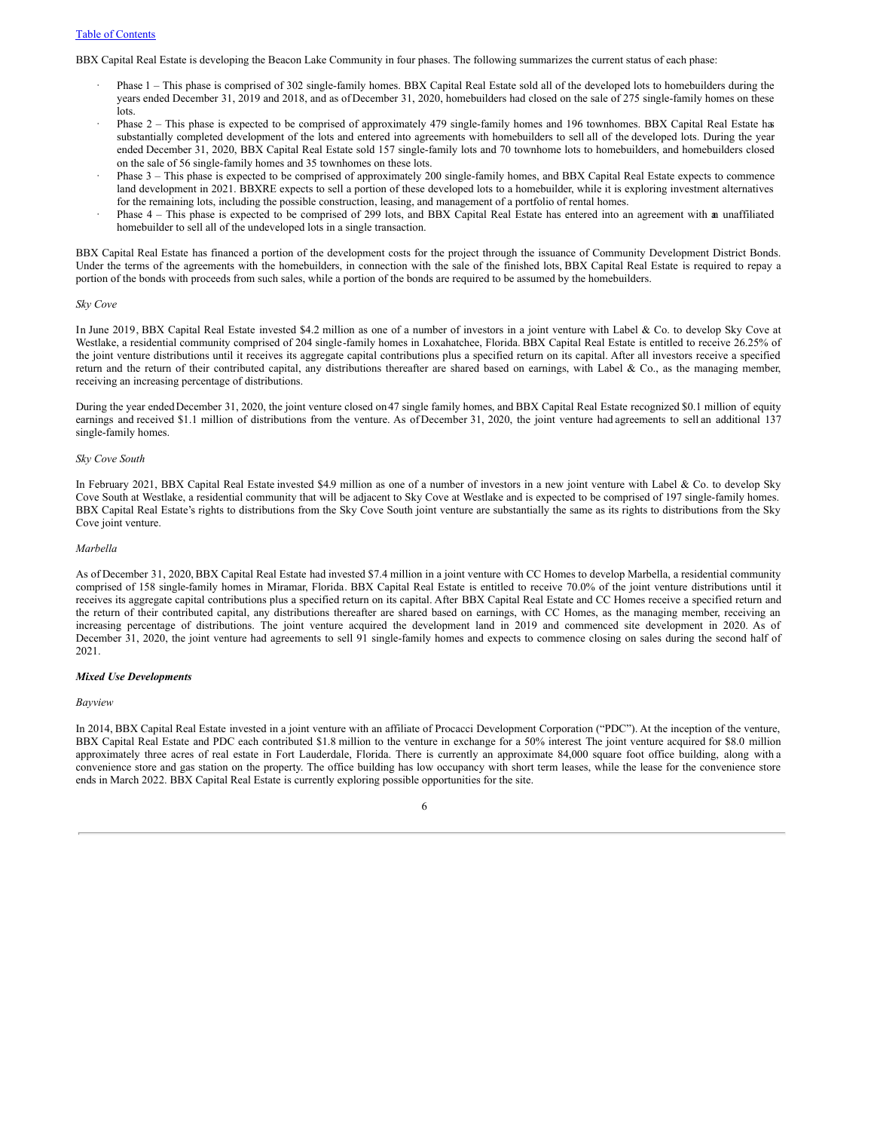BBX Capital Real Estate is developing the Beacon Lake Community in four phases. The following summarizes the current status of each phase:

- · Phase 1 This phase is comprised of 302 single-family homes. BBX Capital Real Estate sold all of the developed lots to homebuilders during the years ended December 31, 2019 and 2018, and as of December 31, 2020, homebuilders had closed on the sale of 275 single-family homes on these lots.
- · Phase 2 This phase is expected to be comprised of approximately 479 single-family homes and 196 townhomes. BBX Capital Real Estate has substantially completed development of the lots and entered into agreements with homebuilders to sell all of the developed lots. During the year ended December 31, 2020, BBX Capital Real Estate sold 157 single-family lots and 70 townhome lots to homebuilders, and homebuilders closed on the sale of 56 single-family homes and 35 townhomes on these lots.
- · Phase 3 This phase is expected to be comprised of approximately 200 single-family homes, and BBX Capital Real Estate expects to commence land development in 2021. BBXRE expects to sell a portion of these developed lots to a homebuilder, while it is exploring investment alternatives for the remaining lots, including the possible construction, leasing, and management of a portfolio of rental homes.
- Phase 4 This phase is expected to be comprised of 299 lots, and BBX Capital Real Estate has entered into an agreement with an unaffiliated homebuilder to sell all of the undeveloped lots in a single transaction.

BBX Capital Real Estate has financed a portion of the development costs for the project through the issuance of Community Development District Bonds. Under the terms of the agreements with the homebuilders, in connection with the sale of the finished lots, BBX Capital Real Estate is required to repay a portion of the bonds with proceeds from such sales, while a portion of the bonds are required to be assumed by the homebuilders.

#### *Sky Cove*

In June 2019, BBX Capital Real Estate invested \$4.2 million as one of a number of investors in a joint venture with Label & Co. to develop Sky Cove at Westlake, a residential community comprised of 204 single-family homes in Loxahatchee, Florida. BBX Capital Real Estate is entitled to receive 26.25% of the joint venture distributions until it receives its aggregate capital contributions plus a specified return on its capital. After all investors receive a specified return and the return of their contributed capital, any distributions thereafter are shared based on earnings, with Label & Co., as the managing member, receiving an increasing percentage of distributions.

During the year endedDecember 31, 2020, the joint venture closed on 47 single family homes, and BBX Capital Real Estate recognized \$0.1 million of equity earnings and received \$1.1 million of distributions from the venture. As of December 31, 2020, the joint venture had agreements to sell an additional 137 single-family homes.

#### *Sky Cove South*

In February 2021, BBX Capital Real Estate invested \$4.9 million as one of a number of investors in a new joint venture with Label & Co. to develop Sky Cove South at Westlake, a residential community that will be adjacent to Sky Cove at Westlake and is expected to be comprised of 197 single-family homes. BBX Capital Real Estate's rights to distributions from the Sky Cove South joint venture are substantially the same as its rights to distributions from the Sky Cove joint venture.

#### *Marbella*

As of December 31, 2020, BBX Capital Real Estate had invested \$7.4 million in a joint venture with CC Homes to develop Marbella, a residential community comprised of 158 single-family homes in Miramar, Florida. BBX Capital Real Estate is entitled to receive 70.0% of the joint venture distributions until it receives its aggregate capital contributions plus a specified return on its capital. After BBX Capital Real Estate and CC Homes receive a specified return and the return of their contributed capital, any distributions thereafter are shared based on earnings, with CC Homes, as the managing member, receiving an increasing percentage of distributions. The joint venture acquired the development land in 2019 and commenced site development in 2020. As of December 31, 2020, the joint venture had agreements to sell 91 single-family homes and expects to commence closing on sales during the second half of 2021.

#### *Mixed Use Developments*

#### *Bayview*

In 2014, BBX Capital Real Estate invested in a joint venture with an affiliate of Procacci Development Corporation ("PDC"). At the inception of the venture, BBX Capital Real Estate and PDC each contributed \$1.8 million to the venture in exchange for a 50% interest. The joint venture acquired for \$8.0 million approximately three acres of real estate in Fort Lauderdale, Florida. There is currently an approximate 84,000 square foot office building, along with a convenience store and gas station on the property. The office building has low occupancy with short term leases, while the lease for the convenience store ends in March 2022. BBX Capital Real Estate is currently exploring possible opportunities for the site.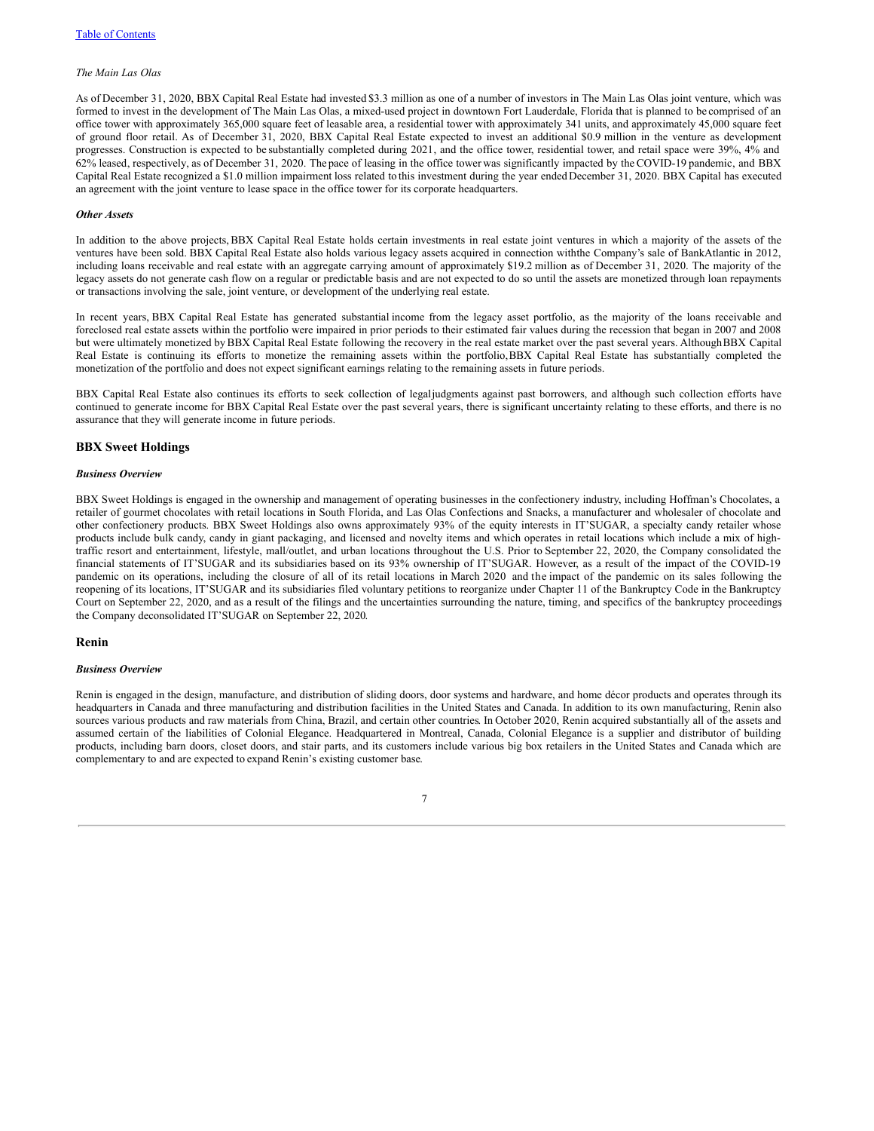#### *The Main Las Olas*

As of December 31, 2020, BBX Capital Real Estate had invested \$3.3 million as one of a number of investors in The Main Las Olas joint venture, which was formed to invest in the development of The Main Las Olas, a mixed-used project in downtown Fort Lauderdale, Florida that is planned to be comprised of an office tower with approximately 365,000 square feet of leasable area, a residential tower with approximately 341 units, and approximately 45,000 square feet of ground floor retail. As of December 31, 2020, BBX Capital Real Estate expected to invest an additional \$0.9 million in the venture as development progresses. Construction is expected to be substantially completed during 2021, and the office tower, residential tower, and retail space were 39%, 4% and 62% leased, respectively, as of December 31, 2020. The pace of leasing in the office tower was significantly impacted by the COVID-19 pandemic, and BBX Capital Real Estate recognized a \$1.0 million impairment loss related to this investment during the year endedDecember 31, 2020. BBX Capital has executed an agreement with the joint venture to lease space in the office tower for its corporate headquarters.

#### *Other Assets*

In addition to the above projects,BBX Capital Real Estate holds certain investments in real estate joint ventures in which a majority of the assets of the ventures have been sold. BBX Capital Real Estate also holds various legacy assets acquired in connection withthe Company's sale of BankAtlantic in 2012, including loans receivable and real estate with an aggregate carrying amount of approximately \$19.2 million as of December 31, 2020. The majority of the legacy assets do not generate cash flow on a regular or predictable basis and are not expected to do so until the assets are monetized through loan repayments or transactions involving the sale, joint venture, or development of the underlying real estate.

In recent years, BBX Capital Real Estate has generated substantial income from the legacy asset portfolio, as the majority of the loans receivable and foreclosed real estate assets within the portfolio were impaired in prior periods to their estimated fair values during the recession that began in 2007 and 2008 but were ultimately monetized by BBX Capital Real Estate following the recovery in the real estate market over the past several years. AlthoughBBX Capital Real Estate is continuing its efforts to monetize the remaining assets within the portfolio,BBX Capital Real Estate has substantially completed the monetization of the portfolio and does not expect significant earnings relating to the remaining assets in future periods.

BBX Capital Real Estate also continues its efforts to seek collection of legaljudgments against past borrowers, and although such collection efforts have continued to generate income for BBX Capital Real Estate over the past several years, there is significant uncertainty relating to these efforts, and there is no assurance that they will generate income in future periods.

## **BBX Sweet Holdings**

#### *Business Overview*

BBX Sweet Holdings is engaged in the ownership and management of operating businesses in the confectionery industry, including Hoffman's Chocolates, a retailer of gourmet chocolates with retail locations in South Florida, and Las Olas Confections and Snacks, a manufacturer and wholesaler of chocolate and other confectionery products. BBX Sweet Holdings also owns approximately 93% of the equity interests in IT'SUGAR, a specialty candy retailer whose products include bulk candy, candy in giant packaging, and licensed and novelty items and which operates in retail locations which include a mix of hightraffic resort and entertainment, lifestyle, mall/outlet, and urban locations throughout the U.S. Prior to September 22, 2020, the Company consolidated the financial statements of IT'SUGAR and its subsidiaries based on its 93% ownership of IT'SUGAR. However, as a result of the impact of the COVID-19 pandemic on its operations, including the closure of all of its retail locations in March 2020 and the impact of the pandemic on its sales following the reopening of its locations, IT'SUGAR and its subsidiaries filed voluntary petitions to reorganize under Chapter 11 of the Bankruptcy Code in the Bankruptcy Court on September 22, 2020, and as a result of the filings and the uncertainties surrounding the nature, timing, and specifics of the bankruptcy proceedings, the Company deconsolidated IT'SUGAR on September 22, 2020.

#### **Renin**

#### *Business Overview*

Renin is engaged in the design, manufacture, and distribution of sliding doors, door systems and hardware, and home décor products and operates through its headquarters in Canada and three manufacturing and distribution facilities in the United States and Canada. In addition to its own manufacturing, Renin also sources various products and raw materials from China, Brazil, and certain other countries. In October 2020, Renin acquired substantially all of the assets and assumed certain of the liabilities of Colonial Elegance. Headquartered in Montreal, Canada, Colonial Elegance is a supplier and distributor of building products, including barn doors, closet doors, and stair parts, and its customers include various big box retailers in the United States and Canada which are complementary to and are expected to expand Renin's existing customer base.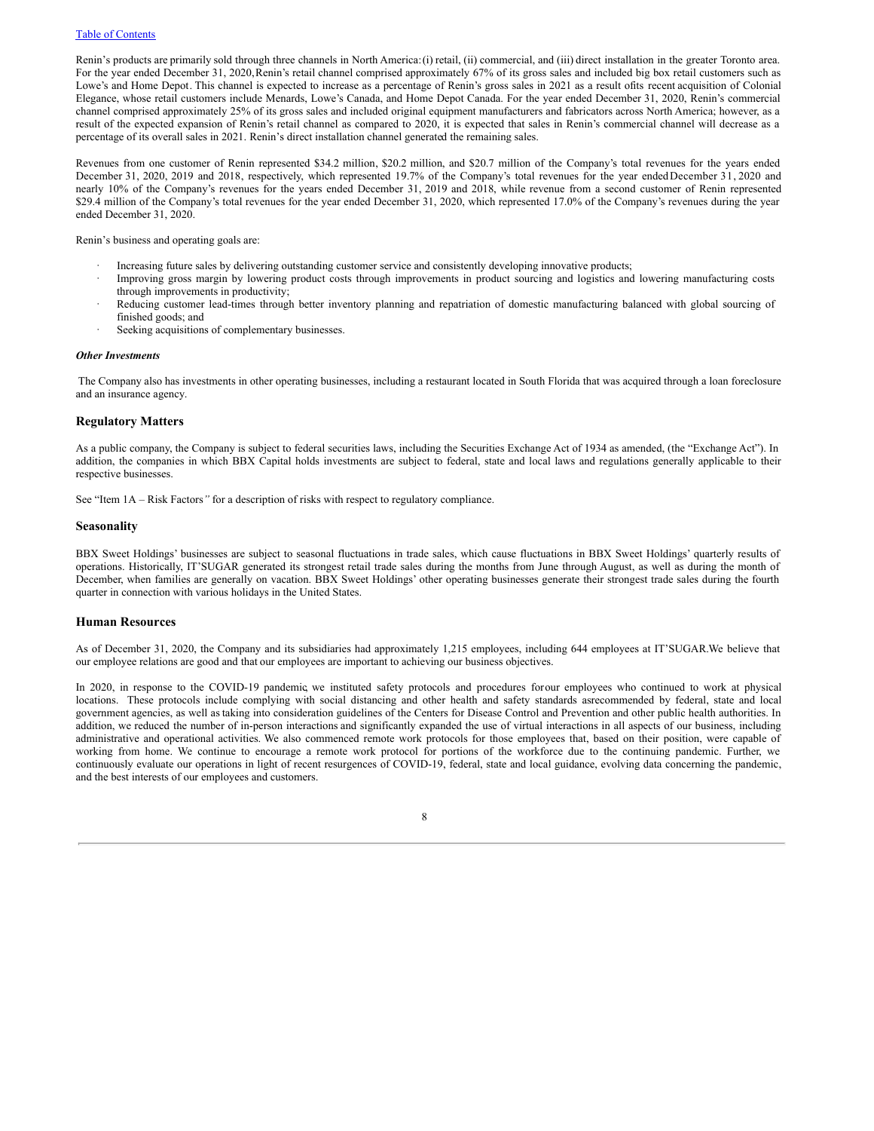Renin's products are primarily sold through three channels in North America:(i) retail, (ii) commercial, and (iii) direct installation in the greater Toronto area. For the year ended December 31, 2020,Renin's retail channel comprised approximately 67% of its gross sales and included big box retail customers such as Lowe's and Home Depot. This channel is expected to increase as a percentage of Renin's gross sales in 2021 as a result ofits recent acquisition of Colonial Elegance, whose retail customers include Menards, Lowe's Canada, and Home Depot Canada. For the year ended December 31, 2020, Renin's commercial channel comprised approximately 25% of its gross sales and included original equipment manufacturers and fabricators across North America; however, as a result of the expected expansion of Renin's retail channel as compared to 2020, it is expected that sales in Renin's commercial channel will decrease as a percentage of its overall sales in 2021. Renin's direct installation channel generated the remaining sales.

Revenues from one customer of Renin represented \$34.2 million, \$20.2 million, and \$20.7 million of the Company's total revenues for the years ended December 31, 2020, 2019 and 2018, respectively, which represented 19.7% of the Company's total revenues for the year endedDecember 31, 2020 and nearly 10% of the Company's revenues for the years ended December 31, 2019 and 2018, while revenue from a second customer of Renin represented \$29.4 million of the Company's total revenues for the year ended December 31, 2020, which represented 17.0% of the Company's revenues during the year ended December 31, 2020.

Renin's business and operating goals are:

- Increasing future sales by delivering outstanding customer service and consistently developing innovative products;
- Improving gross margin by lowering product costs through improvements in product sourcing and logistics and lowering manufacturing costs through improvements in productivity;
- Reducing customer lead-times through better inventory planning and repatriation of domestic manufacturing balanced with global sourcing of finished goods; and
- Seeking acquisitions of complementary businesses.

#### *Other Investments*

The Company also has investments in other operating businesses, including a restaurant located in South Florida that was acquired through a loan foreclosure and an insurance agency.

## **Regulatory Matters**

As a public company, the Company is subject to federal securities laws, including the Securities Exchange Act of 1934 as amended, (the "Exchange Act"). In addition, the companies in which BBX Capital holds investments are subject to federal, state and local laws and regulations generally applicable to their respective businesses.

See "Item 1A – Risk Factors*"* for a description of risks with respect to regulatory compliance.

## **Seasonality**

BBX Sweet Holdings' businesses are subject to seasonal fluctuations in trade sales, which cause fluctuations in BBX Sweet Holdings' quarterly results of operations. Historically, IT'SUGAR generated its strongest retail trade sales during the months from June through August, as well as during the month of December, when families are generally on vacation. BBX Sweet Holdings' other operating businesses generate their strongest trade sales during the fourth quarter in connection with various holidays in the United States.

## **Human Resources**

As of December 31, 2020, the Company and its subsidiaries had approximately 1,215 employees, including 644 employees at IT'SUGAR.We believe that our employee relations are good and that our employees are important to achieving our business objectives.

In 2020, in response to the COVID-19 pandemic, we instituted safety protocols and procedures forour employees who continued to work at physical locations. These protocols include complying with social distancing and other health and safety standards asrecommended by federal, state and local government agencies, as well as taking into consideration guidelines of the Centers for Disease Control and Prevention and other public health authorities. In addition, we reduced the number of in-person interactions and significantly expanded the use of virtual interactions in all aspects of our business, including administrative and operational activities. We also commenced remote work protocols for those employees that, based on their position, were capable of working from home. We continue to encourage a remote work protocol for portions of the workforce due to the continuing pandemic. Further, we continuously evaluate our operations in light of recent resurgences of COVID-19, federal, state and local guidance, evolving data concerning the pandemic, and the best interests of our employees and customers.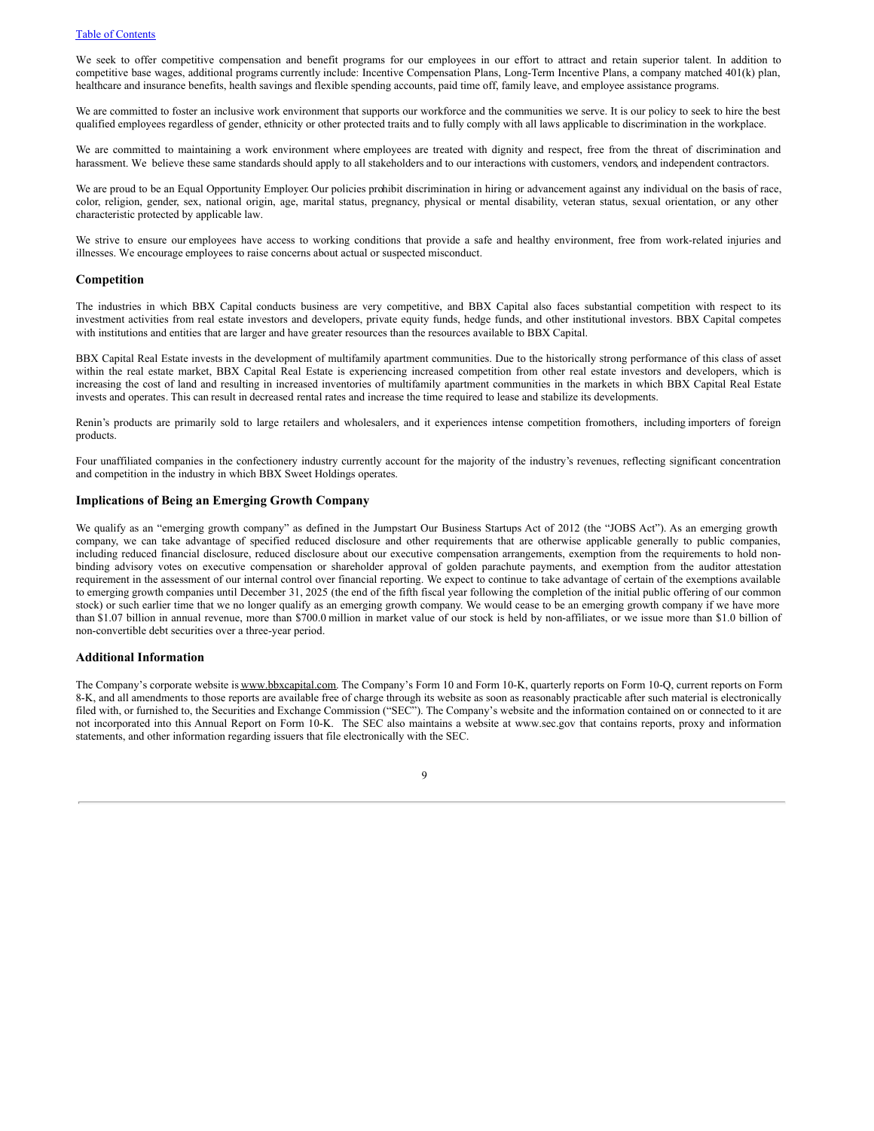We seek to offer competitive compensation and benefit programs for our employees in our effort to attract and retain superior talent. In addition to competitive base wages, additional programs currently include: Incentive Compensation Plans, Long-Term Incentive Plans, a company matched 401(k) plan, healthcare and insurance benefits, health savings and flexible spending accounts, paid time off, family leave, and employee assistance programs.

We are committed to foster an inclusive work environment that supports our workforce and the communities we serve. It is our policy to seek to hire the best qualified employees regardless of gender, ethnicity or other protected traits and to fully comply with all laws applicable to discrimination in the workplace.

We are committed to maintaining a work environment where employees are treated with dignity and respect, free from the threat of discrimination and harassment. We believe these same standards should apply to all stakeholders and to our interactions with customers, vendors, and independent contractors.

We are proud to be an Equal Opportunity Employer. Our policies prohibit discrimination in hiring or advancement against any individual on the basis of race, color, religion, gender, sex, national origin, age, marital status, pregnancy, physical or mental disability, veteran status, sexual orientation, or any other characteristic protected by applicable law.

We strive to ensure our employees have access to working conditions that provide a safe and healthy environment, free from work-related injuries and illnesses. We encourage employees to raise concerns about actual or suspected misconduct.

## **Competition**

The industries in which BBX Capital conducts business are very competitive, and BBX Capital also faces substantial competition with respect to its investment activities from real estate investors and developers, private equity funds, hedge funds, and other institutional investors. BBX Capital competes with institutions and entities that are larger and have greater resources than the resources available to BBX Capital.

BBX Capital Real Estate invests in the development of multifamily apartment communities. Due to the historically strong performance of this class of asset within the real estate market, BBX Capital Real Estate is experiencing increased competition from other real estate investors and developers, which is increasing the cost of land and resulting in increased inventories of multifamily apartment communities in the markets in which BBX Capital Real Estate invests and operates. This can result in decreased rental rates and increase the time required to lease and stabilize its developments.

Renin's products are primarily sold to large retailers and wholesalers, and it experiences intense competition fromothers, including importers of foreign products.

Four unaffiliated companies in the confectionery industry currently account for the majority of the industry's revenues, reflecting significant concentration and competition in the industry in which BBX Sweet Holdings operates.

## **Implications of Being an Emerging Growth Company**

We qualify as an "emerging growth company" as defined in the Jumpstart Our Business Startups Act of 2012 (the "JOBS Act"). As an emerging growth company, we can take advantage of specified reduced disclosure and other requirements that are otherwise applicable generally to public companies, including reduced financial disclosure, reduced disclosure about our executive compensation arrangements, exemption from the requirements to hold nonbinding advisory votes on executive compensation or shareholder approval of golden parachute payments, and exemption from the auditor attestation requirement in the assessment of our internal control over financial reporting. We expect to continue to take advantage of certain of the exemptions available to emerging growth companies until December 31, 2025 (the end of the fifth fiscal year following the completion of the initial public offering of our common stock) or such earlier time that we no longer qualify as an emerging growth company. We would cease to be an emerging growth company if we have more than \$1.07 billion in annual revenue, more than \$700.0 million in market value of our stock is held by non-affiliates, or we issue more than \$1.0 billion of non-convertible debt securities over a three-year period.

## **Additional Information**

The Company's corporate website is www.bbxcapital.com. The Company's Form 10 and Form 10-K, quarterly reports on Form 10-Q, current reports on Form 8-K, and all amendments to those reports are available free of charge through its website as soon as reasonably practicable after such material is electronically filed with, or furnished to, the Securities and Exchange Commission ("SEC"). The Company's website and the information contained on or connected to it are not incorporated into this Annual Report on Form 10-K. The SEC also maintains a website at www.sec.gov that contains reports, proxy and information statements, and other information regarding issuers that file electronically with the SEC.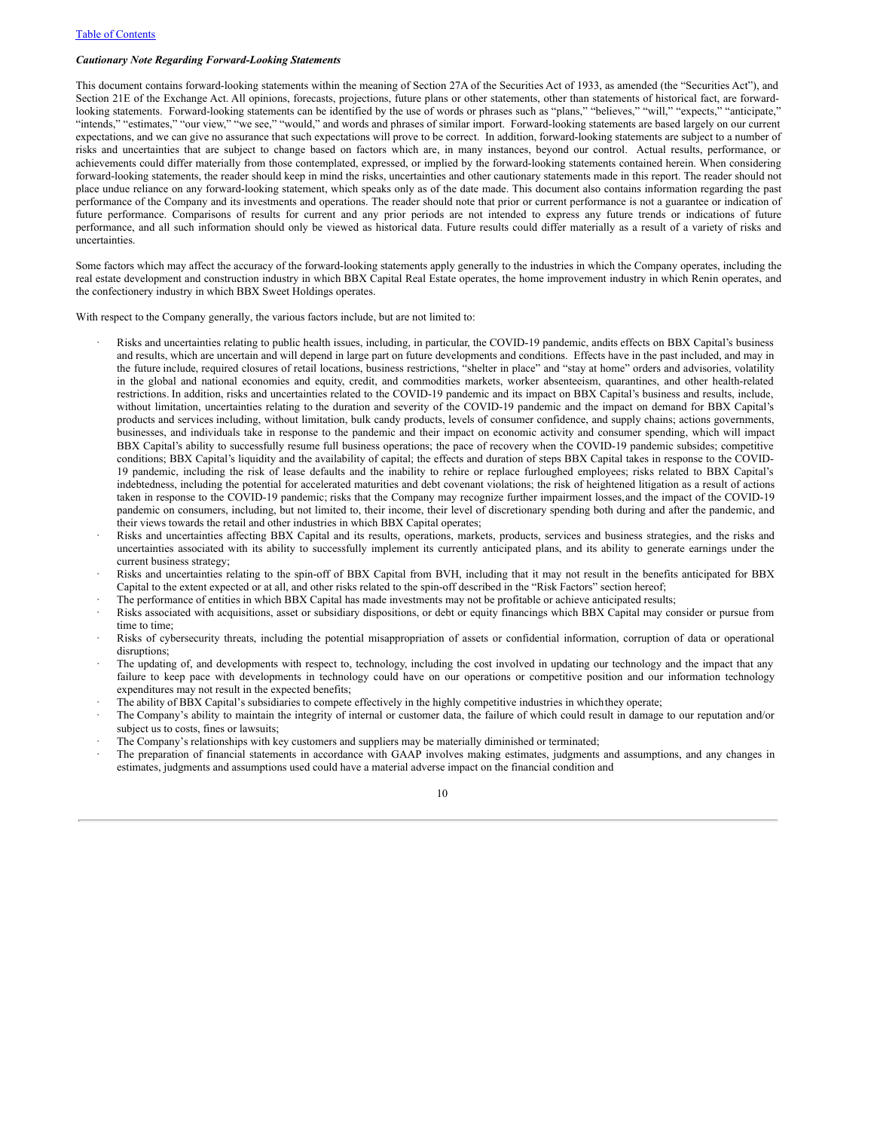## *Cautionary Note Regarding Forward-Looking Statements*

This document contains forward-looking statements within the meaning of Section 27A of the Securities Act of 1933, as amended (the "Securities Act"), and Section 21E of the Exchange Act. All opinions, forecasts, projections, future plans or other statements, other than statements of historical fact, are forwardlooking statements. Forward-looking statements can be identified by the use of words or phrases such as "plans," "believes," "will," "expects," "anticipate," "intends," "estimates," "our view," "we see," "would," and words and phrases of similar import. Forward-looking statements are based largely on our current expectations, and we can give no assurance that such expectations will prove to be correct. In addition, forward-looking statements are subject to a number of risks and uncertainties that are subject to change based on factors which are, in many instances, beyond our control. Actual results, performance, or achievements could differ materially from those contemplated, expressed, or implied by the forward-looking statements contained herein. When considering forward-looking statements, the reader should keep in mind the risks, uncertainties and other cautionary statements made in this report. The reader should not place undue reliance on any forward-looking statement, which speaks only as of the date made. This document also contains information regarding the past performance of the Company and its investments and operations. The reader should note that prior or current performance is not a guarantee or indication of future performance. Comparisons of results for current and any prior periods are not intended to express any future trends or indications of future performance, and all such information should only be viewed as historical data. Future results could differ materially as a result of a variety of risks and uncertainties.

Some factors which may affect the accuracy of the forward-looking statements apply generally to the industries in which the Company operates, including the real estate development and construction industry in which BBX Capital Real Estate operates, the home improvement industry in which Renin operates, and the confectionery industry in which BBX Sweet Holdings operates.

With respect to the Company generally, the various factors include, but are not limited to:

- · Risks and uncertainties relating to public health issues, including, in particular, the COVID-19 pandemic, andits effects on BBX Capital's business and results, which are uncertain and will depend in large part on future developments and conditions. Effects have in the past included, and may in the future include, required closures of retail locations, business restrictions, "shelter in place" and "stay at home" orders and advisories, volatility in the global and national economies and equity, credit, and commodities markets, worker absenteeism, quarantines, and other health-related restrictions. In addition, risks and uncertainties related to the COVID-19 pandemic and its impact on BBX Capital's business and results, include, without limitation, uncertainties relating to the duration and severity of the COVID-19 pandemic and the impact on demand for BBX Capital's products and services including, without limitation, bulk candy products, levels of consumer confidence, and supply chains; actions governments, businesses, and individuals take in response to the pandemic and their impact on economic activity and consumer spending, which will impact BBX Capital's ability to successfully resume full business operations; the pace of recovery when the COVID-19 pandemic subsides; competitive conditions; BBX Capital's liquidity and the availability of capital; the effects and duration of steps BBX Capital takes in response to the COVID-19 pandemic, including the risk of lease defaults and the inability to rehire or replace furloughed employees; risks related to BBX Capital's indebtedness, including the potential for accelerated maturities and debt covenant violations; the risk of heightened litigation as a result of actions taken in response to the COVID-19 pandemic; risks that the Company may recognize further impairment losses,and the impact of the COVID-19 pandemic on consumers, including, but not limited to, their income, their level of discretionary spending both during and after the pandemic, and their views towards the retail and other industries in which BBX Capital operates;
- · Risks and uncertainties affecting BBX Capital and its results, operations, markets, products, services and business strategies, and the risks and uncertainties associated with its ability to successfully implement its currently anticipated plans, and its ability to generate earnings under the current business strategy;
- · Risks and uncertainties relating to the spin-off of BBX Capital from BVH, including that it may not result in the benefits anticipated for BBX Capital to the extent expected or at all, and other risks related to the spin-off described in the "Risk Factors" section hereof;
- · The performance of entities in which BBX Capital has made investments may not be profitable or achieve anticipated results;
- · Risks associated with acquisitions, asset or subsidiary dispositions, or debt or equity financings which BBX Capital may consider or pursue from time to time;
- · Risks of cybersecurity threats, including the potential misappropriation of assets or confidential information, corruption of data or operational disruptions;
- The updating of, and developments with respect to, technology, including the cost involved in updating our technology and the impact that any failure to keep pace with developments in technology could have on our operations or competitive position and our information technology expenditures may not result in the expected benefits;
- The ability of BBX Capital's subsidiaries to compete effectively in the highly competitive industries in which they operate;
- The Company's ability to maintain the integrity of internal or customer data, the failure of which could result in damage to our reputation and/or subject us to costs, fines or lawsuits;
- The Company's relationships with key customers and suppliers may be materially diminished or terminated;
- The preparation of financial statements in accordance with GAAP involves making estimates, judgments and assumptions, and any changes in estimates, judgments and assumptions used could have a material adverse impact on the financial condition and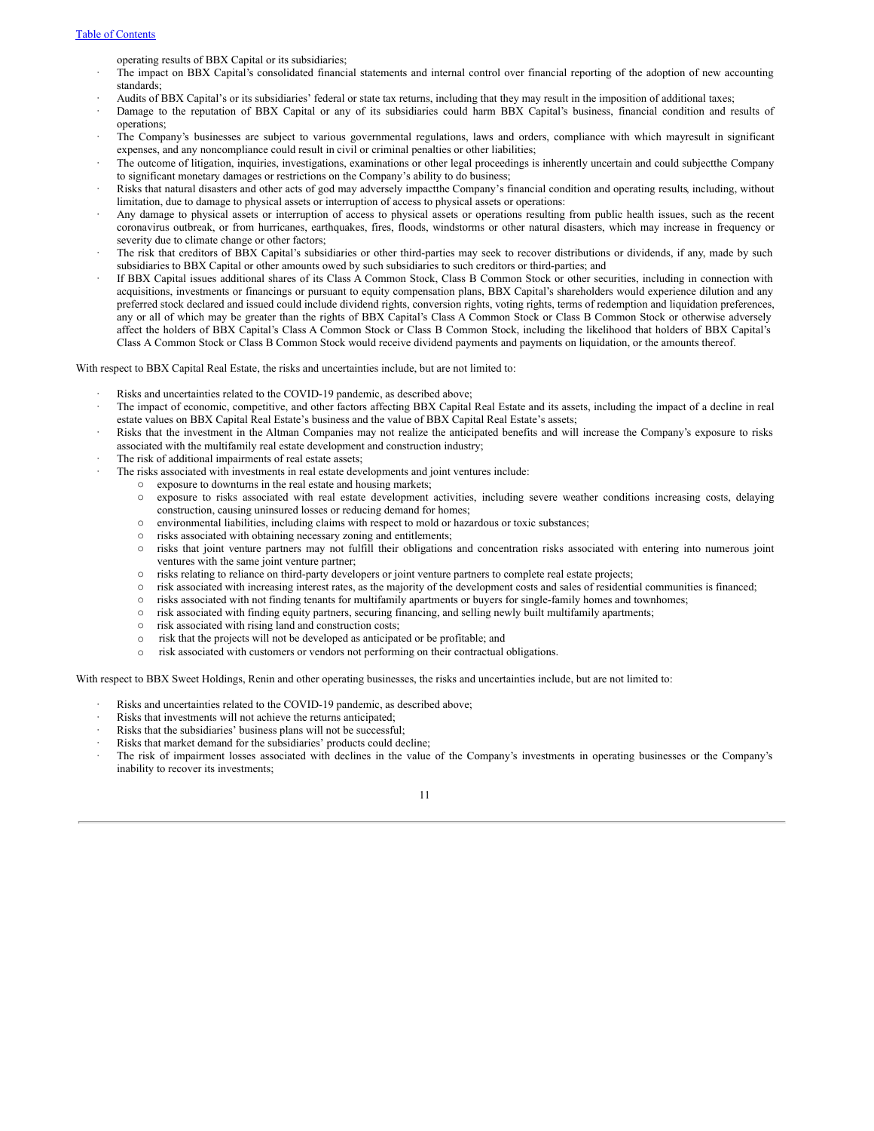operating results of BBX Capital or its subsidiaries;

- The impact on BBX Capital's consolidated financial statements and internal control over financial reporting of the adoption of new accounting standards;
- · Audits of BBX Capital's or its subsidiaries' federal or state tax returns, including that they may result in the imposition of additional taxes;
- · Damage to the reputation of BBX Capital or any of its subsidiaries could harm BBX Capital's business, financial condition and results of operations;
- · The Company's businesses are subject to various governmental regulations, laws and orders, compliance with which mayresult in significant expenses, and any noncompliance could result in civil or criminal penalties or other liabilities;
- The outcome of litigation, inquiries, investigations, examinations or other legal proceedings is inherently uncertain and could subjectthe Company to significant monetary damages or restrictions on the Company's ability to do business;
- · Risks that natural disasters and other acts of god may adversely impactthe Company's financial condition and operating results, including, without limitation, due to damage to physical assets or interruption of access to physical assets or operations:
- · Any damage to physical assets or interruption of access to physical assets or operations resulting from public health issues, such as the recent coronavirus outbreak, or from hurricanes, earthquakes, fires, floods, windstorms or other natural disasters, which may increase in frequency or severity due to climate change or other factors;
- The risk that creditors of BBX Capital's subsidiaries or other third-parties may seek to recover distributions or dividends, if any, made by such subsidiaries to BBX Capital or other amounts owed by such subsidiaries to such creditors or third-parties; and
- If BBX Capital issues additional shares of its Class A Common Stock, Class B Common Stock or other securities, including in connection with acquisitions, investments or financings or pursuant to equity compensation plans, BBX Capital's shareholders would experience dilution and any preferred stock declared and issued could include dividend rights, conversion rights, voting rights, terms of redemption and liquidation preferences, any or all of which may be greater than the rights of BBX Capital's Class A Common Stock or Class B Common Stock or otherwise adversely affect the holders of BBX Capital's Class A Common Stock or Class B Common Stock, including the likelihood that holders of BBX Capital's Class A Common Stock or Class B Common Stock would receive dividend payments and payments on liquidation, or the amounts thereof.

With respect to BBX Capital Real Estate, the risks and uncertainties include, but are not limited to:

- Risks and uncertainties related to the COVID-19 pandemic, as described above;
- The impact of economic, competitive, and other factors affecting BBX Capital Real Estate and its assets, including the impact of a decline in real estate values on BBX Capital Real Estate's business and the value of BBX Capital Real Estate's assets;
- · Risks that the investment in the Altman Companies may not realize the anticipated benefits and will increase the Company's exposure to risks associated with the multifamily real estate development and construction industry;
- The risk of additional impairments of real estate assets;
- The risks associated with investments in real estate developments and joint ventures include:
	- o exposure to downturns in the real estate and housing markets;
		- o exposure to risks associated with real estate development activities, including severe weather conditions increasing costs, delaying construction, causing uninsured losses or reducing demand for homes;
		- o environmental liabilities, including claims with respect to mold or hazardous or toxic substances;
		- o risks associated with obtaining necessary zoning and entitlements;
		- o risks that joint venture partners may not fulfill their obligations and concentration risks associated with entering into numerous joint ventures with the same joint venture partner;
		- o risks relating to reliance on third-party developers or joint venture partners to complete real estate projects;
		- o risk associated with increasing interest rates, as the majority of the development costs and sales of residential communities is financed;
		- o risks associated with not finding tenants for multifamily apartments or buyers for single-family homes and townhomes;
		- o risk associated with finding equity partners, securing financing, and selling newly built multifamily apartments;
		- o risk associated with rising land and construction costs;
		- o risk that the projects will not be developed as anticipated or be profitable; and
		- o risk associated with customers or vendors not performing on their contractual obligations.

With respect to BBX Sweet Holdings, Renin and other operating businesses, the risks and uncertainties include, but are not limited to:

- Risks and uncertainties related to the COVID-19 pandemic, as described above;
- Risks that investments will not achieve the returns anticipated:
- Risks that the subsidiaries' business plans will not be successful;
- Risks that market demand for the subsidiaries' products could decline;
- The risk of impairment losses associated with declines in the value of the Company's investments in operating businesses or the Company's inability to recover its investments;

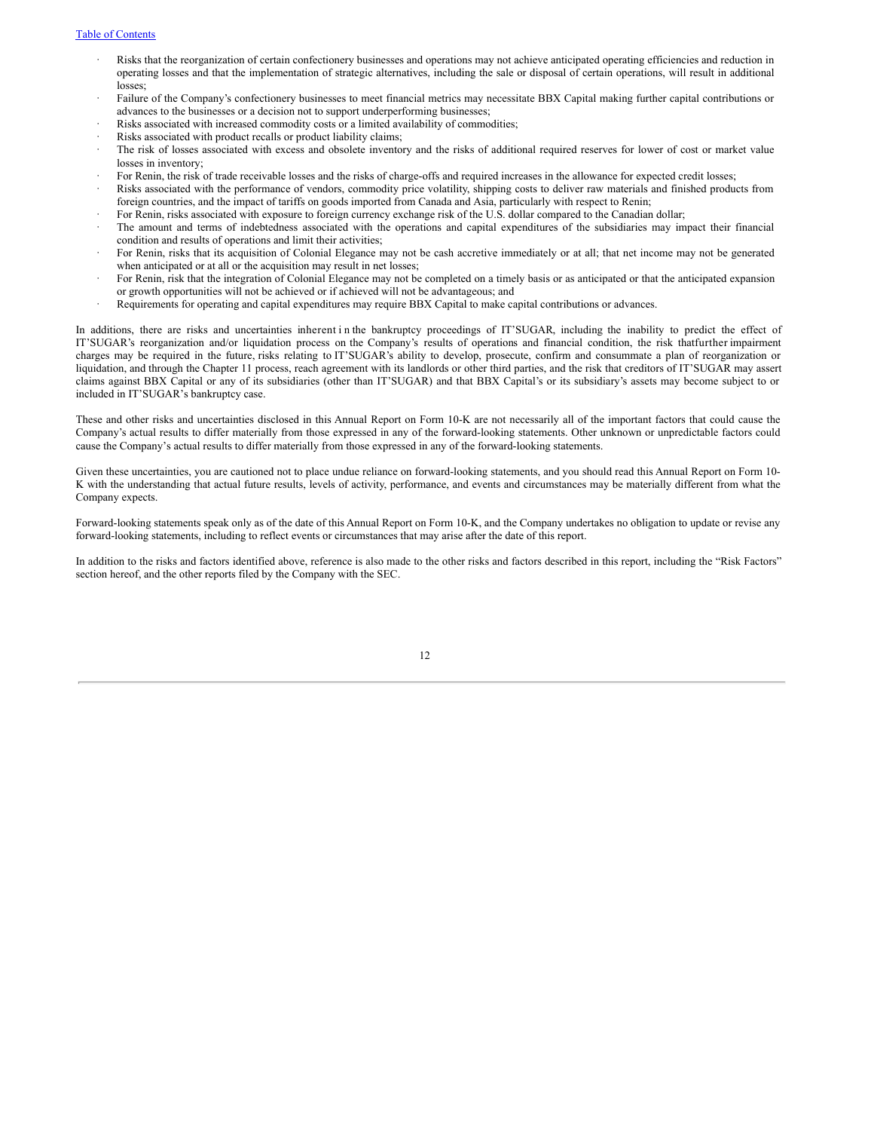- Risks that the reorganization of certain confectionery businesses and operations may not achieve anticipated operating efficiencies and reduction in operating losses and that the implementation of strategic alternatives, including the sale or disposal of certain operations, will result in additional losses;
- Failure of the Company's confectionery businesses to meet financial metrics may necessitate BBX Capital making further capital contributions or advances to the businesses or a decision not to support underperforming businesses;
- Risks associated with increased commodity costs or a limited availability of commodities;
- Risks associated with product recalls or product liability claims;
- The risk of losses associated with excess and obsolete inventory and the risks of additional required reserves for lower of cost or market value losses in inventory;
- · For Renin, the risk of trade receivable losses and the risks of charge-offs and required increases in the allowance for expected credit losses;
- · Risks associated with the performance of vendors, commodity price volatility, shipping costs to deliver raw materials and finished products from foreign countries, and the impact of tariffs on goods imported from Canada and Asia, particularly with respect to Renin;
- · For Renin, risks associated with exposure to foreign currency exchange risk of the U.S. dollar compared to the Canadian dollar;
- The amount and terms of indebtedness associated with the operations and capital expenditures of the subsidiaries may impact their financial condition and results of operations and limit their activities;
- · For Renin, risks that its acquisition of Colonial Elegance may not be cash accretive immediately or at all; that net income may not be generated when anticipated or at all or the acquisition may result in net losses;
- For Renin, risk that the integration of Colonial Elegance may not be completed on a timely basis or as anticipated or that the anticipated expansion or growth opportunities will not be achieved or if achieved will not be advantageous; and
- · Requirements for operating and capital expenditures may require BBX Capital to make capital contributions or advances.

In additions, there are risks and uncertainties inherent in the bankruptcy proceedings of IT'SUGAR, including the inability to predict the effect of IT'SUGAR's reorganization and/or liquidation process on the Company's results of operations and financial condition, the risk thatfurther impairment charges may be required in the future, risks relating to IT'SUGAR's ability to develop, prosecute, confirm and consummate a plan of reorganization or liquidation, and through the Chapter 11 process, reach agreement with its landlords or other third parties, and the risk that creditors of IT'SUGAR may assert claims against BBX Capital or any of its subsidiaries (other than IT'SUGAR) and that BBX Capital's or its subsidiary's assets may become subject to or included in IT'SUGAR's bankruptcy case.

These and other risks and uncertainties disclosed in this Annual Report on Form 10-K are not necessarily all of the important factors that could cause the Company's actual results to differ materially from those expressed in any of the forward-looking statements. Other unknown or unpredictable factors could cause the Company's actual results to differ materially from those expressed in any of the forward-looking statements.

Given these uncertainties, you are cautioned not to place undue reliance on forward-looking statements, and you should read this Annual Report on Form 10- K with the understanding that actual future results, levels of activity, performance, and events and circumstances may be materially different from what the Company expects.

Forward-looking statements speak only as of the date of this Annual Report on Form 10-K, and the Company undertakes no obligation to update or revise any forward-looking statements, including to reflect events or circumstances that may arise after the date of this report.

In addition to the risks and factors identified above, reference is also made to the other risks and factors described in this report, including the "Risk Factors" section hereof, and the other reports filed by the Company with the SEC.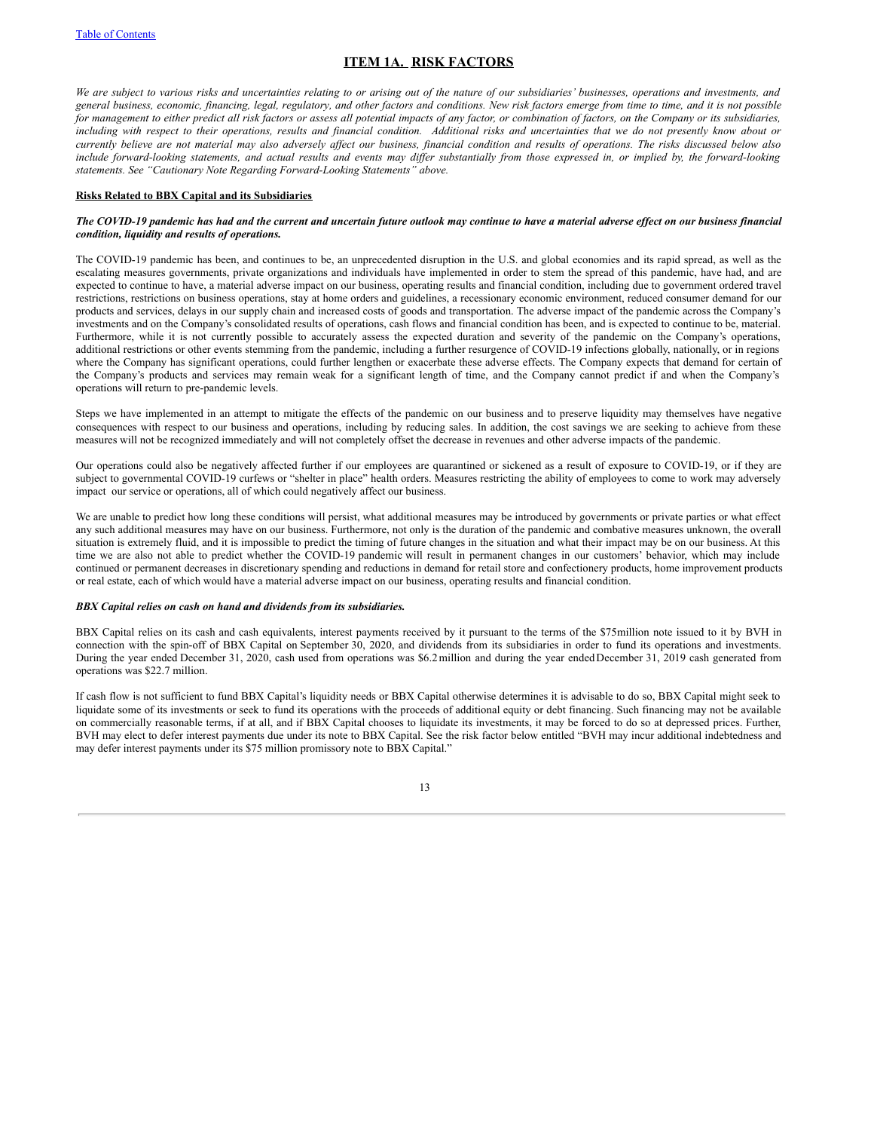## <span id="page-14-0"></span>**ITEM 1A. RISK FACTORS**

We are subject to various risks and uncertainties relating to or arising out of the nature of our subsidiaries' businesses, operations and investments, and general business, economic, financing, legal, regulatory, and other factors and conditions. New risk factors emerge from time to time, and it is not possible for management to either predict all risk factors or assess all potential impacts of any factor, or combination of factors, on the Company or its subsidiaries, including with respect to their operations, results and financial condition. Additional risks and uncertainties that we do not presently know about or currently believe are not material may also adversely affect our business, financial condition and results of operations. The risks discussed below also include forward-looking statements, and actual results and events may differ substantially from those expressed in, or implied by, the forward-looking *statements. See "Cautionary Note Regarding Forward-Looking Statements" above.*

## **Risks Related to BBX Capital and its Subsidiaries**

#### The COVID-19 pandemic has had and the current and uncertain future outlook may continue to have a material adverse effect on our business financial *condition, liquidity and results of operations.*

The COVID-19 pandemic has been, and continues to be, an unprecedented disruption in the U.S. and global economies and its rapid spread, as well as the escalating measures governments, private organizations and individuals have implemented in order to stem the spread of this pandemic, have had, and are expected to continue to have, a material adverse impact on our business, operating results and financial condition, including due to government ordered travel restrictions, restrictions on business operations, stay at home orders and guidelines, a recessionary economic environment, reduced consumer demand for our products and services, delays in our supply chain and increased costs of goods and transportation. The adverse impact of the pandemic across the Company's investments and on the Company's consolidated results of operations, cash flows and financial condition has been, and is expected to continue to be, material. Furthermore, while it is not currently possible to accurately assess the expected duration and severity of the pandemic on the Company's operations, additional restrictions or other events stemming from the pandemic, including a further resurgence of COVID-19 infections globally, nationally, or in regions where the Company has significant operations, could further lengthen or exacerbate these adverse effects. The Company expects that demand for certain of the Company's products and services may remain weak for a significant length of time, and the Company cannot predict if and when the Company's operations will return to pre-pandemic levels.

Steps we have implemented in an attempt to mitigate the effects of the pandemic on our business and to preserve liquidity may themselves have negative consequences with respect to our business and operations, including by reducing sales. In addition, the cost savings we are seeking to achieve from these measures will not be recognized immediately and will not completely offset the decrease in revenues and other adverse impacts of the pandemic.

Our operations could also be negatively affected further if our employees are quarantined or sickened as a result of exposure to COVID-19, or if they are subject to governmental COVID-19 curfews or "shelter in place" health orders. Measures restricting the ability of employees to come to work may adversely impact our service or operations, all of which could negatively affect our business.

We are unable to predict how long these conditions will persist, what additional measures may be introduced by governments or private parties or what effect any such additional measures may have on our business. Furthermore, not only is the duration of the pandemic and combative measures unknown, the overall situation is extremely fluid, and it is impossible to predict the timing of future changes in the situation and what their impact may be on our business. At this time we are also not able to predict whether the COVID-19 pandemic will result in permanent changes in our customers' behavior, which may include continued or permanent decreases in discretionary spending and reductions in demand for retail store and confectionery products, home improvement products or real estate, each of which would have a material adverse impact on our business, operating results and financial condition.

#### *BBX Capital relies on cash on hand and dividends from its subsidiaries.*

BBX Capital relies on its cash and cash equivalents, interest payments received by it pursuant to the terms of the \$75million note issued to it by BVH in connection with the spin-off of BBX Capital on September 30, 2020, and dividends from its subsidiaries in order to fund its operations and investments. During the year ended December 31, 2020, cash used from operations was \$6.2million and during the year endedDecember 31, 2019 cash generated from operations was \$22.7 million.

If cash flow is not sufficient to fund BBX Capital's liquidity needs or BBX Capital otherwise determines it is advisable to do so, BBX Capital might seek to liquidate some of its investments or seek to fund its operations with the proceeds of additional equity or debt financing. Such financing may not be available on commercially reasonable terms, if at all, and if BBX Capital chooses to liquidate its investments, it may be forced to do so at depressed prices. Further, BVH may elect to defer interest payments due under its note to BBX Capital. See the risk factor below entitled "BVH may incur additional indebtedness and may defer interest payments under its \$75 million promissory note to BBX Capital."

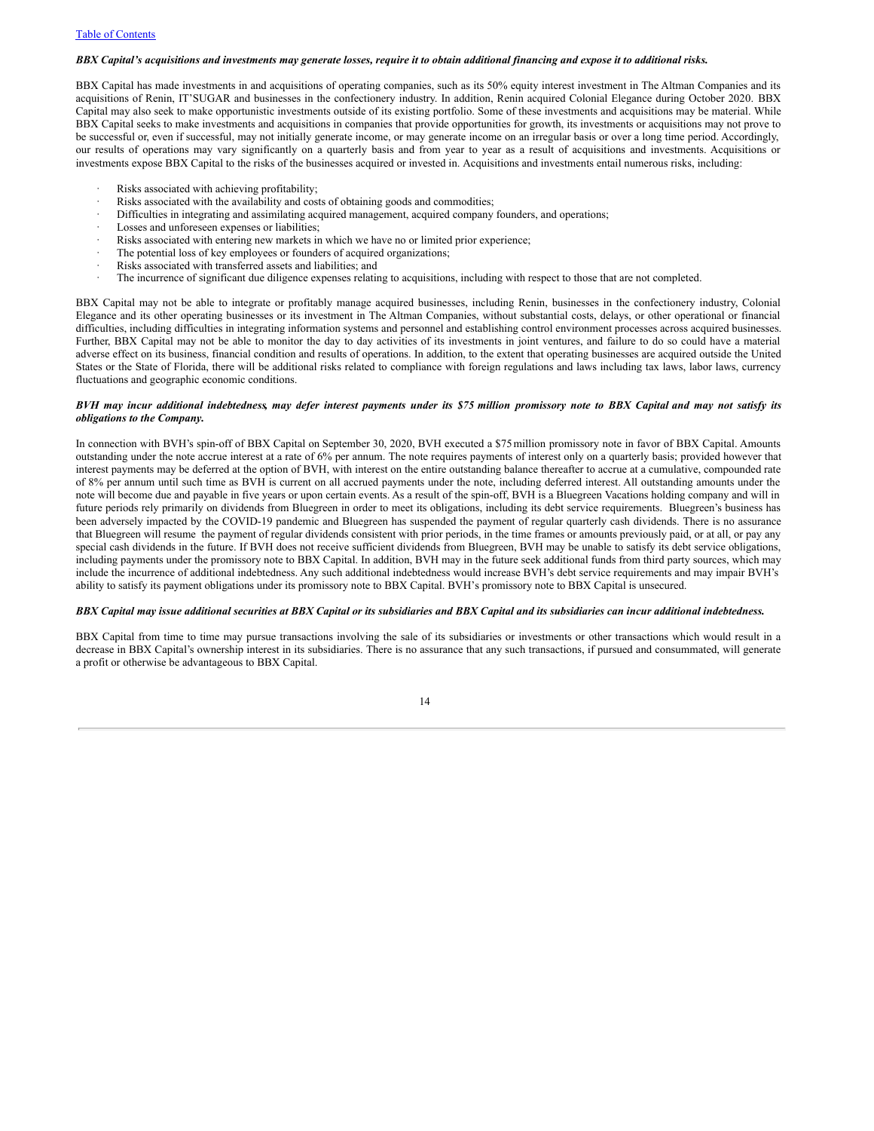### BBX Capital's acquisitions and investments may generate losses, require it to obtain additional financing and expose it to additional risks.

BBX Capital has made investments in and acquisitions of operating companies, such as its 50% equity interest investment in The Altman Companies and its acquisitions of Renin, IT'SUGAR and businesses in the confectionery industry. In addition, Renin acquired Colonial Elegance during October 2020. BBX Capital may also seek to make opportunistic investments outside of its existing portfolio. Some of these investments and acquisitions may be material. While BBX Capital seeks to make investments and acquisitions in companies that provide opportunities for growth, its investments or acquisitions may not prove to be successful or, even if successful, may not initially generate income, or may generate income on an irregular basis or over a long time period. Accordingly, our results of operations may vary significantly on a quarterly basis and from year to year as a result of acquisitions and investments. Acquisitions or investments expose BBX Capital to the risks of the businesses acquired or invested in. Acquisitions and investments entail numerous risks, including:

- Risks associated with achieving profitability;
- Risks associated with the availability and costs of obtaining goods and commodities;
- Difficulties in integrating and assimilating acquired management, acquired company founders, and operations;
- Losses and unforeseen expenses or liabilities;
- Risks associated with entering new markets in which we have no or limited prior experience;
- The potential loss of key employees or founders of acquired organizations;
- Risks associated with transferred assets and liabilities; and
- The incurrence of significant due diligence expenses relating to acquisitions, including with respect to those that are not completed.

BBX Capital may not be able to integrate or profitably manage acquired businesses, including Renin, businesses in the confectionery industry, Colonial Elegance and its other operating businesses or its investment in The Altman Companies, without substantial costs, delays, or other operational or financial difficulties, including difficulties in integrating information systems and personnel and establishing control environment processes across acquired businesses. Further, BBX Capital may not be able to monitor the day to day activities of its investments in joint ventures, and failure to do so could have a material adverse effect on its business, financial condition and results of operations. In addition, to the extent that operating businesses are acquired outside the United States or the State of Florida, there will be additional risks related to compliance with foreign regulations and laws including tax laws, labor laws, currency fluctuations and geographic economic conditions.

#### BVH may incur additional indebtedness, may defer interest payments under its \$75 million promissory note to BBX Capital and may not satisfy its *obligations to the Company.*

In connection with BVH's spin-off of BBX Capital on September 30, 2020, BVH executed a \$75million promissory note in favor of BBX Capital. Amounts outstanding under the note accrue interest at a rate of 6% per annum. The note requires payments of interest only on a quarterly basis; provided however that interest payments may be deferred at the option of BVH, with interest on the entire outstanding balance thereafter to accrue at a cumulative, compounded rate of 8% per annum until such time as BVH is current on all accrued payments under the note, including deferred interest. All outstanding amounts under the note will become due and payable in five years or upon certain events. As a result of the spin-off, BVH is a Bluegreen Vacations holding company and will in future periods rely primarily on dividends from Bluegreen in order to meet its obligations, including its debt service requirements. Bluegreen's business has been adversely impacted by the COVID-19 pandemic and Bluegreen has suspended the payment of regular quarterly cash dividends. There is no assurance that Bluegreen will resume the payment of regular dividends consistent with prior periods, in the time frames or amounts previously paid, or at all, or pay any special cash dividends in the future. If BVH does not receive sufficient dividends from Bluegreen, BVH may be unable to satisfy its debt service obligations, including payments under the promissory note to BBX Capital. In addition, BVH may in the future seek additional funds from third party sources, which may include the incurrence of additional indebtedness. Any such additional indebtedness would increase BVH's debt service requirements and may impair BVH's ability to satisfy its payment obligations under its promissory note to BBX Capital. BVH's promissory note to BBX Capital is unsecured.

## BBX Capital may issue additional securities at BBX Capital or its subsidiaries and BBX Capital and its subsidiaries can incur additional indebtedness.

BBX Capital from time to time may pursue transactions involving the sale of its subsidiaries or investments or other transactions which would result in a decrease in BBX Capital's ownership interest in its subsidiaries. There is no assurance that any such transactions, if pursued and consummated, will generate a profit or otherwise be advantageous to BBX Capital.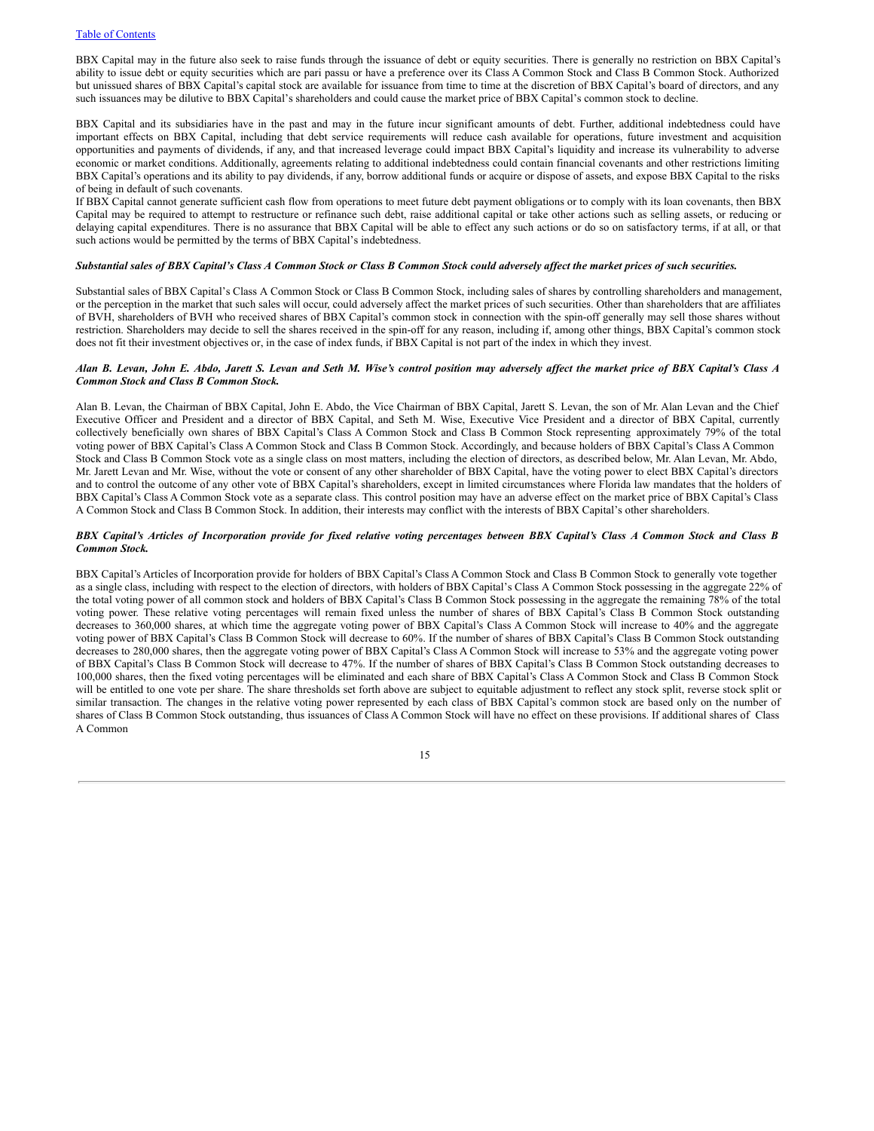BBX Capital may in the future also seek to raise funds through the issuance of debt or equity securities. There is generally no restriction on BBX Capital's ability to issue debt or equity securities which are pari passu or have a preference over its Class A Common Stock and Class B Common Stock. Authorized but unissued shares of BBX Capital's capital stock are available for issuance from time to time at the discretion of BBX Capital's board of directors, and any such issuances may be dilutive to BBX Capital's shareholders and could cause the market price of BBX Capital's common stock to decline.

BBX Capital and its subsidiaries have in the past and may in the future incur significant amounts of debt. Further, additional indebtedness could have important effects on BBX Capital, including that debt service requirements will reduce cash available for operations, future investment and acquisition opportunities and payments of dividends, if any, and that increased leverage could impact BBX Capital's liquidity and increase its vulnerability to adverse economic or market conditions. Additionally, agreements relating to additional indebtedness could contain financial covenants and other restrictions limiting BBX Capital's operations and its ability to pay dividends, if any, borrow additional funds or acquire or dispose of assets, and expose BBX Capital to the risks of being in default of such covenants.

If BBX Capital cannot generate sufficient cash flow from operations to meet future debt payment obligations or to comply with its loan covenants, then BBX Capital may be required to attempt to restructure or refinance such debt, raise additional capital or take other actions such as selling assets, or reducing or delaying capital expenditures. There is no assurance that BBX Capital will be able to effect any such actions or do so on satisfactory terms, if at all, or that such actions would be permitted by the terms of BBX Capital's indebtedness.

## Substantial sales of BBX Capital's Class A Common Stock or Class B Common Stock could adversely affect the market prices of such securities.

Substantial sales of BBX Capital's Class A Common Stock or Class B Common Stock, including sales of shares by controlling shareholders and management, or the perception in the market that such sales will occur, could adversely affect the market prices of such securities. Other than shareholders that are affiliates of BVH, shareholders of BVH who received shares of BBX Capital's common stock in connection with the spin-off generally may sell those shares without restriction. Shareholders may decide to sell the shares received in the spin-off for any reason, including if, among other things, BBX Capital's common stock does not fit their investment objectives or, in the case of index funds, if BBX Capital is not part of the index in which they invest.

## Alan B. Levan, John E. Abdo, Jarett S. Levan and Seth M. Wise's control position may adversely affect the market price of BBX Capital's Class A *Common Stock and Class B Common Stock.*

Alan B. Levan, the Chairman of BBX Capital, John E. Abdo, the Vice Chairman of BBX Capital, Jarett S. Levan, the son of Mr. Alan Levan and the Chief Executive Officer and President and a director of BBX Capital, and Seth M. Wise, Executive Vice President and a director of BBX Capital, currently collectively beneficially own shares of BBX Capital's Class A Common Stock and Class B Common Stock representing approximately 79% of the total voting power of BBX Capital's Class A Common Stock and Class B Common Stock. Accordingly, and because holders of BBX Capital's Class A Common Stock and Class B Common Stock vote as a single class on most matters, including the election of directors, as described below, Mr. Alan Levan, Mr. Abdo, Mr. Jarett Levan and Mr. Wise, without the vote or consent of any other shareholder of BBX Capital, have the voting power to elect BBX Capital's directors and to control the outcome of any other vote of BBX Capital's shareholders, except in limited circumstances where Florida law mandates that the holders of BBX Capital's Class A Common Stock vote as a separate class. This control position may have an adverse effect on the market price of BBX Capital's Class A Common Stock and Class B Common Stock. In addition, their interests may conflict with the interests of BBX Capital's other shareholders.

## BBX Capital's Articles of Incorporation provide for fixed relative voting percentages between BBX Capital's Class A Common Stock and Class B *Common Stock.*

BBX Capital's Articles of Incorporation provide for holders of BBX Capital's Class A Common Stock and Class B Common Stock to generally vote together as a single class, including with respect to the election of directors, with holders of BBX Capital's Class A Common Stock possessing in the aggregate 22% of the total voting power of all common stock and holders of BBX Capital's Class B Common Stock possessing in the aggregate the remaining 78% of the total voting power. These relative voting percentages will remain fixed unless the number of shares of BBX Capital's Class B Common Stock outstanding decreases to 360,000 shares, at which time the aggregate voting power of BBX Capital's Class A Common Stock will increase to 40% and the aggregate voting power of BBX Capital's Class B Common Stock will decrease to 60%. If the number of shares of BBX Capital's Class B Common Stock outstanding decreases to 280,000 shares, then the aggregate voting power of BBX Capital's Class A Common Stock will increase to 53% and the aggregate voting power of BBX Capital's Class B Common Stock will decrease to 47%. If the number of shares of BBX Capital's Class B Common Stock outstanding decreases to 100,000 shares, then the fixed voting percentages will be eliminated and each share of BBX Capital's Class A Common Stock and Class B Common Stock will be entitled to one vote per share. The share thresholds set forth above are subject to equitable adjustment to reflect any stock split, reverse stock split or similar transaction. The changes in the relative voting power represented by each class of BBX Capital's common stock are based only on the number of shares of Class B Common Stock outstanding, thus issuances of Class A Common Stock will have no effect on these provisions. If additional shares of Class A Common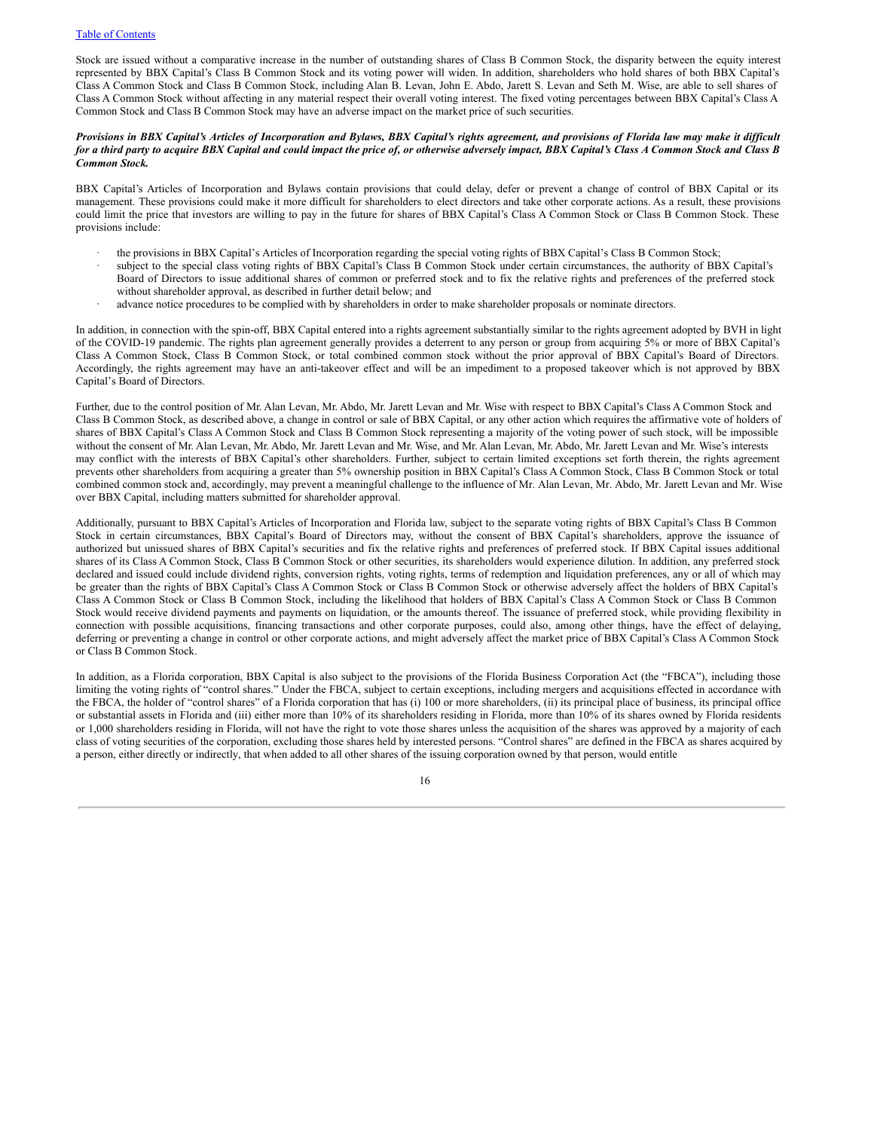Stock are issued without a comparative increase in the number of outstanding shares of Class B Common Stock, the disparity between the equity interest represented by BBX Capital's Class B Common Stock and its voting power will widen. In addition, shareholders who hold shares of both BBX Capital's Class A Common Stock and Class B Common Stock, including Alan B. Levan, John E. Abdo, Jarett S. Levan and Seth M. Wise, are able to sell shares of Class A Common Stock without affecting in any material respect their overall voting interest. The fixed voting percentages between BBX Capital's Class A Common Stock and Class B Common Stock may have an adverse impact on the market price of such securities.

### Provisions in BBX Capital's Articles of Incorporation and Bylaws, BBX Capital's rights agreement, and provisions of Florida law may make it difficult for a third party to acquire BBX Capital and could impact the price of, or otherwise adversely impact, BBX Capital's Class A Common Stock and Class B *Common Stock.*

BBX Capital's Articles of Incorporation and Bylaws contain provisions that could delay, defer or prevent a change of control of BBX Capital or its management. These provisions could make it more difficult for shareholders to elect directors and take other corporate actions. As a result, these provisions could limit the price that investors are willing to pay in the future for shares of BBX Capital's Class A Common Stock or Class B Common Stock. These provisions include:

- · the provisions in BBX Capital's Articles of Incorporation regarding the special voting rights of BBX Capital's Class B Common Stock;
- subject to the special class voting rights of BBX Capital's Class B Common Stock under certain circumstances, the authority of BBX Capital's Board of Directors to issue additional shares of common or preferred stock and to fix the relative rights and preferences of the preferred stock without shareholder approval, as described in further detail below; and
- advance notice procedures to be complied with by shareholders in order to make shareholder proposals or nominate directors.

In addition, in connection with the spin-off, BBX Capital entered into a rights agreement substantially similar to the rights agreement adopted by BVH in light of the COVID-19 pandemic. The rights plan agreement generally provides a deterrent to any person or group from acquiring 5% or more of BBX Capital's Class A Common Stock, Class B Common Stock, or total combined common stock without the prior approval of BBX Capital's Board of Directors. Accordingly, the rights agreement may have an anti-takeover effect and will be an impediment to a proposed takeover which is not approved by BBX Capital's Board of Directors.

Further, due to the control position of Mr. Alan Levan, Mr. Abdo, Mr. Jarett Levan and Mr. Wise with respect to BBX Capital's Class A Common Stock and Class B Common Stock, as described above, a change in control or sale of BBX Capital, or any other action which requires the affirmative vote of holders of shares of BBX Capital's Class A Common Stock and Class B Common Stock representing a majority of the voting power of such stock, will be impossible without the consent of Mr. Alan Levan, Mr. Abdo, Mr. Jarett Levan and Mr. Wise, and Mr. Alan Levan, Mr. Abdo, Mr. Jarett Levan and Mr. Wise's interests may conflict with the interests of BBX Capital's other shareholders. Further, subject to certain limited exceptions set forth therein, the rights agreement prevents other shareholders from acquiring a greater than 5% ownership position in BBX Capital's Class A Common Stock, Class B Common Stock or total combined common stock and, accordingly, may prevent a meaningful challenge to the influence of Mr. Alan Levan, Mr. Abdo, Mr. Jarett Levan and Mr. Wise over BBX Capital, including matters submitted for shareholder approval.

Additionally, pursuant to BBX Capital's Articles of Incorporation and Florida law, subject to the separate voting rights of BBX Capital's Class B Common Stock in certain circumstances, BBX Capital's Board of Directors may, without the consent of BBX Capital's shareholders, approve the issuance of authorized but unissued shares of BBX Capital's securities and fix the relative rights and preferences of preferred stock. If BBX Capital issues additional shares of its Class A Common Stock, Class B Common Stock or other securities, its shareholders would experience dilution. In addition, any preferred stock declared and issued could include dividend rights, conversion rights, voting rights, terms of redemption and liquidation preferences, any or all of which may be greater than the rights of BBX Capital's Class A Common Stock or Class B Common Stock or otherwise adversely affect the holders of BBX Capital's Class A Common Stock or Class B Common Stock, including the likelihood that holders of BBX Capital's Class A Common Stock or Class B Common Stock would receive dividend payments and payments on liquidation, or the amounts thereof. The issuance of preferred stock, while providing flexibility in connection with possible acquisitions, financing transactions and other corporate purposes, could also, among other things, have the effect of delaying, deferring or preventing a change in control or other corporate actions, and might adversely affect the market price of BBX Capital's Class A Common Stock or Class B Common Stock.

In addition, as a Florida corporation, BBX Capital is also subject to the provisions of the Florida Business Corporation Act (the "FBCA"), including those limiting the voting rights of "control shares." Under the FBCA, subject to certain exceptions, including mergers and acquisitions effected in accordance with the FBCA, the holder of "control shares" of a Florida corporation that has (i) 100 or more shareholders, (ii) its principal place of business, its principal office or substantial assets in Florida and (iii) either more than 10% of its shareholders residing in Florida, more than 10% of its shares owned by Florida residents or 1,000 shareholders residing in Florida, will not have the right to vote those shares unless the acquisition of the shares was approved by a majority of each class of voting securities of the corporation, excluding those shares held by interested persons. "Control shares" are defined in the FBCA as shares acquired by a person, either directly or indirectly, that when added to all other shares of the issuing corporation owned by that person, would entitle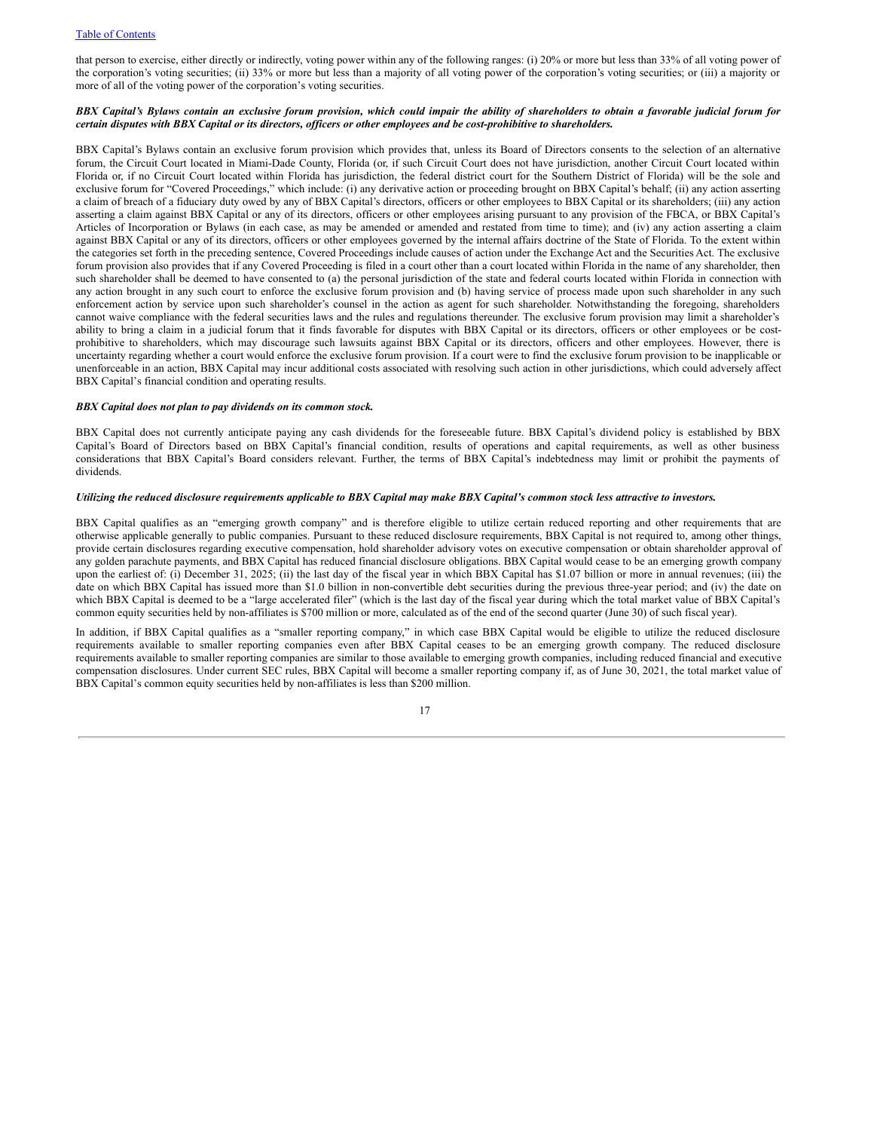that person to exercise, either directly or indirectly, voting power within any of the following ranges: (i) 20% or more but less than 33% of all voting power of the corporation's voting securities; (ii) 33% or more but less than a majority of all voting power of the corporation's voting securities; or (iii) a majority or more of all of the voting power of the corporation's voting securities.

#### BBX Capital's Bylaws contain an exclusive forum provision, which could impair the ability of shareholders to obtain a favorable judicial forum for certain disputes with BBX Capital or its directors, officers or other employees and be cost-prohibitive to shareholders.

BBX Capital's Bylaws contain an exclusive forum provision which provides that, unless its Board of Directors consents to the selection of an alternative forum, the Circuit Court located in Miami-Dade County, Florida (or, if such Circuit Court does not have jurisdiction, another Circuit Court located within Florida or, if no Circuit Court located within Florida has jurisdiction, the federal district court for the Southern District of Florida) will be the sole and exclusive forum for "Covered Proceedings," which include: (i) any derivative action or proceeding brought on BBX Capital's behalf; (ii) any action asserting a claim of breach of a fiduciary duty owed by any of BBX Capital's directors, officers or other employees to BBX Capital or its shareholders; (iii) any action asserting a claim against BBX Capital or any of its directors, officers or other employees arising pursuant to any provision of the FBCA, or BBX Capital's Articles of Incorporation or Bylaws (in each case, as may be amended or amended and restated from time to time); and (iv) any action asserting a claim against BBX Capital or any of its directors, officers or other employees governed by the internal affairs doctrine of the State of Florida. To the extent within the categories set forth in the preceding sentence, Covered Proceedings include causes of action under the Exchange Act and the Securities Act. The exclusive forum provision also provides that if any Covered Proceeding is filed in a court other than a court located within Florida in the name of any shareholder, then such shareholder shall be deemed to have consented to (a) the personal jurisdiction of the state and federal courts located within Florida in connection with any action brought in any such court to enforce the exclusive forum provision and (b) having service of process made upon such shareholder in any such enforcement action by service upon such shareholder's counsel in the action as agent for such shareholder. Notwithstanding the foregoing, shareholders cannot waive compliance with the federal securities laws and the rules and regulations thereunder. The exclusive forum provision may limit a shareholder's ability to bring a claim in a judicial forum that it finds favorable for disputes with BBX Capital or its directors, officers or other employees or be costprohibitive to shareholders, which may discourage such lawsuits against BBX Capital or its directors, officers and other employees. However, there is uncertainty regarding whether a court would enforce the exclusive forum provision. If a court were to find the exclusive forum provision to be inapplicable or unenforceable in an action, BBX Capital may incur additional costs associated with resolving such action in other jurisdictions, which could adversely affect BBX Capital's financial condition and operating results.

## *BBX Capital does not plan to pay dividends on its common stock.*

BBX Capital does not currently anticipate paying any cash dividends for the foreseeable future. BBX Capital's dividend policy is established by BBX Capital's Board of Directors based on BBX Capital's financial condition, results of operations and capital requirements, as well as other business considerations that BBX Capital's Board considers relevant. Further, the terms of BBX Capital's indebtedness may limit or prohibit the payments of dividends.

## Utilizing the reduced disclosure requirements applicable to BBX Capital may make BBX Capital's common stock less attractive to investors.

BBX Capital qualifies as an "emerging growth company" and is therefore eligible to utilize certain reduced reporting and other requirements that are otherwise applicable generally to public companies. Pursuant to these reduced disclosure requirements, BBX Capital is not required to, among other things, provide certain disclosures regarding executive compensation, hold shareholder advisory votes on executive compensation or obtain shareholder approval of any golden parachute payments, and BBX Capital has reduced financial disclosure obligations. BBX Capital would cease to be an emerging growth company upon the earliest of: (i) December 31, 2025; (ii) the last day of the fiscal year in which BBX Capital has \$1.07 billion or more in annual revenues; (iii) the date on which BBX Capital has issued more than \$1.0 billion in non-convertible debt securities during the previous three-year period; and (iv) the date on which BBX Capital is deemed to be a "large accelerated filer" (which is the last day of the fiscal year during which the total market value of BBX Capital's common equity securities held by non-affiliates is \$700 million or more, calculated as of the end of the second quarter (June 30) of such fiscal year).

In addition, if BBX Capital qualifies as a "smaller reporting company," in which case BBX Capital would be eligible to utilize the reduced disclosure requirements available to smaller reporting companies even after BBX Capital ceases to be an emerging growth company. The reduced disclosure requirements available to smaller reporting companies are similar to those available to emerging growth companies, including reduced financial and executive compensation disclosures. Under current SEC rules, BBX Capital will become a smaller reporting company if, as of June 30, 2021, the total market value of BBX Capital's common equity securities held by non-affiliates is less than \$200 million.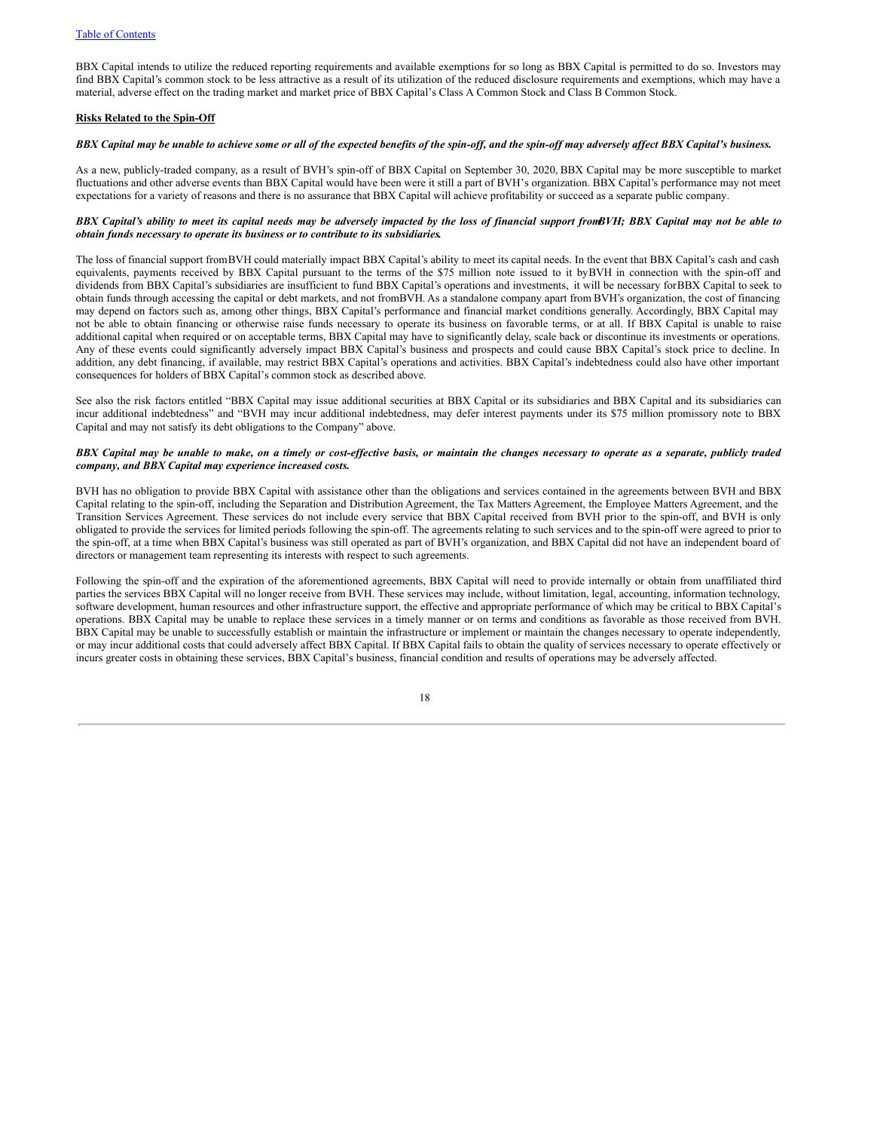BBX Capital intends to utilize the reduced reporting requirements and available exemptions for so long as BBX Capital is permitted to do so. Investors may find BBX Capital's common stock to be less attractive as a result of its utilization of the reduced disclosure requirements and exemptions, which may have a material, adverse effect on the trading market and market price of BBX Capital's Class A Common Stock and Class B Common Stock.

#### **Risks Related to the Spin-Off**

## BBX Capital may be unable to achieve some or all of the expected benefits of the spin-off, and the spin-off may adversely affect BBX Capital's business.

As a new, publicly-traded company, as a result of BVH's spin-off of BBX Capital on September 30, 2020, BBX Capital may be more susceptible to market fluctuations and other adverse events than BBX Capital would have been were it still a part of BVH's organization. BBX Capital's performance may not meet expectations for a variety of reasons and there is no assurance that BBX Capital will achieve profitability or succeed as a separate public company.

#### BBX Capital's ability to meet its capital needs may be adversely impacted by the loss of financial support fromBVH; BBX Capital may not be able to *obtain funds necessary to operate its business or to contribute to its subsidiaries.*

The loss of financial support fromBVH could materially impact BBX Capital's ability to meet its capital needs. In the event that BBX Capital's cash and cash equivalents, payments received by BBX Capital pursuant to the terms of the \$75 million note issued to it byBVH in connection with the spin-off and dividends from BBX Capital's subsidiaries are insufficient to fund BBX Capital's operations and investments, it will be necessary forBBX Capital to seek to obtain funds through accessing the capital or debt markets, and not fromBVH. As a standalone company apart from BVH's organization, the cost of financing may depend on factors such as, among other things, BBX Capital's performance and financial market conditions generally. Accordingly, BBX Capital may not be able to obtain financing or otherwise raise funds necessary to operate its business on favorable terms, or at all. If BBX Capital is unable to raise additional capital when required or on acceptable terms, BBX Capital may have to significantly delay, scale back or discontinue its investments or operations. Any of these events could significantly adversely impact BBX Capital's business and prospects and could cause BBX Capital's stock price to decline. In addition, any debt financing, if available, may restrict BBX Capital's operations and activities. BBX Capital's indebtedness could also have other important consequences for holders of BBX Capital's common stock as described above.

See also the risk factors entitled "BBX Capital may issue additional securities at BBX Capital or its subsidiaries and BBX Capital and its subsidiaries can incur additional indebtedness" and "BVH may incur additional indebtedness, may defer interest payments under its \$75 million promissory note to BBX Capital and may not satisfy its debt obligations to the Company" above.

## BBX Capital may be unable to make, on a timely or cost-effective basis, or maintain the changes necessary to operate as a separate, publicly traded *company, and BBX Capital may experience increased costs.*

BVH has no obligation to provide BBX Capital with assistance other than the obligations and services contained in the agreements between BVH and BBX Capital relating to the spin-off, including the Separation and Distribution Agreement, the Tax Matters Agreement, the Employee Matters Agreement, and the Transition Services Agreement. These services do not include every service that BBX Capital received from BVH prior to the spin-off, and BVH is only obligated to provide the services for limited periods following the spin-off. The agreements relating to such services and to the spin-off were agreed to prior to the spin-off, at a time when BBX Capital's business was still operated as part of BVH's organization, and BBX Capital did not have an independent board of directors or management team representing its interests with respect to such agreements.

Following the spin-off and the expiration of the aforementioned agreements, BBX Capital will need to provide internally or obtain from unaffiliated third parties the services BBX Capital will no longer receive from BVH. These services may include, without limitation, legal, accounting, information technology, software development, human resources and other infrastructure support, the effective and appropriate performance of which may be critical to BBX Capital's operations. BBX Capital may be unable to replace these services in a timely manner or on terms and conditions as favorable as those received from BVH. BBX Capital may be unable to successfully establish or maintain the infrastructure or implement or maintain the changes necessary to operate independently, or may incur additional costs that could adversely affect BBX Capital. If BBX Capital fails to obtain the quality of services necessary to operate effectively or incurs greater costs in obtaining these services, BBX Capital's business, financial condition and results of operations may be adversely affected.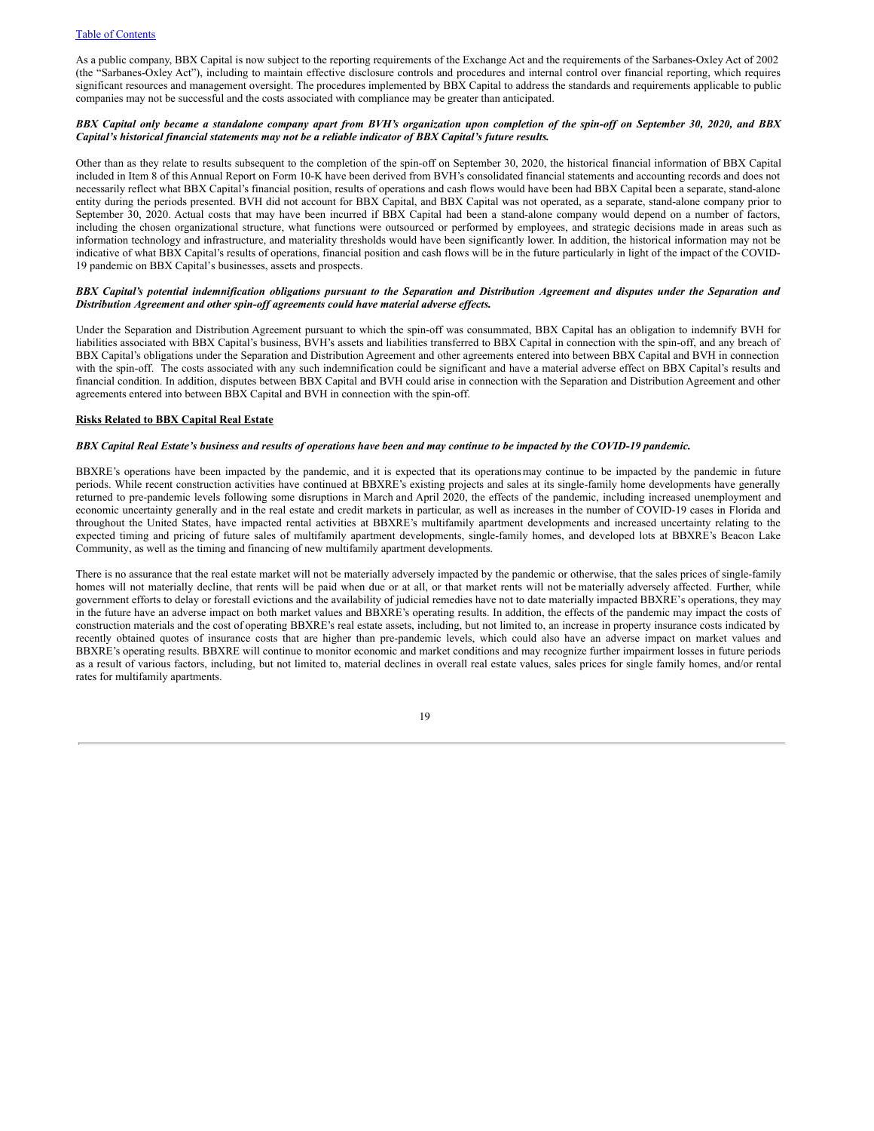As a public company, BBX Capital is now subject to the reporting requirements of the Exchange Act and the requirements of the Sarbanes-Oxley Act of 2002 (the "Sarbanes-Oxley Act"), including to maintain effective disclosure controls and procedures and internal control over financial reporting, which requires significant resources and management oversight. The procedures implemented by BBX Capital to address the standards and requirements applicable to public companies may not be successful and the costs associated with compliance may be greater than anticipated.

## BBX Capital only became a standalone company apart from BVH's organization upon completion of the spin-off on September 30, 2020, and BBX *Capital's historical financial statements may not be a reliable indicator of BBX Capital's future results.*

Other than as they relate to results subsequent to the completion of the spin-off on September 30, 2020, the historical financial information of BBX Capital included in Item 8 of this Annual Report on Form 10-K have been derived from BVH's consolidated financial statements and accounting records and does not necessarily reflect what BBX Capital's financial position, results of operations and cash flows would have been had BBX Capital been a separate, stand-alone entity during the periods presented. BVH did not account for BBX Capital, and BBX Capital was not operated, as a separate, stand-alone company prior to September 30, 2020. Actual costs that may have been incurred if BBX Capital had been a stand-alone company would depend on a number of factors, including the chosen organizational structure, what functions were outsourced or performed by employees, and strategic decisions made in areas such as information technology and infrastructure, and materiality thresholds would have been significantly lower. In addition, the historical information may not be indicative of what BBX Capital's results of operations, financial position and cash flows will be in the future particularly in light of the impact of the COVID-19 pandemic on BBX Capital's businesses, assets and prospects.

## BBX Capital's potential indemnification obligations pursuant to the Separation and Distribution Agreement and disputes under the Separation and *Distribution Agreement and other spin-of agreements could have material adverse ef ects.*

Under the Separation and Distribution Agreement pursuant to which the spin-off was consummated, BBX Capital has an obligation to indemnify BVH for liabilities associated with BBX Capital's business, BVH's assets and liabilities transferred to BBX Capital in connection with the spin-off, and any breach of BBX Capital's obligations under the Separation and Distribution Agreement and other agreements entered into between BBX Capital and BVH in connection with the spin-off. The costs associated with any such indemnification could be significant and have a material adverse effect on BBX Capital's results and financial condition. In addition, disputes between BBX Capital and BVH could arise in connection with the Separation and Distribution Agreement and other agreements entered into between BBX Capital and BVH in connection with the spin-off.

## **Risks Related to BBX Capital Real Estate**

## BBX Capital Real Estate's business and results of operations have been and may continue to be impacted by the COVID-19 pandemic.

BBXRE's operations have been impacted by the pandemic, and it is expected that its operationsmay continue to be impacted by the pandemic in future periods. While recent construction activities have continued at BBXRE's existing projects and sales at its single-family home developments have generally returned to pre-pandemic levels following some disruptions in March and April 2020, the effects of the pandemic, including increased unemployment and economic uncertainty generally and in the real estate and credit markets in particular, as well as increases in the number of COVID-19 cases in Florida and throughout the United States, have impacted rental activities at BBXRE's multifamily apartment developments and increased uncertainty relating to the expected timing and pricing of future sales of multifamily apartment developments, single-family homes, and developed lots at BBXRE's Beacon Lake Community, as well as the timing and financing of new multifamily apartment developments.

There is no assurance that the real estate market will not be materially adversely impacted by the pandemic or otherwise, that the sales prices of single-family homes will not materially decline, that rents will be paid when due or at all, or that market rents will not be materially adversely affected. Further, while government efforts to delay or forestall evictions and the availability of judicial remedies have not to date materially impacted BBXRE's operations, they may in the future have an adverse impact on both market values and BBXRE's operating results. In addition, the effects of the pandemic may impact the costs of construction materials and the cost of operating BBXRE's real estate assets, including, but not limited to, an increase in property insurance costs indicated by recently obtained quotes of insurance costs that are higher than pre-pandemic levels, which could also have an adverse impact on market values and BBXRE's operating results. BBXRE will continue to monitor economic and market conditions and may recognize further impairment losses in future periods as a result of various factors, including, but not limited to, material declines in overall real estate values, sales prices for single family homes, and/or rental rates for multifamily apartments.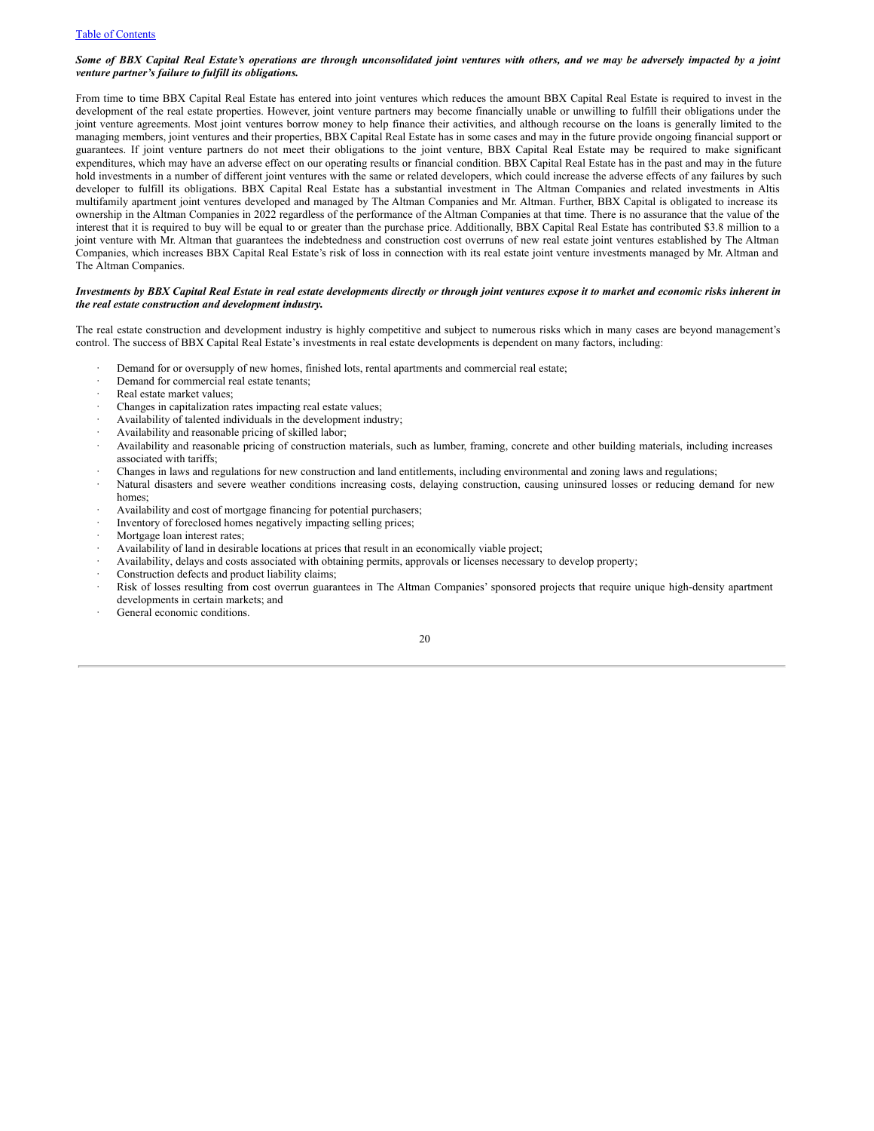## Some of BBX Capital Real Estate's operations are through unconsolidated joint ventures with others, and we may be adversely impacted by a joint *venture partner's failure to fulfill its obligations.*

From time to time BBX Capital Real Estate has entered into joint ventures which reduces the amount BBX Capital Real Estate is required to invest in the development of the real estate properties. However, joint venture partners may become financially unable or unwilling to fulfill their obligations under the joint venture agreements. Most joint ventures borrow money to help finance their activities, and although recourse on the loans is generally limited to the managing members, joint ventures and their properties, BBX Capital Real Estate has in some cases and may in the future provide ongoing financial support or guarantees. If joint venture partners do not meet their obligations to the joint venture, BBX Capital Real Estate may be required to make significant expenditures, which may have an adverse effect on our operating results or financial condition. BBX Capital Real Estate has in the past and may in the future hold investments in a number of different joint ventures with the same or related developers, which could increase the adverse effects of any failures by such developer to fulfill its obligations. BBX Capital Real Estate has a substantial investment in The Altman Companies and related investments in Altis multifamily apartment joint ventures developed and managed by The Altman Companies and Mr. Altman. Further, BBX Capital is obligated to increase its ownership in the Altman Companies in 2022 regardless of the performance of the Altman Companies at that time. There is no assurance that the value of the interest that it is required to buy will be equal to or greater than the purchase price. Additionally, BBX Capital Real Estate has contributed \$3.8 million to a joint venture with Mr. Altman that guarantees the indebtedness and construction cost overruns of new real estate joint ventures established by The Altman Companies, which increases BBX Capital Real Estate's risk of loss in connection with its real estate joint venture investments managed by Mr. Altman and The Altman Companies.

#### Investments by BBX Capital Real Estate in real estate developments directly or through joint ventures expose it to market and economic risks inherent in *the real estate construction and development industry.*

The real estate construction and development industry is highly competitive and subject to numerous risks which in many cases are beyond management's control. The success of BBX Capital Real Estate's investments in real estate developments is dependent on many factors, including:

- Demand for or oversupply of new homes, finished lots, rental apartments and commercial real estate;
- Demand for commercial real estate tenants;
- Real estate market values;
- Changes in capitalization rates impacting real estate values;
- Availability of talented individuals in the development industry;
- Availability and reasonable pricing of skilled labor;
- · Availability and reasonable pricing of construction materials, such as lumber, framing, concrete and other building materials, including increases associated with tariffs;
- · Changes in laws and regulations for new construction and land entitlements, including environmental and zoning laws and regulations;
- Natural disasters and severe weather conditions increasing costs, delaying construction, causing uninsured losses or reducing demand for new homes;
- Availability and cost of mortgage financing for potential purchasers;
- Inventory of foreclosed homes negatively impacting selling prices;
- Mortgage loan interest rates;
- · Availability of land in desirable locations at prices that result in an economically viable project;
- · Availability, delays and costs associated with obtaining permits, approvals or licenses necessary to develop property;
- Construction defects and product liability claims;
- Risk of losses resulting from cost overrun guarantees in The Altman Companies' sponsored projects that require unique high-density apartment developments in certain markets; and
- General economic conditions.

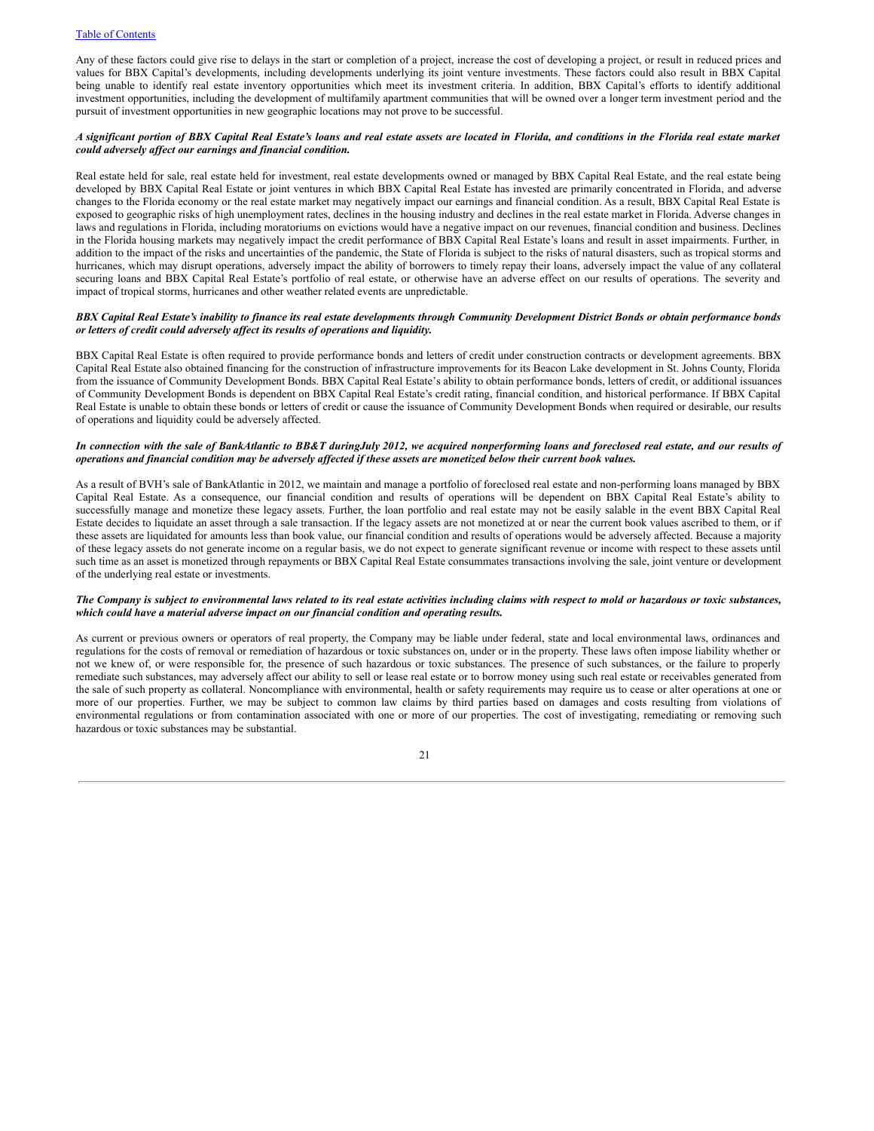Any of these factors could give rise to delays in the start or completion of a project, increase the cost of developing a project, or result in reduced prices and values for BBX Capital's developments, including developments underlying its joint venture investments. These factors could also result in BBX Capital being unable to identify real estate inventory opportunities which meet its investment criteria. In addition, BBX Capital's efforts to identify additional investment opportunities, including the development of multifamily apartment communities that will be owned over a longer term investment period and the pursuit of investment opportunities in new geographic locations may not prove to be successful.

## A significant portion of BBX Capital Real Estate's loans and real estate assets are located in Florida, and conditions in the Florida real estate market *could adversely af ect our earnings and financial condition.*

Real estate held for sale, real estate held for investment, real estate developments owned or managed by BBX Capital Real Estate, and the real estate being developed by BBX Capital Real Estate or joint ventures in which BBX Capital Real Estate has invested are primarily concentrated in Florida, and adverse changes to the Florida economy or the real estate market may negatively impact our earnings and financial condition. As a result, BBX Capital Real Estate is exposed to geographic risks of high unemployment rates, declines in the housing industry and declines in the real estate market in Florida. Adverse changes in laws and regulations in Florida, including moratoriums on evictions would have a negative impact on our revenues, financial condition and business. Declines in the Florida housing markets may negatively impact the credit performance of BBX Capital Real Estate's loans and result in asset impairments. Further, in addition to the impact of the risks and uncertainties of the pandemic, the State of Florida is subject to the risks of natural disasters, such as tropical storms and hurricanes, which may disrupt operations, adversely impact the ability of borrowers to timely repay their loans, adversely impact the value of any collateral securing loans and BBX Capital Real Estate's portfolio of real estate, or otherwise have an adverse effect on our results of operations. The severity and impact of tropical storms, hurricanes and other weather related events are unpredictable.

#### BBX Capital Real Estate's inability to finance its real estate developments through Community Development District Bonds or obtain performance bonds *or letters of credit could adversely af ect its results of operations and liquidity.*

BBX Capital Real Estate is often required to provide performance bonds and letters of credit under construction contracts or development agreements. BBX Capital Real Estate also obtained financing for the construction of infrastructure improvements for its Beacon Lake development in St. Johns County, Florida from the issuance of Community Development Bonds. BBX Capital Real Estate's ability to obtain performance bonds, letters of credit, or additional issuances of Community Development Bonds is dependent on BBX Capital Real Estate's credit rating, financial condition, and historical performance. If BBX Capital Real Estate is unable to obtain these bonds or letters of credit or cause the issuance of Community Development Bonds when required or desirable, our results of operations and liquidity could be adversely affected.

## In connection with the sale of BankAtlantic to BB&T duringJuly 2012, we acquired nonperforming loans and foreclosed real estate, and our results of operations and financial condition may be adversely affected if these assets are monetized below their current book values.

As a result of BVH's sale of BankAtlantic in 2012, we maintain and manage a portfolio of foreclosed real estate and non-performing loans managed by BBX Capital Real Estate. As a consequence, our financial condition and results of operations will be dependent on BBX Capital Real Estate's ability to successfully manage and monetize these legacy assets. Further, the loan portfolio and real estate may not be easily salable in the event BBX Capital Real Estate decides to liquidate an asset through a sale transaction. If the legacy assets are not monetized at or near the current book values ascribed to them, or if these assets are liquidated for amounts less than book value, our financial condition and results of operations would be adversely affected. Because a majority of these legacy assets do not generate income on a regular basis, we do not expect to generate significant revenue or income with respect to these assets until such time as an asset is monetized through repayments or BBX Capital Real Estate consummates transactions involving the sale, joint venture or development of the underlying real estate or investments.

#### The Company is subject to environmental laws related to its real estate activities including claims with respect to mold or hazardous or toxic substances, *which could have a material adverse impact on our financial condition and operating results.*

As current or previous owners or operators of real property, the Company may be liable under federal, state and local environmental laws, ordinances and regulations for the costs of removal or remediation of hazardous or toxic substances on, under or in the property. These laws often impose liability whether or not we knew of, or were responsible for, the presence of such hazardous or toxic substances. The presence of such substances, or the failure to properly remediate such substances, may adversely affect our ability to sell or lease real estate or to borrow money using such real estate or receivables generated from the sale of such property as collateral. Noncompliance with environmental, health or safety requirements may require us to cease or alter operations at one or more of our properties. Further, we may be subject to common law claims by third parties based on damages and costs resulting from violations of environmental regulations or from contamination associated with one or more of our properties. The cost of investigating, remediating or removing such hazardous or toxic substances may be substantial.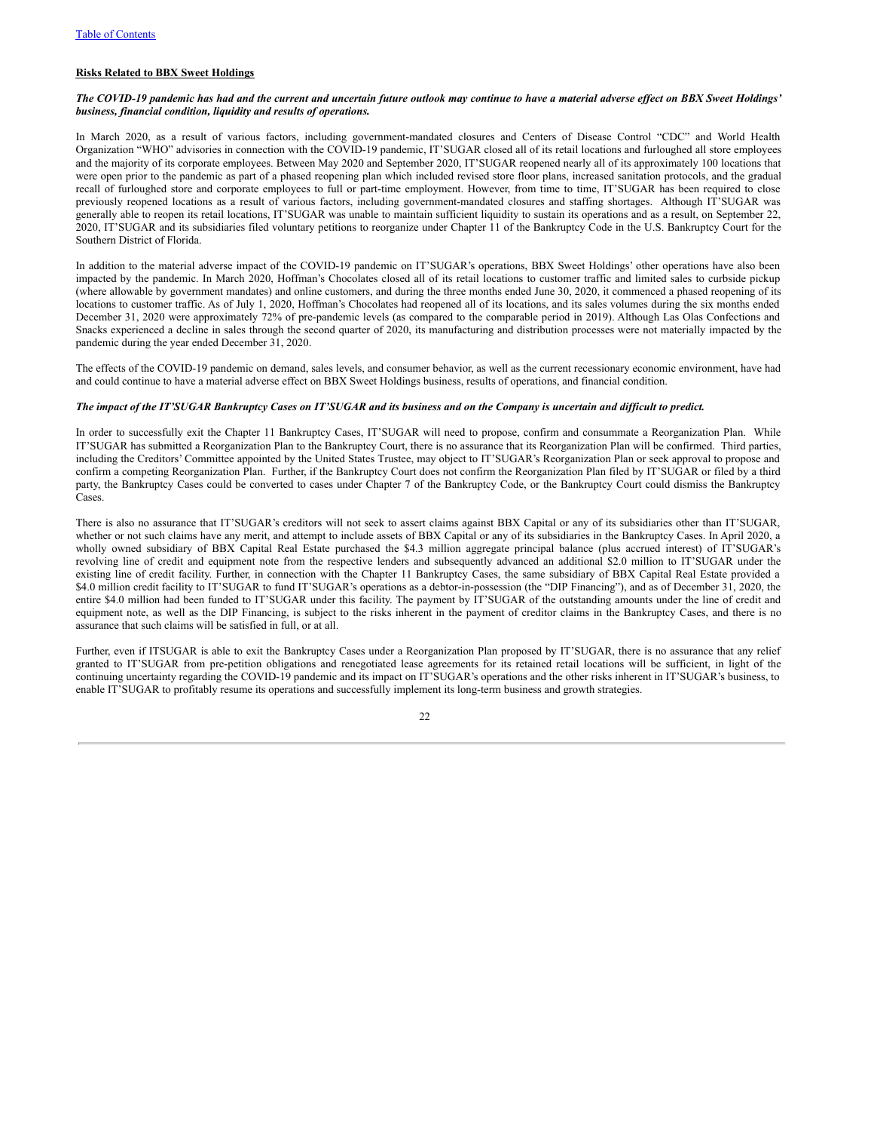### **Risks Related to BBX Sweet Holdings**

### The COVID-19 pandemic has had and the current and uncertain future outlook may continue to have a material adverse effect on BBX Sweet Holdings' *business, financial condition, liquidity and results of operations.*

In March 2020, as a result of various factors, including government-mandated closures and Centers of Disease Control "CDC" and World Health Organization "WHO" advisories in connection with the COVID-19 pandemic, IT'SUGAR closed all of its retail locations and furloughed all store employees and the majority of its corporate employees. Between May 2020 and September 2020, IT'SUGAR reopened nearly all of its approximately 100 locations that were open prior to the pandemic as part of a phased reopening plan which included revised store floor plans, increased sanitation protocols, and the gradual recall of furloughed store and corporate employees to full or part-time employment. However, from time to time, IT'SUGAR has been required to close previously reopened locations as a result of various factors, including government-mandated closures and staffing shortages. Although IT'SUGAR was generally able to reopen its retail locations, IT'SUGAR was unable to maintain sufficient liquidity to sustain its operations and as a result, on September 22, 2020, IT'SUGAR and its subsidiaries filed voluntary petitions to reorganize under Chapter 11 of the Bankruptcy Code in the U.S. Bankruptcy Court for the Southern District of Florida.

In addition to the material adverse impact of the COVID-19 pandemic on IT'SUGAR's operations, BBX Sweet Holdings' other operations have also been impacted by the pandemic. In March 2020, Hoffman's Chocolates closed all of its retail locations to customer traffic and limited sales to curbside pickup (where allowable by government mandates) and online customers, and during the three months ended June 30, 2020, it commenced a phased reopening of its locations to customer traffic. As of July 1, 2020, Hoffman's Chocolates had reopened all of its locations, and its sales volumes during the six months ended December 31, 2020 were approximately 72% of pre-pandemic levels (as compared to the comparable period in 2019). Although Las Olas Confections and Snacks experienced a decline in sales through the second quarter of 2020, its manufacturing and distribution processes were not materially impacted by the pandemic during the year ended December 31, 2020.

The effects of the COVID-19 pandemic on demand, sales levels, and consumer behavior, as well as the current recessionary economic environment, have had and could continue to have a material adverse effect on BBX Sweet Holdings business, results of operations, and financial condition.

## The impact of the IT'SUGAR Bankruptcy Cases on IT'SUGAR and its business and on the Company is uncertain and difficult to predict.

In order to successfully exit the Chapter 11 Bankruptcy Cases, IT'SUGAR will need to propose, confirm and consummate a Reorganization Plan. While IT'SUGAR has submitted a Reorganization Plan to the Bankruptcy Court, there is no assurance that its Reorganization Plan will be confirmed. Third parties, including the Creditors' Committee appointed by the United States Trustee, may object to IT'SUGAR's Reorganization Plan or seek approval to propose and confirm a competing Reorganization Plan. Further, if the Bankruptcy Court does not confirm the Reorganization Plan filed by IT'SUGAR or filed by a third party, the Bankruptcy Cases could be converted to cases under Chapter 7 of the Bankruptcy Code, or the Bankruptcy Court could dismiss the Bankruptcy Cases.

There is also no assurance that IT'SUGAR's creditors will not seek to assert claims against BBX Capital or any of its subsidiaries other than IT'SUGAR, whether or not such claims have any merit, and attempt to include assets of BBX Capital or any of its subsidiaries in the Bankruptcy Cases. In April 2020, a wholly owned subsidiary of BBX Capital Real Estate purchased the \$4.3 million aggregate principal balance (plus accrued interest) of IT'SUGAR's revolving line of credit and equipment note from the respective lenders and subsequently advanced an additional \$2.0 million to IT'SUGAR under the existing line of credit facility. Further, in connection with the Chapter 11 Bankruptcy Cases, the same subsidiary of BBX Capital Real Estate provided a \$4.0 million credit facility to IT'SUGAR to fund IT'SUGAR's operations as a debtor-in-possession (the "DIP Financing"), and as of December 31, 2020, the entire \$4.0 million had been funded to IT'SUGAR under this facility. The payment by IT'SUGAR of the outstanding amounts under the line of credit and equipment note, as well as the DIP Financing, is subject to the risks inherent in the payment of creditor claims in the Bankruptcy Cases, and there is no assurance that such claims will be satisfied in full, or at all.

Further, even if ITSUGAR is able to exit the Bankruptcy Cases under a Reorganization Plan proposed by IT'SUGAR, there is no assurance that any relief granted to IT'SUGAR from pre-petition obligations and renegotiated lease agreements for its retained retail locations will be sufficient, in light of the continuing uncertainty regarding the COVID-19 pandemic and its impact on IT'SUGAR's operations and the other risks inherent in IT'SUGAR's business, to enable IT'SUGAR to profitably resume its operations and successfully implement its long-term business and growth strategies.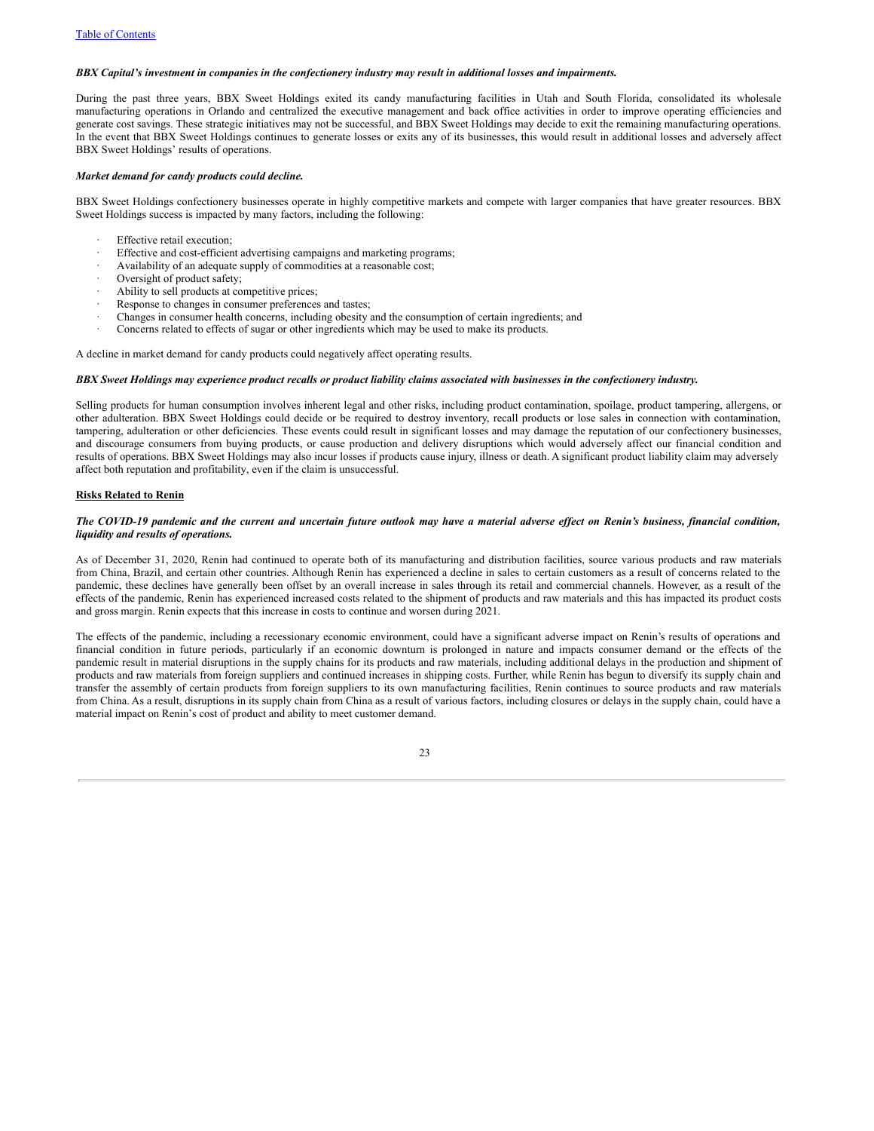#### BBX Capital's investment in companies in the confectionery industry may result in additional losses and impairments.

During the past three years, BBX Sweet Holdings exited its candy manufacturing facilities in Utah and South Florida, consolidated its wholesale manufacturing operations in Orlando and centralized the executive management and back office activities in order to improve operating efficiencies and generate cost savings. These strategic initiatives may not be successful, and BBX Sweet Holdings may decide to exit the remaining manufacturing operations. In the event that BBX Sweet Holdings continues to generate losses or exits any of its businesses, this would result in additional losses and adversely affect BBX Sweet Holdings' results of operations.

#### *Market demand for candy products could decline.*

BBX Sweet Holdings confectionery businesses operate in highly competitive markets and compete with larger companies that have greater resources. BBX Sweet Holdings success is impacted by many factors, including the following:

- Effective retail execution;
- Effective and cost-efficient advertising campaigns and marketing programs;
- Availability of an adequate supply of commodities at a reasonable cost;
- Oversight of product safety;
- Ability to sell products at competitive prices;
- Response to changes in consumer preferences and tastes;
- · Changes in consumer health concerns, including obesity and the consumption of certain ingredients; and
- Concerns related to effects of sugar or other ingredients which may be used to make its products.

A decline in market demand for candy products could negatively affect operating results.

#### BBX Sweet Holdings may experience product recalls or product liability claims associated with businesses in the confectionery industry.

Selling products for human consumption involves inherent legal and other risks, including product contamination, spoilage, product tampering, allergens, or other adulteration. BBX Sweet Holdings could decide or be required to destroy inventory, recall products or lose sales in connection with contamination, tampering, adulteration or other deficiencies. These events could result in significant losses and may damage the reputation of our confectionery businesses, and discourage consumers from buying products, or cause production and delivery disruptions which would adversely affect our financial condition and results of operations. BBX Sweet Holdings may also incur losses if products cause injury, illness or death. A significant product liability claim may adversely affect both reputation and profitability, even if the claim is unsuccessful.

### **Risks Related to Renin**

#### The COVID-19 pandemic and the current and uncertain future outlook may have a material adverse effect on Renin's business, financial condition, *liquidity and results of operations.*

As of December 31, 2020, Renin had continued to operate both of its manufacturing and distribution facilities, source various products and raw materials from China, Brazil, and certain other countries. Although Renin has experienced a decline in sales to certain customers as a result of concerns related to the pandemic, these declines have generally been offset by an overall increase in sales through its retail and commercial channels. However, as a result of the effects of the pandemic, Renin has experienced increased costs related to the shipment of products and raw materials and this has impacted its product costs and gross margin. Renin expects that this increase in costs to continue and worsen during 2021.

The effects of the pandemic, including a recessionary economic environment, could have a significant adverse impact on Renin's results of operations and financial condition in future periods, particularly if an economic downturn is prolonged in nature and impacts consumer demand or the effects of the pandemic result in material disruptions in the supply chains for its products and raw materials, including additional delays in the production and shipment of products and raw materials from foreign suppliers and continued increases in shipping costs. Further, while Renin has begun to diversify its supply chain and transfer the assembly of certain products from foreign suppliers to its own manufacturing facilities, Renin continues to source products and raw materials from China. As a result, disruptions in its supply chain from China as a result of various factors, including closures or delays in the supply chain, could have a material impact on Renin's cost of product and ability to meet customer demand.

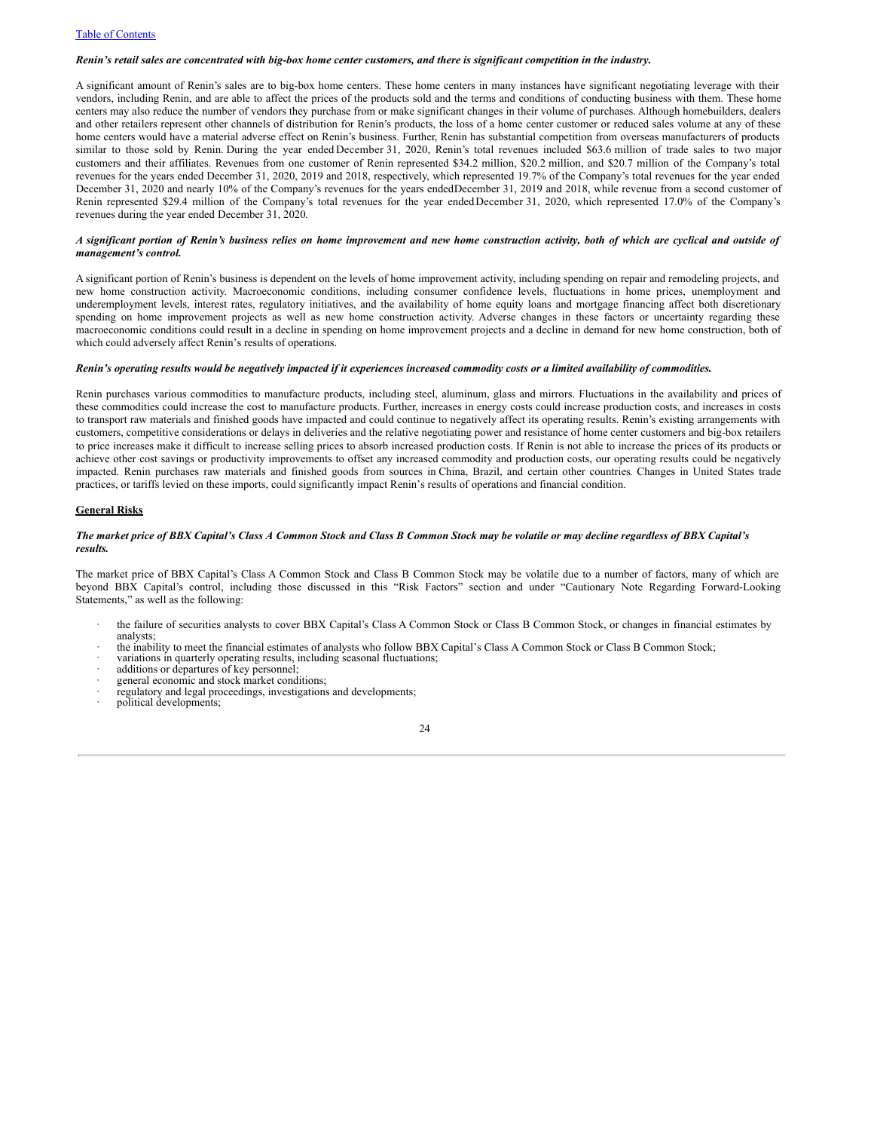## Renin's retail sales are concentrated with big-box home center customers, and there is significant competition in the industry.

A significant amount of Renin's sales are to big-box home centers. These home centers in many instances have significant negotiating leverage with their vendors, including Renin, and are able to affect the prices of the products sold and the terms and conditions of conducting business with them. These home centers may also reduce the number of vendors they purchase from or make significant changes in their volume of purchases. Although homebuilders, dealers and other retailers represent other channels of distribution for Renin's products, the loss of a home center customer or reduced sales volume at any of these home centers would have a material adverse effect on Renin's business. Further, Renin has substantial competition from overseas manufacturers of products similar to those sold by Renin. During the year ended December 31, 2020, Renin's total revenues included \$63.6 million of trade sales to two major customers and their affiliates. Revenues from one customer of Renin represented \$34.2 million, \$20.2 million, and \$20.7 million of the Company's total revenues for the years ended December 31, 2020, 2019 and 2018, respectively, which represented 19.7% of the Company's total revenues for the year ended December 31, 2020 and nearly 10% of the Company's revenues for the years endedDecember 31, 2019 and 2018, while revenue from a second customer of Renin represented \$29.4 million of the Company's total revenues for the year endedDecember 31, 2020, which represented 17.0% of the Company's revenues during the year ended December 31, 2020.

### A significant portion of Renin's business relies on home improvement and new home construction activity, both of which are cyclical and outside of *management's control.*

A significant portion of Renin's business is dependent on the levels of home improvement activity, including spending on repair and remodeling projects, and new home construction activity. Macroeconomic conditions, including consumer confidence levels, fluctuations in home prices, unemployment and underemployment levels, interest rates, regulatory initiatives, and the availability of home equity loans and mortgage financing affect both discretionary spending on home improvement projects as well as new home construction activity. Adverse changes in these factors or uncertainty regarding these macroeconomic conditions could result in a decline in spending on home improvement projects and a decline in demand for new home construction, both of which could adversely affect Renin's results of operations.

## Renin's operating results would be negatively impacted if it experiences increased commodity costs or a limited availability of commodities.

Renin purchases various commodities to manufacture products, including steel, aluminum, glass and mirrors. Fluctuations in the availability and prices of these commodities could increase the cost to manufacture products. Further, increases in energy costs could increase production costs, and increases in costs to transport raw materials and finished goods have impacted and could continue to negatively affect its operating results. Renin's existing arrangements with customers, competitive considerations or delays in deliveries and the relative negotiating power and resistance of home center customers and big-box retailers to price increases make it difficult to increase selling prices to absorb increased production costs. If Renin is not able to increase the prices of its products or achieve other cost savings or productivity improvements to offset any increased commodity and production costs, our operating results could be negatively impacted. Renin purchases raw materials and finished goods from sources in China, Brazil, and certain other countries. Changes in United States trade practices, or tariffs levied on these imports, could significantly impact Renin's results of operations and financial condition.

### **General Risks**

## The market price of BBX Capital's Class A Common Stock and Class B Common Stock may be volatile or may decline regardless of BBX Capital's *results.*

The market price of BBX Capital's Class A Common Stock and Class B Common Stock may be volatile due to a number of factors, many of which are beyond BBX Capital's control, including those discussed in this "Risk Factors" section and under "Cautionary Note Regarding Forward-Looking Statements," as well as the following:

- · the failure of securities analysts to cover BBX Capital's Class A Common Stock or Class B Common Stock, or changes in financial estimates by analysts;
- · the inability to meet the financial estimates of analysts who follow BBX Capital's Class A Common Stock or Class B Common Stock;
- variations in quarterly operating results, including seasonal fluctuations;
- additions or departures of key personnel;
- general economic and stock market conditions;
- regulatory and legal proceedings, investigations and developments;
- political developments;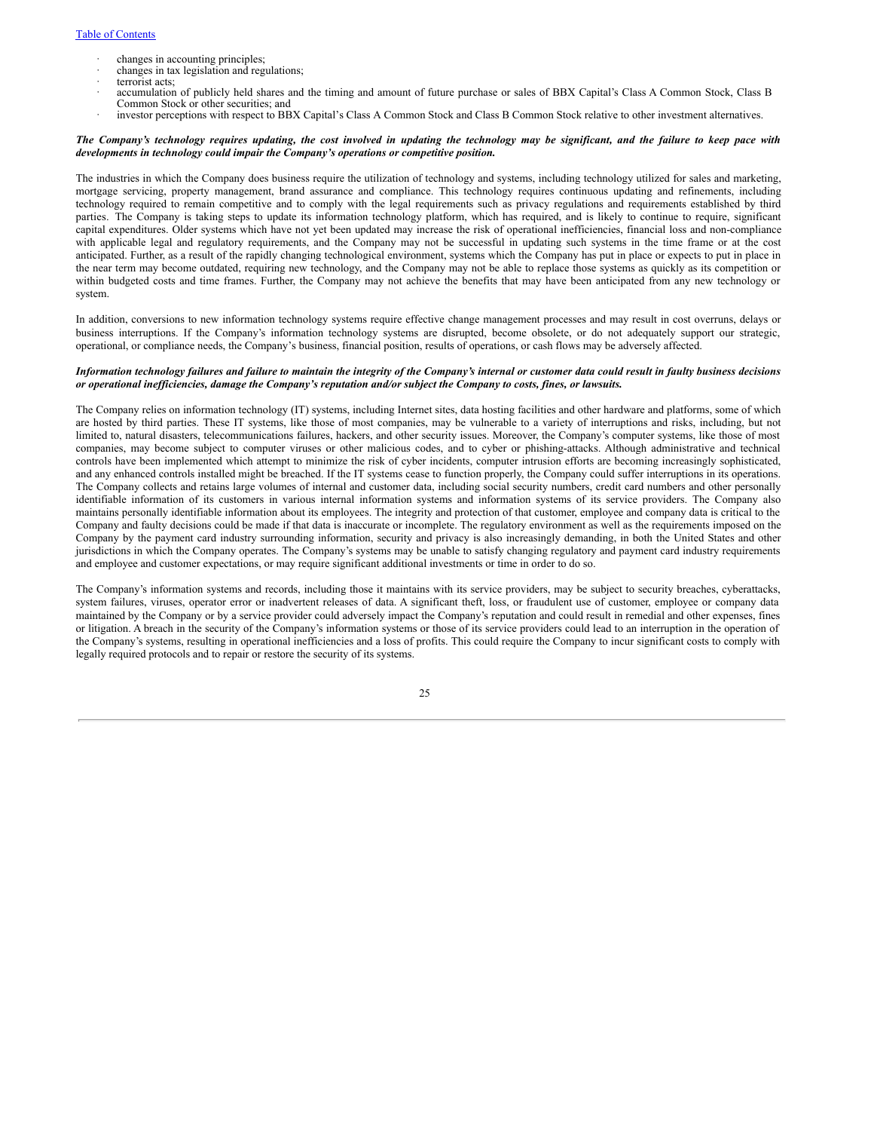- changes in accounting principles;
- changes in tax legislation and regulations;
- terrorist acts;
- accumulation of publicly held shares and the timing and amount of future purchase or sales of BBX Capital's Class A Common Stock, Class B Common Stock or other securities; and
- investor perceptions with respect to BBX Capital's Class A Common Stock and Class B Common Stock relative to other investment alternatives.

## The Company's technology requires updating, the cost involved in updating the technology may be significant, and the failure to keep pace with *developments in technology could impair the Company's operations or competitive position.*

The industries in which the Company does business require the utilization of technology and systems, including technology utilized for sales and marketing, mortgage servicing, property management, brand assurance and compliance. This technology requires continuous updating and refinements, including technology required to remain competitive and to comply with the legal requirements such as privacy regulations and requirements established by third parties. The Company is taking steps to update its information technology platform, which has required, and is likely to continue to require, significant capital expenditures. Older systems which have not yet been updated may increase the risk of operational inefficiencies, financial loss and non-compliance with applicable legal and regulatory requirements, and the Company may not be successful in updating such systems in the time frame or at the cost anticipated. Further, as a result of the rapidly changing technological environment, systems which the Company has put in place or expects to put in place in the near term may become outdated, requiring new technology, and the Company may not be able to replace those systems as quickly as its competition or within budgeted costs and time frames. Further, the Company may not achieve the benefits that may have been anticipated from any new technology or system.

In addition, conversions to new information technology systems require effective change management processes and may result in cost overruns, delays or business interruptions. If the Company's information technology systems are disrupted, become obsolete, or do not adequately support our strategic, operational, or compliance needs, the Company's business, financial position, results of operations, or cash flows may be adversely affected.

#### Information technology failures and failure to maintain the integrity of the Company's internal or customer data could result in faulty business decisions or operational inefficiencies, damage the Company's reputation and/or subject the Company to costs, fines, or lawsuits.

The Company relies on information technology (IT) systems, including Internet sites, data hosting facilities and other hardware and platforms, some of which are hosted by third parties. These IT systems, like those of most companies, may be vulnerable to a variety of interruptions and risks, including, but not limited to, natural disasters, telecommunications failures, hackers, and other security issues. Moreover, the Company's computer systems, like those of most companies, may become subject to computer viruses or other malicious codes, and to cyber or phishing-attacks. Although administrative and technical controls have been implemented which attempt to minimize the risk of cyber incidents, computer intrusion efforts are becoming increasingly sophisticated, and any enhanced controls installed might be breached. If the IT systems cease to function properly, the Company could suffer interruptions in its operations. The Company collects and retains large volumes of internal and customer data, including social security numbers, credit card numbers and other personally identifiable information of its customers in various internal information systems and information systems of its service providers. The Company also maintains personally identifiable information about its employees. The integrity and protection of that customer, employee and company data is critical to the Company and faulty decisions could be made if that data is inaccurate or incomplete. The regulatory environment as well as the requirements imposed on the Company by the payment card industry surrounding information, security and privacy is also increasingly demanding, in both the United States and other jurisdictions in which the Company operates. The Company's systems may be unable to satisfy changing regulatory and payment card industry requirements and employee and customer expectations, or may require significant additional investments or time in order to do so.

The Company's information systems and records, including those it maintains with its service providers, may be subject to security breaches, cyberattacks, system failures, viruses, operator error or inadvertent releases of data. A significant theft, loss, or fraudulent use of customer, employee or company data maintained by the Company or by a service provider could adversely impact the Company's reputation and could result in remedial and other expenses, fines or litigation. A breach in the security of the Company's information systems or those of its service providers could lead to an interruption in the operation of the Company's systems, resulting in operational inefficiencies and a loss of profits. This could require the Company to incur significant costs to comply with legally required protocols and to repair or restore the security of its systems.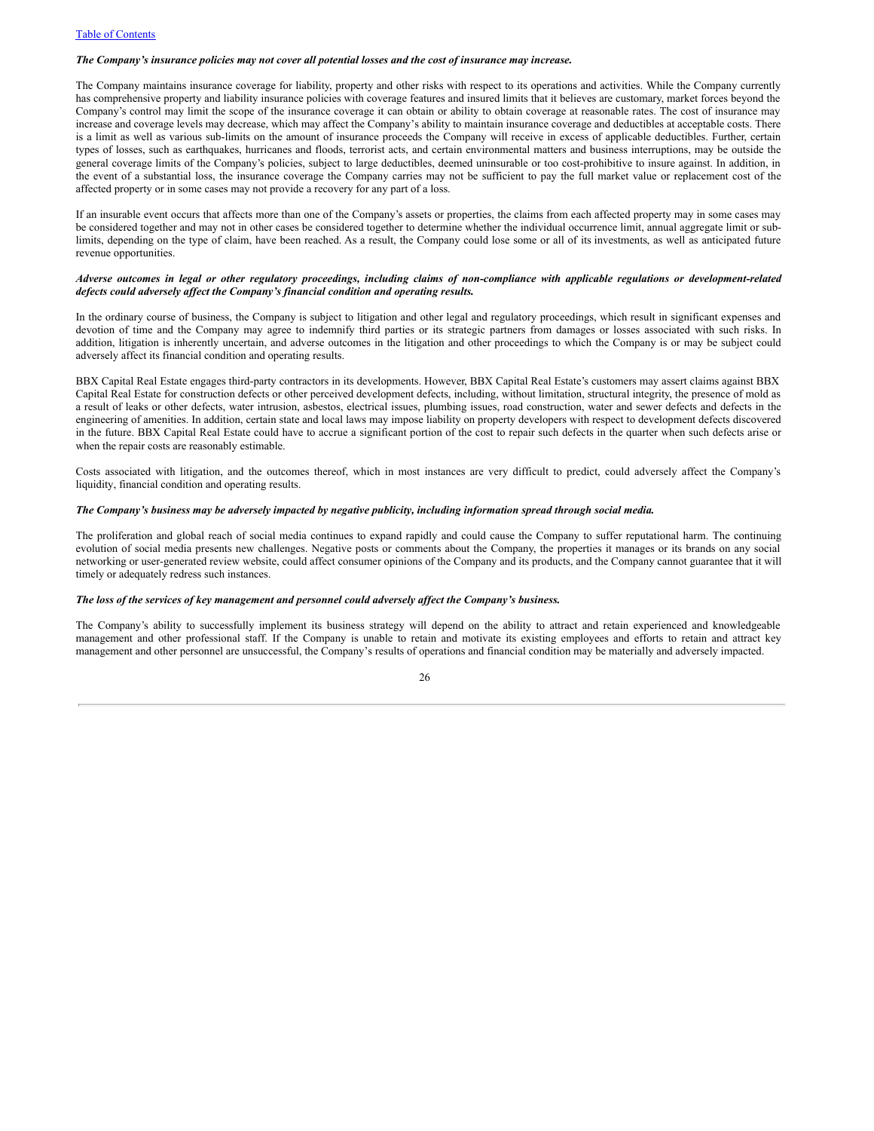## The Company's insurance policies may not cover all potential losses and the cost of insurance may increase.

The Company maintains insurance coverage for liability, property and other risks with respect to its operations and activities. While the Company currently has comprehensive property and liability insurance policies with coverage features and insured limits that it believes are customary, market forces beyond the Company's control may limit the scope of the insurance coverage it can obtain or ability to obtain coverage at reasonable rates. The cost of insurance may increase and coverage levels may decrease, which may affect the Company's ability to maintain insurance coverage and deductibles at acceptable costs. There is a limit as well as various sub-limits on the amount of insurance proceeds the Company will receive in excess of applicable deductibles. Further, certain types of losses, such as earthquakes, hurricanes and floods, terrorist acts, and certain environmental matters and business interruptions, may be outside the general coverage limits of the Company's policies, subject to large deductibles, deemed uninsurable or too cost-prohibitive to insure against. In addition, in the event of a substantial loss, the insurance coverage the Company carries may not be sufficient to pay the full market value or replacement cost of the affected property or in some cases may not provide a recovery for any part of a loss.

If an insurable event occurs that affects more than one of the Company's assets or properties, the claims from each affected property may in some cases may be considered together and may not in other cases be considered together to determine whether the individual occurrence limit, annual aggregate limit or sublimits, depending on the type of claim, have been reached. As a result, the Company could lose some or all of its investments, as well as anticipated future revenue opportunities.

## Adverse outcomes in legal or other regulatory proceedings, including claims of non-compliance with applicable regulations or development-related *defects could adversely af ect the Company's financial condition and operating results.*

In the ordinary course of business, the Company is subject to litigation and other legal and regulatory proceedings, which result in significant expenses and devotion of time and the Company may agree to indemnify third parties or its strategic partners from damages or losses associated with such risks. In addition, litigation is inherently uncertain, and adverse outcomes in the litigation and other proceedings to which the Company is or may be subject could adversely affect its financial condition and operating results.

BBX Capital Real Estate engages third-party contractors in its developments. However, BBX Capital Real Estate's customers may assert claims against BBX Capital Real Estate for construction defects or other perceived development defects, including, without limitation, structural integrity, the presence of mold as a result of leaks or other defects, water intrusion, asbestos, electrical issues, plumbing issues, road construction, water and sewer defects and defects in the engineering of amenities. In addition, certain state and local laws may impose liability on property developers with respect to development defects discovered in the future. BBX Capital Real Estate could have to accrue a significant portion of the cost to repair such defects in the quarter when such defects arise or when the repair costs are reasonably estimable.

Costs associated with litigation, and the outcomes thereof, which in most instances are very difficult to predict, could adversely affect the Company's liquidity, financial condition and operating results.

## The Company's business may be adversely impacted by negative publicity, including information spread through social media.

The proliferation and global reach of social media continues to expand rapidly and could cause the Company to suffer reputational harm. The continuing evolution of social media presents new challenges. Negative posts or comments about the Company, the properties it manages or its brands on any social networking or user-generated review website, could affect consumer opinions of the Company and its products, and the Company cannot guarantee that it will timely or adequately redress such instances.

#### *The loss of the services of key management and personnel could adversely af ect the Company's business.*

The Company's ability to successfully implement its business strategy will depend on the ability to attract and retain experienced and knowledgeable management and other professional staff. If the Company is unable to retain and motivate its existing employees and efforts to retain and attract key management and other personnel are unsuccessful, the Company's results of operations and financial condition may be materially and adversely impacted.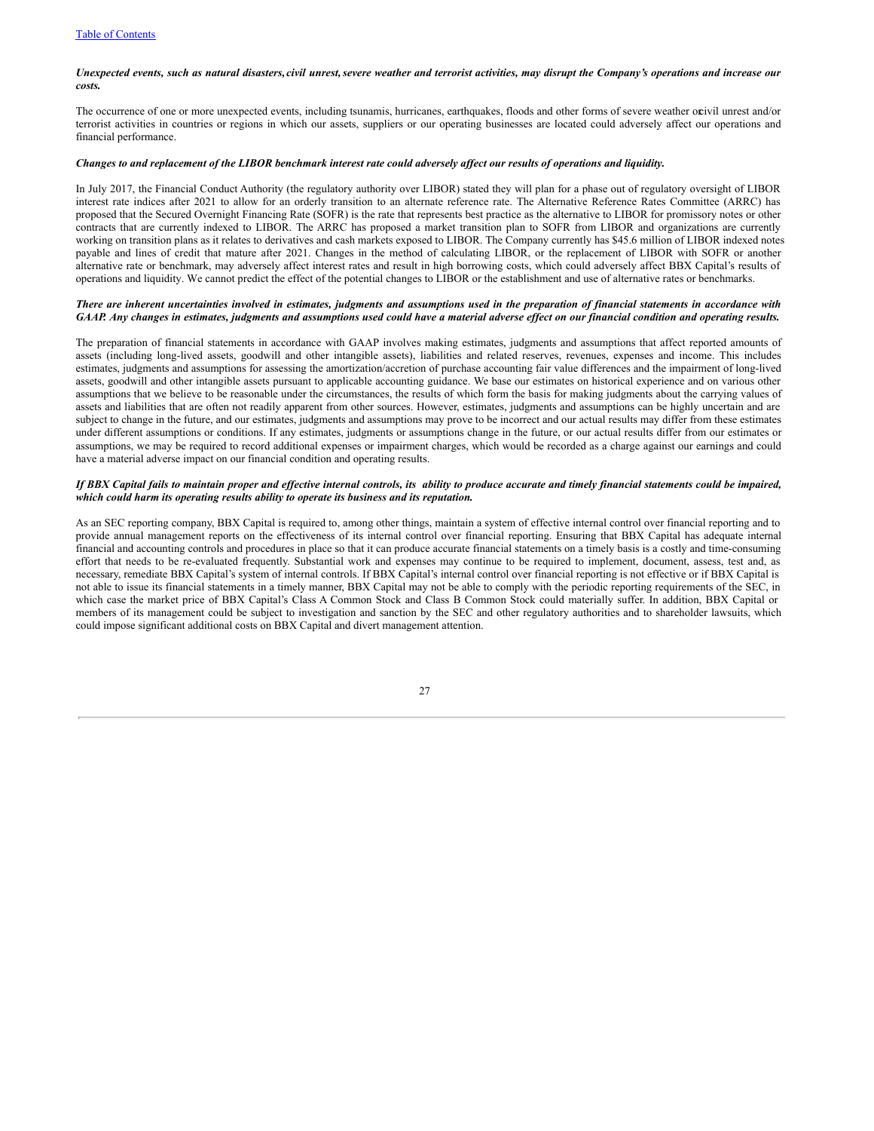## Unexpected events, such as natural disasters, civil unrest, severe weather and terrorist activities, may disrupt the Company's operations and increase our *costs.*

The occurrence of one or more unexpected events, including tsunamis, hurricanes, earthquakes, floods and other forms of severe weather or ivil unrest and/or terrorist activities in countries or regions in which our assets, suppliers or our operating businesses are located could adversely affect our operations and financial performance.

## Changes to and replacement of the LIBOR benchmark interest rate could adversely affect our results of operations and liquidity.

In July 2017, the Financial Conduct Authority (the regulatory authority over LIBOR) stated they will plan for a phase out of regulatory oversight of LIBOR interest rate indices after 2021 to allow for an orderly transition to an alternate reference rate. The Alternative Reference Rates Committee (ARRC) has proposed that the Secured Overnight Financing Rate (SOFR) is the rate that represents best practice as the alternative to LIBOR for promissory notes or other contracts that are currently indexed to LIBOR. The ARRC has proposed a market transition plan to SOFR from LIBOR and organizations are currently working on transition plans as it relates to derivatives and cash markets exposed to LIBOR. The Company currently has \$45.6 million of LIBOR indexed notes payable and lines of credit that mature after 2021. Changes in the method of calculating LIBOR, or the replacement of LIBOR with SOFR or another alternative rate or benchmark, may adversely affect interest rates and result in high borrowing costs, which could adversely affect BBX Capital's results of operations and liquidity. We cannot predict the effect of the potential changes to LIBOR or the establishment and use of alternative rates or benchmarks.

## There are inherent uncertainties involved in estimates, judgments and assumptions used in the preparation of financial statements in accordance with GAAP. Any changes in estimates, judgments and assumptions used could have a material adverse effect on our financial condition and operating results.

The preparation of financial statements in accordance with GAAP involves making estimates, judgments and assumptions that affect reported amounts of assets (including long-lived assets, goodwill and other intangible assets), liabilities and related reserves, revenues, expenses and income. This includes estimates, judgments and assumptions for assessing the amortization/accretion of purchase accounting fair value differences and the impairment of long-lived assets, goodwill and other intangible assets pursuant to applicable accounting guidance. We base our estimates on historical experience and on various other assumptions that we believe to be reasonable under the circumstances, the results of which form the basis for making judgments about the carrying values of assets and liabilities that are often not readily apparent from other sources. However, estimates, judgments and assumptions can be highly uncertain and are subject to change in the future, and our estimates, judgments and assumptions may prove to be incorrect and our actual results may differ from these estimates under different assumptions or conditions. If any estimates, judgments or assumptions change in the future, or our actual results differ from our estimates or assumptions, we may be required to record additional expenses or impairment charges, which would be recorded as a charge against our earnings and could have a material adverse impact on our financial condition and operating results.

## If BBX Capital fails to maintain proper and effective internal controls, its ability to produce accurate and timely financial statements could be impaired, *which could harm its operating results ability to operate its business and its reputation.*

As an SEC reporting company, BBX Capital is required to, among other things, maintain a system of effective internal control over financial reporting and to provide annual management reports on the effectiveness of its internal control over financial reporting. Ensuring that BBX Capital has adequate internal financial and accounting controls and procedures in place so that it can produce accurate financial statements on a timely basis is a costly and time-consuming effort that needs to be re-evaluated frequently. Substantial work and expenses may continue to be required to implement, document, assess, test and, as necessary, remediate BBX Capital's system of internal controls. If BBX Capital's internal control over financial reporting is not effective or if BBX Capital is not able to issue its financial statements in a timely manner, BBX Capital may not be able to comply with the periodic reporting requirements of the SEC, in which case the market price of BBX Capital's Class A Common Stock and Class B Common Stock could materially suffer. In addition, BBX Capital or members of its management could be subject to investigation and sanction by the SEC and other regulatory authorities and to shareholder lawsuits, which could impose significant additional costs on BBX Capital and divert management attention.

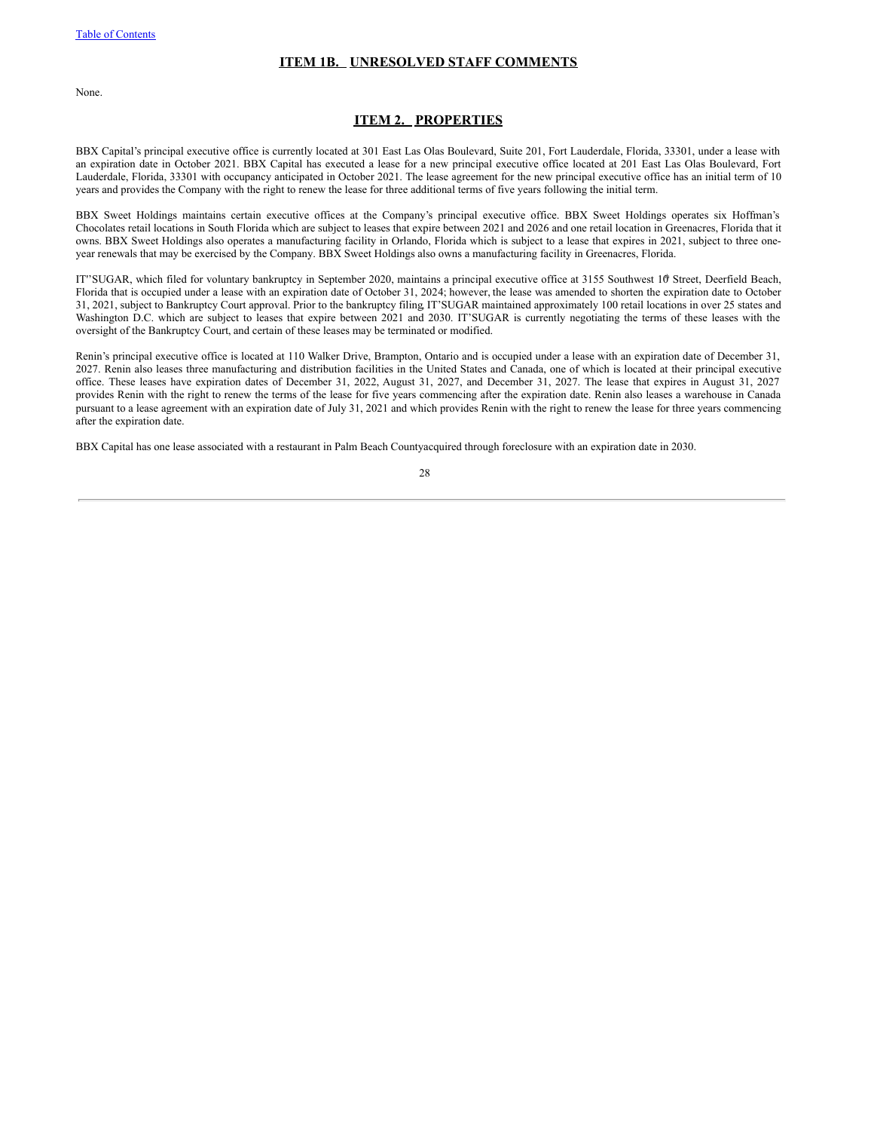## **ITEM 1B. UNRESOLVED STAFF COMMENTS**

None.

## <span id="page-29-1"></span><span id="page-29-0"></span>**ITEM 2. PROPERTIES**

BBX Capital's principal executive office is currently located at 301 East Las Olas Boulevard, Suite 201, Fort Lauderdale, Florida, 33301, under a lease with an expiration date in October 2021. BBX Capital has executed a lease for a new principal executive office located at 201 East Las Olas Boulevard, Fort Lauderdale, Florida, 33301 with occupancy anticipated in October 2021. The lease agreement for the new principal executive office has an initial term of 10 years and provides the Company with the right to renew the lease for three additional terms of five years following the initial term.

BBX Sweet Holdings maintains certain executive offices at the Company's principal executive office. BBX Sweet Holdings operates six Hoffman's Chocolates retail locations in South Florida which are subject to leases that expire between 2021 and 2026 and one retail location in Greenacres, Florida that it owns. BBX Sweet Holdings also operates a manufacturing facility in Orlando, Florida which is subject to a lease that expires in 2021, subject to three oneyear renewals that may be exercised by the Company. BBX Sweet Holdings also owns a manufacturing facility in Greenacres, Florida.

IT"SUGAR, which filed for voluntary bankruptcy in September 2020, maintains a principal executive office at 3155 Southwest 10 Street, Deerfield Beach, Florida that is occupied under a lease with an expiration date of October 31, 2024; however, the lease was amended to shorten the expiration date to October 31, 2021, subject to Bankruptcy Court approval. Prior to the bankruptcy filing, IT'SUGAR maintained approximately 100 retail locations in over 25 states and Washington D.C. which are subject to leases that expire between 2021 and 2030. IT'SUGAR is currently negotiating the terms of these leases with the oversight of the Bankruptcy Court, and certain of these leases may be terminated or modified.

Renin's principal executive office is located at 110 Walker Drive, Brampton, Ontario and is occupied under a lease with an expiration date of December 31, 2027. Renin also leases three manufacturing and distribution facilities in the United States and Canada, one of which is located at their principal executive office. These leases have expiration dates of December 31, 2022, August 31, 2027, and December 31, 2027. The lease that expires in August 31, 2027 provides Renin with the right to renew the terms of the lease for five years commencing after the expiration date. Renin also leases a warehouse in Canada pursuant to a lease agreement with an expiration date of July 31, 2021 and which provides Renin with the right to renew the lease for three years commencing after the expiration date.

BBX Capital has one lease associated with a restaurant in Palm Beach Countyacquired through foreclosure with an expiration date in 2030.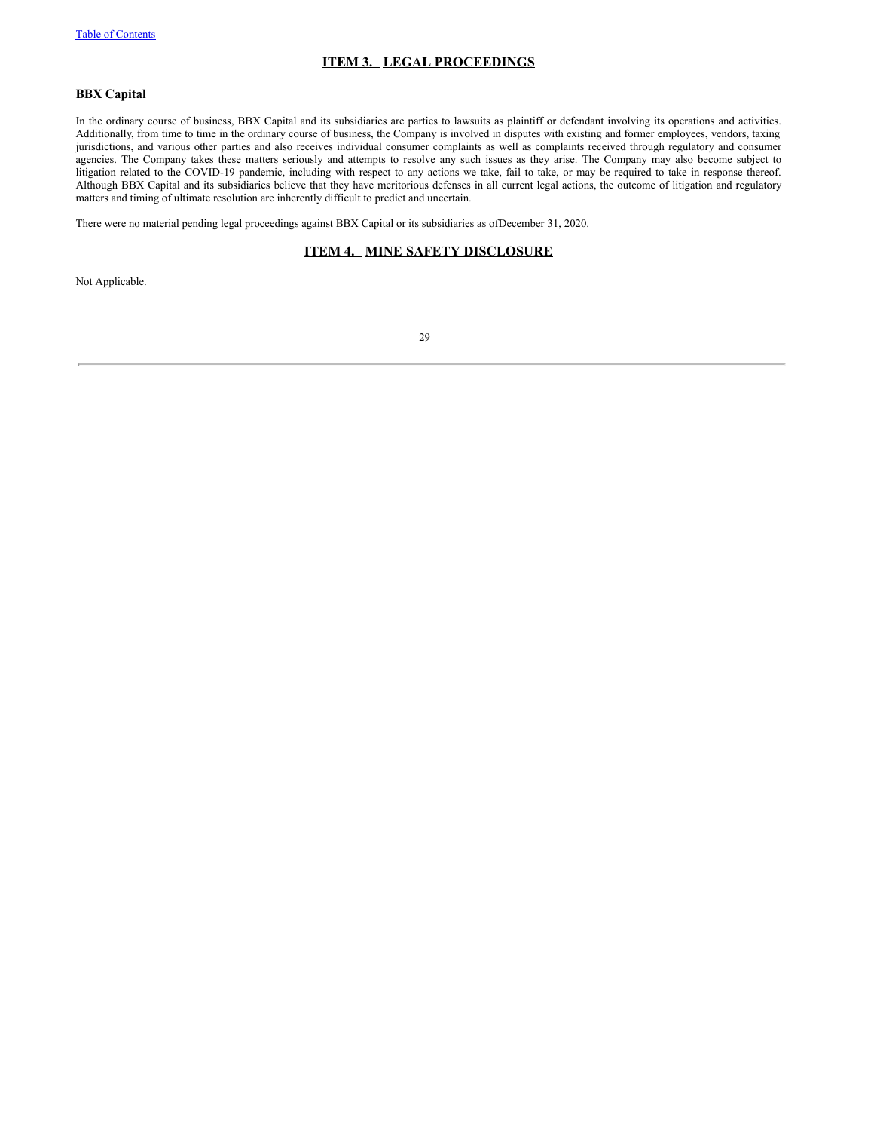## <span id="page-30-0"></span>**ITEM 3. LEGAL PROCEEDINGS**

## **BBX Capital**

In the ordinary course of business, BBX Capital and its subsidiaries are parties to lawsuits as plaintiff or defendant involving its operations and activities. Additionally, from time to time in the ordinary course of business, the Company is involved in disputes with existing and former employees, vendors, taxing jurisdictions, and various other parties and also receives individual consumer complaints as well as complaints received through regulatory and consumer agencies. The Company takes these matters seriously and attempts to resolve any such issues as they arise. The Company may also become subject to litigation related to the COVID-19 pandemic, including with respect to any actions we take, fail to take, or may be required to take in response thereof. Although BBX Capital and its subsidiaries believe that they have meritorious defenses in all current legal actions, the outcome of litigation and regulatory matters and timing of ultimate resolution are inherently difficult to predict and uncertain.

There were no material pending legal proceedings against BBX Capital or its subsidiaries as ofDecember 31, 2020.

## <span id="page-30-1"></span>**ITEM 4. MINE SAFETY DISCLOSURE**

Not Applicable.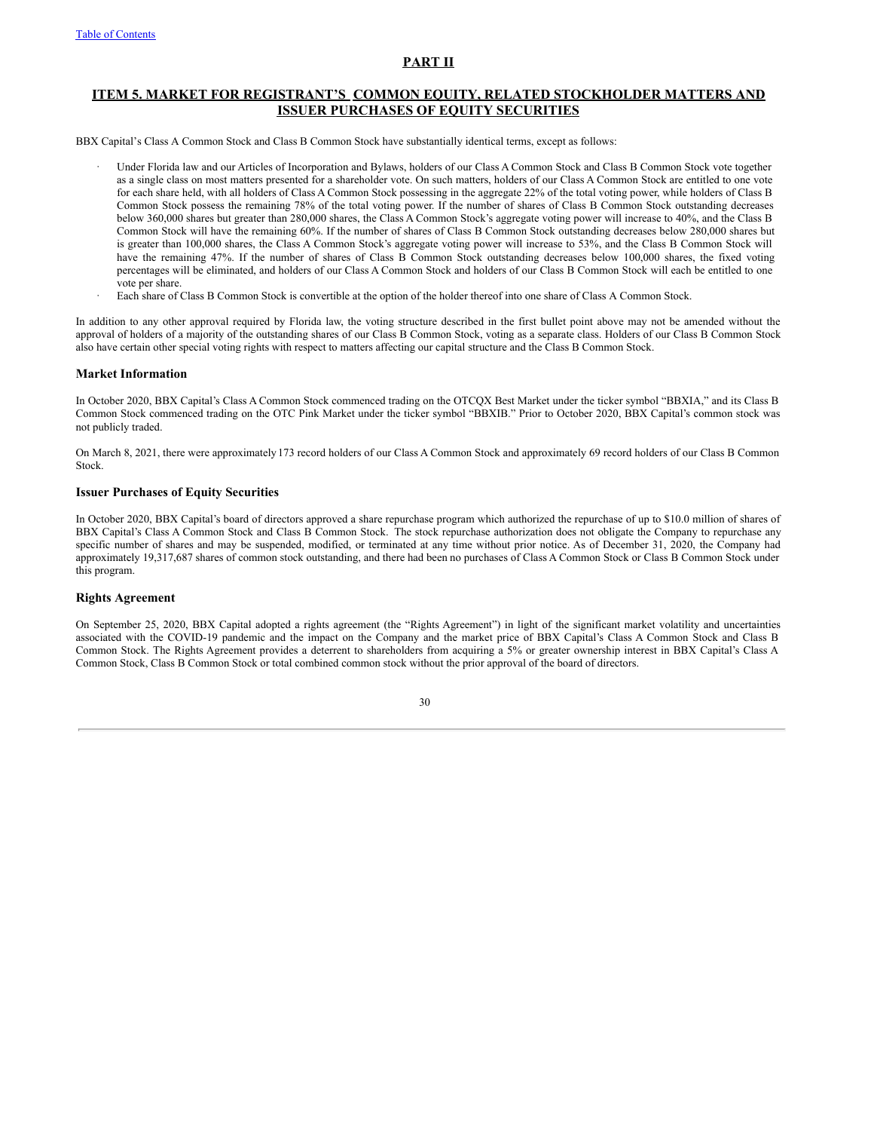## <span id="page-31-0"></span>**PART II**

## **ITEM 5. MARKET FOR REGISTRANT'S COMMON EQUITY, RELATED STOCKHOLDER MATTERS AND ISSUER PURCHASES OF EQUITY SECURITIES**

BBX Capital's Class A Common Stock and Class B Common Stock have substantially identical terms, except as follows:

- · Under Florida law and our Articles of Incorporation and Bylaws, holders of our Class A Common Stock and Class B Common Stock vote together as a single class on most matters presented for a shareholder vote. On such matters, holders of our Class A Common Stock are entitled to one vote for each share held, with all holders of Class A Common Stock possessing in the aggregate 22% of the total voting power, while holders of Class B Common Stock possess the remaining 78% of the total voting power. If the number of shares of Class B Common Stock outstanding decreases below 360,000 shares but greater than 280,000 shares, the Class A Common Stock's aggregate voting power will increase to 40%, and the Class B Common Stock will have the remaining 60%. If the number of shares of Class B Common Stock outstanding decreases below 280,000 shares but is greater than 100,000 shares, the Class A Common Stock's aggregate voting power will increase to 53%, and the Class B Common Stock will have the remaining 47%. If the number of shares of Class B Common Stock outstanding decreases below 100,000 shares, the fixed voting percentages will be eliminated, and holders of our Class A Common Stock and holders of our Class B Common Stock will each be entitled to one vote per share.
- Each share of Class B Common Stock is convertible at the option of the holder thereof into one share of Class A Common Stock.

In addition to any other approval required by Florida law, the voting structure described in the first bullet point above may not be amended without the approval of holders of a majority of the outstanding shares of our Class B Common Stock, voting as a separate class. Holders of our Class B Common Stock also have certain other special voting rights with respect to matters affecting our capital structure and the Class B Common Stock.

#### **Market Information**

In October 2020, BBX Capital's Class A Common Stock commenced trading on the OTCQX Best Market under the ticker symbol "BBXIA," and its Class B Common Stock commenced trading on the OTC Pink Market under the ticker symbol "BBXIB." Prior to October 2020, BBX Capital's common stock was not publicly traded.

On March 8, 2021, there were approximately173 record holders of our Class A Common Stock and approximately 69 record holders of our Class B Common Stock.

## **Issuer Purchases of Equity Securities**

In October 2020, BBX Capital's board of directors approved a share repurchase program which authorized the repurchase of up to \$10.0 million of shares of BBX Capital's Class A Common Stock and Class B Common Stock. The stock repurchase authorization does not obligate the Company to repurchase any specific number of shares and may be suspended, modified, or terminated at any time without prior notice. As of December 31, 2020, the Company had approximately 19,317,687 shares of common stock outstanding, and there had been no purchases of Class A Common Stock or Class B Common Stock under this program.

## **Rights Agreement**

On September 25, 2020, BBX Capital adopted a rights agreement (the "Rights Agreement") in light of the significant market volatility and uncertainties associated with the COVID-19 pandemic and the impact on the Company and the market price of BBX Capital's Class A Common Stock and Class B Common Stock. The Rights Agreement provides a deterrent to shareholders from acquiring a 5% or greater ownership interest in BBX Capital's Class A Common Stock, Class B Common Stock or total combined common stock without the prior approval of the board of directors.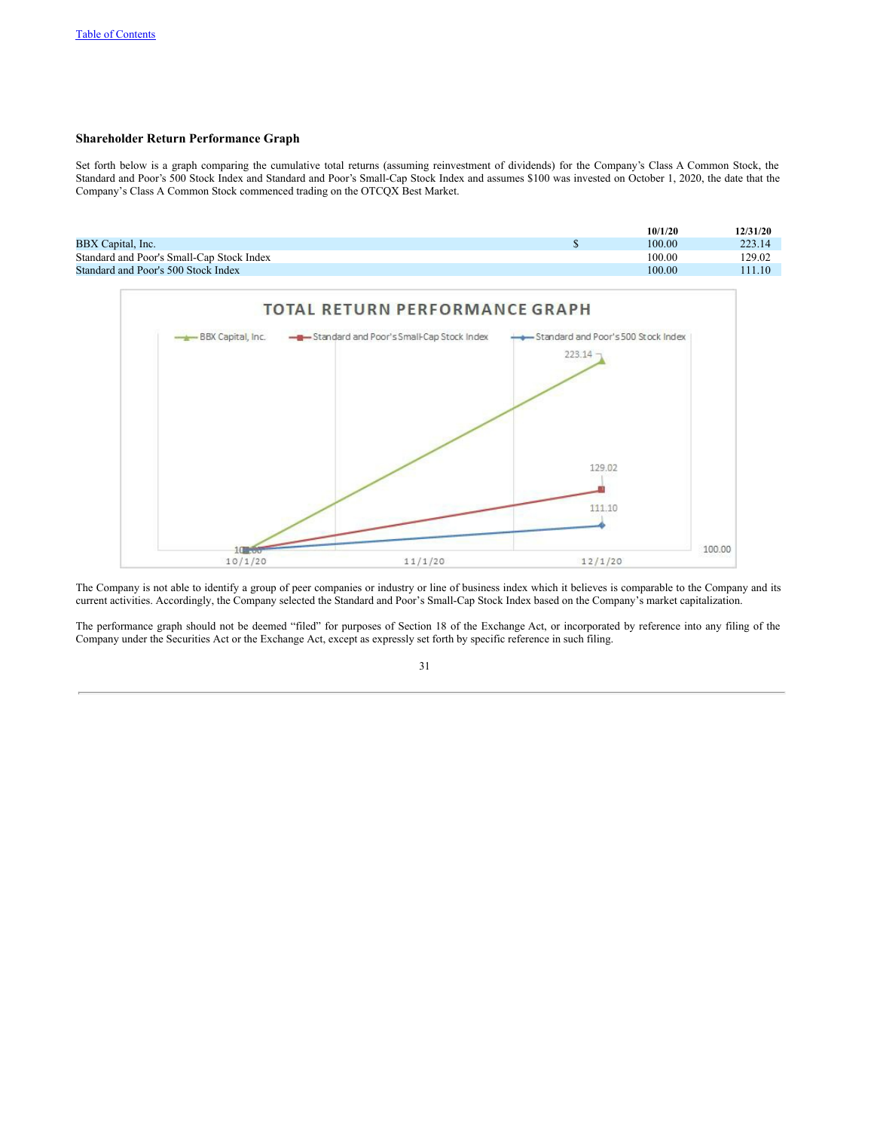## **Shareholder Return Performance Graph**

Set forth below is a graph comparing the cumulative total returns (assuming reinvestment of dividends) for the Company's Class A Common Stock, the Standard and Poor's 500 Stock Index and Standard and Poor's Small-Cap Stock Index and assumes \$100 was invested on October 1, 2020, the date that the Company's Class A Common Stock commenced trading on the OTCQX Best Market.

|                                           | 10/1/20 | 12/31/20 |
|-------------------------------------------|---------|----------|
| BBX Capital, Inc.                         | 100.00  | 223.14   |
| Standard and Poor's Small-Cap Stock Index | 100.00  | 129.02   |
| Standard and Poor's 500 Stock Index       | 100.00  | 111.10   |
|                                           |         |          |



The Company is not able to identify a group of peer companies or industry or line of business index which it believes is comparable to the Company and its current activities. Accordingly, the Company selected the Standard and Poor's Small-Cap Stock Index based on the Company's market capitalization.

The performance graph should not be deemed "filed" for purposes of Section 18 of the Exchange Act, or incorporated by reference into any filing of the Company under the Securities Act or the Exchange Act, except as expressly set forth by specific reference in such filing.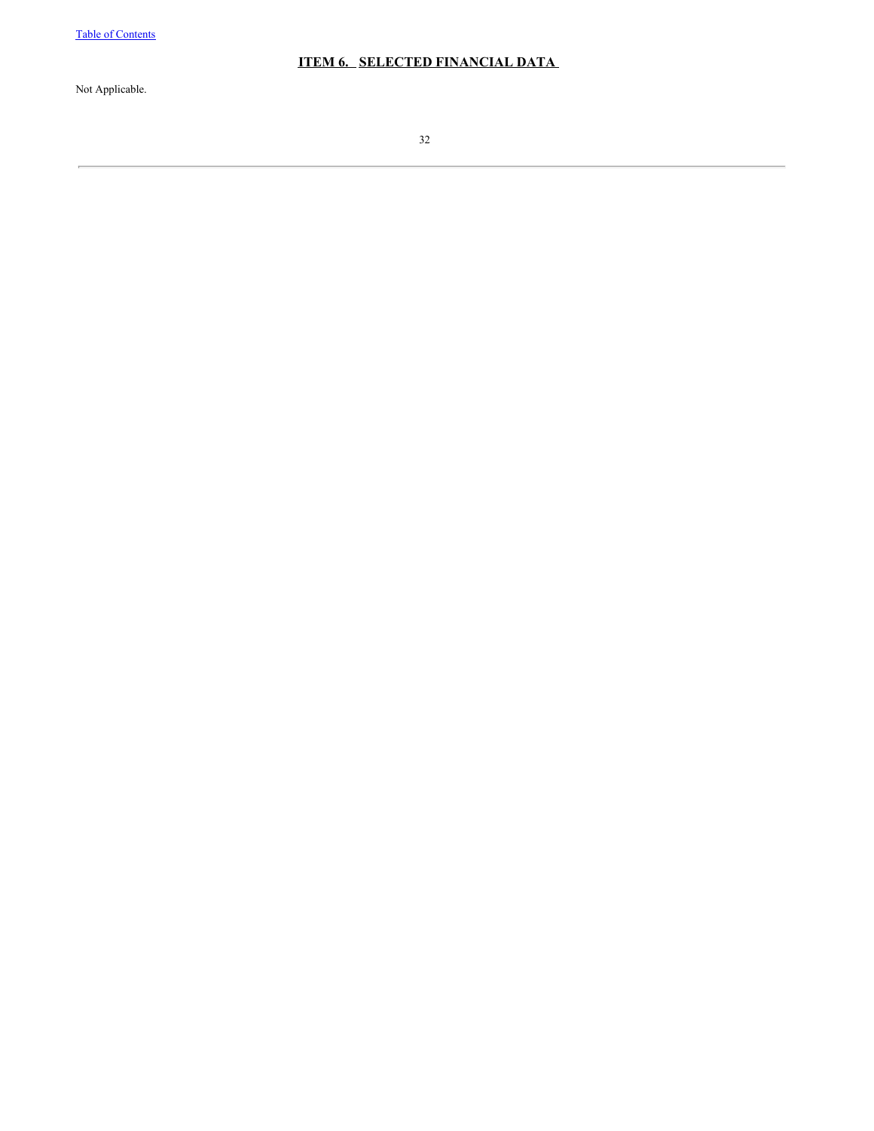# <span id="page-33-0"></span>**ITEM 6. SELECTED FINANCIAL DATA**

Not Applicable.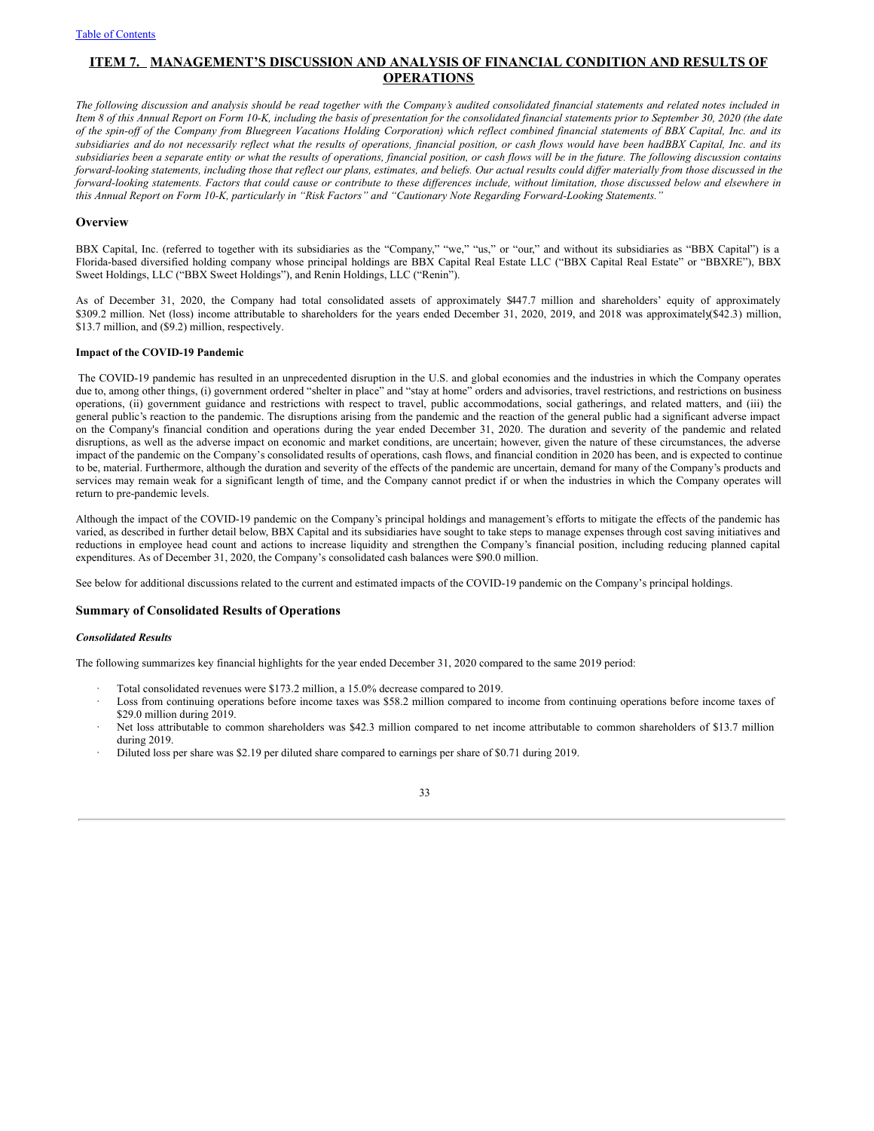## <span id="page-34-0"></span>**ITEM 7. MANAGEMENT'S DISCUSSION AND ANALYSIS OF FINANCIAL CONDITION AND RESULTS OF OPERATIONS**

The following discussion and analysis should be read together with the Company's audited consolidated financial statements and related notes included in Item 8 of this Annual Report on Form 10-K, including the basis of presentation for the consolidated financial statements prior to September 30, 2020 (the date of the spin-off of the Company from Bluegreen Vacations Holding Corporation) which reflect combined financial statements of BBX Capital, Inc. and its subsidiaries and do not necessarily reflect what the results of operations, financial position, or cash flows would have been hadBBX Capital, Inc. and its subsidiaries been a separate entity or what the results of operations, financial position, or cash flows will be in the future. The following discussion contains forward-looking statements, including those that reflect our plans, estimates, and beliefs. Our actual results could differ materially from those discussed in the forward-looking statements. Factors that could cause or contribute to these differences include, without limitation, those discussed below and elsewhere in this Annual Report on Form 10-K, particularly in "Risk Factors" and "Cautionary Note Regarding Forward-Looking Statements."

## **Overview**

BBX Capital, Inc. (referred to together with its subsidiaries as the "Company," "we," "us," or "our," and without its subsidiaries as "BBX Capital") is a Florida-based diversified holding company whose principal holdings are BBX Capital Real Estate LLC ("BBX Capital Real Estate" or "BBXRE"), BBX Sweet Holdings, LLC ("BBX Sweet Holdings"), and Renin Holdings, LLC ("Renin").

As of December 31, 2020, the Company had total consolidated assets of approximately \$447.7 million and shareholders' equity of approximately \$309.2 million. Net (loss) income attributable to shareholders for the years ended December 31, 2020, 2019, and 2018 was approximately(\$42.3) million, \$13.7 million, and (\$9.2) million, respectively.

## **Impact of the COVID-19 Pandemic**

The COVID-19 pandemic has resulted in an unprecedented disruption in the U.S. and global economies and the industries in which the Company operates due to, among other things, (i) government ordered "shelter in place" and "stay at home" orders and advisories, travel restrictions, and restrictions on business operations, (ii) government guidance and restrictions with respect to travel, public accommodations, social gatherings, and related matters, and (iii) the general public's reaction to the pandemic. The disruptions arising from the pandemic and the reaction of the general public had a significant adverse impact on the Company's financial condition and operations during the year ended December 31, 2020. The duration and severity of the pandemic and related disruptions, as well as the adverse impact on economic and market conditions, are uncertain; however, given the nature of these circumstances, the adverse impact of the pandemic on the Company's consolidated results of operations, cash flows, and financial condition in 2020 has been, and is expected to continue to be, material. Furthermore, although the duration and severity of the effects of the pandemic are uncertain, demand for many of the Company's products and services may remain weak for a significant length of time, and the Company cannot predict if or when the industries in which the Company operates will return to pre-pandemic levels.

Although the impact of the COVID-19 pandemic on the Company's principal holdings and management's efforts to mitigate the effects of the pandemic has varied, as described in further detail below, BBX Capital and its subsidiaries have sought to take steps to manage expenses through cost saving initiatives and reductions in employee head count and actions to increase liquidity and strengthen the Company's financial position, including reducing planned capital expenditures. As of December 31, 2020, the Company's consolidated cash balances were \$90.0 million.

See below for additional discussions related to the current and estimated impacts of the COVID-19 pandemic on the Company's principal holdings.

## **Summary of Consolidated Results of Operations**

## *Consolidated Results*

The following summarizes key financial highlights for the year ended December 31, 2020 compared to the same 2019 period:

- Total consolidated revenues were \$173.2 million, a 15.0% decrease compared to 2019.
- Loss from continuing operations before income taxes was \$58.2 million compared to income from continuing operations before income taxes of \$29.0 million during 2019.
- Net loss attributable to common shareholders was \$42.3 million compared to net income attributable to common shareholders of \$13.7 million during 2019.
- · Diluted loss per share was \$2.19 per diluted share compared to earnings per share of \$0.71 during 2019.

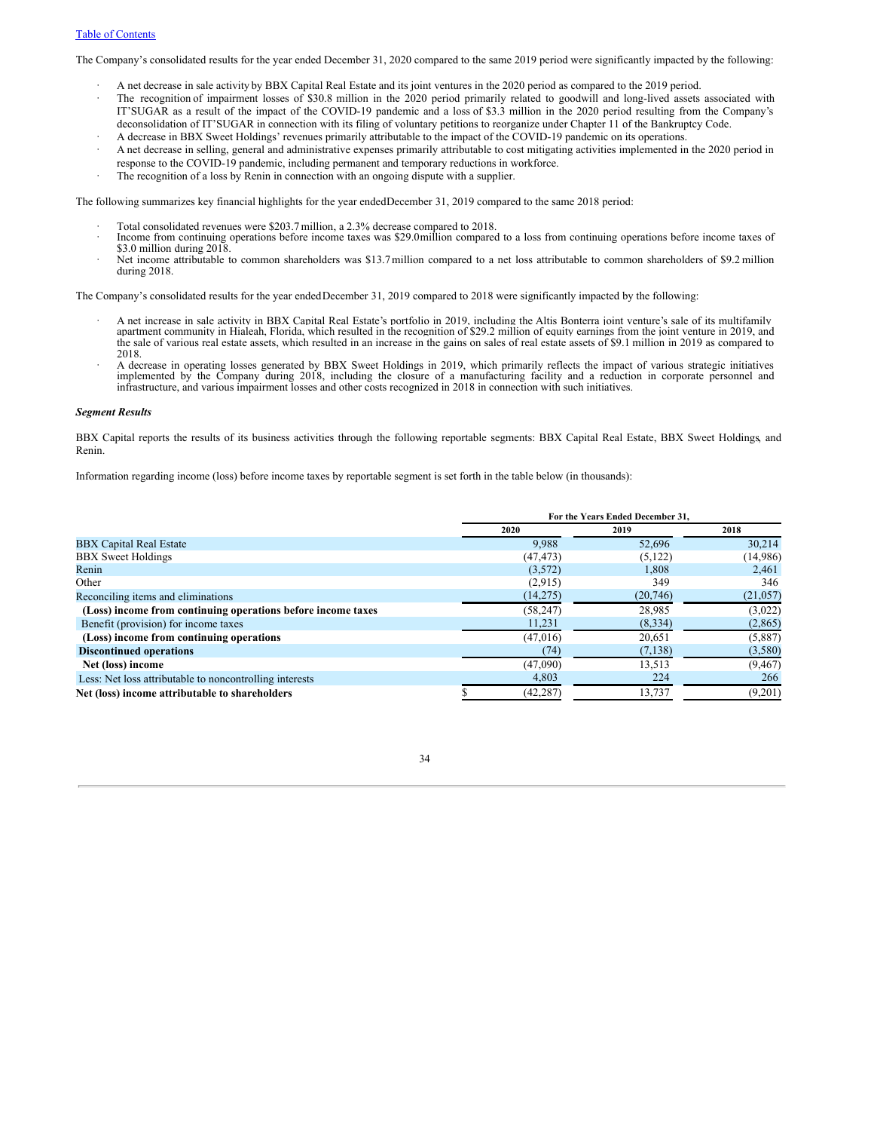The Company's consolidated results for the year ended December 31, 2020 compared to the same 2019 period were significantly impacted by the following:

- · A net decrease in sale activity by BBX Capital Real Estate and its joint ventures in the 2020 period as compared to the 2019 period.
- · The recognition of impairment losses of \$30.8 million in the 2020 period primarily related to goodwill and long-lived assets associated with IT'SUGAR as a result of the impact of the COVID-19 pandemic and a loss of \$3.3 million in the 2020 period resulting from the Company's deconsolidation of IT'SUGAR in connection with its filing of voluntary petitions to reorganize under Chapter 11 of the Bankruptcy Code.
- · A decrease in BBX Sweet Holdings' revenues primarily attributable to the impact of the COVID-19 pandemic on its operations.
- · A net decrease in selling, general and administrative expenses primarily attributable to cost mitigating activities implemented in the 2020 period in response to the COVID-19 pandemic, including permanent and temporary reductions in workforce.
- The recognition of a loss by Renin in connection with an ongoing dispute with a supplier.

The following summarizes key financial highlights for the year endedDecember 31, 2019 compared to the same 2018 period:

- Total consolidated revenues were \$203.7 million, a 2.3% decrease compared to 2018.
- · Income from continuing operations before income taxes was \$29.0million compared to a loss from continuing operations before income taxes of \$3.0 million during 2018.
- Net income attributable to common shareholders was \$13.7million compared to a net loss attributable to common shareholders of \$9.2 million during 2018.

The Company's consolidated results for the year endedDecember 31, 2019 compared to 2018 were significantly impacted by the following:

- · A net increase in sale activity in BBX Capital Real Estate's portfolio in 2019, including the Altis Bonterra joint venture's sale of its multifamily apartment community in Hialeah, Florida, which resulted in the recognition of \$29.2 million of equity earnings from the joint venture in 2019, and the sale of various real estate assets, which resulted in an increase in the gains on sales of real estate assets of \$9.1 million in 2019 as compared to 2018.
- · A decrease in operating losses generated by BBX Sweet Holdings in 2019, which primarily reflects the impact of various strategic initiatives implemented by the Company during 2018, including the closure of a manufacturing facility and a reduction in corporate personnel and infrastructure, and various impairment losses and other costs recognized in 2018 in connection with such initiatives.

#### *Segment Results*

BBX Capital reports the results of its business activities through the following reportable segments: BBX Capital Real Estate, BBX Sweet Holdings, and Renin.

Information regarding income (loss) before income taxes by reportable segment is set forth in the table below (in thousands):

|                                                              | For the Years Ended December 31, |          |          |
|--------------------------------------------------------------|----------------------------------|----------|----------|
|                                                              | 2020                             | 2019     | 2018     |
| <b>BBX Capital Real Estate</b>                               | 9.988                            | 52,696   | 30.214   |
| <b>BBX</b> Sweet Holdings                                    | (47, 473)                        | (5, 122) | (14,986) |
| Renin                                                        | (3,572)                          | 1,808    | 2,461    |
| Other                                                        | (2,915)                          | 349      | 346      |
| Reconciling items and eliminations                           | (14,275)                         | (20,746) | (21,057) |
| (Loss) income from continuing operations before income taxes | (58, 247)                        | 28,985   | (3,022)  |
| Benefit (provision) for income taxes                         | 11,231                           | (8, 334) | (2,865)  |
| (Loss) income from continuing operations                     | (47,016)                         | 20,651   | (5,887)  |
| <b>Discontinued operations</b>                               | (74)                             | (7,138)  | (3,580)  |
| Net (loss) income                                            | (47,090)                         | 13.513   | (9, 467) |
| Less: Net loss attributable to noncontrolling interests      | 4,803                            | 224      | 266      |
| Net (loss) income attributable to shareholders               | (42, 287)                        | 13,737   | (9,201)  |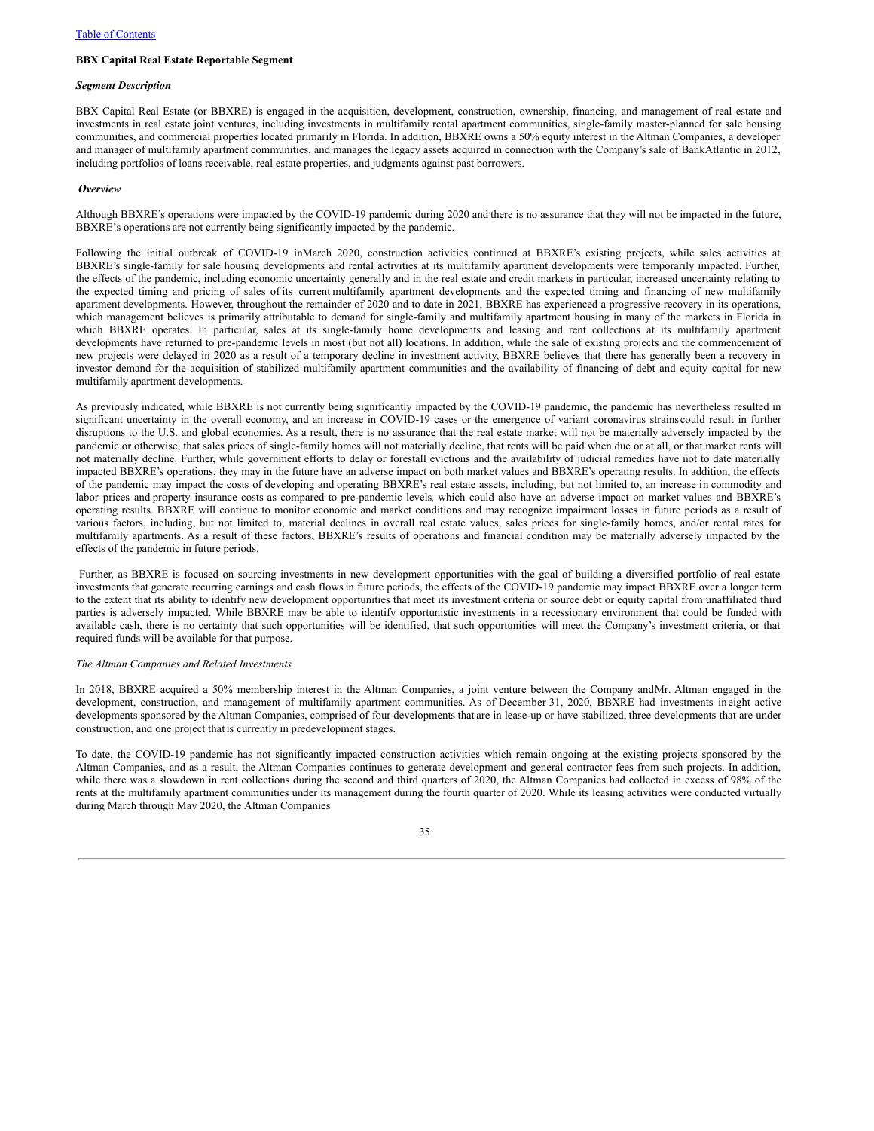# **BBX Capital Real Estate Reportable Segment**

#### *Segment Description*

BBX Capital Real Estate (or BBXRE) is engaged in the acquisition, development, construction, ownership, financing, and management of real estate and investments in real estate joint ventures, including investments in multifamily rental apartment communities, single-family master-planned for sale housing communities, and commercial properties located primarily in Florida. In addition, BBXRE owns a 50% equity interest in the Altman Companies, a developer and manager of multifamily apartment communities, and manages the legacy assets acquired in connection with the Company's sale of BankAtlantic in 2012, including portfolios of loans receivable, real estate properties, and judgments against past borrowers.

## *Overview*

Although BBXRE's operations were impacted by the COVID-19 pandemic during 2020 and there is no assurance that they will not be impacted in the future, BBXRE's operations are not currently being significantly impacted by the pandemic.

Following the initial outbreak of COVID-19 inMarch 2020, construction activities continued at BBXRE's existing projects, while sales activities at BBXRE's single-family for sale housing developments and rental activities at its multifamily apartment developments were temporarily impacted. Further, the effects of the pandemic, including economic uncertainty generally and in the real estate and credit markets in particular, increased uncertainty relating to the expected timing and pricing of sales of its current multifamily apartment developments and the expected timing and financing of new multifamily apartment developments. However, throughout the remainder of 2020 and to date in 2021, BBXRE has experienced a progressive recovery in its operations, which management believes is primarily attributable to demand for single-family and multifamily apartment housing in many of the markets in Florida in which BBXRE operates. In particular, sales at its single-family home developments and leasing and rent collections at its multifamily apartment developments have returned to pre-pandemic levels in most (but not all) locations. In addition, while the sale of existing projects and the commencement of new projects were delayed in 2020 as a result of a temporary decline in investment activity, BBXRE believes that there has generally been a recovery in investor demand for the acquisition of stabilized multifamily apartment communities and the availability of financing of debt and equity capital for new multifamily apartment developments.

As previously indicated, while BBXRE is not currently being significantly impacted by the COVID-19 pandemic, the pandemic has nevertheless resulted in significant uncertainty in the overall economy, and an increase in COVID-19 cases or the emergence of variant coronavirus strains could result in further disruptions to the U.S. and global economies. As a result, there is no assurance that the real estate market will not be materially adversely impacted by the pandemic or otherwise, that sales prices of single-family homes will not materially decline, that rents will be paid when due or at all, or that market rents will not materially decline. Further, while government efforts to delay or forestall evictions and the availability of judicial remedies have not to date materially impacted BBXRE's operations, they may in the future have an adverse impact on both market values and BBXRE's operating results. In addition, the effects of the pandemic may impact the costs of developing and operating BBXRE's real estate assets, including, but not limited to, an increase in commodity and labor prices and property insurance costs as compared to pre-pandemic levels, which could also have an adverse impact on market values and BBXRE's operating results. BBXRE will continue to monitor economic and market conditions and may recognize impairment losses in future periods as a result of various factors, including, but not limited to, material declines in overall real estate values, sales prices for single-family homes, and/or rental rates for multifamily apartments. As a result of these factors, BBXRE's results of operations and financial condition may be materially adversely impacted by the effects of the pandemic in future periods.

Further, as BBXRE is focused on sourcing investments in new development opportunities with the goal of building a diversified portfolio of real estate investments that generate recurring earnings and cash flowsin future periods, the effects of the COVID-19 pandemic may impact BBXRE over a longer term to the extent that its ability to identify new development opportunities that meet its investment criteria or source debt or equity capital from unaffiliated third parties is adversely impacted. While BBXRE may be able to identify opportunistic investments in a recessionary environment that could be funded with available cash, there is no certainty that such opportunities will be identified, that such opportunities will meet the Company's investment criteria, or that required funds will be available for that purpose.

### *The Altman Companies and Related Investments*

In 2018, BBXRE acquired a 50% membership interest in the Altman Companies, a joint venture between the Company andMr. Altman engaged in the development, construction, and management of multifamily apartment communities. As of December 31, 2020, BBXRE had investments ineight active developments sponsored by the Altman Companies, comprised of four developments that are in lease-up or have stabilized, three developments that are under construction, and one project that is currently in predevelopment stages.

To date, the COVID-19 pandemic has not significantly impacted construction activities which remain ongoing at the existing projects sponsored by the Altman Companies, and as a result, the Altman Companies continues to generate development and general contractor fees from such projects. In addition, while there was a slowdown in rent collections during the second and third quarters of 2020, the Altman Companies had collected in excess of 98% of the rents at the multifamily apartment communities under its management during the fourth quarter of 2020. While its leasing activities were conducted virtually during March through May 2020, the Altman Companies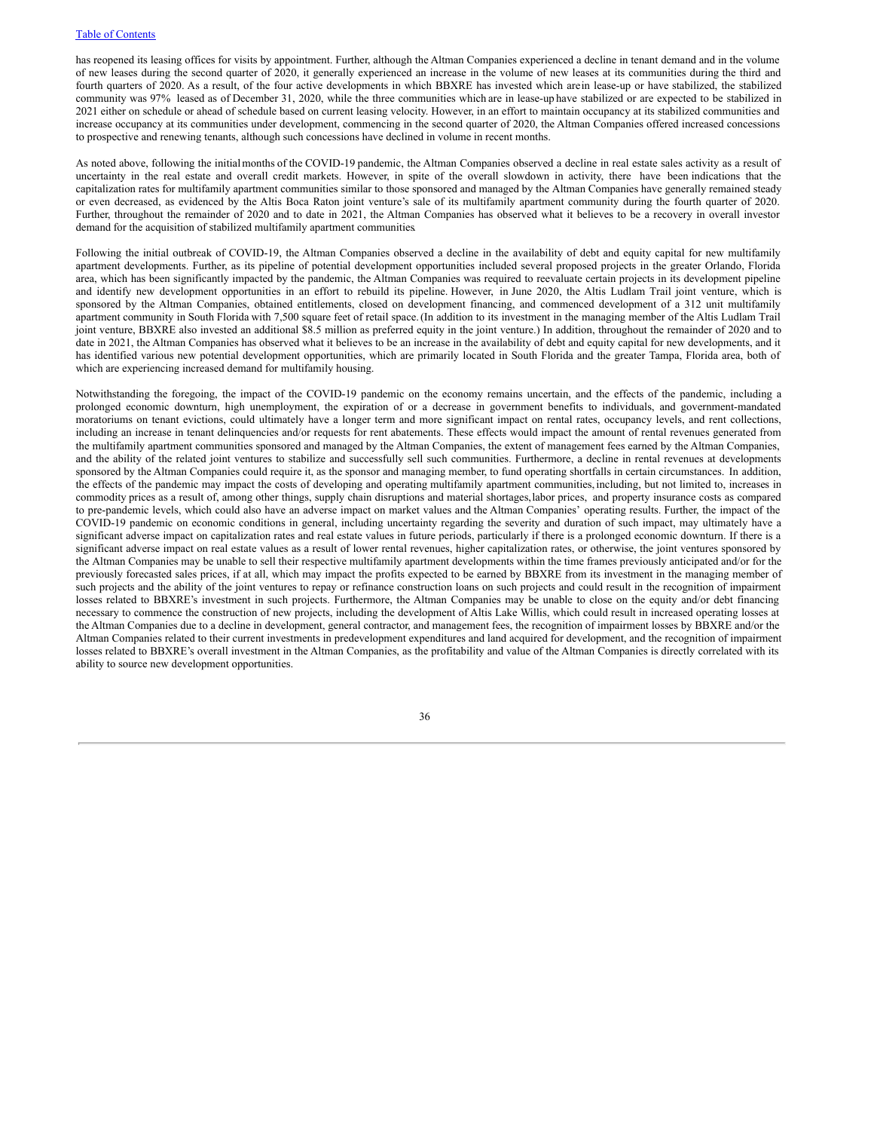has reopened its leasing offices for visits by appointment. Further, although the Altman Companies experienced a decline in tenant demand and in the volume of new leases during the second quarter of 2020, it generally experienced an increase in the volume of new leases at its communities during the third and fourth quarters of 2020. As a result, of the four active developments in which BBXRE has invested which arein lease-up or have stabilized, the stabilized community was 97% leased as of December 31, 2020, while the three communities which are in lease-up have stabilized or are expected to be stabilized in 2021 either on schedule or ahead of schedule based on current leasing velocity. However, in an effort to maintain occupancy at its stabilized communities and increase occupancy at its communities under development, commencing in the second quarter of 2020, the Altman Companies offered increased concessions to prospective and renewing tenants, although such concessions have declined in volume in recent months.

As noted above, following the initialmonths of the COVID-19 pandemic, the Altman Companies observed a decline in real estate sales activity as a result of uncertainty in the real estate and overall credit markets. However, in spite of the overall slowdown in activity, there have been indications that the capitalization rates for multifamily apartment communities similar to those sponsored and managed by the Altman Companies have generally remained steady or even decreased, as evidenced by the Altis Boca Raton joint venture's sale of its multifamily apartment community during the fourth quarter of 2020. Further, throughout the remainder of 2020 and to date in 2021, the Altman Companies has observed what it believes to be a recovery in overall investor demand for the acquisition of stabilized multifamily apartment communities.

Following the initial outbreak of COVID-19, the Altman Companies observed a decline in the availability of debt and equity capital for new multifamily apartment developments. Further, as its pipeline of potential development opportunities included several proposed projects in the greater Orlando, Florida area, which has been significantly impacted by the pandemic, the Altman Companies was required to reevaluate certain projects in its development pipeline and identify new development opportunities in an effort to rebuild its pipeline. However, in June 2020, the Altis Ludlam Trail joint venture, which is sponsored by the Altman Companies, obtained entitlements, closed on development financing, and commenced development of a 312 unit multifamily apartment community in South Florida with 7,500 square feet of retail space.(In addition to its investment in the managing member of the Altis Ludlam Trail joint venture, BBXRE also invested an additional \$8.5 million as preferred equity in the joint venture.) In addition, throughout the remainder of 2020 and to date in 2021, the Altman Companies has observed what it believes to be an increase in the availability of debt and equity capital for new developments, and it has identified various new potential development opportunities, which are primarily located in South Florida and the greater Tampa, Florida area, both of which are experiencing increased demand for multifamily housing.

Notwithstanding the foregoing, the impact of the COVID-19 pandemic on the economy remains uncertain, and the effects of the pandemic, including a prolonged economic downturn, high unemployment, the expiration of or a decrease in government benefits to individuals, and government-mandated moratoriums on tenant evictions, could ultimately have a longer term and more significant impact on rental rates, occupancy levels, and rent collections, including an increase in tenant delinquencies and/or requests for rent abatements. These effects would impact the amount of rental revenues generated from the multifamily apartment communities sponsored and managed by the Altman Companies, the extent of management fees earned by the Altman Companies, and the ability of the related joint ventures to stabilize and successfully sell such communities. Furthermore, a decline in rental revenues at developments sponsored by the Altman Companies could require it, as the sponsor and managing member, to fund operating shortfalls in certain circumstances. In addition, the effects of the pandemic may impact the costs of developing and operating multifamily apartment communities, including, but not limited to, increases in commodity prices as a result of, among other things, supply chain disruptions and material shortages,labor prices, and property insurance costs as compared to pre-pandemic levels, which could also have an adverse impact on market values and the Altman Companies' operating results. Further, the impact of the COVID-19 pandemic on economic conditions in general, including uncertainty regarding the severity and duration of such impact, may ultimately have a significant adverse impact on capitalization rates and real estate values in future periods, particularly if there is a prolonged economic downturn. If there is a significant adverse impact on real estate values as a result of lower rental revenues, higher capitalization rates, or otherwise, the joint ventures sponsored by the Altman Companies may be unable to sell their respective multifamily apartment developments within the time frames previously anticipated and/or for the previously forecasted sales prices, if at all, which may impact the profits expected to be earned by BBXRE from its investment in the managing member of such projects and the ability of the joint ventures to repay or refinance construction loans on such projects and could result in the recognition of impairment losses related to BBXRE's investment in such projects. Furthermore, the Altman Companies may be unable to close on the equity and/or debt financing necessary to commence the construction of new projects, including the development of Altis Lake Willis, which could result in increased operating losses at the Altman Companies due to a decline in development, general contractor, and management fees, the recognition of impairment losses by BBXRE and/or the Altman Companies related to their current investments in predevelopment expenditures and land acquired for development, and the recognition of impairment losses related to BBXRE's overall investment in the Altman Companies, as the profitability and value of the Altman Companies is directly correlated with its ability to source new development opportunities.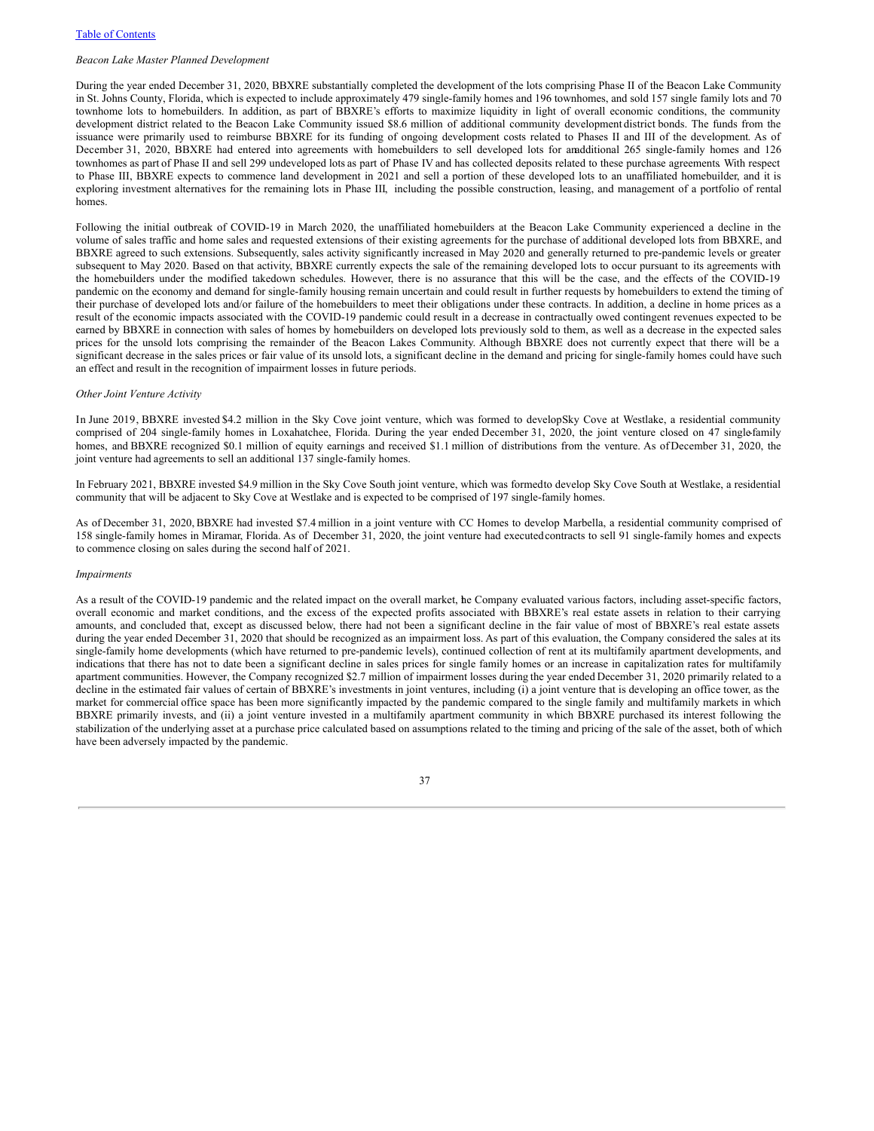## *Beacon Lake Master Planned Development*

During the year ended December 31, 2020, BBXRE substantially completed the development of the lots comprising Phase II of the Beacon Lake Community in St. Johns County, Florida, which is expected to include approximately 479 single-family homes and 196 townhomes, and sold 157 single family lots and 70 townhome lots to homebuilders. In addition, as part of BBXRE's efforts to maximize liquidity in light of overall economic conditions, the community development district related to the Beacon Lake Community issued \$8.6 million of additional community development district bonds. The funds from the issuance were primarily used to reimburse BBXRE for its funding of ongoing development costs related to Phases II and III of the development. As of December 31, 2020, BBXRE had entered into agreements with homebuilders to sell developed lots for anadditional 265 single-family homes and 126 townhomes as part of Phase II and sell 299 undeveloped lots as part of Phase IV and has collected deposits related to these purchase agreements. With respect to Phase III, BBXRE expects to commence land development in 2021 and sell a portion of these developed lots to an unaffiliated homebuilder, and it is exploring investment alternatives for the remaining lots in Phase III, including the possible construction, leasing, and management of a portfolio of rental homes.

Following the initial outbreak of COVID-19 in March 2020, the unaffiliated homebuilders at the Beacon Lake Community experienced a decline in the volume of sales traffic and home sales and requested extensions of their existing agreements for the purchase of additional developed lots from BBXRE, and BBXRE agreed to such extensions. Subsequently, sales activity significantly increased in May 2020 and generally returned to pre-pandemic levels or greater subsequent to May 2020. Based on that activity, BBXRE currently expects the sale of the remaining developed lots to occur pursuant to its agreements with the homebuilders under the modified takedown schedules. However, there is no assurance that this will be the case, and the effects of the COVID-19 pandemic on the economy and demand for single-family housing remain uncertain and could result in further requests by homebuilders to extend the timing of their purchase of developed lots and/or failure of the homebuilders to meet their obligations under these contracts. In addition, a decline in home prices as a result of the economic impacts associated with the COVID-19 pandemic could result in a decrease in contractually owed contingent revenues expected to be earned by BBXRE in connection with sales of homes by homebuilders on developed lots previously sold to them, as well as a decrease in the expected sales prices for the unsold lots comprising the remainder of the Beacon Lakes Community. Although BBXRE does not currently expect that there will be a significant decrease in the sales prices or fair value of its unsold lots, a significant decline in the demand and pricing for single-family homes could have such an effect and result in the recognition of impairment losses in future periods.

#### *Other Joint Venture Activity*

In June 2019, BBXRE invested \$4.2 million in the Sky Cove joint venture, which was formed to developSky Cove at Westlake, a residential community comprised of 204 single-family homes in Loxahatchee, Florida. During the year ended December 31, 2020, the joint venture closed on 47 single-family homes, and BBXRE recognized \$0.1 million of equity earnings and received \$1.1 million of distributions from the venture. As of December 31, 2020, the joint venture had agreements to sell an additional 137 single-family homes.

In February 2021, BBXRE invested \$4.9 million in the Sky Cove South joint venture, which was formedto develop Sky Cove South at Westlake, a residential community that will be adjacent to Sky Cove at Westlake and is expected to be comprised of 197 single-family homes.

As of December 31, 2020, BBXRE had invested \$7.4 million in a joint venture with CC Homes to develop Marbella, a residential community comprised of 158 single-family homes in Miramar, Florida. As of December 31, 2020, the joint venture had executedcontracts to sell 91 single-family homes and expects to commence closing on sales during the second half of 2021.

#### *Impairments*

As a result of the COVID-19 pandemic and the related impact on the overall market, he Company evaluated various factors, including asset-specific factors, overall economic and market conditions, and the excess of the expected profits associated with BBXRE's real estate assets in relation to their carrying amounts, and concluded that, except as discussed below, there had not been a significant decline in the fair value of most of BBXRE's real estate assets during the year ended December 31, 2020 that should be recognized as an impairment loss. As part of this evaluation, the Company considered the sales at its single-family home developments (which have returned to pre-pandemic levels), continued collection of rent at its multifamily apartment developments, and indications that there has not to date been a significant decline in sales prices for single family homes or an increase in capitalization rates for multifamily apartment communities. However, the Company recognized \$2.7 million of impairment losses during the year ended December 31, 2020 primarily related to a decline in the estimated fair values of certain of BBXRE's investments in joint ventures, including (i) a joint venture that is developing an office tower, as the market for commercial office space has been more significantly impacted by the pandemic compared to the single family and multifamily markets in which BBXRE primarily invests, and (ii) a joint venture invested in a multifamily apartment community in which BBXRE purchased its interest following the stabilization of the underlying asset at a purchase price calculated based on assumptions related to the timing and pricing of the sale of the asset, both of which have been adversely impacted by the pandemic.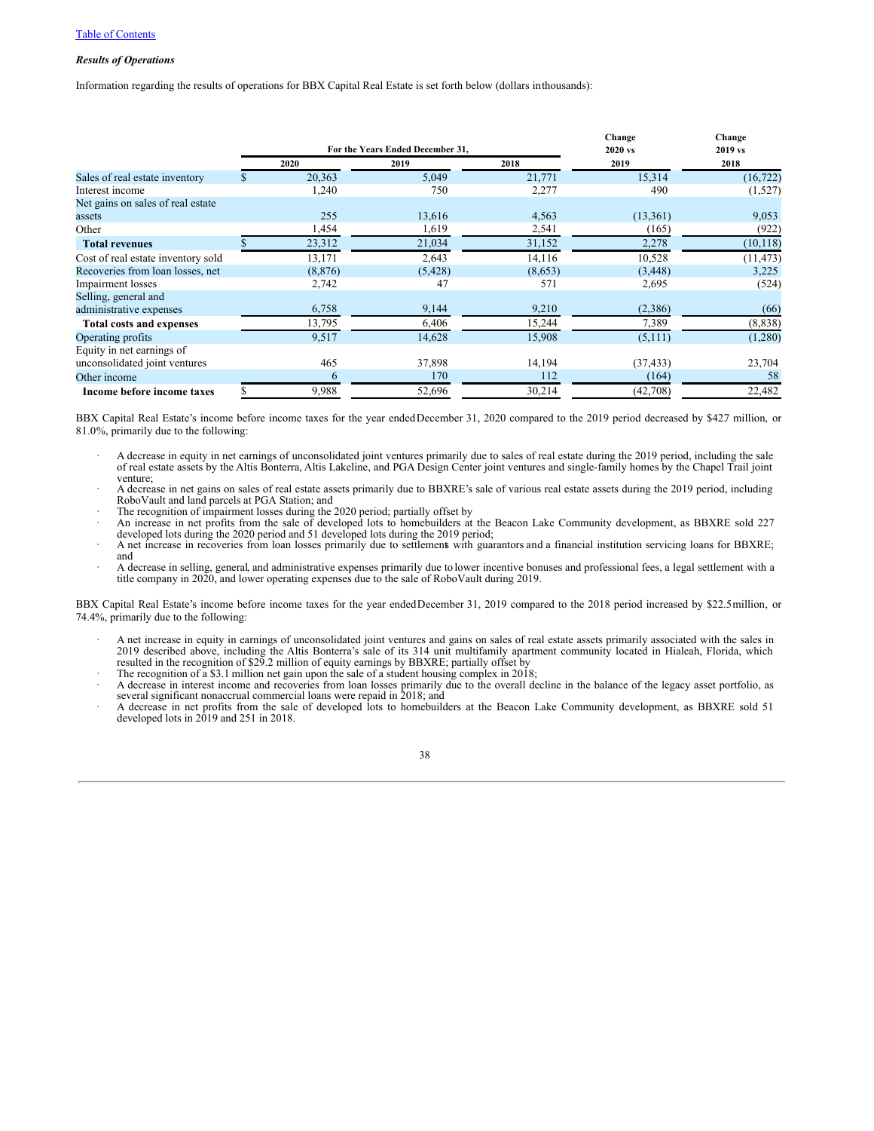## *Results of Operations*

Information regarding the results of operations for BBX Capital Real Estate is set forth below (dollars inthousands):

|                                    |  |          | For the Years Ended December 31, | Change  | Change          |                 |
|------------------------------------|--|----------|----------------------------------|---------|-----------------|-----------------|
|                                    |  | 2020     | 2019                             | 2018    | 2020 vs<br>2019 | 2019 vs<br>2018 |
| Sales of real estate inventory     |  | 20,363   | 5,049                            | 21,771  | 15,314          | (16, 722)       |
| Interest income                    |  | 1,240    | 750                              | 2,277   | 490             | (1,527)         |
| Net gains on sales of real estate  |  |          |                                  |         |                 |                 |
| assets                             |  | 255      | 13,616                           | 4,563   | (13,361)        | 9,053           |
| Other                              |  | 1,454    | 1,619                            | 2,541   | (165)           | (922)           |
| <b>Total revenues</b>              |  | 23,312   | 21,034                           | 31,152  | 2,278           | (10, 118)       |
| Cost of real estate inventory sold |  | 13,171   | 2,643                            | 14,116  | 10,528          | (11, 473)       |
| Recoveries from loan losses, net   |  | (8, 876) | (5, 428)                         | (8,653) | (3, 448)        | 3,225           |
| Impairment losses                  |  | 2,742    | 47                               | 571     | 2,695           | (524)           |
| Selling, general and               |  |          |                                  |         |                 |                 |
| administrative expenses            |  | 6,758    | 9,144                            | 9,210   | (2,386)         | (66)            |
| <b>Total costs and expenses</b>    |  | 13,795   | 6,406                            | 15,244  | 7,389           | (8, 838)        |
| Operating profits                  |  | 9,517    | 14,628                           | 15,908  | (5,111)         | (1,280)         |
| Equity in net earnings of          |  |          |                                  |         |                 |                 |
| unconsolidated joint ventures      |  | 465      | 37,898                           | 14,194  | (37, 433)       | 23,704          |
| Other income                       |  | 6        | 170                              | 112     | (164)           | 58              |
| Income before income taxes         |  | 9,988    | 52,696                           | 30,214  | (42,708)        | 22,482          |

BBX Capital Real Estate's income before income taxes for the year endedDecember 31, 2020 compared to the 2019 period decreased by \$42.7 million, or 81.0%, primarily due to the following:

- · A decrease in equity in net earnings of unconsolidated joint ventures primarily due to sales of real estate during the 2019 period, including the sale of real estate assets by the Altis Bonterra, Altis Lakeline, and PGA Design Center joint ventures and single-family homes by the Chapel Trail joint venture;
- · A decrease in net gains on sales of real estate assets primarily due to BBXRE's sale of various real estate assets during the 2019 period, including RoboVault and land parcels at PGA Station; and
- The recognition of impairment losses during the 2020 period; partially offset by
- · An increase in net profits from the sale of developed lots to homebuilders at the Beacon Lake Community development, as BBXRE sold 227 developed lots during the 2020 period and 51 developed lots during the 2019 period;
- · A net increase in recoveries from loan losses primarily due to settlements with guarantors and a financial institution servicing loans for BBXRE; and
- · A decrease in selling, general, and administrative expenses primarily due to lower incentive bonuses and professional fees, a legal settlement with a title company in 2020, and lower operating expenses due to the sale of RoboVault during 2019.

BBX Capital Real Estate's income before income taxes for the year endedDecember 31, 2019 compared to the 2018 period increased by \$22.5million, or 74.4%, primarily due to the following:

- · A net increase in equity in earnings of unconsolidated joint ventures and gains on sales of real estate assets primarily associated with the sales in 2019 described above, including the Altis Bonterra's sale of its 314 unit multifamily apartment community located in Hialeah, Florida, which resulted in the recognition of \$29.2 million of equity earnings by BBXRE; partial The recognition of a \$3.1 million net gain upon the sale of a student housing complex in 2018;
- · A decrease in interest income and recoveries from loan losses primarily due to the overall decline in the balance of the legacy asset portfolio, as several significant nonaccrual commercial loans were repaid in 2018; and
- · A decrease in net profits from the sale of developed lots to homebuilders at the Beacon Lake Community development, as BBXRE sold 51 developed lots in 2019 and 251 in 2018.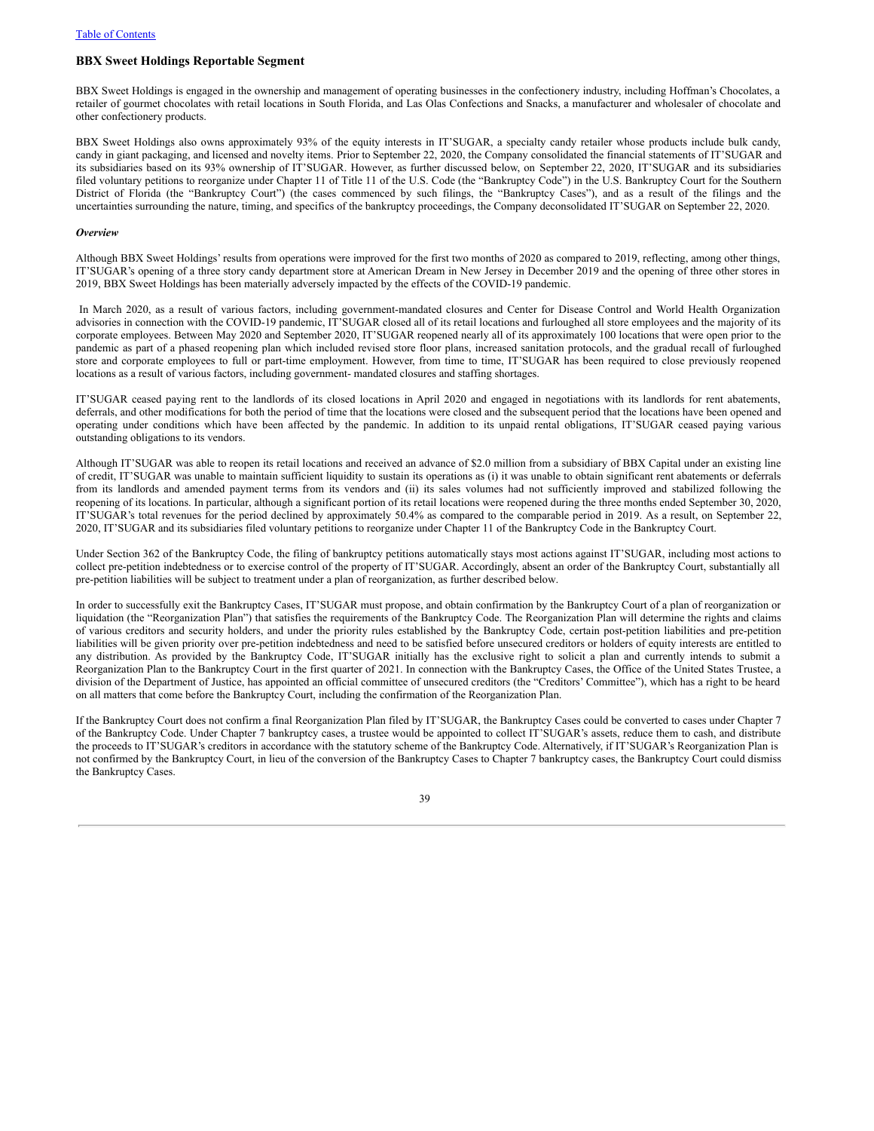# **BBX Sweet Holdings Reportable Segment**

BBX Sweet Holdings is engaged in the ownership and management of operating businesses in the confectionery industry, including Hoffman's Chocolates, a retailer of gourmet chocolates with retail locations in South Florida, and Las Olas Confections and Snacks, a manufacturer and wholesaler of chocolate and other confectionery products.

BBX Sweet Holdings also owns approximately 93% of the equity interests in IT'SUGAR, a specialty candy retailer whose products include bulk candy, candy in giant packaging, and licensed and novelty items. Prior to September 22, 2020, the Company consolidated the financial statements of IT'SUGAR and its subsidiaries based on its 93% ownership of IT'SUGAR. However, as further discussed below, on September 22, 2020, IT'SUGAR and its subsidiaries filed voluntary petitions to reorganize under Chapter 11 of Title 11 of the U.S. Code (the "Bankruptcy Code") in the U.S. Bankruptcy Court for the Southern District of Florida (the "Bankruptcy Court") (the cases commenced by such filings, the "Bankruptcy Cases"), and as a result of the filings and the uncertainties surrounding the nature, timing, and specifics of the bankruptcy proceedings, the Company deconsolidated IT'SUGAR on September 22, 2020.

#### *Overview*

Although BBX Sweet Holdings' results from operations were improved for the first two months of 2020 as compared to 2019, reflecting, among other things, IT'SUGAR's opening of a three story candy department store at American Dream in New Jersey in December 2019 and the opening of three other stores in 2019, BBX Sweet Holdings has been materially adversely impacted by the effects of the COVID-19 pandemic.

In March 2020, as a result of various factors, including government-mandated closures and Center for Disease Control and World Health Organization advisories in connection with the COVID-19 pandemic, IT'SUGAR closed all of its retail locations and furloughed all store employees and the majority of its corporate employees. Between May 2020 and September 2020, IT'SUGAR reopened nearly all of its approximately 100 locations that were open prior to the pandemic as part of a phased reopening plan which included revised store floor plans, increased sanitation protocols, and the gradual recall of furloughed store and corporate employees to full or part-time employment. However, from time to time, IT'SUGAR has been required to close previously reopened locations as a result of various factors, including government- mandated closures and staffing shortages.

IT'SUGAR ceased paying rent to the landlords of its closed locations in April 2020 and engaged in negotiations with its landlords for rent abatements, deferrals, and other modifications for both the period of time that the locations were closed and the subsequent period that the locations have been opened and operating under conditions which have been affected by the pandemic. In addition to its unpaid rental obligations, IT'SUGAR ceased paying various outstanding obligations to its vendors.

Although IT'SUGAR was able to reopen its retail locations and received an advance of \$2.0 million from a subsidiary of BBX Capital under an existing line of credit, IT'SUGAR was unable to maintain sufficient liquidity to sustain its operations as (i) it was unable to obtain significant rent abatements or deferrals from its landlords and amended payment terms from its vendors and (ii) its sales volumes had not sufficiently improved and stabilized following the reopening of its locations. In particular, although a significant portion of its retail locations were reopened during the three months ended September 30, 2020, IT'SUGAR's total revenues for the period declined by approximately 50.4% as compared to the comparable period in 2019. As a result, on September 22, 2020, IT'SUGAR and its subsidiaries filed voluntary petitions to reorganize under Chapter 11 of the Bankruptcy Code in the Bankruptcy Court.

Under Section 362 of the Bankruptcy Code, the filing of bankruptcy petitions automatically stays most actions against IT'SUGAR, including most actions to collect pre-petition indebtedness or to exercise control of the property of IT'SUGAR. Accordingly, absent an order of the Bankruptcy Court, substantially all pre-petition liabilities will be subject to treatment under a plan of reorganization, as further described below.

In order to successfully exit the Bankruptcy Cases, IT'SUGAR must propose, and obtain confirmation by the Bankruptcy Court of a plan of reorganization or liquidation (the "Reorganization Plan") that satisfies the requirements of the Bankruptcy Code. The Reorganization Plan will determine the rights and claims of various creditors and security holders, and under the priority rules established by the Bankruptcy Code, certain post-petition liabilities and pre-petition liabilities will be given priority over pre-petition indebtedness and need to be satisfied before unsecured creditors or holders of equity interests are entitled to any distribution. As provided by the Bankruptcy Code, IT'SUGAR initially has the exclusive right to solicit a plan and currently intends to submit a Reorganization Plan to the Bankruptcy Court in the first quarter of 2021. In connection with the Bankruptcy Cases, the Office of the United States Trustee, a division of the Department of Justice, has appointed an official committee of unsecured creditors (the "Creditors' Committee"), which has a right to be heard on all matters that come before the Bankruptcy Court, including the confirmation of the Reorganization Plan.

If the Bankruptcy Court does not confirm a final Reorganization Plan filed by IT'SUGAR, the Bankruptcy Cases could be converted to cases under Chapter 7 of the Bankruptcy Code. Under Chapter 7 bankruptcy cases, a trustee would be appointed to collect IT'SUGAR's assets, reduce them to cash, and distribute the proceeds to IT'SUGAR's creditors in accordance with the statutory scheme of the Bankruptcy Code. Alternatively, if IT'SUGAR's Reorganization Plan is not confirmed by the Bankruptcy Court, in lieu of the conversion of the Bankruptcy Cases to Chapter 7 bankruptcy cases, the Bankruptcy Court could dismiss the Bankruptcy Cases.

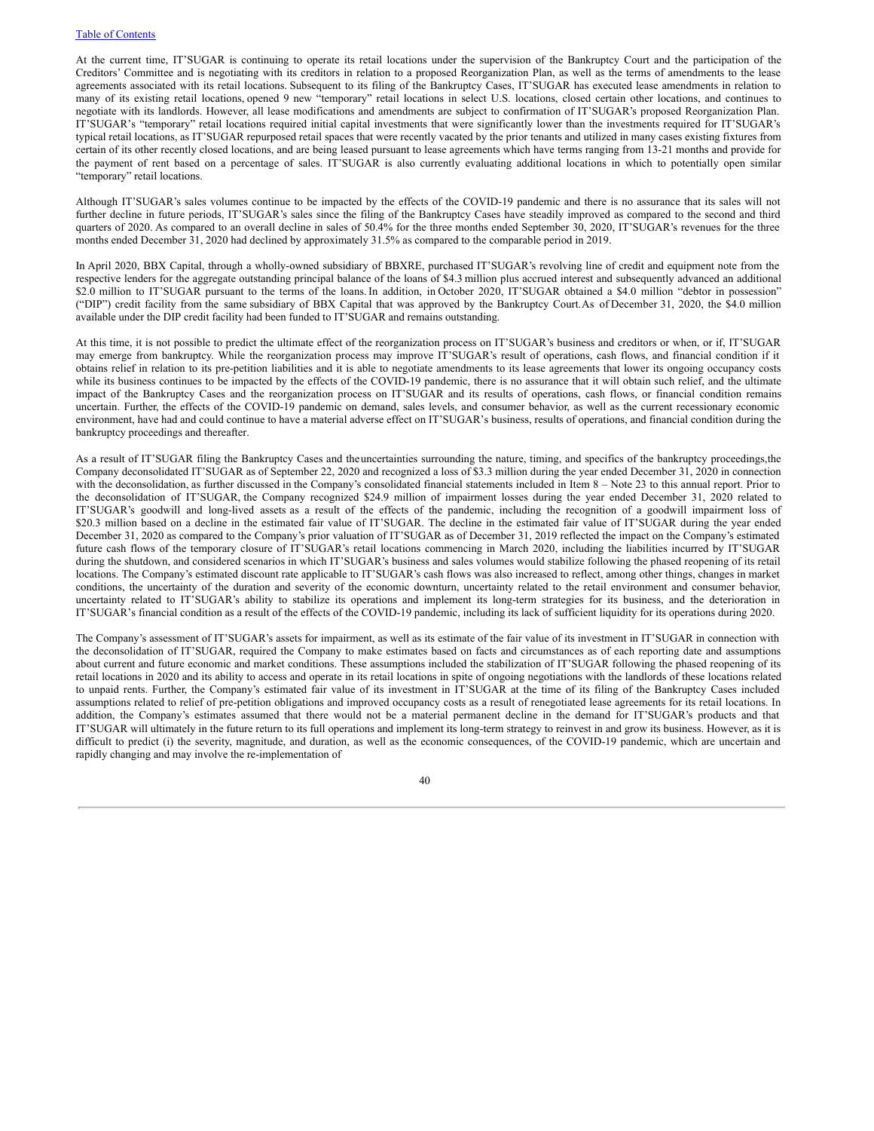At the current time, IT'SUGAR is continuing to operate its retail locations under the supervision of the Bankruptcy Court and the participation of the Creditors' Committee and is negotiating with its creditors in relation to a proposed Reorganization Plan, as well as the terms of amendments to the lease agreements associated with its retail locations. Subsequent to its filing of the Bankruptcy Cases, IT'SUGAR has executed lease amendments in relation to many of its existing retail locations, opened 9 new "temporary" retail locations in select U.S. locations, closed certain other locations, and continues to negotiate with its landlords. However, all lease modifications and amendments are subject to confirmation of IT'SUGAR's proposed Reorganization Plan. IT'SUGAR's "temporary" retail locations required initial capital investments that were significantly lower than the investments required for IT'SUGAR's typical retail locations, as IT'SUGAR repurposed retail spaces that were recently vacated by the prior tenants and utilized in many cases existing fixtures from certain of its other recently closed locations, and are being leased pursuant to lease agreements which have terms ranging from 13-21 months and provide for the payment of rent based on a percentage of sales. IT'SUGAR is also currently evaluating additional locations in which to potentially open similar "temporary" retail locations.

Although IT'SUGAR's sales volumes continue to be impacted by the effects of the COVID-19 pandemic and there is no assurance that its sales will not further decline in future periods, IT'SUGAR's sales since the filing of the Bankruptcy Cases have steadily improved as compared to the second and third quarters of 2020. As compared to an overall decline in sales of 50.4% for the three months ended September 30, 2020, IT'SUGAR's revenues for the three months ended December 31, 2020 had declined by approximately 31.5% as compared to the comparable period in 2019.

In April 2020, BBX Capital, through a wholly-owned subsidiary of BBXRE, purchased IT'SUGAR's revolving line of credit and equipment note from the respective lenders for the aggregate outstanding principal balance of the loans of \$4.3 million plus accrued interest and subsequently advanced an additional \$2.0 million to IT'SUGAR pursuant to the terms of the loans. In addition, in October 2020, IT'SUGAR obtained a \$4.0 million "debtor in possession" ("DIP") credit facility from the same subsidiary of BBX Capital that was approved by the Bankruptcy Court.As of December 31, 2020, the \$4.0 million available under the DIP credit facility had been funded to IT'SUGAR and remains outstanding.

At this time, it is not possible to predict the ultimate effect of the reorganization process on IT'SUGAR's business and creditors or when, or if, IT'SUGAR may emerge from bankruptcy. While the reorganization process may improve IT'SUGAR's result of operations, cash flows, and financial condition if it obtains relief in relation to its pre-petition liabilities and it is able to negotiate amendments to its lease agreements that lower its ongoing occupancy costs while its business continues to be impacted by the effects of the COVID-19 pandemic, there is no assurance that it will obtain such relief, and the ultimate impact of the Bankruptcy Cases and the reorganization process on IT'SUGAR and its results of operations, cash flows, or financial condition remains uncertain. Further, the effects of the COVID-19 pandemic on demand, sales levels, and consumer behavior, as well as the current recessionary economic environment, have had and could continue to have a material adverse effect on IT'SUGAR's business, results of operations, and financial condition during the bankruptcy proceedings and thereafter.

As a result of IT'SUGAR filing the Bankruptcy Cases and the uncertainties surrounding the nature, timing, and specifics of the bankruptcy proceedings,the Company deconsolidated IT'SUGAR as of September 22, 2020 and recognized a loss of \$3.3 million during the year ended December 31, 2020 in connection with the deconsolidation, as further discussed in the Company's consolidated financial statements included in Item 8 - Note 23 to this annual report. Prior to the deconsolidation of IT'SUGAR, the Company recognized \$24.9 million of impairment losses during the year ended December 31, 2020 related to IT'SUGAR's goodwill and long-lived assets as a result of the effects of the pandemic, including the recognition of a goodwill impairment loss of \$20.3 million based on a decline in the estimated fair value of IT'SUGAR. The decline in the estimated fair value of IT'SUGAR during the year ended December 31, 2020 as compared to the Company's prior valuation of IT'SUGAR as of December 31, 2019 reflected the impact on the Company's estimated future cash flows of the temporary closure of IT'SUGAR's retail locations commencing in March 2020, including the liabilities incurred by IT'SUGAR during the shutdown, and considered scenarios in which IT'SUGAR's business and sales volumes would stabilize following the phased reopening of its retail locations. The Company's estimated discount rate applicable to IT'SUGAR's cash flows was also increased to reflect, among other things, changes in market conditions, the uncertainty of the duration and severity of the economic downturn, uncertainty related to the retail environment and consumer behavior, uncertainty related to IT'SUGAR's ability to stabilize its operations and implement its long-term strategies for its business, and the deterioration in IT'SUGAR's financial condition as a result of the effects of the COVID-19 pandemic, including its lack of sufficient liquidity for its operations during 2020.

The Company's assessment of IT'SUGAR's assets for impairment, as well as its estimate of the fair value of its investment in IT'SUGAR in connection with the deconsolidation of IT'SUGAR, required the Company to make estimates based on facts and circumstances as of each reporting date and assumptions about current and future economic and market conditions. These assumptions included the stabilization of IT'SUGAR following the phased reopening of its retail locations in 2020 and its ability to access and operate in its retail locations in spite of ongoing negotiations with the landlords of these locations related to unpaid rents. Further, the Company's estimated fair value of its investment in IT'SUGAR at the time of its filing of the Bankruptcy Cases included assumptions related to relief of pre-petition obligations and improved occupancy costs as a result of renegotiated lease agreements for its retail locations. In addition, the Company's estimates assumed that there would not be a material permanent decline in the demand for IT'SUGAR's products and that IT'SUGAR will ultimately in the future return to its full operations and implement its long-term strategy to reinvest in and grow its business. However, as it is difficult to predict (i) the severity, magnitude, and duration, as well as the economic consequences, of the COVID-19 pandemic, which are uncertain and rapidly changing and may involve the re-implementation of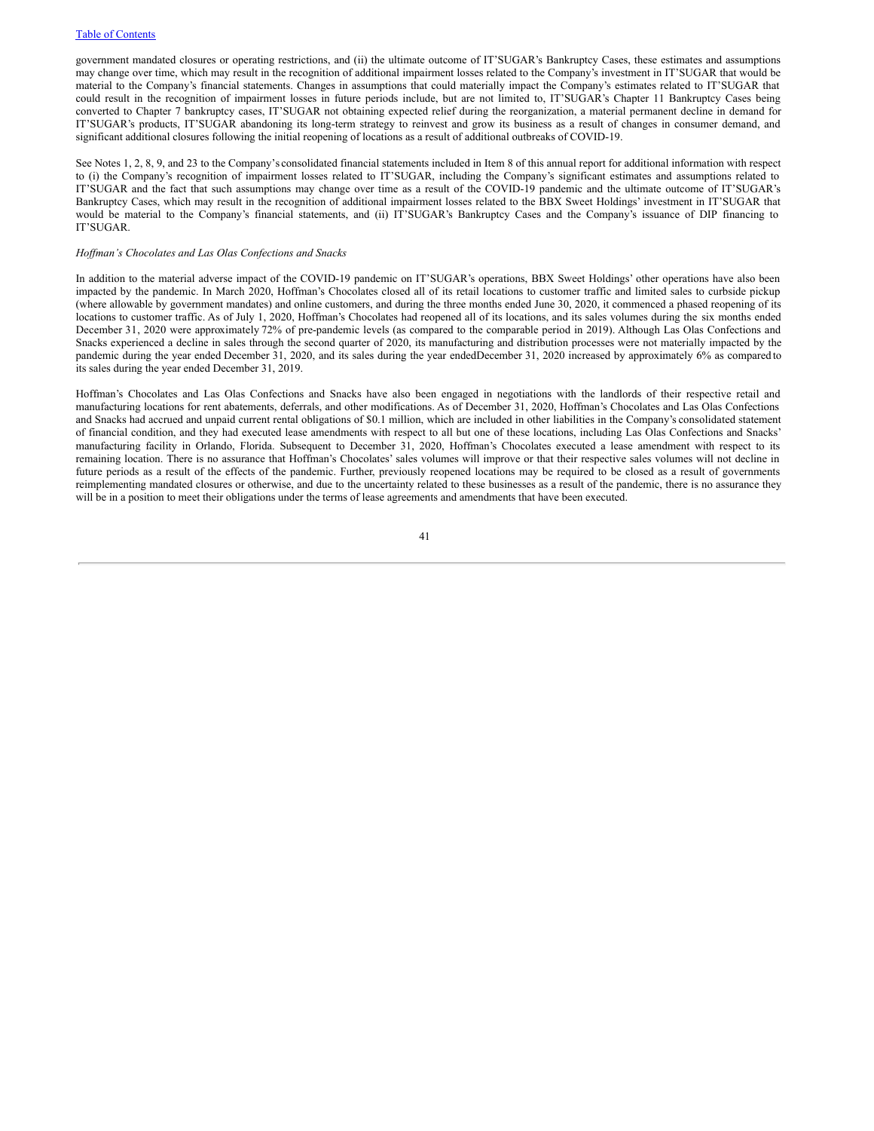government mandated closures or operating restrictions, and (ii) the ultimate outcome of IT'SUGAR's Bankruptcy Cases, these estimates and assumptions may change over time, which may result in the recognition of additional impairment losses related to the Company's investment in IT'SUGAR that would be material to the Company's financial statements. Changes in assumptions that could materially impact the Company's estimates related to IT'SUGAR that could result in the recognition of impairment losses in future periods include, but are not limited to, IT'SUGAR's Chapter 11 Bankruptcy Cases being converted to Chapter 7 bankruptcy cases, IT'SUGAR not obtaining expected relief during the reorganization, a material permanent decline in demand for IT'SUGAR's products, IT'SUGAR abandoning its long-term strategy to reinvest and grow its business as a result of changes in consumer demand, and significant additional closures following the initial reopening of locations as a result of additional outbreaks of COVID-19.

See Notes 1, 2, 8, 9, and 23 to the Company's consolidated financial statements included in Item 8 of this annual report for additional information with respect to (i) the Company's recognition of impairment losses related to IT'SUGAR, including the Company's significant estimates and assumptions related to IT'SUGAR and the fact that such assumptions may change over time as a result of the COVID-19 pandemic and the ultimate outcome of IT'SUGAR's Bankruptcy Cases, which may result in the recognition of additional impairment losses related to the BBX Sweet Holdings' investment in IT'SUGAR that would be material to the Company's financial statements, and (ii) IT'SUGAR's Bankruptcy Cases and the Company's issuance of DIP financing to IT'SUGAR.

## *Hof man's Chocolates and Las Olas Confections and Snacks*

In addition to the material adverse impact of the COVID-19 pandemic on IT'SUGAR's operations, BBX Sweet Holdings' other operations have also been impacted by the pandemic. In March 2020, Hoffman's Chocolates closed all of its retail locations to customer traffic and limited sales to curbside pickup (where allowable by government mandates) and online customers, and during the three months ended June 30, 2020, it commenced a phased reopening of its locations to customer traffic. As of July 1, 2020, Hoffman's Chocolates had reopened all of its locations, and its sales volumes during the six months ended December 31, 2020 were approximately 72% of pre-pandemic levels (as compared to the comparable period in 2019). Although Las Olas Confections and Snacks experienced a decline in sales through the second quarter of 2020, its manufacturing and distribution processes were not materially impacted by the pandemic during the year ended December 31, 2020, and its sales during the year endedDecember 31, 2020 increased by approximately 6% as compared to its sales during the year ended December 31, 2019.

Hoffman's Chocolates and Las Olas Confections and Snacks have also been engaged in negotiations with the landlords of their respective retail and manufacturing locations for rent abatements, deferrals, and other modifications. As of December 31, 2020, Hoffman's Chocolates and Las Olas Confections and Snacks had accrued and unpaid current rental obligations of \$0.1 million, which are included in other liabilities in the Company's consolidated statement of financial condition, and they had executed lease amendments with respect to all but one of these locations, including Las Olas Confections and Snacks' manufacturing facility in Orlando, Florida. Subsequent to December 31, 2020, Hoffman's Chocolates executed a lease amendment with respect to its remaining location. There is no assurance that Hoffman's Chocolates' sales volumes will improve or that their respective sales volumes will not decline in future periods as a result of the effects of the pandemic. Further, previously reopened locations may be required to be closed as a result of governments reimplementing mandated closures or otherwise, and due to the uncertainty related to these businesses as a result of the pandemic, there is no assurance they will be in a position to meet their obligations under the terms of lease agreements and amendments that have been executed.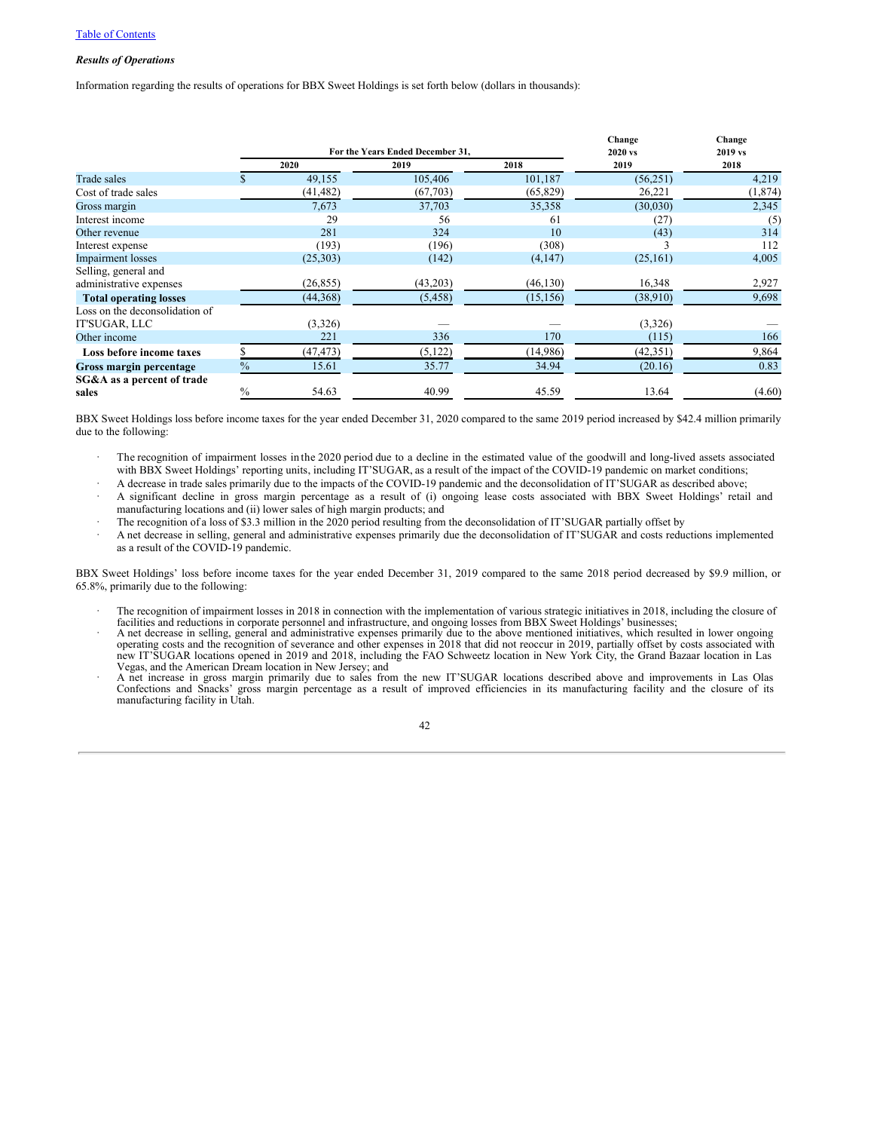## *Results of Operations*

Information regarding the results of operations for BBX Sweet Holdings is set forth below (dollars in thousands):

|                                |               |           |                                          | Change    | Change                     |                   |  |
|--------------------------------|---------------|-----------|------------------------------------------|-----------|----------------------------|-------------------|--|
|                                |               | 2020      | For the Years Ended December 31,<br>2019 | 2018      | $2020 \text{ vs.}$<br>2019 | $2019$ vs<br>2018 |  |
| Trade sales                    |               | 49,155    | 105,406                                  | 101,187   | (56, 251)                  | 4,219             |  |
| Cost of trade sales            |               | (41, 482) | (67,703)                                 | (65, 829) | 26,221                     | (1,874)           |  |
| Gross margin                   |               | 7,673     | 37,703                                   | 35,358    | (30,030)                   | 2,345             |  |
| Interest income                |               | 29        | 56                                       | 61        | (27)                       | (5)               |  |
| Other revenue                  |               | 281       | 324                                      | 10        | (43)                       | 314               |  |
| Interest expense               |               | (193)     | (196)                                    | (308)     |                            | 112               |  |
| <b>Impairment</b> losses       |               | (25,303)  | (142)                                    | (4,147)   | (25,161)                   | 4,005             |  |
| Selling, general and           |               |           |                                          |           |                            |                   |  |
| administrative expenses        |               | (26, 855) | (43,203)                                 | (46, 130) | 16,348                     | 2,927             |  |
| <b>Total operating losses</b>  |               | (44,368)  | (5, 458)                                 | (15, 156) | (38,910)                   | 9,698             |  |
| Loss on the deconsolidation of |               |           |                                          |           |                            |                   |  |
| IT'SUGAR, LLC                  |               | (3,326)   |                                          |           | (3,326)                    |                   |  |
| Other income                   |               | 221       | 336                                      | 170       | (115)                      | 166               |  |
| Loss before income taxes       |               | (47, 473) | (5,122)                                  | (14,986)  | (42, 351)                  | 9,864             |  |
| Gross margin percentage        | $\frac{0}{0}$ | 15.61     | 35.77                                    | 34.94     | (20.16)                    | 0.83              |  |
| SG&A as a percent of trade     |               |           |                                          |           |                            |                   |  |
| sales                          | $\%$          | 54.63     | 40.99                                    | 45.59     | 13.64                      | (4.60)            |  |

BBX Sweet Holdings loss before income taxes for the year ended December 31, 2020 compared to the same 2019 period increased by \$42.4 million primarily due to the following:

- The recognition of impairment losses in the 2020 period due to a decline in the estimated value of the goodwill and long-lived assets associated with BBX Sweet Holdings' reporting units, including IT'SUGAR, as a result of the impact of the COVID-19 pandemic on market conditions;
- · A decrease in trade sales primarily due to the impacts of the COVID-19 pandemic and the deconsolidation of IT'SUGAR as described above; · A significant decline in gross margin percentage as a result of (i) ongoing lease costs associated with BBX Sweet Holdings' retail and
- manufacturing locations and (ii) lower sales of high margin products; and
- The recognition of a loss of \$3.3 million in the 2020 period resulting from the deconsolidation of IT'SUGAR; partially offset by
- · A net decrease in selling, general and administrative expenses primarily due the deconsolidation of IT'SUGAR and costs reductions implemented as a result of the COVID-19 pandemic.

BBX Sweet Holdings' loss before income taxes for the year ended December 31, 2019 compared to the same 2018 period decreased by \$9.9 million, or 65.8%, primarily due to the following:

- The recognition of impairment losses in 2018 in connection with the implementation of various strategic initiatives in 2018, including the closure of facilities and reductions in corporate personnel and infrastructure, and ongoing losses from BBX Sweet Holdings' businesses;
- A net decrease in selling, general and administrative expenses primarily due to the above mentioned initiatives, which resulted in lower ongoing operating costs and the recognition of severance and other expenses in 2018 t new IT'SUGAR locations opened in 2019 and 2018, including the FAO Schweetz location in New York City, the Grand Bazaar location in Las Vegas, and the American Dream location in New Jersey; and
- · A net increase in gross margin primarily due to sales from the new IT'SUGAR locations described above and improvements in Las Olas Confections and Snacks' gross margin percentage as a result of improved efficiencies in its manufacturing facility and the closure of its manufacturing facility in Utah.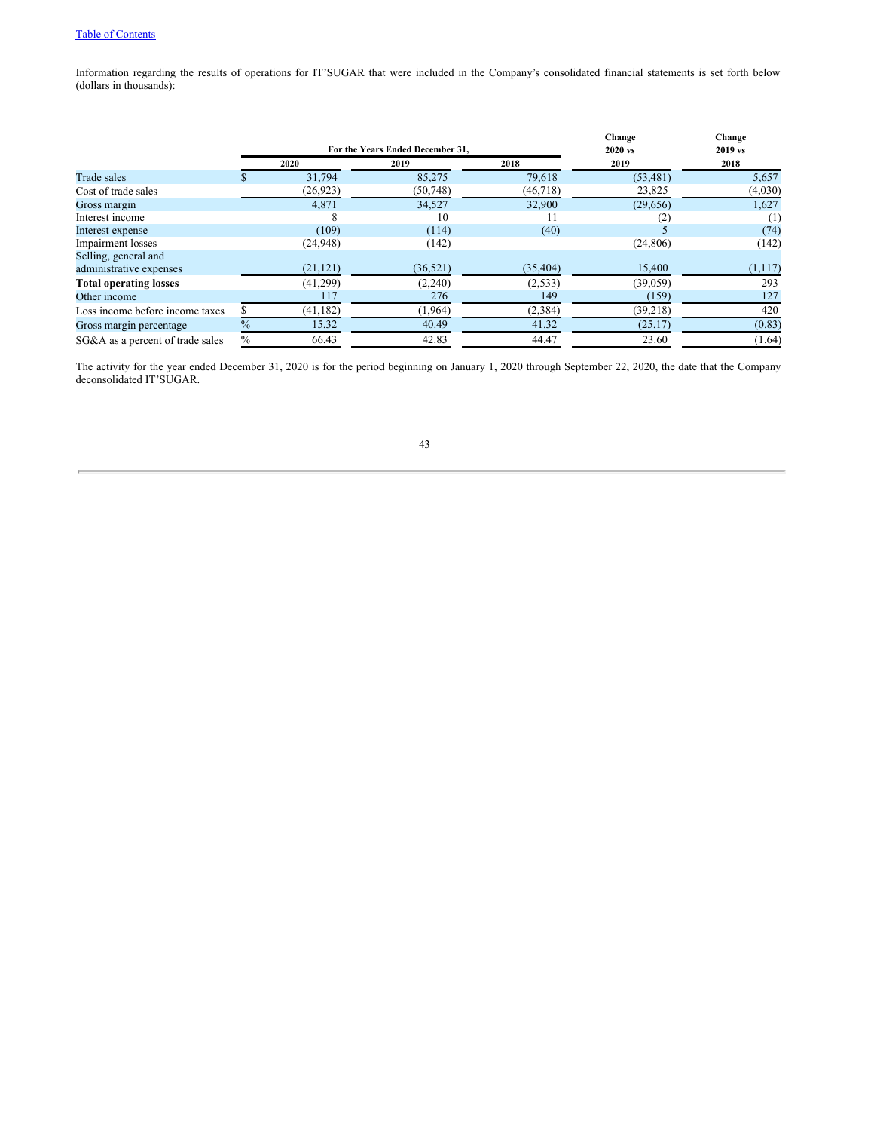Information regarding the results of operations for IT'SUGAR that were included in the Company's consolidated financial statements is set forth below (dollars in thousands):

|                                  |      |           |                                  |           | Change            | Change   |  |
|----------------------------------|------|-----------|----------------------------------|-----------|-------------------|----------|--|
|                                  |      |           | For the Years Ended December 31. |           | 2020 vs           | 2019 vs  |  |
|                                  | 2020 |           | 2019                             | 2018      | 2019              | 2018     |  |
| Trade sales                      |      | 31,794    | 85,275                           | 79,618    | (53, 481)         | 5,657    |  |
| Cost of trade sales              |      | (26, 923) | (50,748)                         | (46, 718) | 23,825            | (4,030)  |  |
| Gross margin                     |      | 4,871     | 34,527                           | 32,900    | (29,656)          | 1,627    |  |
| Interest income                  |      | 8         | 10                               |           | $\left( 2\right)$ | (1)      |  |
| Interest expense                 |      | (109)     | (114)                            | (40)      |                   | (74)     |  |
| Impairment losses                |      | (24, 948) | (142)                            |           | (24, 806)         | (142)    |  |
| Selling, general and             |      |           |                                  |           |                   |          |  |
| administrative expenses          |      | (21, 121) | (36, 521)                        | (35, 404) | 15,400            | (1, 117) |  |
| <b>Total operating losses</b>    |      | (41, 299) | (2,240)                          | (2, 533)  | (39,059)          | 293      |  |
| Other income                     |      | 117       | 276                              | 149       | (159)             | 127      |  |
| Loss income before income taxes  |      | (41, 182) | (1, 964)                         | (2, 384)  | (39,218)          | 420      |  |
| Gross margin percentage          | $\%$ | 15.32     | 40.49                            | 41.32     | (25.17)           | (0.83)   |  |
| SG&A as a percent of trade sales | $\%$ | 66.43     | 42.83                            | 44.47     | 23.60             | (1.64)   |  |

The activity for the year ended December 31, 2020 is for the period beginning on January 1, 2020 through September 22, 2020, the date that the Company deconsolidated IT'SUGAR.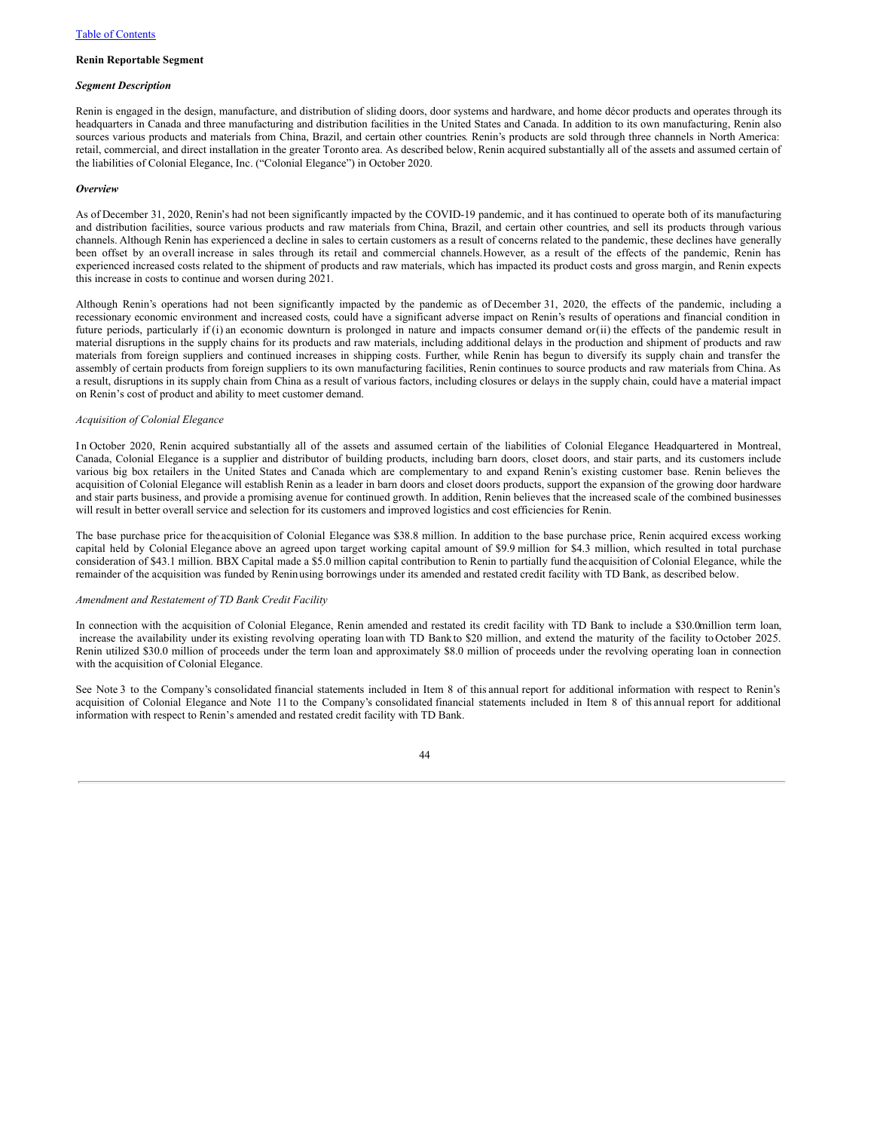## **Renin Reportable Segment**

#### *Segment Description*

Renin is engaged in the design, manufacture, and distribution of sliding doors, door systems and hardware, and home décor products and operates through its headquarters in Canada and three manufacturing and distribution facilities in the United States and Canada. In addition to its own manufacturing, Renin also sources various products and materials from China, Brazil, and certain other countries. Renin's products are sold through three channels in North America: retail, commercial, and direct installation in the greater Toronto area. As described below, Renin acquired substantially all of the assets and assumed certain of the liabilities of Colonial Elegance, Inc. ("Colonial Elegance") in October 2020.

## *Overview*

As of December 31, 2020, Renin's had not been significantly impacted by the COVID-19 pandemic, and it has continued to operate both of its manufacturing and distribution facilities, source various products and raw materials from China, Brazil, and certain other countries, and sell its products through various channels. Although Renin has experienced a decline in sales to certain customers as a result of concerns related to the pandemic, these declines have generally been offset by an overall increase in sales through its retail and commercial channels.However, as a result of the effects of the pandemic, Renin has experienced increased costs related to the shipment of products and raw materials, which has impacted its product costs and gross margin, and Renin expects this increase in costs to continue and worsen during 2021.

Although Renin's operations had not been significantly impacted by the pandemic as of December 31, 2020, the effects of the pandemic, including a recessionary economic environment and increased costs, could have a significant adverse impact on Renin's results of operations and financial condition in future periods, particularly if (i) an economic downturn is prolonged in nature and impacts consumer demand or(ii) the effects of the pandemic result in material disruptions in the supply chains for its products and raw materials, including additional delays in the production and shipment of products and raw materials from foreign suppliers and continued increases in shipping costs. Further, while Renin has begun to diversify its supply chain and transfer the assembly of certain products from foreign suppliers to its own manufacturing facilities, Renin continues to source products and raw materials from China. As a result, disruptions in its supply chain from China as a result of various factors, including closures or delays in the supply chain, could have a material impact on Renin's cost of product and ability to meet customer demand.

### *Acquisition of Colonial Elegance*

In October 2020, Renin acquired substantially all of the assets and assumed certain of the liabilities of Colonial Elegance. Headquartered in Montreal, Canada, Colonial Elegance is a supplier and distributor of building products, including barn doors, closet doors, and stair parts, and its customers include various big box retailers in the United States and Canada which are complementary to and expand Renin's existing customer base. Renin believes the acquisition of Colonial Elegance will establish Renin as a leader in barn doors and closet doors products, support the expansion of the growing door hardware and stair parts business, and provide a promising avenue for continued growth. In addition, Renin believes that the increased scale of the combined businesses will result in better overall service and selection for its customers and improved logistics and cost efficiencies for Renin.

The base purchase price for theacquisition of Colonial Elegance was \$38.8 million. In addition to the base purchase price, Renin acquired excess working capital held by Colonial Elegance above an agreed upon target working capital amount of \$9.9 million for \$4.3 million, which resulted in total purchase consideration of \$43.1 million. BBX Capital made a \$5.0 million capital contribution to Renin to partially fund the acquisition of Colonial Elegance, while the remainder of the acquisition was funded by Reninusing borrowings under its amended and restated credit facility with TD Bank, as described below.

#### *Amendment and Restatement of TD Bank Credit Facility*

In connection with the acquisition of Colonial Elegance, Renin amended and restated its credit facility with TD Bank to include a \$30.0million term loan, increase the availability under its existing revolving operating loan with TD Bank to \$20 million, and extend the maturity of the facility to October 2025. Renin utilized \$30.0 million of proceeds under the term loan and approximately \$8.0 million of proceeds under the revolving operating loan in connection with the acquisition of Colonial Elegance.

See Note 3 to the Company's consolidated financial statements included in Item 8 of this annual report for additional information with respect to Renin's acquisition of Colonial Elegance and Note 11 to the Company's consolidated financial statements included in Item 8 of this annual report for additional information with respect to Renin's amended and restated credit facility with TD Bank.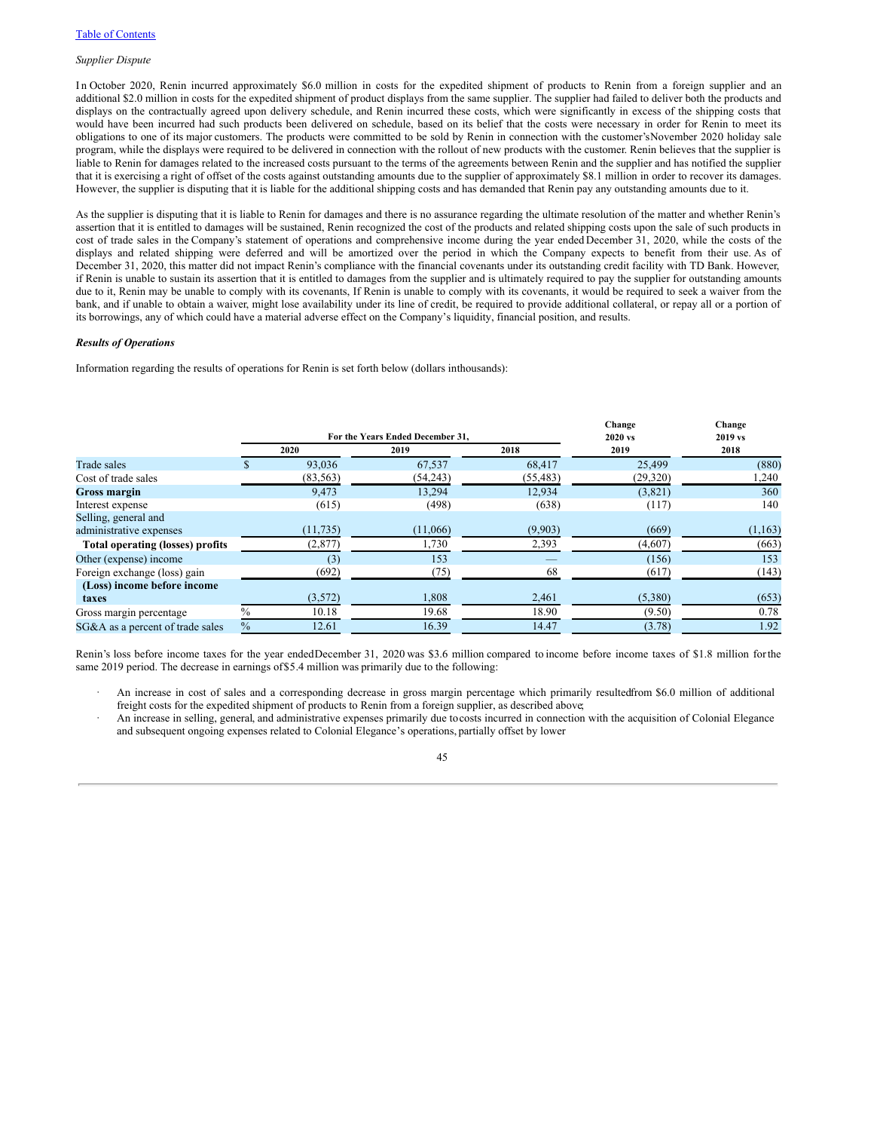## *Supplier Dispute*

I n October 2020, Renin incurred approximately \$6.0 million in costs for the expedited shipment of products to Renin from a foreign supplier and an additional \$2.0 million in costs for the expedited shipment of product displays from the same supplier. The supplier had failed to deliver both the products and displays on the contractually agreed upon delivery schedule, and Renin incurred these costs, which were significantly in excess of the shipping costs that would have been incurred had such products been delivered on schedule, based on its belief that the costs were necessary in order for Renin to meet its obligations to one of its major customers. The products were committed to be sold by Renin in connection with the customer'sNovember 2020 holiday sale program, while the displays were required to be delivered in connection with the rollout of new products with the customer. Renin believes that the supplier is liable to Renin for damages related to the increased costs pursuant to the terms of the agreements between Renin and the supplier and has notified the supplier that it is exercising a right of offset of the costs against outstanding amounts due to the supplier of approximately \$8.1 million in order to recover its damages. However, the supplier is disputing that it is liable for the additional shipping costs and has demanded that Renin pay any outstanding amounts due to it.

As the supplier is disputing that it is liable to Renin for damages and there is no assurance regarding the ultimate resolution of the matter and whether Renin's assertion that it is entitled to damages will be sustained, Renin recognized the cost of the products and related shipping costs upon the sale of such products in cost of trade sales in the Company's statement of operations and comprehensive income during the year ended December 31, 2020, while the costs of the displays and related shipping were deferred and will be amortized over the period in which the Company expects to benefit from their use. As of December 31, 2020, this matter did not impact Renin's compliance with the financial covenants under its outstanding credit facility with TD Bank. However, if Renin is unable to sustain its assertion that it is entitled to damages from the supplier and is ultimately required to pay the supplier for outstanding amounts due to it, Renin may be unable to comply with its covenants, If Renin is unable to comply with its covenants, it would be required to seek a waiver from the bank, and if unable to obtain a waiver, might lose availability under its line of credit, be required to provide additional collateral, or repay all or a portion of its borrowings, any of which could have a material adverse effect on the Company's liquidity, financial position, and results.

## *Results of Operations*

Information regarding the results of operations for Renin is set forth below (dollars inthousands):

|                                         |               |           |                                  |           | Change    | Change  |  |
|-----------------------------------------|---------------|-----------|----------------------------------|-----------|-----------|---------|--|
|                                         |               |           | For the Years Ended December 31. |           | 2020 vs   | 2019 vs |  |
|                                         | 2020          |           | 2019                             | 2018      | 2019      | 2018    |  |
| Trade sales                             |               | 93,036    | 67,537                           | 68,417    | 25,499    | (880)   |  |
| Cost of trade sales                     |               | (83, 563) | (54,243)                         | (55, 483) | (29, 320) | 1,240   |  |
| Gross margin                            |               | 9,473     | 13,294                           | 12,934    | (3,821)   | 360     |  |
| Interest expense                        |               | (615)     | (498)                            | (638)     | (117)     | 140     |  |
| Selling, general and                    |               |           |                                  |           |           |         |  |
| administrative expenses                 |               | (11, 735) | (11,066)                         | (9,903)   | (669)     | (1,163) |  |
| <b>Total operating (losses) profits</b> |               | (2,877)   | 1,730                            | 2,393     | (4,607)   | (663)   |  |
| Other (expense) income                  |               | (3)       | 153                              |           | (156)     | 153     |  |
| Foreign exchange (loss) gain            |               | (692)     | (75)                             | 68        | (617)     | (143)   |  |
| (Loss) income before income             |               |           |                                  |           |           |         |  |
| taxes                                   |               | (3,572)   | 1,808                            | 2,461     | (5,380)   | (653)   |  |
| Gross margin percentage                 | $\frac{0}{0}$ | 10.18     | 19.68                            | 18.90     | (9.50)    | 0.78    |  |
| SG&A as a percent of trade sales        | $\frac{0}{0}$ | 12.61     | 16.39                            | 14.47     | (3.78)    | 1.92    |  |
|                                         |               |           |                                  |           |           |         |  |

Renin's loss before income taxes for the year endedDecember 31, 2020 was \$3.6 million compared to income before income taxes of \$1.8 million forthe same 2019 period. The decrease in earnings of\$5.4 million was primarily due to the following:

- · An increase in cost of sales and a corresponding decrease in gross margin percentage which primarily resultedfrom \$6.0 million of additional freight costs for the expedited shipment of products to Renin from a foreign supplier, as described above;
- · An increase in selling, general, and administrative expenses primarily due tocosts incurred in connection with the acquisition of Colonial Elegance and subsequent ongoing expenses related to Colonial Elegance's operations, partially offset by lower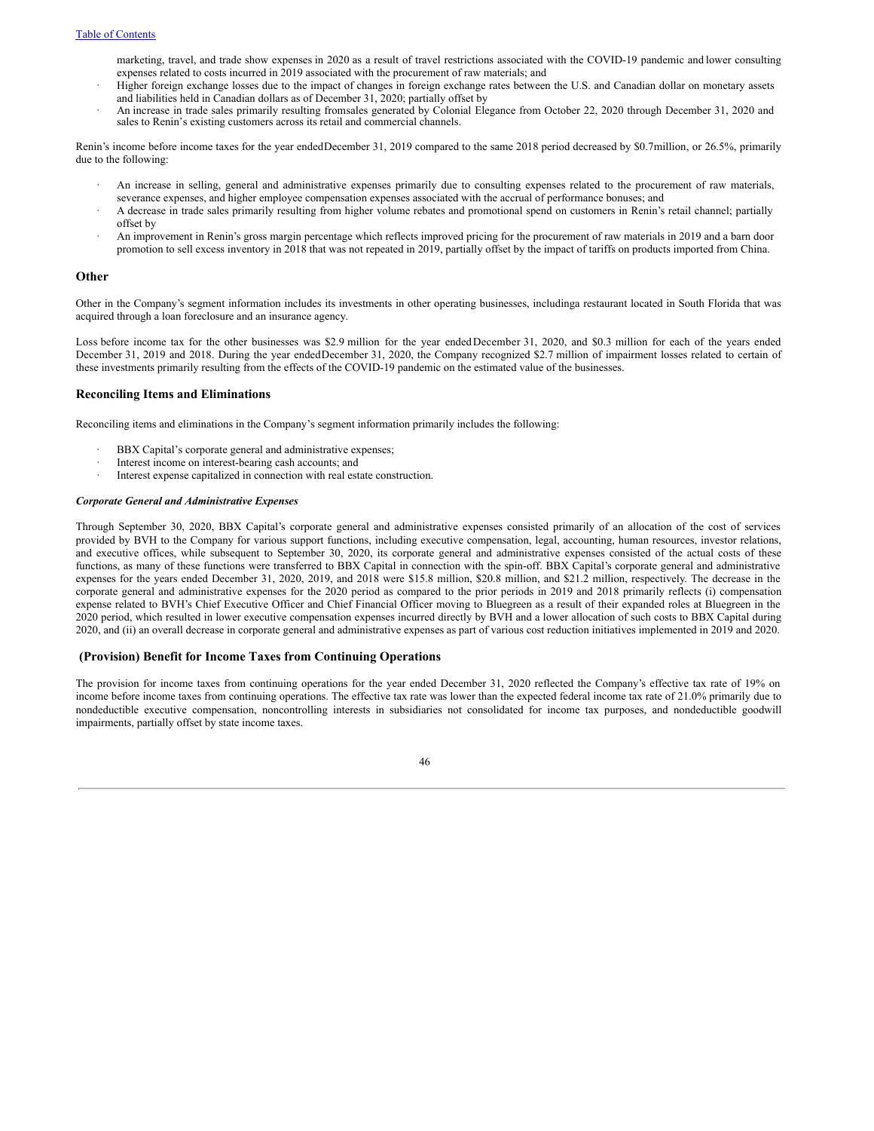marketing, travel, and trade show expenses in 2020 as a result of travel restrictions associated with the COVID-19 pandemic and lower consulting expenses related to costs incurred in 2019 associated with the procurement of raw materials; and

- · Higher foreign exchange losses due to the impact of changes in foreign exchange rates between the U.S. and Canadian dollar on monetary assets and liabilities held in Canadian dollars as of December 31, 2020; partially offset by
- · An increase in trade sales primarily resulting fromsales generated by Colonial Elegance from October 22, 2020 through December 31, 2020 and sales to Renin's existing customers across its retail and commercial channels.

Renin's income before income taxes for the year endedDecember 31, 2019 compared to the same 2018 period decreased by \$0.7million, or 26.5%, primarily due to the following:

- · An increase in selling, general and administrative expenses primarily due to consulting expenses related to the procurement of raw materials, severance expenses, and higher employee compensation expenses associated with the accrual of performance bonuses; and
- · A decrease in trade sales primarily resulting from higher volume rebates and promotional spend on customers in Renin's retail channel; partially offset by
- · An improvement in Renin's gross margin percentage which reflects improved pricing for the procurement of raw materials in 2019 and a barn door promotion to sell excess inventory in 2018 that was not repeated in 2019, partially offset by the impact of tariffs on products imported from China.

## **Other**

Other in the Company's segment information includes its investments in other operating businesses, includinga restaurant located in South Florida that was acquired through a loan foreclosure and an insurance agency.

Loss before income tax for the other businesses was \$2.9 million for the year ended December 31, 2020, and \$0.3 million for each of the years ended December 31, 2019 and 2018. During the year endedDecember 31, 2020, the Company recognized \$2.7 million of impairment losses related to certain of these investments primarily resulting from the effects of the COVID-19 pandemic on the estimated value of the businesses.

## **Reconciling Items and Eliminations**

Reconciling items and eliminations in the Company's segment information primarily includes the following:

- BBX Capital's corporate general and administrative expenses;
- Interest income on interest-bearing cash accounts; and
- Interest expense capitalized in connection with real estate construction.

## *Corporate General and Administrative Expenses*

Through September 30, 2020, BBX Capital's corporate general and administrative expenses consisted primarily of an allocation of the cost of services provided by BVH to the Company for various support functions, including executive compensation, legal, accounting, human resources, investor relations, and executive offices, while subsequent to September 30, 2020, its corporate general and administrative expenses consisted of the actual costs of these functions, as many of these functions were transferred to BBX Capital in connection with the spin-off. BBX Capital's corporate general and administrative expenses for the years ended December 31, 2020, 2019, and 2018 were \$15.8 million, \$20.8 million, and \$21.2 million, respectively. The decrease in the corporate general and administrative expenses for the 2020 period as compared to the prior periods in 2019 and 2018 primarily reflects (i) compensation expense related to BVH's Chief Executive Officer and Chief Financial Officer moving to Bluegreen as a result of their expanded roles at Bluegreen in the 2020 period, which resulted in lower executive compensation expenses incurred directly by BVH and a lower allocation of such costs to BBX Capital during 2020, and (ii) an overall decrease in corporate general and administrative expenses as part of various cost reduction initiatives implemented in 2019 and 2020.

## **(Provision) Benefit for Income Taxes from Continuing Operations**

The provision for income taxes from continuing operations for the year ended December 31, 2020 reflected the Company's effective tax rate of 19% on income before income taxes from continuing operations. The effective tax rate was lower than the expected federal income tax rate of 21.0% primarily due to nondeductible executive compensation, noncontrolling interests in subsidiaries not consolidated for income tax purposes, and nondeductible goodwill impairments, partially offset by state income taxes.

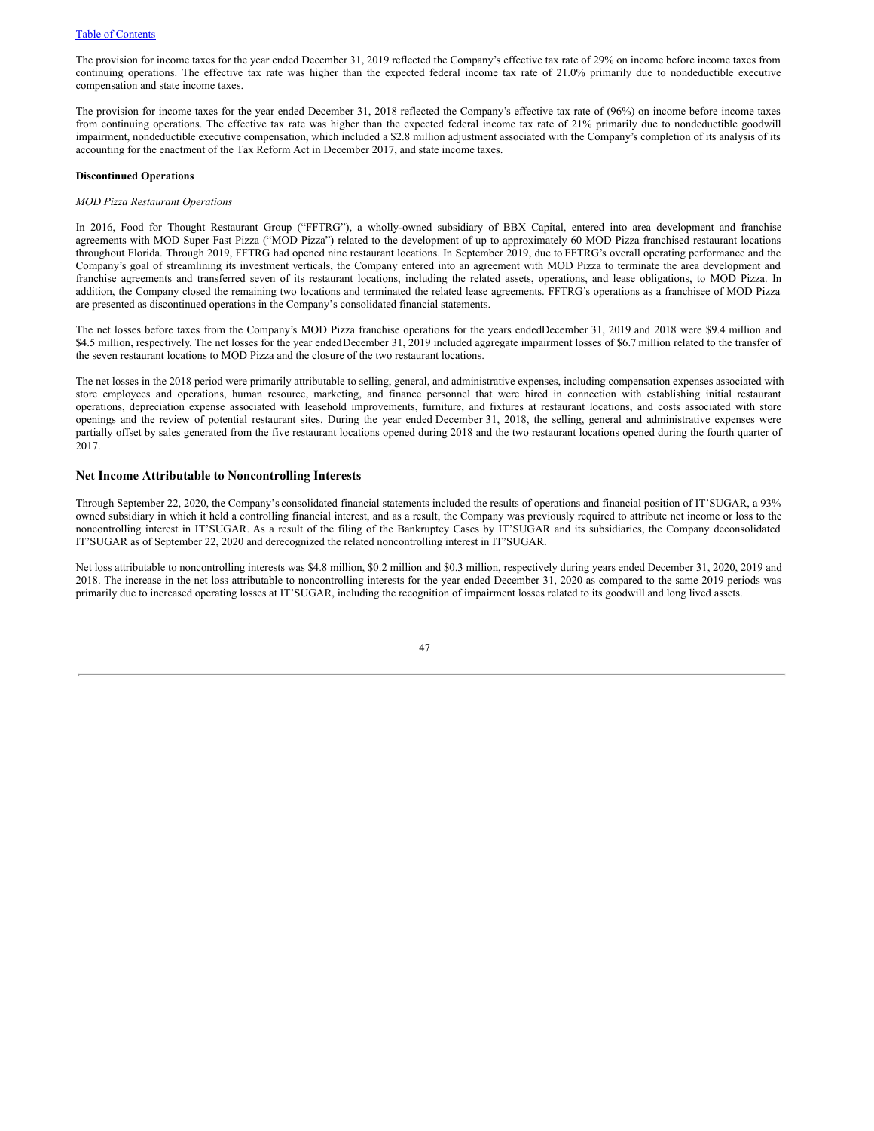#### Table of [Contents](#page-1-0)

The provision for income taxes for the year ended December 31, 2019 reflected the Company's effective tax rate of 29% on income before income taxes from continuing operations. The effective tax rate was higher than the expected federal income tax rate of 21.0% primarily due to nondeductible executive compensation and state income taxes.

The provision for income taxes for the year ended December 31, 2018 reflected the Company's effective tax rate of (96%) on income before income taxes from continuing operations. The effective tax rate was higher than the expected federal income tax rate of 21% primarily due to nondeductible goodwill impairment, nondeductible executive compensation, which included a \$2.8 million adjustment associated with the Company's completion of its analysis of its accounting for the enactment of the Tax Reform Act in December 2017, and state income taxes.

#### **Discontinued Operations**

#### *MOD Pizza Restaurant Operations*

In 2016, Food for Thought Restaurant Group ("FFTRG"), a wholly-owned subsidiary of BBX Capital, entered into area development and franchise agreements with MOD Super Fast Pizza ("MOD Pizza") related to the development of up to approximately 60 MOD Pizza franchised restaurant locations throughout Florida. Through 2019, FFTRG had opened nine restaurant locations. In September 2019, due to FFTRG's overall operating performance and the Company's goal of streamlining its investment verticals, the Company entered into an agreement with MOD Pizza to terminate the area development and franchise agreements and transferred seven of its restaurant locations, including the related assets, operations, and lease obligations, to MOD Pizza. In addition, the Company closed the remaining two locations and terminated the related lease agreements. FFTRG's operations as a franchisee of MOD Pizza are presented as discontinued operations in the Company's consolidated financial statements.

The net losses before taxes from the Company's MOD Pizza franchise operations for the years endedDecember 31, 2019 and 2018 were \$9.4 million and \$4.5 million, respectively. The net losses for the year ended December 31, 2019 included aggregate impairment losses of \$6.7 million related to the transfer of the seven restaurant locations to MOD Pizza and the closure of the two restaurant locations.

The net losses in the 2018 period were primarily attributable to selling, general, and administrative expenses, including compensation expenses associated with store employees and operations, human resource, marketing, and finance personnel that were hired in connection with establishing initial restaurant operations, depreciation expense associated with leasehold improvements, furniture, and fixtures at restaurant locations, and costs associated with store openings and the review of potential restaurant sites. During the year ended December 31, 2018, the selling, general and administrative expenses were partially offset by sales generated from the five restaurant locations opened during 2018 and the two restaurant locations opened during the fourth quarter of 2017.

## **Net Income Attributable to Noncontrolling Interests**

Through September 22, 2020, the Company's consolidated financial statements included the results of operations and financial position of IT'SUGAR, a 93% owned subsidiary in which it held a controlling financial interest, and as a result, the Company was previously required to attribute net income or loss to the noncontrolling interest in IT'SUGAR. As a result of the filing of the Bankruptcy Cases by IT'SUGAR and its subsidiaries, the Company deconsolidated IT'SUGAR as of September 22, 2020 and derecognized the related noncontrolling interest in IT'SUGAR.

Net loss attributable to noncontrolling interests was \$4.8 million, \$0.2 million and \$0.3 million, respectively during years ended December 31, 2020, 2019 and 2018. The increase in the net loss attributable to noncontrolling interests for the year ended December 31, 2020 as compared to the same 2019 periods was primarily due to increased operating losses at IT'SUGAR, including the recognition of impairment losses related to its goodwill and long lived assets.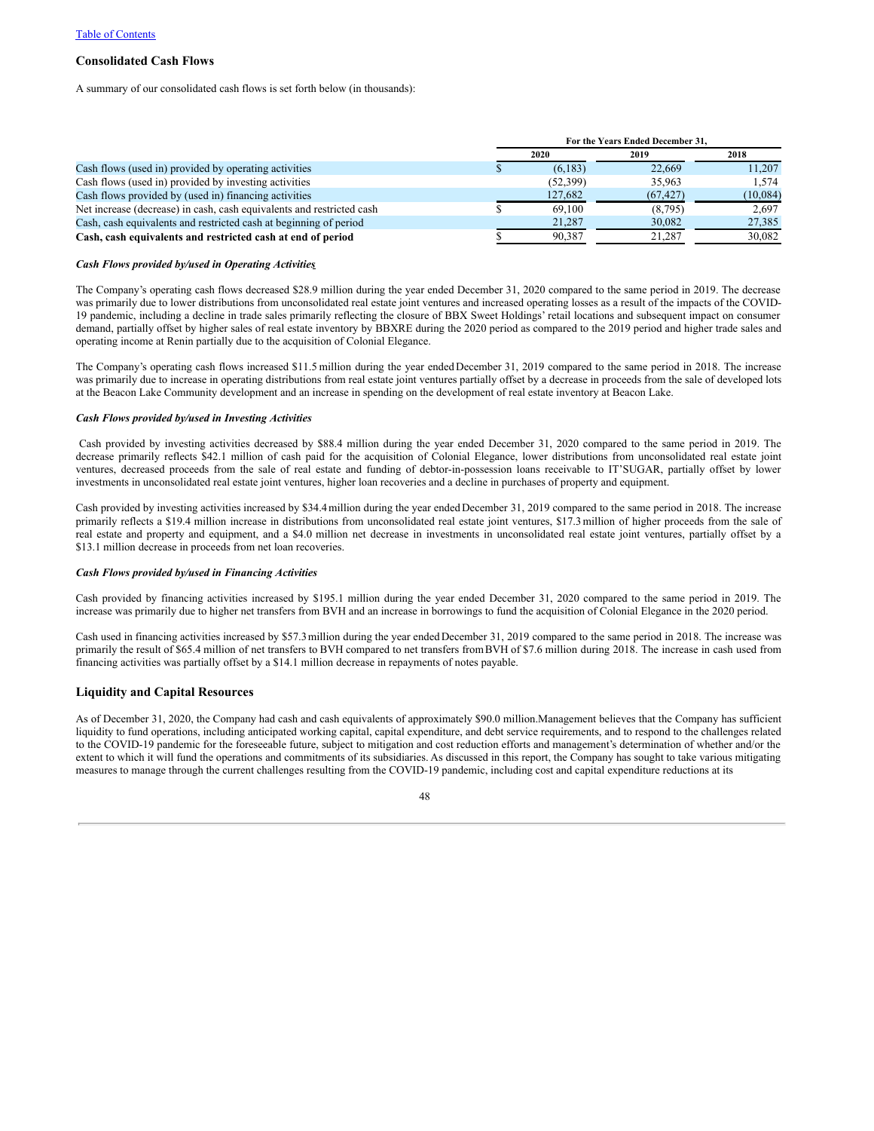# **Consolidated Cash Flows**

A summary of our consolidated cash flows is set forth below (in thousands):

|                                                                       | For the Years Ended December 31. |           |           |          |  |  |  |
|-----------------------------------------------------------------------|----------------------------------|-----------|-----------|----------|--|--|--|
|                                                                       |                                  | 2020      | 2019      | 2018     |  |  |  |
| Cash flows (used in) provided by operating activities                 |                                  | (6, 183)  | 22,669    | 11.207   |  |  |  |
| Cash flows (used in) provided by investing activities                 |                                  | (52, 399) | 35,963    | 1.574    |  |  |  |
| Cash flows provided by (used in) financing activities                 |                                  | 127,682   | (67, 427) | (10,084) |  |  |  |
| Net increase (decrease) in cash, cash equivalents and restricted cash |                                  | 69.100    | (8,795)   | 2.697    |  |  |  |
| Cash, cash equivalents and restricted cash at beginning of period     |                                  | 21,287    | 30,082    | 27,385   |  |  |  |
| Cash, cash equivalents and restricted cash at end of period           |                                  | 90,387    | 21.287    | 30,082   |  |  |  |

#### *Cash Flows provided by/used in Operating Activities*

The Company's operating cash flows decreased \$28.9 million during the year ended December 31, 2020 compared to the same period in 2019. The decrease was primarily due to lower distributions from unconsolidated real estate joint ventures and increased operating losses as a result of the impacts of the COVID-19 pandemic, including a decline in trade sales primarily reflecting the closure of BBX Sweet Holdings' retail locations and subsequent impact on consumer demand, partially offset by higher sales of real estate inventory by BBXRE during the 2020 period as compared to the 2019 period and higher trade sales and operating income at Renin partially due to the acquisition of Colonial Elegance.

The Company's operating cash flows increased \$11.5 million during the year endedDecember 31, 2019 compared to the same period in 2018. The increase was primarily due to increase in operating distributions from real estate joint ventures partially offset by a decrease in proceeds from the sale of developed lots at the Beacon Lake Community development and an increase in spending on the development of real estate inventory at Beacon Lake.

#### *Cash Flows provided by/used in Investing Activities*

Cash provided by investing activities decreased by \$88.4 million during the year ended December 31, 2020 compared to the same period in 2019. The decrease primarily reflects \$42.1 million of cash paid for the acquisition of Colonial Elegance, lower distributions from unconsolidated real estate joint ventures, decreased proceeds from the sale of real estate and funding of debtor-in-possession loans receivable to IT'SUGAR, partially offset by lower investments in unconsolidated real estate joint ventures, higher loan recoveries and a decline in purchases of property and equipment.

Cash provided by investing activities increased by \$34.4million during the year endedDecember 31, 2019 compared to the same period in 2018. The increase primarily reflects a \$19.4 million increase in distributions from unconsolidated real estate joint ventures, \$17.3million of higher proceeds from the sale of real estate and property and equipment, and a \$4.0 million net decrease in investments in unconsolidated real estate joint ventures, partially offset by a \$13.1 million decrease in proceeds from net loan recoveries.

## *Cash Flows provided by/used in Financing Activities*

Cash provided by financing activities increased by \$195.1 million during the year ended December 31, 2020 compared to the same period in 2019. The increase was primarily due to higher net transfers from BVH and an increase in borrowings to fund the acquisition of Colonial Elegance in the 2020 period.

Cash used in financing activities increased by \$57.3million during the year endedDecember 31, 2019 compared to the same period in 2018. The increase was primarily the result of \$65.4 million of net transfers to BVH compared to net transfers fromBVH of \$7.6 million during 2018. The increase in cash used from financing activities was partially offset by a \$14.1 million decrease in repayments of notes payable.

## **Liquidity and Capital Resources**

As of December 31, 2020, the Company had cash and cash equivalents of approximately \$90.0 million.Management believes that the Company has sufficient liquidity to fund operations, including anticipated working capital, capital expenditure, and debt service requirements, and to respond to the challenges related to the COVID-19 pandemic for the foreseeable future, subject to mitigation and cost reduction efforts and management's determination of whether and/or the extent to which it will fund the operations and commitments of its subsidiaries. As discussed in this report, the Company has sought to take various mitigating measures to manage through the current challenges resulting from the COVID-19 pandemic, including cost and capital expenditure reductions at its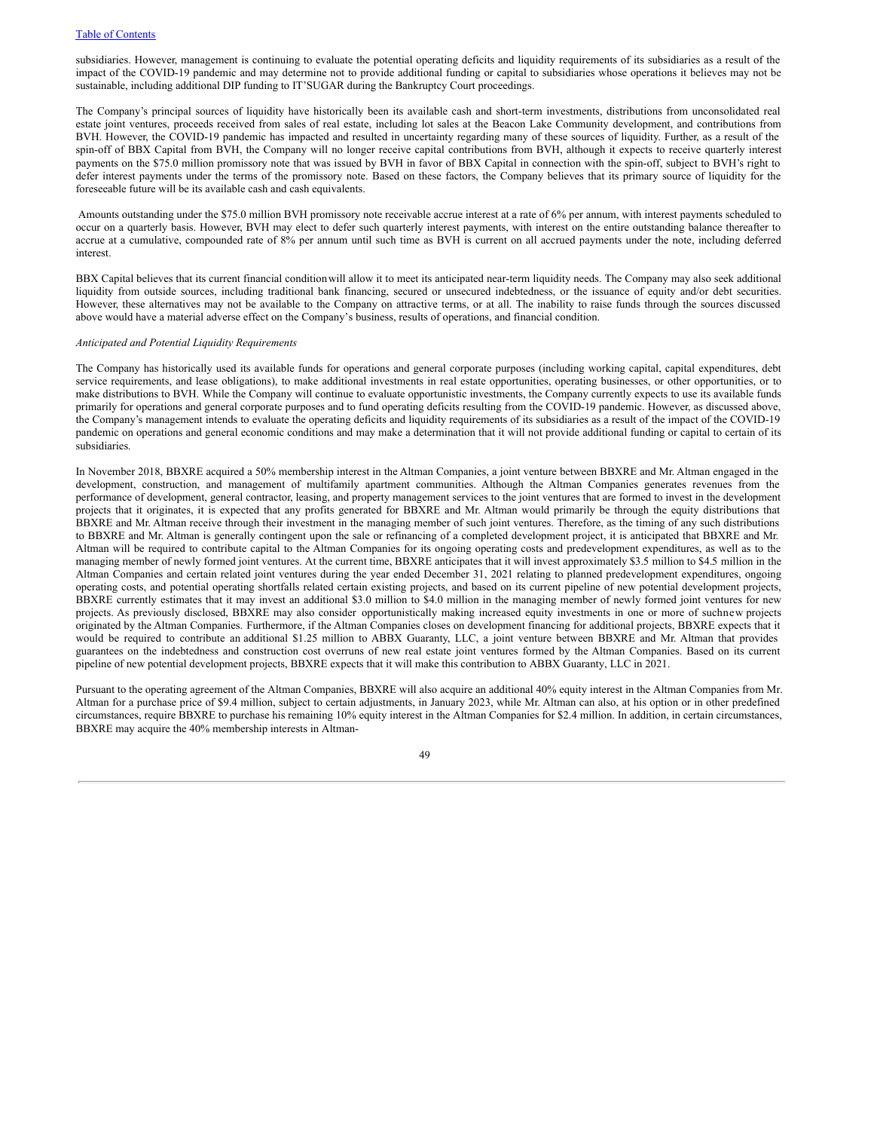#### Table of [Contents](#page-1-0)

subsidiaries. However, management is continuing to evaluate the potential operating deficits and liquidity requirements of its subsidiaries as a result of the impact of the COVID-19 pandemic and may determine not to provide additional funding or capital to subsidiaries whose operations it believes may not be sustainable, including additional DIP funding to IT'SUGAR during the Bankruptcy Court proceedings.

The Company's principal sources of liquidity have historically been its available cash and short-term investments, distributions from unconsolidated real estate joint ventures, proceeds received from sales of real estate, including lot sales at the Beacon Lake Community development, and contributions from BVH. However, the COVID-19 pandemic has impacted and resulted in uncertainty regarding many of these sources of liquidity. Further, as a result of the spin-off of BBX Capital from BVH, the Company will no longer receive capital contributions from BVH, although it expects to receive quarterly interest payments on the \$75.0 million promissory note that was issued by BVH in favor of BBX Capital in connection with the spin-off, subject to BVH's right to defer interest payments under the terms of the promissory note. Based on these factors, the Company believes that its primary source of liquidity for the foreseeable future will be its available cash and cash equivalents.

Amounts outstanding under the \$75.0 million BVH promissory note receivable accrue interest at a rate of 6% per annum, with interest payments scheduled to occur on a quarterly basis. However, BVH may elect to defer such quarterly interest payments, with interest on the entire outstanding balance thereafter to accrue at a cumulative, compounded rate of 8% per annum until such time as BVH is current on all accrued payments under the note, including deferred interest.

BBX Capital believes that its current financial conditionwill allow it to meet its anticipated near-term liquidity needs. The Company may also seek additional liquidity from outside sources, including traditional bank financing, secured or unsecured indebtedness, or the issuance of equity and/or debt securities. However, these alternatives may not be available to the Company on attractive terms, or at all. The inability to raise funds through the sources discussed above would have a material adverse effect on the Company's business, results of operations, and financial condition.

## *Anticipated and Potential Liquidity Requirements*

The Company has historically used its available funds for operations and general corporate purposes (including working capital, capital expenditures, debt service requirements, and lease obligations), to make additional investments in real estate opportunities, operating businesses, or other opportunities, or to make distributions to BVH. While the Company will continue to evaluate opportunistic investments, the Company currently expects to use its available funds primarily for operations and general corporate purposes and to fund operating deficits resulting from the COVID-19 pandemic. However, as discussed above, the Company's management intends to evaluate the operating deficits and liquidity requirements of its subsidiaries as a result of the impact of the COVID-19 pandemic on operations and general economic conditions and may make a determination that it will not provide additional funding or capital to certain of its subsidiaries.

In November 2018, BBXRE acquired a 50% membership interest in the Altman Companies, a joint venture between BBXRE and Mr. Altman engaged in the development, construction, and management of multifamily apartment communities. Although the Altman Companies generates revenues from the performance of development, general contractor, leasing, and property management services to the joint ventures that are formed to invest in the development projects that it originates, it is expected that any profits generated for BBXRE and Mr. Altman would primarily be through the equity distributions that BBXRE and Mr. Altman receive through their investment in the managing member of such joint ventures. Therefore, as the timing of any such distributions to BBXRE and Mr. Altman is generally contingent upon the sale or refinancing of a completed development project, it is anticipated that BBXRE and Mr. Altman will be required to contribute capital to the Altman Companies for its ongoing operating costs and predevelopment expenditures, as well as to the managing member of newly formed joint ventures. At the current time, BBXRE anticipates that it will invest approximately \$3.5 million to \$4.5 million in the Altman Companies and certain related joint ventures during the year ended December 31, 2021 relating to planned predevelopment expenditures, ongoing operating costs, and potential operating shortfalls related certain existing projects, and based on its current pipeline of new potential development projects, BBXRE currently estimates that it may invest an additional \$3.0 million to \$4.0 million in the managing member of newly formed joint ventures for new projects. As previously disclosed, BBXRE may also consider opportunistically making increased equity investments in one or more of suchnew projects originated by the Altman Companies. Furthermore, if the Altman Companies closes on development financing for additional projects, BBXRE expects that it would be required to contribute an additional \$1.25 million to ABBX Guaranty, LLC, a joint venture between BBXRE and Mr. Altman that provides guarantees on the indebtedness and construction cost overruns of new real estate joint ventures formed by the Altman Companies. Based on its current pipeline of new potential development projects, BBXRE expects that it will make this contribution to ABBX Guaranty, LLC in 2021.

Pursuant to the operating agreement of the Altman Companies, BBXRE will also acquire an additional 40% equity interest in the Altman Companies from Mr. Altman for a purchase price of \$9.4 million, subject to certain adjustments, in January 2023, while Mr. Altman can also, at his option or in other predefined circumstances, require BBXRE to purchase his remaining 10% equity interest in the Altman Companies for \$2.4 million. In addition, in certain circumstances, BBXRE may acquire the 40% membership interests in Altman-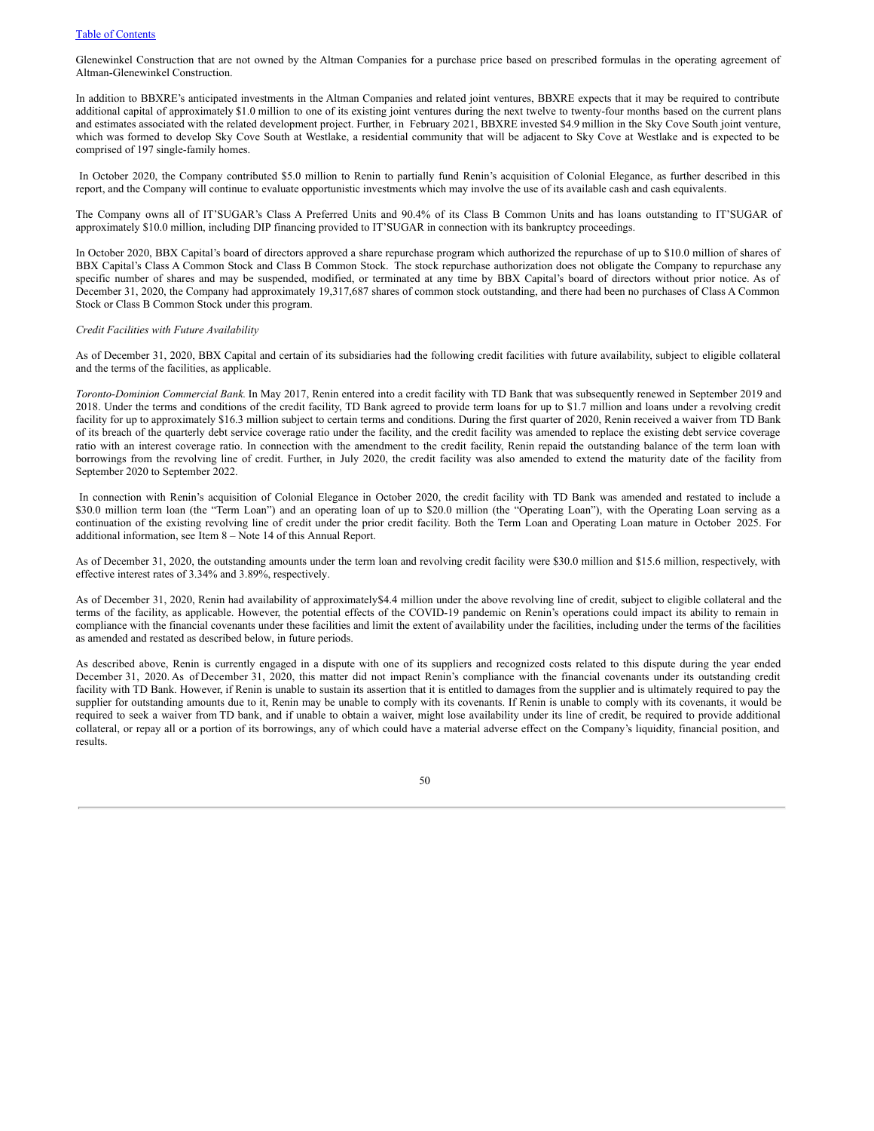#### Table of [Contents](#page-1-0)

Glenewinkel Construction that are not owned by the Altman Companies for a purchase price based on prescribed formulas in the operating agreement of Altman-Glenewinkel Construction.

In addition to BBXRE's anticipated investments in the Altman Companies and related joint ventures, BBXRE expects that it may be required to contribute additional capital of approximately \$1.0 million to one of its existing joint ventures during the next twelve to twenty-four months based on the current plans and estimates associated with the related development project. Further, in February 2021, BBXRE invested \$4.9 million in the Sky Cove South joint venture, which was formed to develop Sky Cove South at Westlake, a residential community that will be adjacent to Sky Cove at Westlake and is expected to be comprised of 197 single-family homes.

In October 2020, the Company contributed \$5.0 million to Renin to partially fund Renin's acquisition of Colonial Elegance, as further described in this report, and the Company will continue to evaluate opportunistic investments which may involve the use of its available cash and cash equivalents.

The Company owns all of IT'SUGAR's Class A Preferred Units and 90.4% of its Class B Common Units and has loans outstanding to IT'SUGAR of approximately \$10.0 million, including DIP financing provided to IT'SUGAR in connection with its bankruptcy proceedings.

In October 2020, BBX Capital's board of directors approved a share repurchase program which authorized the repurchase of up to \$10.0 million of shares of BBX Capital's Class A Common Stock and Class B Common Stock. The stock repurchase authorization does not obligate the Company to repurchase any specific number of shares and may be suspended, modified, or terminated at any time by BBX Capital's board of directors without prior notice. As of December 31, 2020, the Company had approximately 19,317,687 shares of common stock outstanding, and there had been no purchases of Class A Common Stock or Class B Common Stock under this program.

#### *Credit Facilities with Future Availability*

As of December 31, 2020, BBX Capital and certain of its subsidiaries had the following credit facilities with future availability, subject to eligible collateral and the terms of the facilities, as applicable.

*Toronto-Dominion Commercial Bank.* In May 2017, Renin entered into a credit facility with TD Bank that was subsequently renewed in September 2019 and 2018. Under the terms and conditions of the credit facility, TD Bank agreed to provide term loans for up to \$1.7 million and loans under a revolving credit facility for up to approximately \$16.3 million subject to certain terms and conditions. During the first quarter of 2020, Renin received a waiver from TD Bank of its breach of the quarterly debt service coverage ratio under the facility, and the credit facility was amended to replace the existing debt service coverage ratio with an interest coverage ratio. In connection with the amendment to the credit facility, Renin repaid the outstanding balance of the term loan with borrowings from the revolving line of credit. Further, in July 2020, the credit facility was also amended to extend the maturity date of the facility from September 2020 to September 2022.

In connection with Renin's acquisition of Colonial Elegance in October 2020, the credit facility with TD Bank was amended and restated to include a \$30.0 million term loan (the "Term Loan") and an operating loan of up to \$20.0 million (the "Operating Loan"), with the Operating Loan serving as a continuation of the existing revolving line of credit under the prior credit facility. Both the Term Loan and Operating Loan mature in October 2025. For additional information, see Item 8 – Note 14 of this Annual Report.

As of December 31, 2020, the outstanding amounts under the term loan and revolving credit facility were \$30.0 million and \$15.6 million, respectively, with effective interest rates of 3.34% and 3.89%, respectively.

As of December 31, 2020, Renin had availability of approximately\$4.4 million under the above revolving line of credit, subject to eligible collateral and the terms of the facility, as applicable. However, the potential effects of the COVID-19 pandemic on Renin's operations could impact its ability to remain in compliance with the financial covenants under these facilities and limit the extent of availability under the facilities, including under the terms of the facilities as amended and restated as described below, in future periods.

As described above, Renin is currently engaged in a dispute with one of its suppliers and recognized costs related to this dispute during the year ended December 31, 2020. As of December 31, 2020, this matter did not impact Renin's compliance with the financial covenants under its outstanding credit facility with TD Bank. However, if Renin is unable to sustain its assertion that it is entitled to damages from the supplier and is ultimately required to pay the supplier for outstanding amounts due to it, Renin may be unable to comply with its covenants. If Renin is unable to comply with its covenants, it would be required to seek a waiver from TD bank, and if unable to obtain a waiver, might lose availability under its line of credit, be required to provide additional collateral, or repay all or a portion of its borrowings, any of which could have a material adverse effect on the Company's liquidity, financial position, and results.

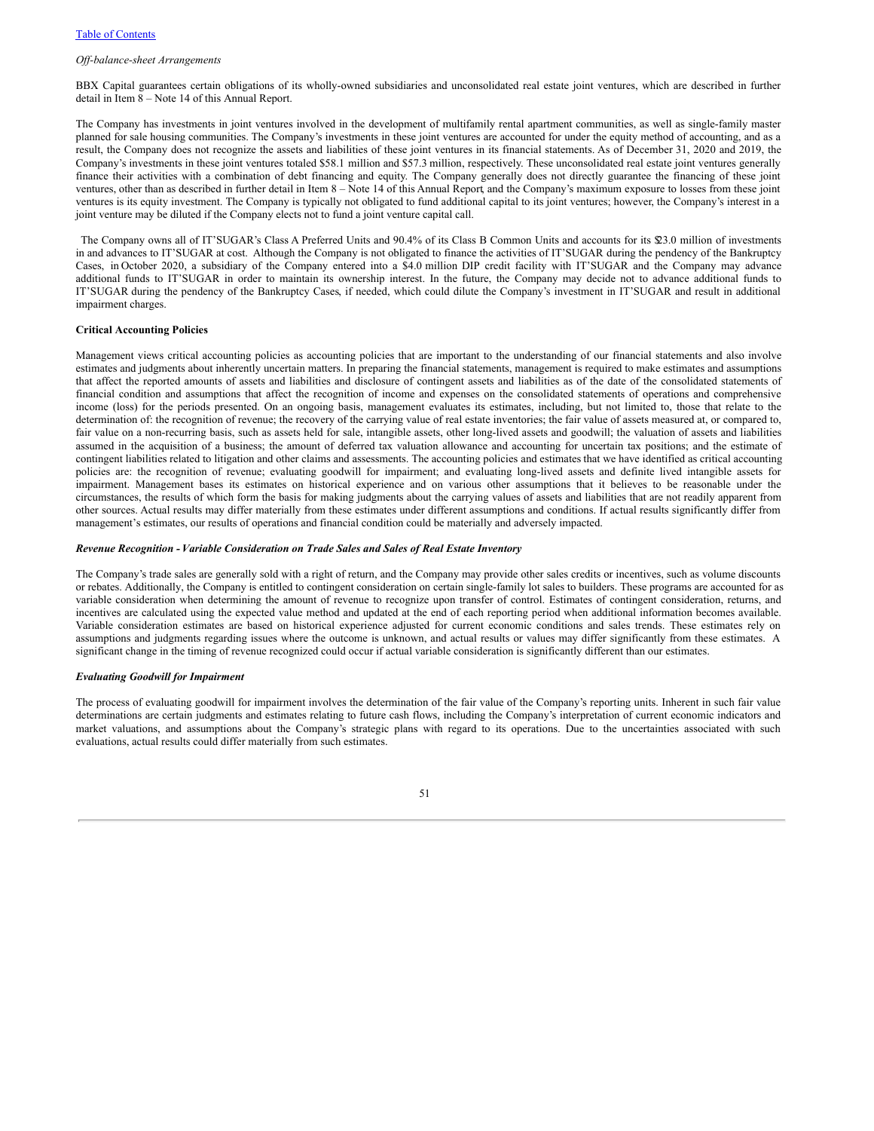# *Of -balance-sheet Arrangements*

BBX Capital guarantees certain obligations of its wholly-owned subsidiaries and unconsolidated real estate joint ventures, which are described in further detail in Item 8 – Note 14 of this Annual Report.

The Company has investments in joint ventures involved in the development of multifamily rental apartment communities, as well as single-family master planned for sale housing communities. The Company's investments in these joint ventures are accounted for under the equity method of accounting, and as a result, the Company does not recognize the assets and liabilities of these joint ventures in its financial statements. As of December 31, 2020 and 2019, the Company's investments in these joint ventures totaled \$58.1 million and \$57.3 million, respectively. These unconsolidated real estate joint ventures generally finance their activities with a combination of debt financing and equity. The Company generally does not directly guarantee the financing of these joint ventures, other than as described in further detail in Item 8 – Note 14 of this Annual Report, and the Company's maximum exposure to losses from these joint ventures is its equity investment. The Company is typically not obligated to fund additional capital to its joint ventures; however, the Company's interest in a joint venture may be diluted if the Company elects not to fund a joint venture capital call.

The Company owns all of IT'SUGAR's Class A Preferred Units and 90.4% of its Class B Common Units and accounts for its \$23.0 million of investments in and advances to IT'SUGAR at cost. Although the Company is not obligated to finance the activities of IT'SUGAR during the pendency of the Bankruptcy Cases, in October 2020, a subsidiary of the Company entered into a \$4.0 million DIP credit facility with IT'SUGAR and the Company may advance additional funds to IT'SUGAR in order to maintain its ownership interest. In the future, the Company may decide not to advance additional funds to IT'SUGAR during the pendency of the Bankruptcy Cases, if needed, which could dilute the Company's investment in IT'SUGAR and result in additional impairment charges.

#### **Critical Accounting Policies**

Management views critical accounting policies as accounting policies that are important to the understanding of our financial statements and also involve estimates and judgments about inherently uncertain matters. In preparing the financial statements, management is required to make estimates and assumptions that affect the reported amounts of assets and liabilities and disclosure of contingent assets and liabilities as of the date of the consolidated statements of financial condition and assumptions that affect the recognition of income and expenses on the consolidated statements of operations and comprehensive income (loss) for the periods presented. On an ongoing basis, management evaluates its estimates, including, but not limited to, those that relate to the determination of: the recognition of revenue; the recovery of the carrying value of real estate inventories; the fair value of assets measured at, or compared to, fair value on a non-recurring basis, such as assets held for sale, intangible assets, other long-lived assets and goodwill; the valuation of assets and liabilities assumed in the acquisition of a business; the amount of deferred tax valuation allowance and accounting for uncertain tax positions; and the estimate of contingent liabilities related to litigation and other claims and assessments. The accounting policies and estimates that we have identified as critical accounting policies are: the recognition of revenue; evaluating goodwill for impairment; and evaluating long-lived assets and definite lived intangible assets for impairment. Management bases its estimates on historical experience and on various other assumptions that it believes to be reasonable under the circumstances, the results of which form the basis for making judgments about the carrying values of assets and liabilities that are not readily apparent from other sources. Actual results may differ materially from these estimates under different assumptions and conditions. If actual results significantly differ from management's estimates, our results of operations and financial condition could be materially and adversely impacted.

#### *Revenue Recognition -Variable Consideration on Trade Sales and Sales of Real Estate Inventory*

The Company's trade sales are generally sold with a right of return, and the Company may provide other sales credits or incentives, such as volume discounts or rebates. Additionally, the Company is entitled to contingent consideration on certain single-family lot sales to builders. These programs are accounted for as variable consideration when determining the amount of revenue to recognize upon transfer of control. Estimates of contingent consideration, returns, and incentives are calculated using the expected value method and updated at the end of each reporting period when additional information becomes available. Variable consideration estimates are based on historical experience adjusted for current economic conditions and sales trends. These estimates rely on assumptions and judgments regarding issues where the outcome is unknown, and actual results or values may differ significantly from these estimates. A significant change in the timing of revenue recognized could occur if actual variable consideration is significantly different than our estimates.

#### *Evaluating Goodwill for Impairment*

The process of evaluating goodwill for impairment involves the determination of the fair value of the Company's reporting units. Inherent in such fair value determinations are certain judgments and estimates relating to future cash flows, including the Company's interpretation of current economic indicators and market valuations, and assumptions about the Company's strategic plans with regard to its operations. Due to the uncertainties associated with such evaluations, actual results could differ materially from such estimates.

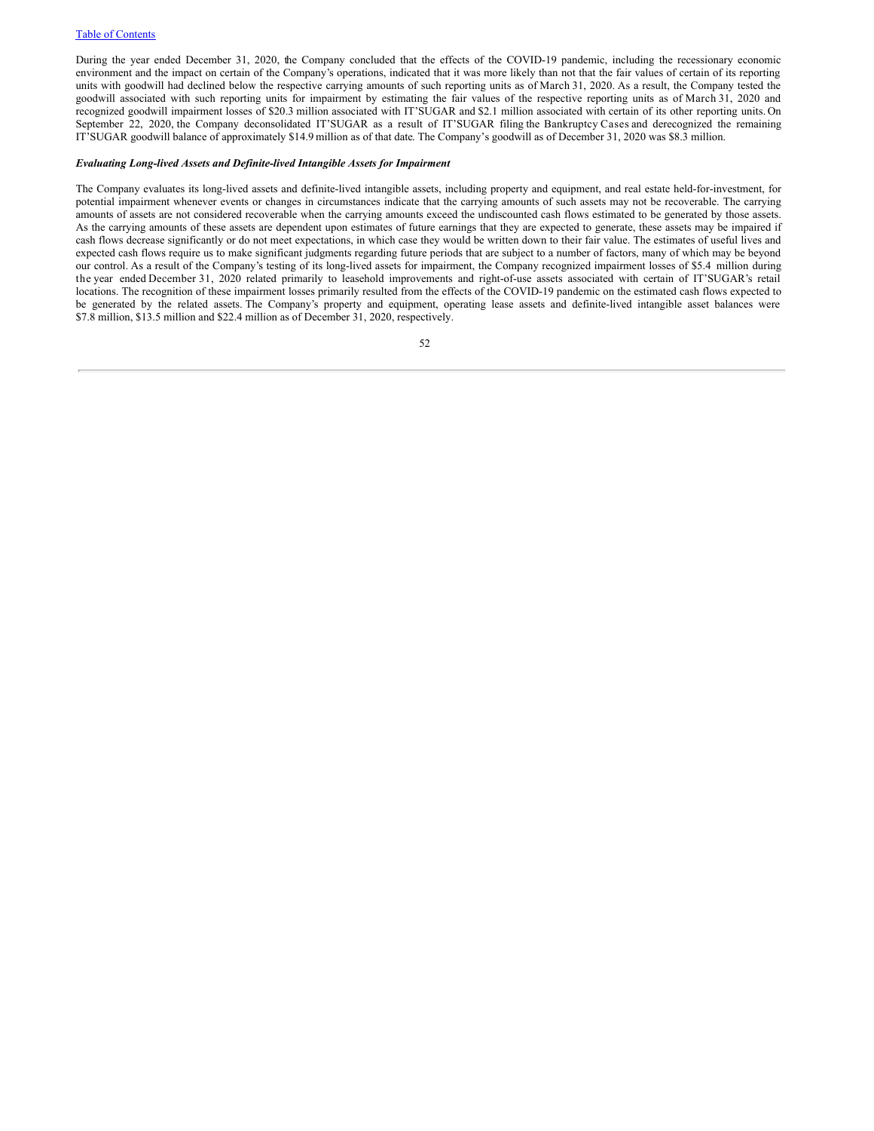During the year ended December 31, 2020, the Company concluded that the effects of the COVID-19 pandemic, including the recessionary economic environment and the impact on certain of the Company's operations, indicated that it was more likely than not that the fair values of certain of its reporting units with goodwill had declined below the respective carrying amounts of such reporting units as of March 31, 2020. As a result, the Company tested the goodwill associated with such reporting units for impairment by estimating the fair values of the respective reporting units as of March 31, 2020 and recognized goodwill impairment losses of \$20.3 million associated with IT'SUGAR and \$2.1 million associated with certain of its other reporting units. On September 22, 2020, the Company deconsolidated IT'SUGAR as a result of IT'SUGAR filing the Bankruptcy Cases and derecognized the remaining IT'SUGAR goodwill balance of approximately \$14.9 million as of that date. The Company's goodwill as of December 31, 2020 was \$8.3 million.

## *Evaluating Long-lived Assets and Definite-lived Intangible Assets for Impairment*

The Company evaluates its long-lived assets and definite-lived intangible assets, including property and equipment, and real estate held-for-investment, for potential impairment whenever events or changes in circumstances indicate that the carrying amounts of such assets may not be recoverable. The carrying amounts of assets are not considered recoverable when the carrying amounts exceed the undiscounted cash flows estimated to be generated by those assets. As the carrying amounts of these assets are dependent upon estimates of future earnings that they are expected to generate, these assets may be impaired if cash flows decrease significantly or do not meet expectations, in which case they would be written down to their fair value. The estimates of useful lives and expected cash flows require us to make significant judgments regarding future periods that are subject to a number of factors, many of which may be beyond our control. As a result of the Company's testing of its long-lived assets for impairment, the Company recognized impairment losses of \$5.4 million during the year ended December 31, 2020 related primarily to leasehold improvements and right-of-use assets associated with certain of IT'SUGAR's retail locations. The recognition of these impairment losses primarily resulted from the effects of the COVID-19 pandemic on the estimated cash flows expected to be generated by the related assets. The Company's property and equipment, operating lease assets and definite-lived intangible asset balances were \$7.8 million, \$13.5 million and \$22.4 million as of December 31, 2020, respectively.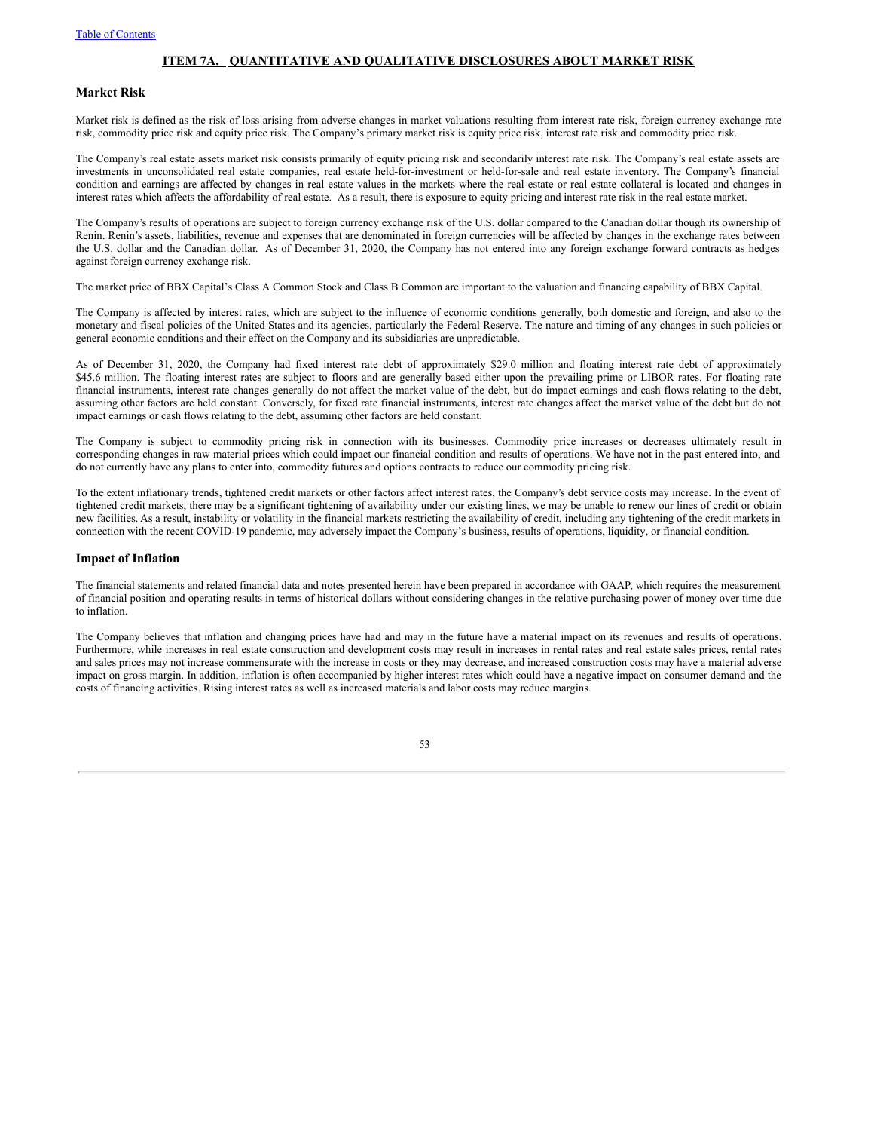# **ITEM 7A. QUANTITATIVE AND QUALITATIVE DISCLOSURES ABOUT MARKET RISK**

## **Market Risk**

Market risk is defined as the risk of loss arising from adverse changes in market valuations resulting from interest rate risk, foreign currency exchange rate risk, commodity price risk and equity price risk. The Company's primary market risk is equity price risk, interest rate risk and commodity price risk.

The Company's real estate assets market risk consists primarily of equity pricing risk and secondarily interest rate risk. The Company's real estate assets are investments in unconsolidated real estate companies, real estate held-for-investment or held-for-sale and real estate inventory. The Company's financial condition and earnings are affected by changes in real estate values in the markets where the real estate or real estate collateral is located and changes in interest rates which affects the affordability of real estate. As a result, there is exposure to equity pricing and interest rate risk in the real estate market.

The Company's results of operations are subject to foreign currency exchange risk of the U.S. dollar compared to the Canadian dollar though its ownership of Renin. Renin's assets, liabilities, revenue and expenses that are denominated in foreign currencies will be affected by changes in the exchange rates between the U.S. dollar and the Canadian dollar. As of December 31, 2020, the Company has not entered into any foreign exchange forward contracts as hedges against foreign currency exchange risk.

The market price of BBX Capital's Class A Common Stock and Class B Common are important to the valuation and financing capability of BBX Capital.

The Company is affected by interest rates, which are subject to the influence of economic conditions generally, both domestic and foreign, and also to the monetary and fiscal policies of the United States and its agencies, particularly the Federal Reserve. The nature and timing of any changes in such policies or general economic conditions and their effect on the Company and its subsidiaries are unpredictable.

As of December 31, 2020, the Company had fixed interest rate debt of approximately \$29.0 million and floating interest rate debt of approximately \$45.6 million. The floating interest rates are subject to floors and are generally based either upon the prevailing prime or LIBOR rates. For floating rate financial instruments, interest rate changes generally do not affect the market value of the debt, but do impact earnings and cash flows relating to the debt, assuming other factors are held constant. Conversely, for fixed rate financial instruments, interest rate changes affect the market value of the debt but do not impact earnings or cash flows relating to the debt, assuming other factors are held constant.

The Company is subject to commodity pricing risk in connection with its businesses. Commodity price increases or decreases ultimately result in corresponding changes in raw material prices which could impact our financial condition and results of operations. We have not in the past entered into, and do not currently have any plans to enter into, commodity futures and options contracts to reduce our commodity pricing risk.

To the extent inflationary trends, tightened credit markets or other factors affect interest rates, the Company's debt service costs may increase. In the event of tightened credit markets, there may be a significant tightening of availability under our existing lines, we may be unable to renew our lines of credit or obtain new facilities. As a result, instability or volatility in the financial markets restricting the availability of credit, including any tightening of the credit markets in connection with the recent COVID-19 pandemic, may adversely impact the Company's business, results of operations, liquidity, or financial condition.

## **Impact of Inflation**

The financial statements and related financial data and notes presented herein have been prepared in accordance with GAAP, which requires the measurement of financial position and operating results in terms of historical dollars without considering changes in the relative purchasing power of money over time due to inflation.

The Company believes that inflation and changing prices have had and may in the future have a material impact on its revenues and results of operations. Furthermore, while increases in real estate construction and development costs may result in increases in rental rates and real estate sales prices, rental rates and sales prices may not increase commensurate with the increase in costs or they may decrease, and increased construction costs may have a material adverse impact on gross margin. In addition, inflation is often accompanied by higher interest rates which could have a negative impact on consumer demand and the costs of financing activities. Rising interest rates as well as increased materials and labor costs may reduce margins.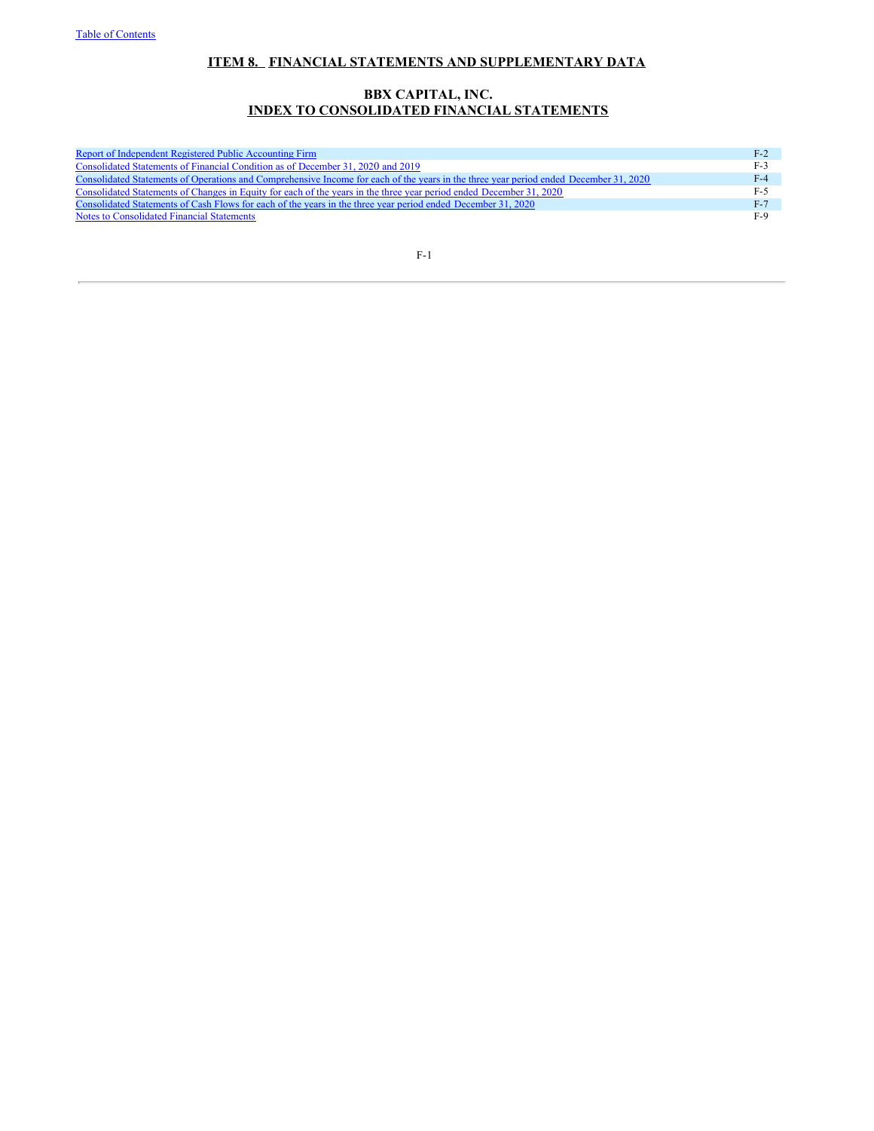# **ITEM 8. FINANCIAL STATEMENTS AND SUPPLEMENTARY DATA**

# **BBX CAPITAL, INC. INDEX TO CONSOLIDATED FINANCIAL STATEMENTS**

| Report of Independent Registered Public Accounting Firm                                                                               | F-2 |
|---------------------------------------------------------------------------------------------------------------------------------------|-----|
| Consolidated Statements of Financial Condition as of December 31, 2020 and 2019                                                       | F-1 |
| Consolidated Statements of Operations and Comprehensive Income for each of the vears in the three vear period ended December 31, 2020 |     |
| Consolidated Statements of Changes in Equity for each of the years in the three year period ended December 31, 2020                   |     |
| Consolidated Statements of Cash Flows for each of the years in the three year period ended December 31, 2020                          |     |
| Notes to Consolidated Financial Statements                                                                                            |     |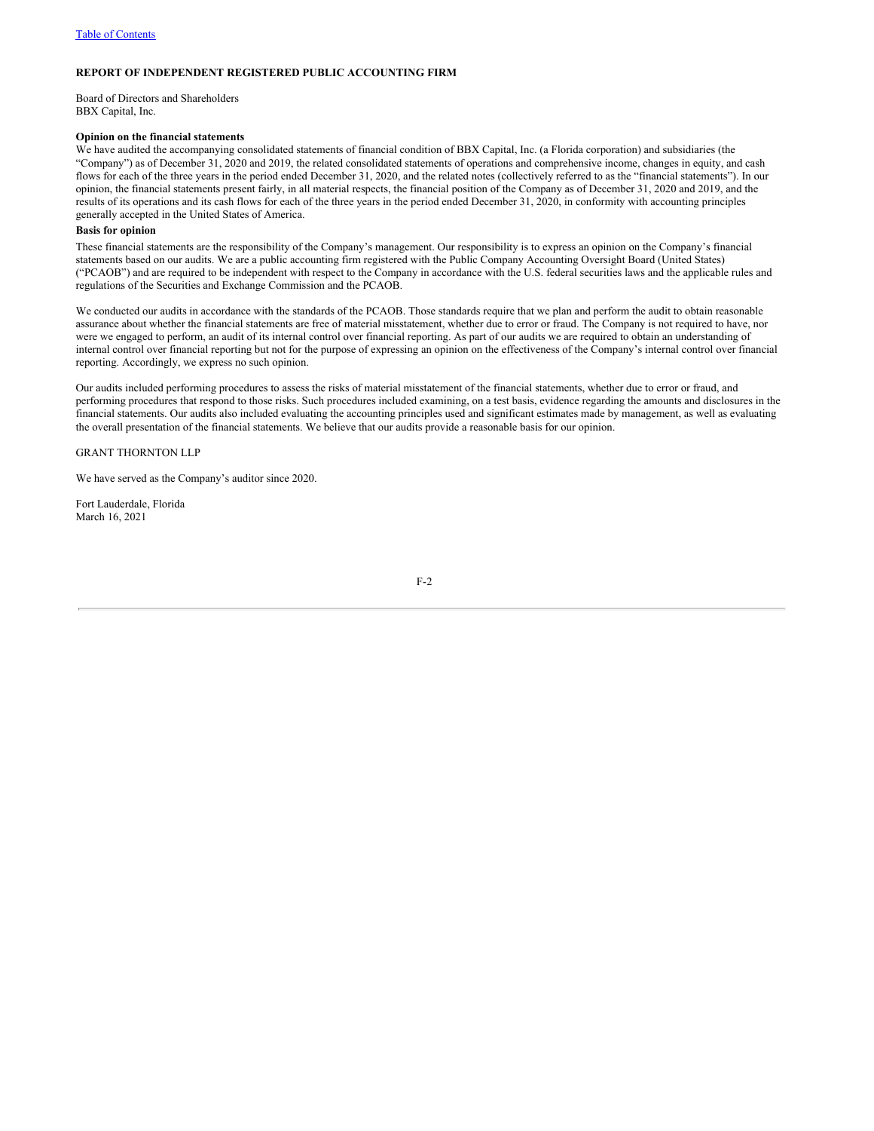# <span id="page-56-0"></span>**REPORT OF INDEPENDENT REGISTERED PUBLIC ACCOUNTING FIRM**

Board of Directors and Shareholders BBX Capital, Inc.

### **Opinion on the financial statements**

We have audited the accompanying consolidated statements of financial condition of BBX Capital, Inc. (a Florida corporation) and subsidiaries (the "Company") as of December 31, 2020 and 2019, the related consolidated statements of operations and comprehensive income, changes in equity, and cash flows for each of the three years in the period ended December 31, 2020, and the related notes (collectively referred to as the "financial statements"). In our opinion, the financial statements present fairly, in all material respects, the financial position of the Company as of December 31, 2020 and 2019, and the results of its operations and its cash flows for each of the three years in the period ended December 31, 2020, in conformity with accounting principles generally accepted in the United States of America.

## **Basis for opinion**

These financial statements are the responsibility of the Company's management. Our responsibility is to express an opinion on the Company's financial statements based on our audits. We are a public accounting firm registered with the Public Company Accounting Oversight Board (United States) ("PCAOB") and are required to be independent with respect to the Company in accordance with the U.S. federal securities laws and the applicable rules and regulations of the Securities and Exchange Commission and the PCAOB.

We conducted our audits in accordance with the standards of the PCAOB. Those standards require that we plan and perform the audit to obtain reasonable assurance about whether the financial statements are free of material misstatement, whether due to error or fraud. The Company is not required to have, nor were we engaged to perform, an audit of its internal control over financial reporting. As part of our audits we are required to obtain an understanding of internal control over financial reporting but not for the purpose of expressing an opinion on the effectiveness of the Company's internal control over financial reporting. Accordingly, we express no such opinion.

Our audits included performing procedures to assess the risks of material misstatement of the financial statements, whether due to error or fraud, and performing procedures that respond to those risks. Such procedures included examining, on a test basis, evidence regarding the amounts and disclosures in the financial statements. Our audits also included evaluating the accounting principles used and significant estimates made by management, as well as evaluating the overall presentation of the financial statements. We believe that our audits provide a reasonable basis for our opinion.

## GRANT THORNTON LLP

We have served as the Company's auditor since 2020.

Fort Lauderdale, Florida March 16, 2021

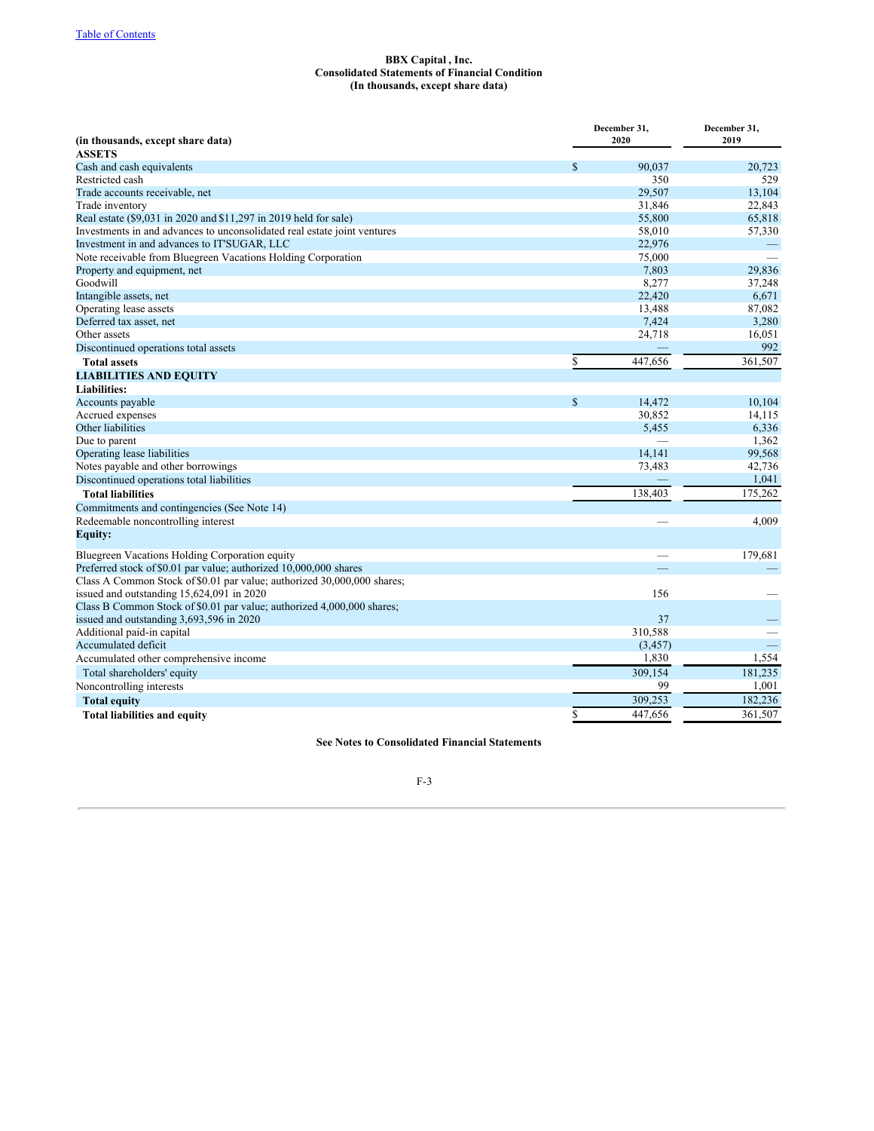## <span id="page-57-0"></span>**BBX Capital , Inc. Consolidated Statements of Financial Condition (In thousands, except share data)**

| (in thousands, except share data)                                        |              | December 31,<br>2020 |         |
|--------------------------------------------------------------------------|--------------|----------------------|---------|
| <b>ASSETS</b>                                                            |              |                      | 2019    |
| Cash and cash equivalents                                                | \$           | 90,037               | 20,723  |
| Restricted cash                                                          |              | 350                  | 529     |
| Trade accounts receivable, net                                           |              | 29,507               | 13,104  |
| Trade inventory                                                          |              | 31,846               | 22,843  |
| Real estate (\$9,031 in 2020 and \$11,297 in 2019 held for sale)         |              | 55,800               | 65,818  |
| Investments in and advances to unconsolidated real estate joint ventures |              | 58,010               | 57,330  |
| Investment in and advances to IT'SUGAR, LLC                              |              | 22,976               |         |
| Note receivable from Bluegreen Vacations Holding Corporation             |              | 75,000               |         |
| Property and equipment, net                                              |              | 7,803                | 29,836  |
| Goodwill                                                                 |              | 8,277                | 37,248  |
| Intangible assets, net                                                   |              | 22,420               | 6,671   |
| Operating lease assets                                                   |              | 13,488               | 87,082  |
| Deferred tax asset, net                                                  |              | 7,424                | 3,280   |
| Other assets                                                             |              | 24,718               | 16,051  |
| Discontinued operations total assets                                     |              |                      | 992     |
| <b>Total assets</b>                                                      | \$           | 447,656              | 361,507 |
| <b>LIABILITIES AND EQUITY</b>                                            |              |                      |         |
| Liabilities:                                                             |              |                      |         |
| Accounts payable                                                         | $\mathbb{S}$ | 14,472               | 10,104  |
| Accrued expenses                                                         |              | 30,852               | 14,115  |
| Other liabilities                                                        |              | 5,455                | 6,336   |
| Due to parent                                                            |              |                      | 1,362   |
| Operating lease liabilities                                              |              | 14,141               | 99,568  |
| Notes payable and other borrowings                                       |              | 73,483               | 42,736  |
| Discontinued operations total liabilities                                |              |                      | 1,041   |
| <b>Total liabilities</b>                                                 |              | 138,403              | 175,262 |
|                                                                          |              |                      |         |
| Commitments and contingencies (See Note 14)                              |              |                      |         |
| Redeemable noncontrolling interest                                       |              |                      | 4,009   |
| <b>Equity:</b>                                                           |              |                      |         |
| Bluegreen Vacations Holding Corporation equity                           |              |                      | 179,681 |
| Preferred stock of \$0.01 par value; authorized 10,000,000 shares        |              |                      |         |
| Class A Common Stock of \$0.01 par value; authorized 30,000,000 shares;  |              |                      |         |
| issued and outstanding 15,624,091 in 2020                                |              | 156                  |         |
| Class B Common Stock of \$0.01 par value; authorized 4,000,000 shares;   |              |                      |         |
| issued and outstanding 3,693,596 in 2020                                 |              | 37                   |         |
| Additional paid-in capital                                               |              | 310,588              |         |
| Accumulated deficit                                                      |              | (3, 457)             |         |
| Accumulated other comprehensive income                                   |              | 1,830                | 1,554   |
| Total shareholders' equity                                               |              | 309,154              | 181,235 |
| Noncontrolling interests                                                 |              | 99                   | 1,001   |
| <b>Total equity</b>                                                      |              | 309,253              | 182,236 |
| <b>Total liabilities and equity</b>                                      | \$           | 447,656              | 361,507 |
|                                                                          |              |                      |         |

**See Notes to Consolidated Financial Statements**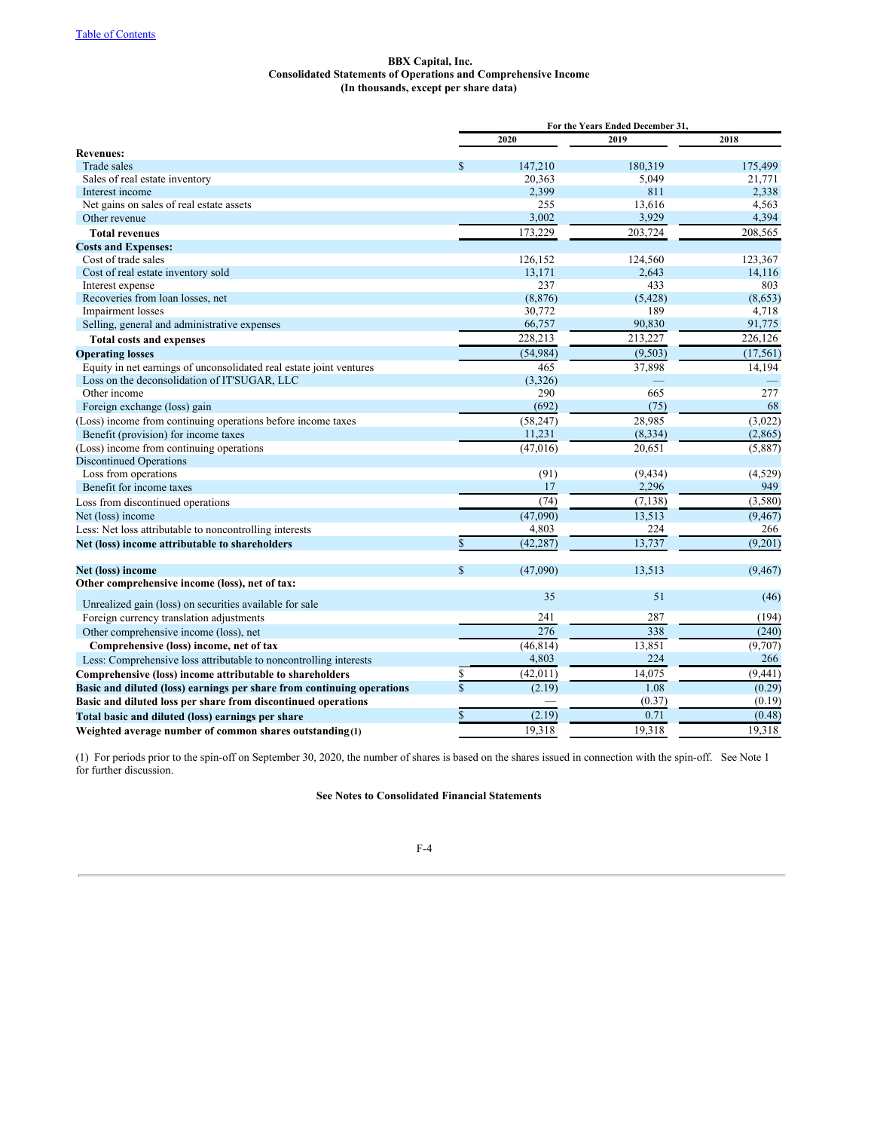### <span id="page-58-0"></span>**BBX Capital, Inc. Consolidated Statements of Operations and Comprehensive Income (In thousands, except per share data)**

|                                                                        | For the Years Ended December 31, |                    |          |                |  |
|------------------------------------------------------------------------|----------------------------------|--------------------|----------|----------------|--|
|                                                                        |                                  | 2020               | 2019     | 2018           |  |
| <b>Revenues:</b>                                                       |                                  |                    |          |                |  |
| Trade sales                                                            | \$                               | 147,210            | 180,319  | 175,499        |  |
| Sales of real estate inventory                                         |                                  | 20,363             | 5,049    | 21,771         |  |
| Interest income                                                        |                                  | 2,399              | 811      | 2,338          |  |
| Net gains on sales of real estate assets                               |                                  | 255                | 13,616   | 4,563          |  |
| Other revenue                                                          |                                  | 3,002              | 3,929    | 4,394          |  |
| <b>Total revenues</b>                                                  |                                  | 173,229            | 203,724  | 208,565        |  |
| <b>Costs and Expenses:</b>                                             |                                  |                    |          |                |  |
| Cost of trade sales                                                    |                                  | 126,152            | 124,560  | 123,367        |  |
| Cost of real estate inventory sold                                     |                                  | 13,171             | 2.643    | 14,116         |  |
| Interest expense                                                       |                                  | 237                | 433      | 803            |  |
| Recoveries from loan losses, net                                       |                                  | (8, 876)           | (5, 428) | (8,653)        |  |
| Impairment losses                                                      |                                  | 30,772             | 189      | 4,718          |  |
| Selling, general and administrative expenses                           |                                  | 66,757             | 90,830   | 91,775         |  |
| <b>Total costs and expenses</b>                                        |                                  | 228,213            | 213,227  | 226,126        |  |
| <b>Operating losses</b>                                                |                                  | (54, 984)          | (9,503)  | (17, 561)      |  |
| Equity in net earnings of unconsolidated real estate joint ventures    |                                  | 465                | 37,898   | 14,194         |  |
| Loss on the deconsolidation of IT'SUGAR, LLC                           |                                  | (3,326)            |          |                |  |
| Other income                                                           |                                  | 290                | 665      | 277            |  |
| Foreign exchange (loss) gain                                           |                                  | (692)              | (75)     | 68             |  |
| (Loss) income from continuing operations before income taxes           |                                  | (58, 247)          | 28,985   | (3,022)        |  |
| Benefit (provision) for income taxes                                   |                                  | 11,231             | (8, 334) | (2,865)        |  |
| (Loss) income from continuing operations                               |                                  | (47, 016)          | 20,651   | (5,887)        |  |
| <b>Discontinued Operations</b>                                         |                                  |                    |          |                |  |
| Loss from operations                                                   |                                  | (91)               | (9, 434) | (4,529)        |  |
| Benefit for income taxes                                               |                                  | 17                 | 2,296    | 949            |  |
| Loss from discontinued operations                                      |                                  | (74)               | (7, 138) | (3,580)        |  |
| Net (loss) income                                                      |                                  | (47,090)           | 13,513   | (9, 467)       |  |
| Less: Net loss attributable to noncontrolling interests                |                                  | 4,803              | 224      | 266            |  |
| Net (loss) income attributable to shareholders                         |                                  | (42, 287)          | 13,737   | (9,201)        |  |
|                                                                        |                                  |                    |          |                |  |
| Net (loss) income                                                      | $\mathbf S$                      | (47,090)           | 13,513   | (9, 467)       |  |
| Other comprehensive income (loss), net of tax:                         |                                  |                    |          |                |  |
| Unrealized gain (loss) on securities available for sale                |                                  | 35                 | 51       | (46)           |  |
| Foreign currency translation adjustments                               |                                  | 241                | 287      | (194)          |  |
| Other comprehensive income (loss), net                                 |                                  | 276                | 338      | (240)          |  |
|                                                                        |                                  |                    | 13,851   |                |  |
| Comprehensive (loss) income, net of tax                                |                                  | (46, 814)<br>4,803 | 224      | (9,707)<br>266 |  |
| Less: Comprehensive loss attributable to noncontrolling interests      |                                  |                    |          |                |  |
| Comprehensive (loss) income attributable to shareholders               | \$                               | (42, 011)          | 14,075   | (9, 441)       |  |
| Basic and diluted (loss) earnings per share from continuing operations | $\mathbf S$                      | (2.19)             | 1.08     | (0.29)         |  |
| Basic and diluted loss per share from discontinued operations          |                                  |                    | (0.37)   | (0.19)         |  |
| Total basic and diluted (loss) earnings per share                      | \$                               | (2.19)             | 0.71     | (0.48)         |  |
| Weighted average number of common shares outstanding(1)                |                                  | 19,318             | 19,318   | 19,318         |  |

(1) For periods prior to the spin-off on September 30, 2020, the number of shares is based on the shares issued in connection with the spin-off. See Note 1 for further discussion.

# **See Notes to Consolidated Financial Statements**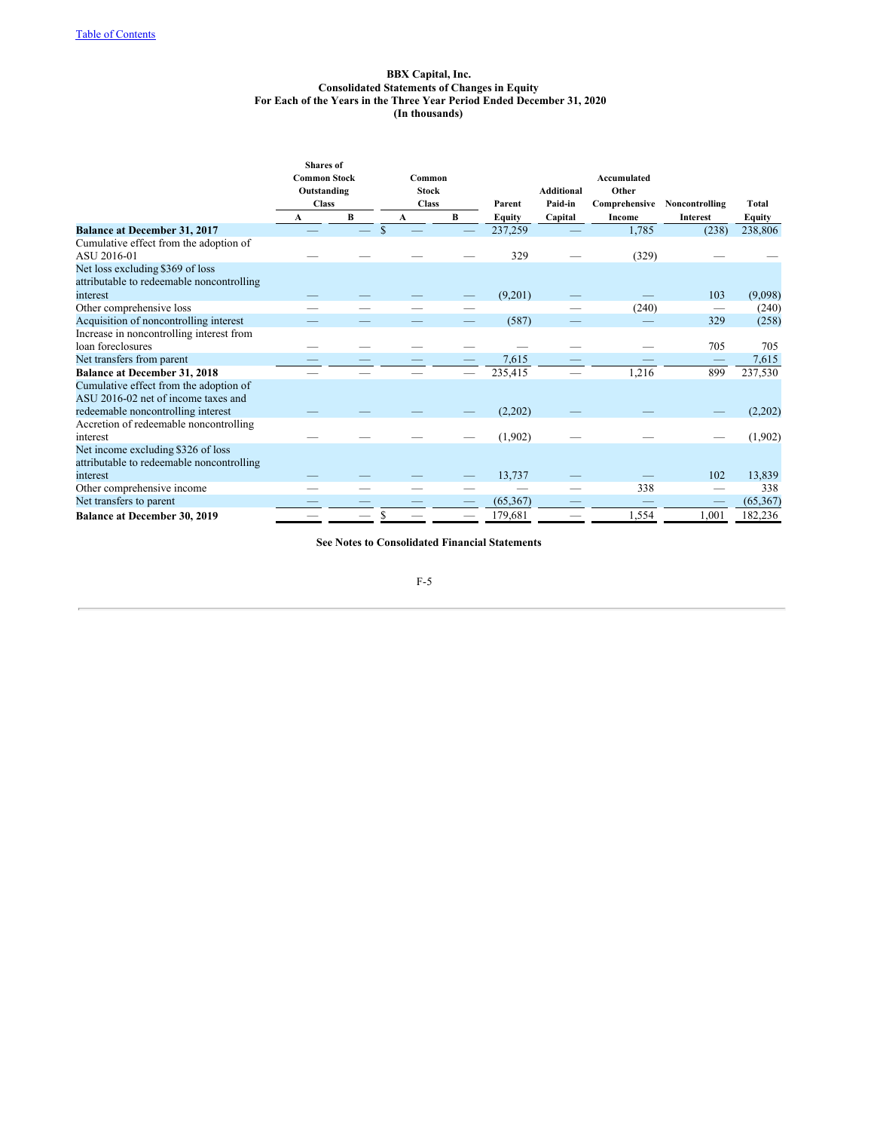### <span id="page-59-0"></span>**BBX Capital, Inc. Consolidated Statements of Changes in Equity For Each of the Years in the Three Year Period Ended December 31, 2020 (In thousands)**

|                                                                                 | <b>Shares</b> of<br><b>Common Stock</b><br>Outstanding<br><b>Class</b> |   | Common<br><b>Stock</b><br><b>Class</b> |   | Parent        | <b>Additional</b><br>Paid-in | <b>Accumulated</b><br>Other<br>Comprehensive | Noncontrolling  | Total         |
|---------------------------------------------------------------------------------|------------------------------------------------------------------------|---|----------------------------------------|---|---------------|------------------------------|----------------------------------------------|-----------------|---------------|
|                                                                                 | $\mathbf{A}$                                                           | B | $\mathbf{A}$                           | B | <b>Equity</b> | Capital                      | Income                                       | <b>Interest</b> | <b>Equity</b> |
| <b>Balance at December 31, 2017</b>                                             |                                                                        |   | S                                      |   | 237,259       |                              | 1,785                                        | (238)           | 238,806       |
| Cumulative effect from the adoption of<br>ASU 2016-01                           |                                                                        |   |                                        |   | 329           |                              | (329)                                        |                 |               |
| Net loss excluding \$369 of loss<br>attributable to redeemable noncontrolling   |                                                                        |   |                                        |   |               |                              |                                              |                 |               |
| interest                                                                        |                                                                        |   |                                        |   | (9,201)       |                              |                                              | 103             | (9,098)       |
| Other comprehensive loss                                                        |                                                                        |   |                                        |   |               |                              | (240)                                        |                 | (240)         |
| Acquisition of noncontrolling interest                                          |                                                                        |   |                                        |   | (587)         |                              |                                              | 329             | (258)         |
| Increase in noncontrolling interest from                                        |                                                                        |   |                                        |   |               |                              |                                              |                 |               |
| loan foreclosures                                                               |                                                                        |   |                                        |   |               |                              |                                              | 705             | 705           |
| Net transfers from parent                                                       |                                                                        |   |                                        |   | 7,615         |                              |                                              |                 | 7,615         |
| <b>Balance at December 31, 2018</b>                                             |                                                                        |   |                                        |   | 235,415       |                              | 1,216                                        | 899             | 237,530       |
| Cumulative effect from the adoption of<br>ASU 2016-02 net of income taxes and   |                                                                        |   |                                        |   |               |                              |                                              |                 |               |
| redeemable noncontrolling interest                                              |                                                                        |   |                                        |   | (2,202)       |                              |                                              |                 | (2,202)       |
| Accretion of redeemable noncontrolling                                          |                                                                        |   |                                        |   |               |                              |                                              |                 |               |
| interest                                                                        |                                                                        |   |                                        |   | (1,902)       |                              |                                              |                 | (1,902)       |
| Net income excluding \$326 of loss<br>attributable to redeemable noncontrolling |                                                                        |   |                                        |   |               |                              |                                              |                 |               |
| interest                                                                        |                                                                        |   |                                        |   | 13,737        |                              |                                              | 102             | 13,839        |
| Other comprehensive income                                                      |                                                                        |   |                                        |   |               |                              | 338                                          |                 | 338           |
| Net transfers to parent                                                         |                                                                        |   |                                        |   | (65, 367)     |                              |                                              |                 | (65, 367)     |
| <b>Balance at December 30, 2019</b>                                             |                                                                        |   | S                                      |   | 179,681       |                              | 1,554                                        | 1,001           | 182,236       |

**See Notes to Consolidated Financial Statements**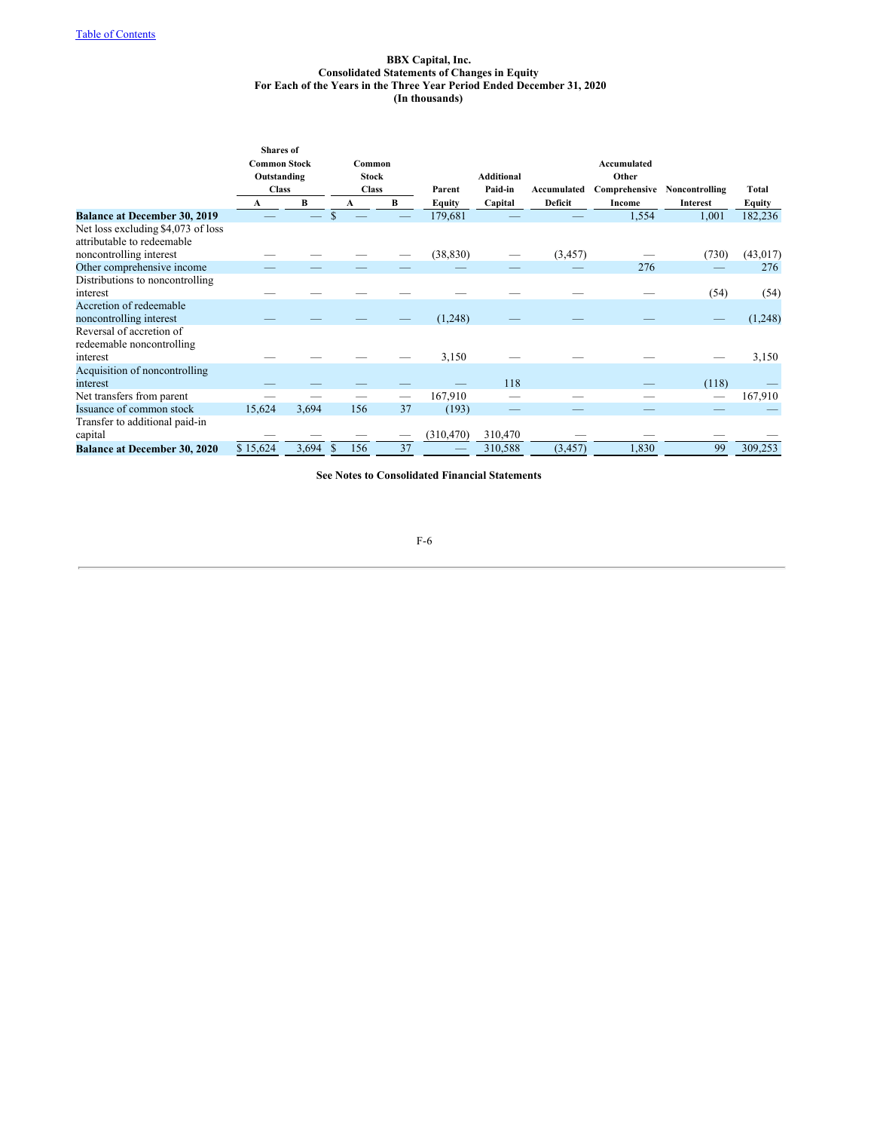## **BBX Capital, Inc. Consolidated Statements of Changes in Equity For Each of the Years in the Three Year Period Ended December 31, 2020 (In thousands)**

|                                                                   | <b>Shares</b> of    |       |                      |    |            |                   |                |               |                |           |
|-------------------------------------------------------------------|---------------------|-------|----------------------|----|------------|-------------------|----------------|---------------|----------------|-----------|
|                                                                   | <b>Common Stock</b> |       | Common               |    |            |                   |                | Accumulated   |                |           |
|                                                                   | Outstanding         |       | <b>Stock</b>         |    |            | <b>Additional</b> |                | Other         |                |           |
|                                                                   | <b>Class</b>        |       | <b>Class</b>         |    | Parent     | Paid-in           | Accumulated    | Comprehensive | Noncontrolling | Total     |
|                                                                   | A                   | В     | A                    | B  | Equity     | Capital           | <b>Deficit</b> | Income        | Interest       | Equity    |
| <b>Balance at December 30, 2019</b>                               |                     |       |                      |    | 179,681    |                   |                | 1,554         | 1,001          | 182,236   |
| Net loss excluding \$4,073 of loss<br>attributable to redeemable  |                     |       |                      |    |            |                   |                |               |                |           |
| noncontrolling interest                                           |                     |       |                      |    | (38, 830)  |                   | (3, 457)       |               | (730)          | (43, 017) |
| Other comprehensive income                                        |                     |       |                      |    |            |                   |                | 276           |                | 276       |
| Distributions to noncontrolling                                   |                     |       |                      |    |            |                   |                |               |                |           |
| interest                                                          |                     |       |                      |    |            |                   |                |               | (54)           | (54)      |
| Accretion of redeemable                                           |                     |       |                      |    |            |                   |                |               |                |           |
| noncontrolling interest                                           |                     |       |                      |    | (1,248)    |                   |                |               |                | (1,248)   |
| Reversal of accretion of<br>redeemable noncontrolling<br>interest |                     |       |                      |    | 3,150      |                   |                |               |                | 3,150     |
| Acquisition of noncontrolling                                     |                     |       |                      |    |            |                   |                |               |                |           |
| interest                                                          |                     |       |                      |    |            | 118               |                |               | (118)          |           |
| Net transfers from parent                                         |                     |       |                      |    | 167,910    | -                 |                |               |                | 167,910   |
| Issuance of common stock                                          | 15,624              | 3,694 | 156                  | 37 | (193)      |                   |                |               |                |           |
| Transfer to additional paid-in<br>capital                         |                     |       |                      |    | (310, 470) | 310,470           |                |               |                |           |
| <b>Balance at December 30, 2020</b>                               | \$15,624            | 3,694 | 156<br><sup>\$</sup> | 37 |            | 310,588           | (3, 457)       | 1,830         | 99             | 309,253   |

**See Notes to Consolidated Financial Statements**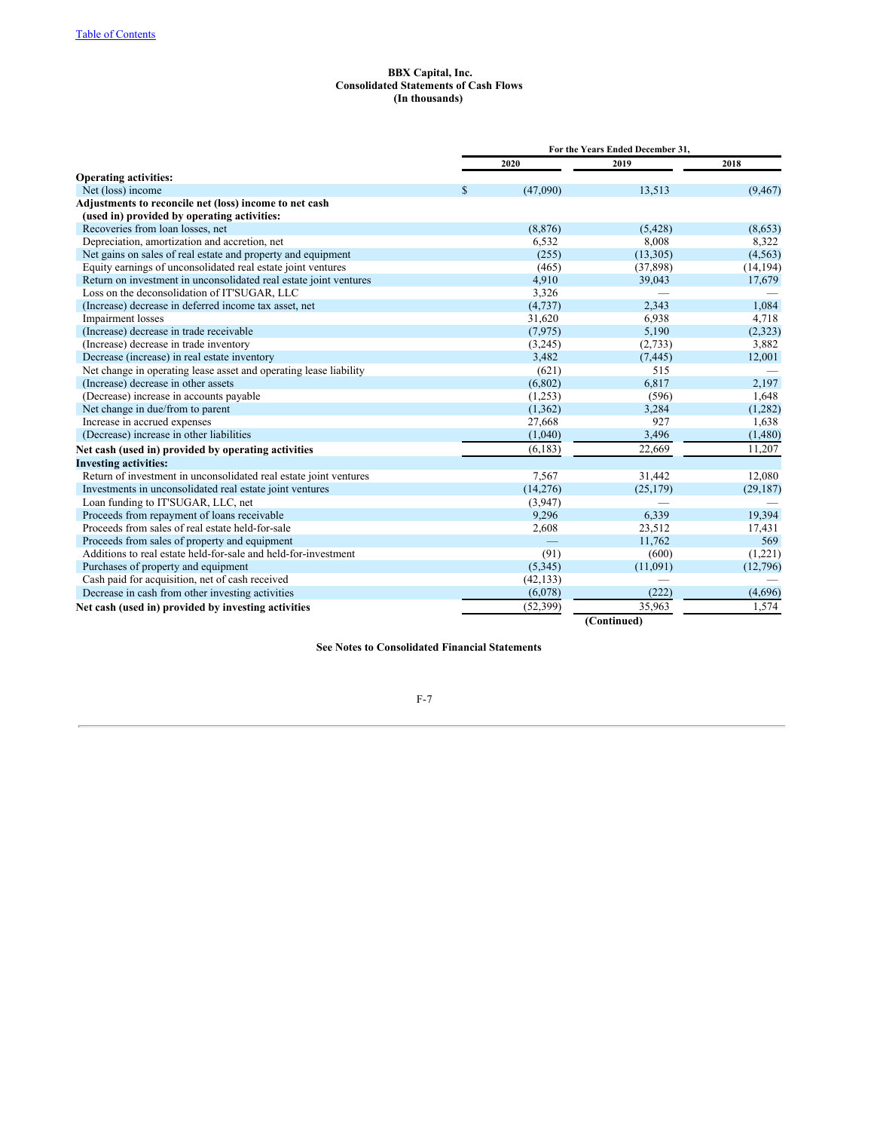## <span id="page-61-0"></span>**BBX Capital, Inc. Consolidated Statements of Cash Flows (In thousands)**

|                                                                   | For the Years Ended December 31, |           |           |           |  |
|-------------------------------------------------------------------|----------------------------------|-----------|-----------|-----------|--|
|                                                                   |                                  | 2020      | 2019      | 2018      |  |
| <b>Operating activities:</b>                                      |                                  |           |           |           |  |
| Net (loss) income                                                 | \$                               | (47,090)  | 13,513    | (9, 467)  |  |
| Adjustments to reconcile net (loss) income to net cash            |                                  |           |           |           |  |
| (used in) provided by operating activities:                       |                                  |           |           |           |  |
| Recoveries from loan losses, net                                  |                                  | (8, 876)  | (5, 428)  | (8,653)   |  |
| Depreciation, amortization and accretion, net                     |                                  | 6,532     | 8,008     | 8,322     |  |
| Net gains on sales of real estate and property and equipment      |                                  | (255)     | (13,305)  | (4, 563)  |  |
| Equity earnings of unconsolidated real estate joint ventures      |                                  | (465)     | (37, 898) | (14, 194) |  |
| Return on investment in unconsolidated real estate joint ventures |                                  | 4,910     | 39,043    | 17,679    |  |
| Loss on the deconsolidation of IT'SUGAR, LLC                      |                                  | 3,326     |           |           |  |
| (Increase) decrease in deferred income tax asset, net             |                                  | (4,737)   | 2,343     | 1,084     |  |
| Impairment losses                                                 |                                  | 31,620    | 6,938     | 4,718     |  |
| (Increase) decrease in trade receivable                           |                                  | (7, 975)  | 5,190     | (2,323)   |  |
| (Increase) decrease in trade inventory                            |                                  | (3,245)   | (2,733)   | 3,882     |  |
| Decrease (increase) in real estate inventory                      |                                  | 3,482     | (7, 445)  | 12,001    |  |
| Net change in operating lease asset and operating lease liability |                                  | (621)     | 515       |           |  |
| (Increase) decrease in other assets                               |                                  | (6,802)   | 6,817     | 2,197     |  |
| (Decrease) increase in accounts payable                           |                                  | (1,253)   | (596)     | 1,648     |  |
| Net change in due/from to parent                                  |                                  | (1,362)   | 3,284     | (1,282)   |  |
| Increase in accrued expenses                                      |                                  | 27,668    | 927       | 1,638     |  |
| (Decrease) increase in other liabilities                          |                                  | (1,040)   | 3,496     | (1,480)   |  |
| Net cash (used in) provided by operating activities               |                                  | (6, 183)  | 22,669    | 11,207    |  |
| <b>Investing activities:</b>                                      |                                  |           |           |           |  |
| Return of investment in unconsolidated real estate joint ventures |                                  | 7,567     | 31,442    | 12,080    |  |
| Investments in unconsolidated real estate joint ventures          |                                  | (14,276)  | (25, 179) | (29, 187) |  |
| Loan funding to IT'SUGAR, LLC, net                                |                                  | (3,947)   |           |           |  |
| Proceeds from repayment of loans receivable                       |                                  | 9,296     | 6,339     | 19,394    |  |
| Proceeds from sales of real estate held-for-sale                  |                                  | 2,608     | 23,512    | 17,431    |  |
| Proceeds from sales of property and equipment                     |                                  |           | 11,762    | 569       |  |
| Additions to real estate held-for-sale and held-for-investment    |                                  | (91)      | (600)     | (1,221)   |  |
| Purchases of property and equipment                               |                                  | (5,345)   | (11,091)  | (12,796)  |  |
| Cash paid for acquisition, net of cash received                   |                                  | (42, 133) |           |           |  |
| Decrease in cash from other investing activities                  |                                  | (6,078)   | (222)     | (4,696)   |  |
| Net cash (used in) provided by investing activities               |                                  | (52, 399) | 35,963    | 1,574     |  |

**(Continued)**

**See Notes to Consolidated Financial Statements**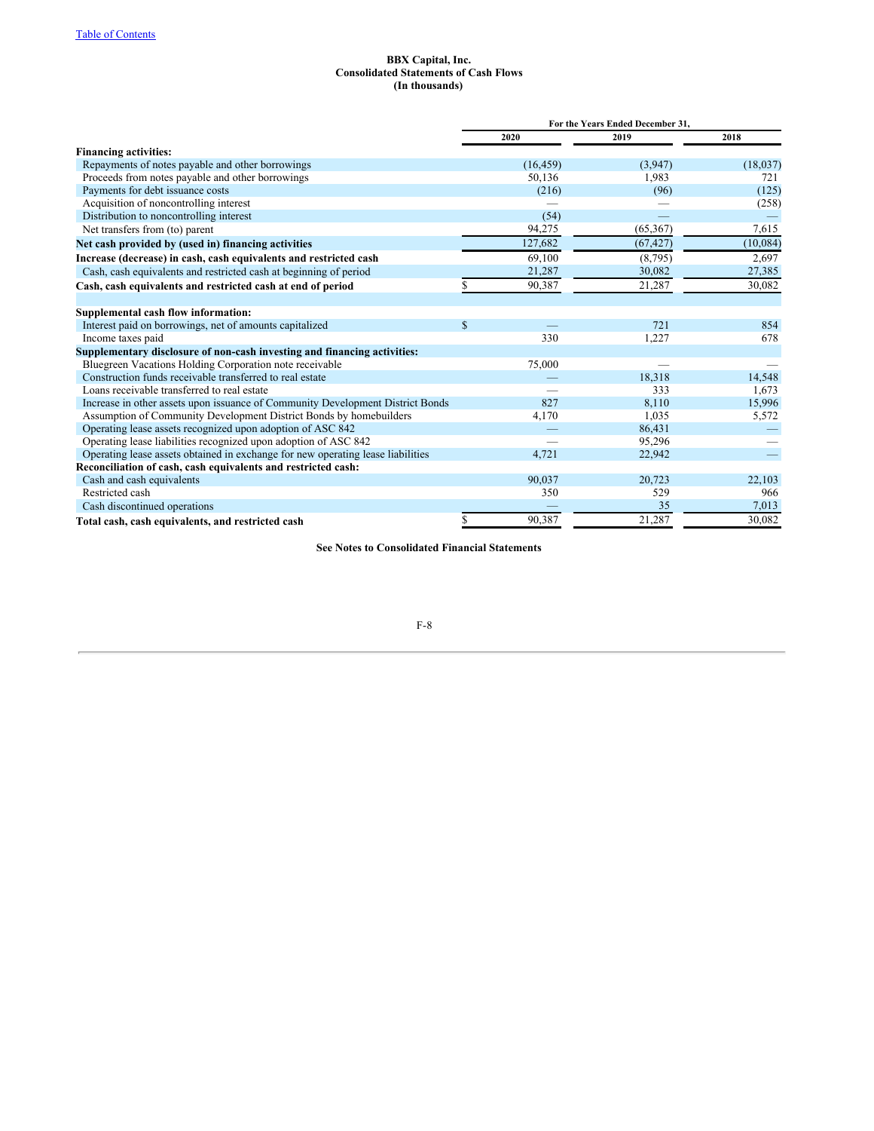## **BBX Capital, Inc. Consolidated Statements of Cash Flows (In thousands)**

|                                                                                 | For the Years Ended December 31, |           |           |          |  |
|---------------------------------------------------------------------------------|----------------------------------|-----------|-----------|----------|--|
|                                                                                 |                                  | 2020      | 2019      | 2018     |  |
| <b>Financing activities:</b>                                                    |                                  |           |           |          |  |
| Repayments of notes payable and other borrowings                                |                                  | (16, 459) | (3,947)   | (18,037) |  |
| Proceeds from notes payable and other borrowings                                |                                  | 50,136    | 1.983     | 721      |  |
| Payments for debt issuance costs                                                |                                  | (216)     | (96)      | (125)    |  |
| Acquisition of noncontrolling interest                                          |                                  |           |           | (258)    |  |
| Distribution to noncontrolling interest                                         |                                  | (54)      |           |          |  |
| Net transfers from (to) parent                                                  |                                  | 94,275    | (65, 367) | 7,615    |  |
| Net cash provided by (used in) financing activities                             |                                  | 127,682   | (67, 427) | (10,084) |  |
| Increase (decrease) in cash, cash equivalents and restricted cash               |                                  | 69,100    | (8,795)   | 2,697    |  |
| Cash, cash equivalents and restricted cash at beginning of period               |                                  | 21,287    | 30,082    | 27,385   |  |
| Cash, cash equivalents and restricted cash at end of period                     |                                  | 90,387    | 21,287    | 30,082   |  |
|                                                                                 |                                  |           |           |          |  |
| Supplemental cash flow information:                                             |                                  |           |           |          |  |
| Interest paid on borrowings, net of amounts capitalized                         | S                                |           | 721       | 854      |  |
| Income taxes paid                                                               |                                  | 330       | 1,227     | 678      |  |
| Supplementary disclosure of non-cash investing and financing activities:        |                                  |           |           |          |  |
| Bluegreen Vacations Holding Corporation note receivable                         |                                  | 75,000    |           |          |  |
| Construction funds receivable transferred to real estate                        |                                  |           | 18,318    | 14,548   |  |
| Loans receivable transferred to real estate                                     |                                  |           | 333       | 1,673    |  |
| Increase in other assets upon issuance of Community Development District Bonds  |                                  | 827       | 8,110     | 15,996   |  |
| Assumption of Community Development District Bonds by homebuilders              |                                  | 4,170     | 1,035     | 5,572    |  |
| Operating lease assets recognized upon adoption of ASC 842                      |                                  |           | 86,431    |          |  |
| Operating lease liabilities recognized upon adoption of ASC 842                 |                                  |           | 95,296    |          |  |
| Operating lease assets obtained in exchange for new operating lease liabilities |                                  | 4,721     | 22,942    |          |  |
| Reconciliation of cash, cash equivalents and restricted cash:                   |                                  |           |           |          |  |
| Cash and cash equivalents                                                       |                                  | 90,037    | 20,723    | 22,103   |  |
| Restricted cash                                                                 |                                  | 350       | 529       | 966      |  |
| Cash discontinued operations                                                    |                                  |           | 35        | 7,013    |  |
| Total cash, cash equivalents, and restricted cash                               |                                  | 90,387    | 21,287    | 30,082   |  |

**See Notes to Consolidated Financial Statements**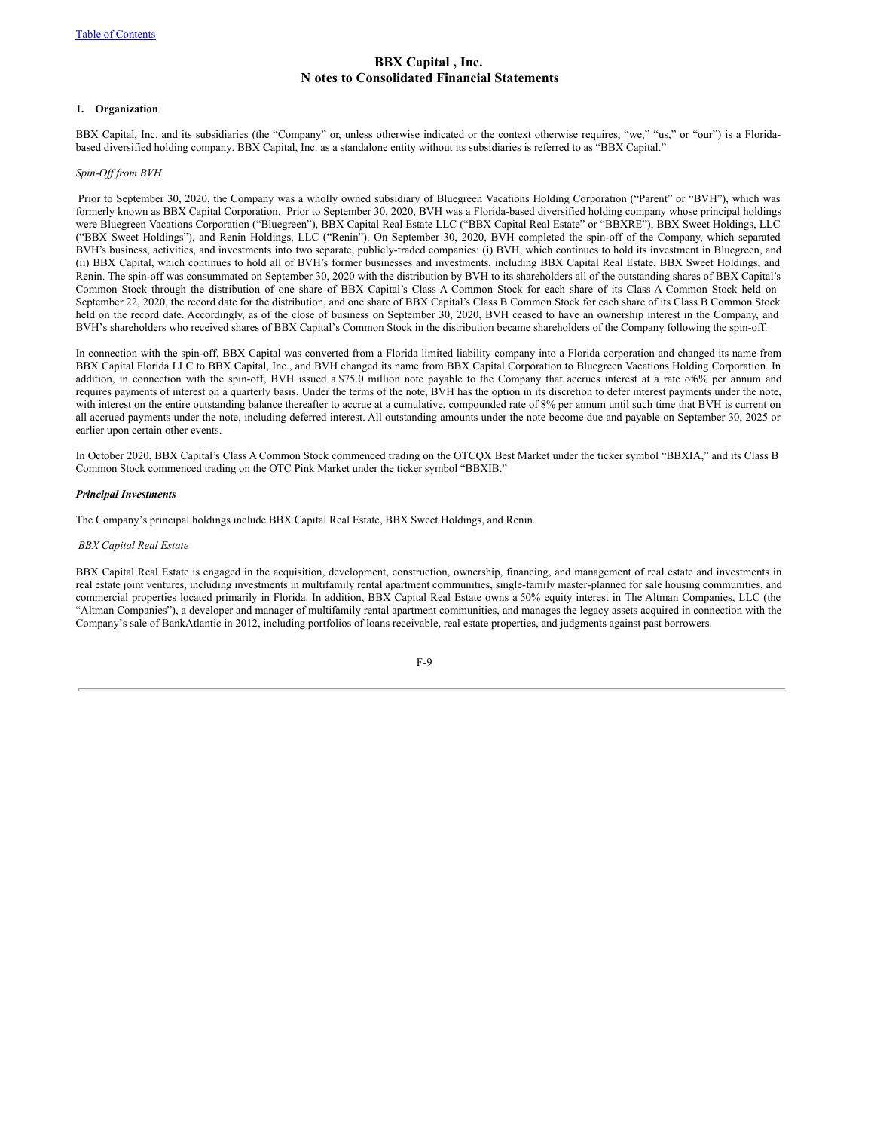# <span id="page-63-0"></span>**BBX Capital , Inc. N otes to Consolidated Financial Statements**

## **1. Organization**

BBX Capital, Inc. and its subsidiaries (the "Company" or, unless otherwise indicated or the context otherwise requires, "we," "us," or "our") is a Floridabased diversified holding company. BBX Capital, Inc. as a standalone entity without its subsidiaries is referred to as "BBX Capital."

#### *Spin-Of from BVH*

Prior to September 30, 2020, the Company was a wholly owned subsidiary of Bluegreen Vacations Holding Corporation ("Parent" or "BVH"), which was formerly known as BBX Capital Corporation. Prior to September 30, 2020, BVH was a Florida-based diversified holding company whose principal holdings were Bluegreen Vacations Corporation ("Bluegreen"), BBX Capital Real Estate LLC ("BBX Capital Real Estate" or "BBXRE"), BBX Sweet Holdings, LLC ("BBX Sweet Holdings"), and Renin Holdings, LLC ("Renin"). On September 30, 2020, BVH completed the spin-off of the Company, which separated BVH's business, activities, and investments into two separate, publicly-traded companies: (i) BVH, which continues to hold its investment in Bluegreen, and (ii) BBX Capital, which continues to hold all of BVH's former businesses and investments, including BBX Capital Real Estate, BBX Sweet Holdings, and Renin. The spin-off was consummated on September 30, 2020 with the distribution by BVH to its shareholders all of the outstanding shares of BBX Capital's Common Stock through the distribution of one share of BBX Capital's Class A Common Stock for each share of its Class A Common Stock held on September 22, 2020, the record date for the distribution, and one share of BBX Capital's Class B Common Stock for each share of its Class B Common Stock held on the record date. Accordingly, as of the close of business on September 30, 2020, BVH ceased to have an ownership interest in the Company, and BVH's shareholders who received shares of BBX Capital's Common Stock in the distribution became shareholders of the Company following the spin-off.

In connection with the spin-off, BBX Capital was converted from a Florida limited liability company into a Florida corporation and changed its name from BBX Capital Florida LLC to BBX Capital, Inc., and BVH changed its name from BBX Capital Corporation to Bluegreen Vacations Holding Corporation. In addition, in connection with the spin-off, BVH issued a \$75.0 million note payable to the Company that accrues interest at a rate of6% per annum and requires payments of interest on a quarterly basis. Under the terms of the note, BVH has the option in its discretion to defer interest payments under the note, with interest on the entire outstanding balance thereafter to accrue at a cumulative, compounded rate of 8% per annum until such time that BVH is current on all accrued payments under the note, including deferred interest. All outstanding amounts under the note become due and payable on September 30, 2025 or earlier upon certain other events.

In October 2020, BBX Capital's Class A Common Stock commenced trading on the OTCQX Best Market under the ticker symbol "BBXIA," and its Class B Common Stock commenced trading on the OTC Pink Market under the ticker symbol "BBXIB."

## *Principal Investments*

The Company's principal holdings include BBX Capital Real Estate, BBX Sweet Holdings, and Renin.

#### *BBX Capital Real Estate*

BBX Capital Real Estate is engaged in the acquisition, development, construction, ownership, financing, and management of real estate and investments in real estate joint ventures, including investments in multifamily rental apartment communities, single-family master-planned for sale housing communities, and commercial properties located primarily in Florida. In addition, BBX Capital Real Estate owns a 50% equity interest in The Altman Companies, LLC (the "Altman Companies"), a developer and manager of multifamily rental apartment communities, and manages the legacy assets acquired in connection with the Company's sale of BankAtlantic in 2012, including portfolios of loans receivable, real estate properties, and judgments against past borrowers.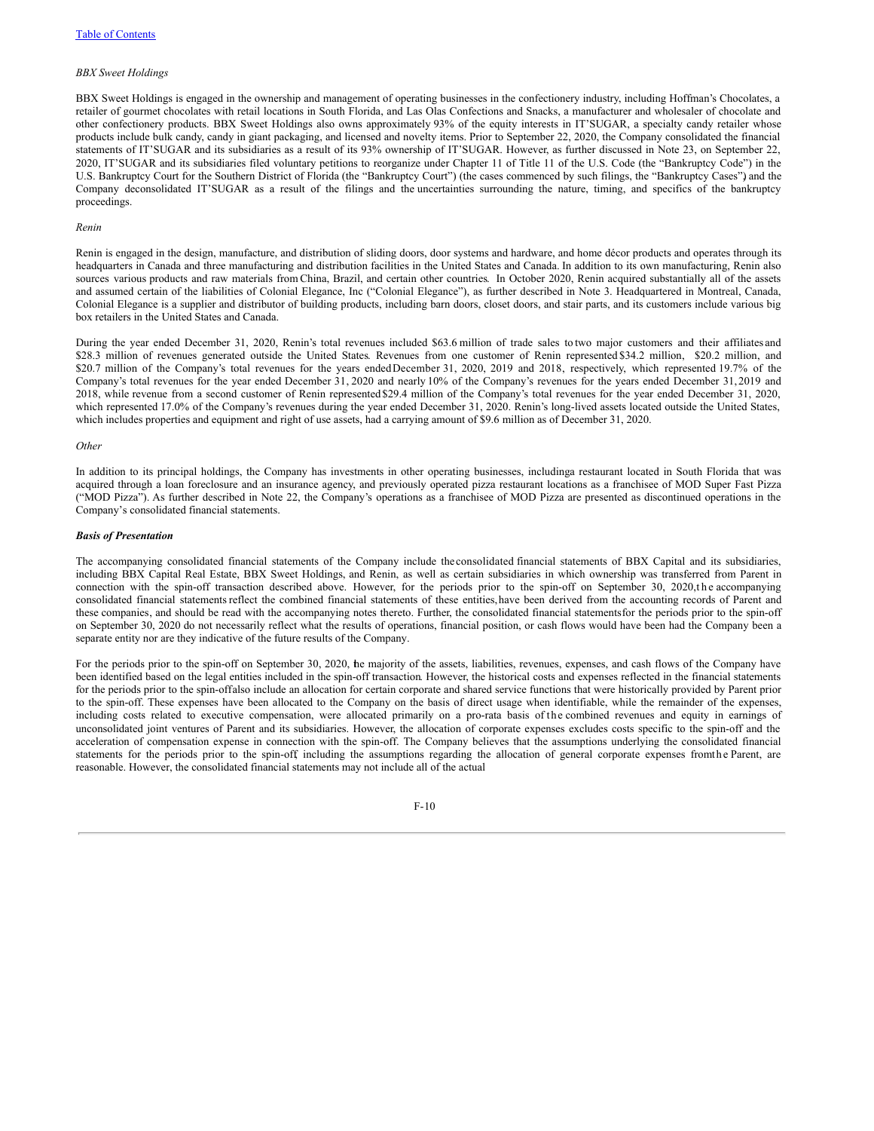#### *BBX Sweet Holdings*

BBX Sweet Holdings is engaged in the ownership and management of operating businesses in the confectionery industry, including Hoffman's Chocolates, a retailer of gourmet chocolates with retail locations in South Florida, and Las Olas Confections and Snacks, a manufacturer and wholesaler of chocolate and other confectionery products. BBX Sweet Holdings also owns approximately 93% of the equity interests in IT'SUGAR, a specialty candy retailer whose products include bulk candy, candy in giant packaging, and licensed and novelty items. Prior to September 22, 2020, the Company consolidated the financial statements of IT'SUGAR and its subsidiaries as a result of its 93% ownership of IT'SUGAR. However, as further discussed in Note 23, on September 22, 2020, IT'SUGAR and its subsidiaries filed voluntary petitions to reorganize under Chapter 11 of Title 11 of the U.S. Code (the "Bankruptcy Code") in the U.S. Bankruptcy Court for the Southern District of Florida (the "Bankruptcy Court") (the cases commenced by such filings, the "Bankruptcy Cases"), and the Company deconsolidated IT'SUGAR as a result of the filings and the uncertainties surrounding the nature, timing, and specifics of the bankruptcy proceedings.

#### *Renin*

Renin is engaged in the design, manufacture, and distribution of sliding doors, door systems and hardware, and home décor products and operates through its headquarters in Canada and three manufacturing and distribution facilities in the United States and Canada. In addition to its own manufacturing, Renin also sources various products and raw materials from China, Brazil, and certain other countries. In October 2020, Renin acquired substantially all of the assets and assumed certain of the liabilities of Colonial Elegance, Inc ("Colonial Elegance"), as further described in Note 3. Headquartered in Montreal, Canada, Colonial Elegance is a supplier and distributor of building products, including barn doors, closet doors, and stair parts, and its customers include various big box retailers in the United States and Canada.

During the year ended December 31, 2020, Renin's total revenues included \$63.6 million of trade sales to two major customers and their affiliates and \$28.3 million of revenues generated outside the United States. Revenues from one customer of Renin represented \$34.2 million, \$20.2 million, and \$20.7 million of the Company's total revenues for the years endedDecember 31, 2020, 2019 and 2018, respectively, which represented 19.7% of the Company's total revenues for the year ended December 31, 2020 and nearly 10% of the Company's revenues for the years ended December 31, 2019 and 2018, while revenue from a second customer of Renin represented \$29.4 million of the Company's total revenues for the year ended December 31, 2020, which represented 17.0% of the Company's revenues during the year ended December 31, 2020. Renin's long-lived assets located outside the United States, which includes properties and equipment and right of use assets, had a carrying amount of \$9.6 million as of December 31, 2020.

## *Other*

In addition to its principal holdings, the Company has investments in other operating businesses, includinga restaurant located in South Florida that was acquired through a loan foreclosure and an insurance agency, and previously operated pizza restaurant locations as a franchisee of MOD Super Fast Pizza ("MOD Pizza"). As further described in Note 22, the Company's operations as a franchisee of MOD Pizza are presented as discontinued operations in the Company's consolidated financial statements.

#### *Basis of Presentation*

The accompanying consolidated financial statements of the Company include the consolidated financial statements of BBX Capital and its subsidiaries, including BBX Capital Real Estate, BBX Sweet Holdings, and Renin, as well as certain subsidiaries in which ownership was transferred from Parent in connection with the spin-off transaction described above. However, for the periods prior to the spin-off on September 30, 2020,the accompanying consolidated financial statements reflect the combined financial statements of these entities,have been derived from the accounting records of Parent and these companies, and should be read with the accompanying notes thereto. Further, the consolidated financial statementsfor the periods prior to the spin-off on September 30, 2020 do not necessarily reflect what the results of operations, financial position, or cash flows would have been had the Company been a separate entity nor are they indicative of the future results of the Company.

For the periods prior to the spin-off on September 30, 2020, he majority of the assets, liabilities, revenues, expenses, and cash flows of the Company have been identified based on the legal entities included in the spin-off transaction. However, the historical costs and expenses reflected in the financial statements for the periods prior to the spin-offalso include an allocation for certain corporate and shared service functions that were historically provided by Parent prior to the spin-off. These expenses have been allocated to the Company on the basis of direct usage when identifiable, while the remainder of the expenses, including costs related to executive compensation, were allocated primarily on a pro-rata basis of the combined revenues and equity in earnings of unconsolidated joint ventures of Parent and its subsidiaries. However, the allocation of corporate expenses excludes costs specific to the spin-off and the acceleration of compensation expense in connection with the spin-off. The Company believes that the assumptions underlying the consolidated financial statements for the periods prior to the spin-off including the assumptions regarding the allocation of general corporate expenses fromthe Parent, are reasonable. However, the consolidated financial statements may not include all of the actual

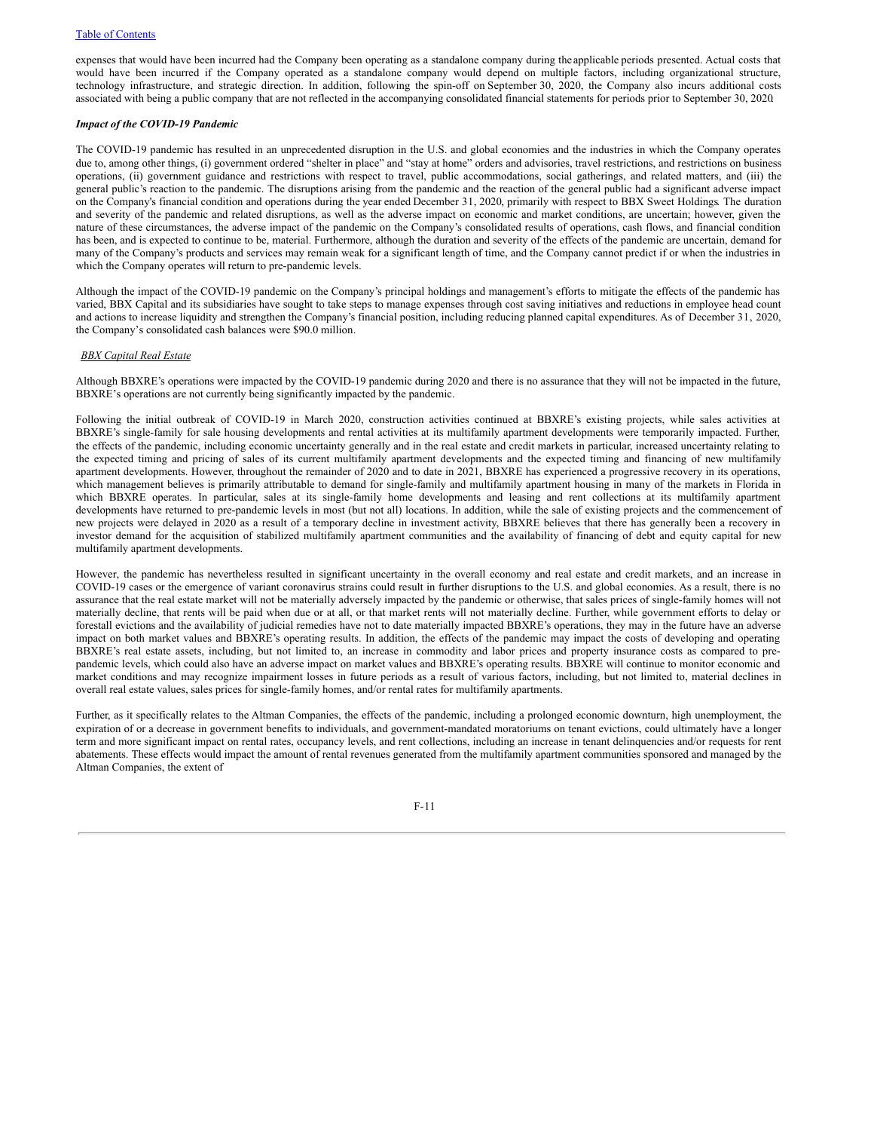expenses that would have been incurred had the Company been operating as a standalone company during the applicable periods presented. Actual costs that would have been incurred if the Company operated as a standalone company would depend on multiple factors, including organizational structure, technology infrastructure, and strategic direction. In addition, following the spin-off on September 30, 2020, the Company also incurs additional costs associated with being a public company that are not reflected in the accompanying consolidated financial statements for periods prior to September 30, 2020.

## *Impact of the COVID-19 Pandemic*

The COVID-19 pandemic has resulted in an unprecedented disruption in the U.S. and global economies and the industries in which the Company operates due to, among other things, (i) government ordered "shelter in place" and "stay at home" orders and advisories, travel restrictions, and restrictions on business operations, (ii) government guidance and restrictions with respect to travel, public accommodations, social gatherings, and related matters, and (iii) the general public's reaction to the pandemic. The disruptions arising from the pandemic and the reaction of the general public had a significant adverse impact on the Company's financial condition and operations during the year ended December 31, 2020, primarily with respect to BBX Sweet Holdings. The duration and severity of the pandemic and related disruptions, as well as the adverse impact on economic and market conditions, are uncertain; however, given the nature of these circumstances, the adverse impact of the pandemic on the Company's consolidated results of operations, cash flows, and financial condition has been, and is expected to continue to be, material. Furthermore, although the duration and severity of the effects of the pandemic are uncertain, demand for many of the Company's products and services may remain weak for a significant length of time, and the Company cannot predict if or when the industries in which the Company operates will return to pre-pandemic levels.

Although the impact of the COVID-19 pandemic on the Company's principal holdings and management's efforts to mitigate the effects of the pandemic has varied, BBX Capital and its subsidiaries have sought to take steps to manage expenses through cost saving initiatives and reductions in employee head count and actions to increase liquidity and strengthen the Company's financial position, including reducing planned capital expenditures. As of December 31, 2020, the Company's consolidated cash balances were \$90.0 million.

### *BBX Capital Real Estate*

Although BBXRE's operations were impacted by the COVID-19 pandemic during 2020 and there is no assurance that they will not be impacted in the future, BBXRE's operations are not currently being significantly impacted by the pandemic.

Following the initial outbreak of COVID-19 in March 2020, construction activities continued at BBXRE's existing projects, while sales activities at BBXRE's single-family for sale housing developments and rental activities at its multifamily apartment developments were temporarily impacted. Further, the effects of the pandemic, including economic uncertainty generally and in the real estate and credit markets in particular, increased uncertainty relating to the expected timing and pricing of sales of its current multifamily apartment developments and the expected timing and financing of new multifamily apartment developments. However, throughout the remainder of 2020 and to date in 2021, BBXRE has experienced a progressive recovery in its operations, which management believes is primarily attributable to demand for single-family and multifamily apartment housing in many of the markets in Florida in which BBXRE operates. In particular, sales at its single-family home developments and leasing and rent collections at its multifamily apartment developments have returned to pre-pandemic levels in most (but not all) locations. In addition, while the sale of existing projects and the commencement of new projects were delayed in 2020 as a result of a temporary decline in investment activity, BBXRE believes that there has generally been a recovery in investor demand for the acquisition of stabilized multifamily apartment communities and the availability of financing of debt and equity capital for new multifamily apartment developments.

However, the pandemic has nevertheless resulted in significant uncertainty in the overall economy and real estate and credit markets, and an increase in COVID-19 cases or the emergence of variant coronavirus strains could result in further disruptions to the U.S. and global economies. As a result, there is no assurance that the real estate market will not be materially adversely impacted by the pandemic or otherwise, that sales prices of single-family homes will not materially decline, that rents will be paid when due or at all, or that market rents will not materially decline. Further, while government efforts to delay or forestall evictions and the availability of judicial remedies have not to date materially impacted BBXRE's operations, they may in the future have an adverse impact on both market values and BBXRE's operating results. In addition, the effects of the pandemic may impact the costs of developing and operating BBXRE's real estate assets, including, but not limited to, an increase in commodity and labor prices and property insurance costs as compared to prepandemic levels, which could also have an adverse impact on market values and BBXRE's operating results. BBXRE will continue to monitor economic and market conditions and may recognize impairment losses in future periods as a result of various factors, including, but not limited to, material declines in overall real estate values, sales prices for single-family homes, and/or rental rates for multifamily apartments.

Further, as it specifically relates to the Altman Companies, the effects of the pandemic, including a prolonged economic downturn, high unemployment, the expiration of or a decrease in government benefits to individuals, and government-mandated moratoriums on tenant evictions, could ultimately have a longer term and more significant impact on rental rates, occupancy levels, and rent collections, including an increase in tenant delinquencies and/or requests for rent abatements. These effects would impact the amount of rental revenues generated from the multifamily apartment communities sponsored and managed by the Altman Companies, the extent of

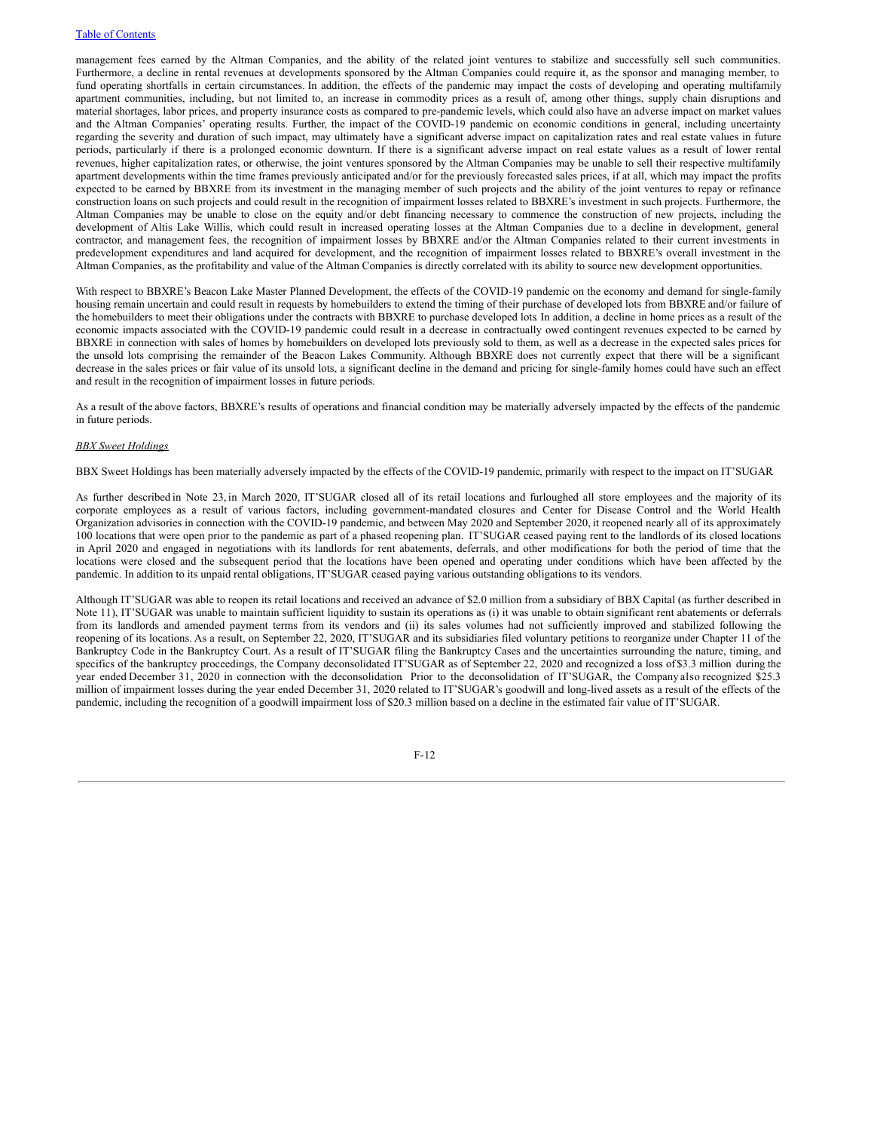management fees earned by the Altman Companies, and the ability of the related joint ventures to stabilize and successfully sell such communities. Furthermore, a decline in rental revenues at developments sponsored by the Altman Companies could require it, as the sponsor and managing member, to fund operating shortfalls in certain circumstances. In addition, the effects of the pandemic may impact the costs of developing and operating multifamily apartment communities, including, but not limited to, an increase in commodity prices as a result of, among other things, supply chain disruptions and material shortages, labor prices, and property insurance costs as compared to pre-pandemic levels, which could also have an adverse impact on market values and the Altman Companies' operating results. Further, the impact of the COVID-19 pandemic on economic conditions in general, including uncertainty regarding the severity and duration of such impact, may ultimately have a significant adverse impact on capitalization rates and real estate values in future periods, particularly if there is a prolonged economic downturn. If there is a significant adverse impact on real estate values as a result of lower rental revenues, higher capitalization rates, or otherwise, the joint ventures sponsored by the Altman Companies may be unable to sell their respective multifamily apartment developments within the time frames previously anticipated and/or for the previously forecasted sales prices, if at all, which may impact the profits expected to be earned by BBXRE from its investment in the managing member of such projects and the ability of the joint ventures to repay or refinance construction loans on such projects and could result in the recognition of impairment losses related to BBXRE's investment in such projects. Furthermore, the Altman Companies may be unable to close on the equity and/or debt financing necessary to commence the construction of new projects, including the development of Altis Lake Willis, which could result in increased operating losses at the Altman Companies due to a decline in development, general contractor, and management fees, the recognition of impairment losses by BBXRE and/or the Altman Companies related to their current investments in predevelopment expenditures and land acquired for development, and the recognition of impairment losses related to BBXRE's overall investment in the Altman Companies, as the profitability and value of the Altman Companies is directly correlated with its ability to source new development opportunities.

With respect to BBXRE's Beacon Lake Master Planned Development, the effects of the COVID-19 pandemic on the economy and demand for single-family housing remain uncertain and could result in requests by homebuilders to extend the timing of their purchase of developed lots from BBXRE and/or failure of the homebuilders to meet their obligations under the contracts with BBXRE to purchase developed lots. In addition, a decline in home prices as a result of the economic impacts associated with the COVID-19 pandemic could result in a decrease in contractually owed contingent revenues expected to be earned by BBXRE in connection with sales of homes by homebuilders on developed lots previously sold to them, as well as a decrease in the expected sales prices for the unsold lots comprising the remainder of the Beacon Lakes Community. Although BBXRE does not currently expect that there will be a significant decrease in the sales prices or fair value of its unsold lots, a significant decline in the demand and pricing for single-family homes could have such an effect and result in the recognition of impairment losses in future periods.

As a result of the above factors, BBXRE's results of operations and financial condition may be materially adversely impacted by the effects of the pandemic in future periods.

#### *BBX Sweet Holdings*

BBX Sweet Holdings has been materially adversely impacted by the effects of the COVID-19 pandemic, primarily with respect to the impact on IT'SUGAR.

As further described in Note 23, in March 2020, IT'SUGAR closed all of its retail locations and furloughed all store employees and the majority of its corporate employees as a result of various factors, including government-mandated closures and Center for Disease Control and the World Health Organization advisories in connection with the COVID-19 pandemic, and between May 2020 and September 2020, it reopened nearly all of its approximately 100 locations that were open prior to the pandemic as part of a phased reopening plan. IT'SUGAR ceased paying rent to the landlords of its closed locations in April 2020 and engaged in negotiations with its landlords for rent abatements, deferrals, and other modifications for both the period of time that the locations were closed and the subsequent period that the locations have been opened and operating under conditions which have been affected by the pandemic. In addition to its unpaid rental obligations, IT'SUGAR ceased paying various outstanding obligations to its vendors.

Although IT'SUGAR was able to reopen its retail locations and received an advance of \$2.0 million from a subsidiary of BBX Capital (as further described in Note 11), IT'SUGAR was unable to maintain sufficient liquidity to sustain its operations as (i) it was unable to obtain significant rent abatements or deferrals from its landlords and amended payment terms from its vendors and (ii) its sales volumes had not sufficiently improved and stabilized following the reopening of its locations. As a result, on September 22, 2020, IT'SUGAR and its subsidiaries filed voluntary petitions to reorganize under Chapter 11 of the Bankruptcy Code in the Bankruptcy Court. As a result of IT'SUGAR filing the Bankruptcy Cases and the uncertainties surrounding the nature, timing, and specifics of the bankruptcy proceedings, the Company deconsolidated IT'SUGAR as of September 22, 2020 and recognized a loss of \$3.3 million during the year ended December 31, 2020 in connection with the deconsolidation. Prior to the deconsolidation of IT'SUGAR, the Company also recognized \$25.3 million of impairment losses during the year ended December 31, 2020 related to IT'SUGAR's goodwill and long-lived assets as a result of the effects of the pandemic, including the recognition of a goodwill impairment loss of \$20.3 million based on a decline in the estimated fair value of IT'SUGAR.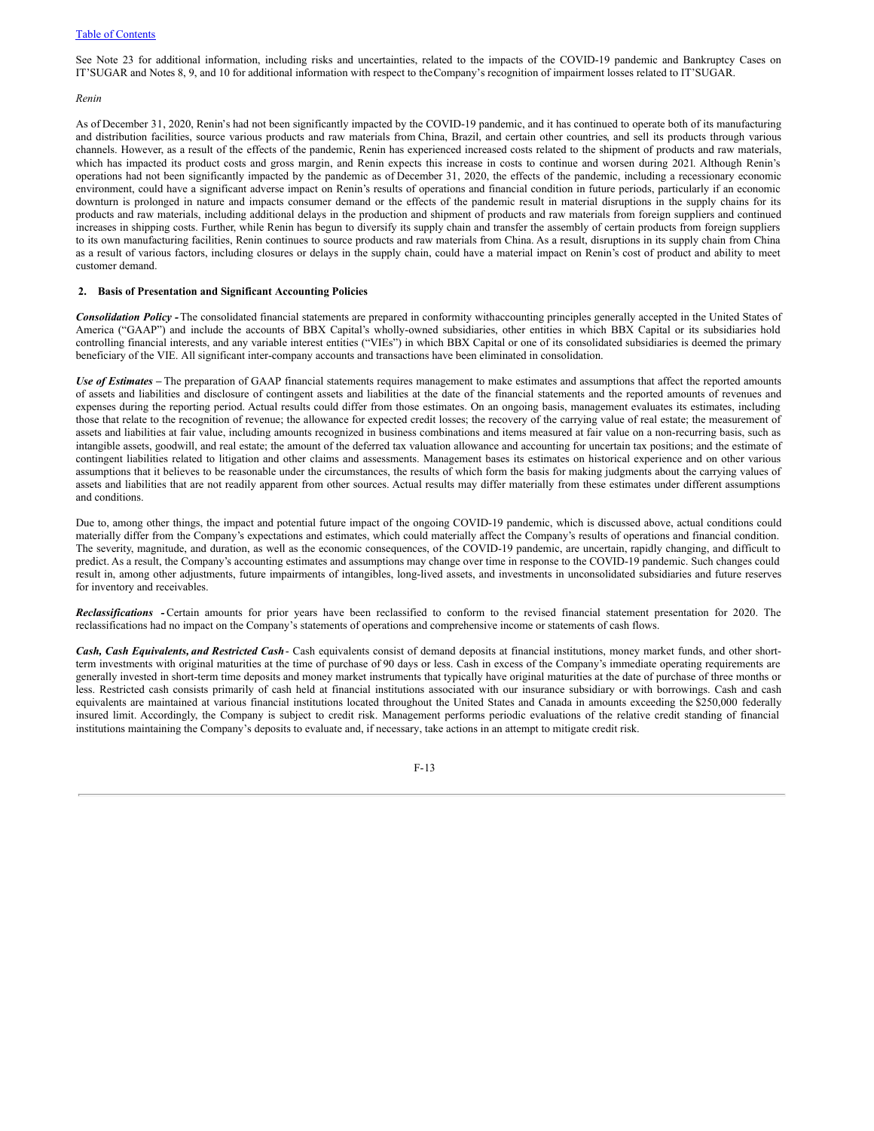### Table of [Contents](#page-1-0)

See Note 23 for additional information, including risks and uncertainties, related to the impacts of the COVID-19 pandemic and Bankruptcy Cases on IT'SUGAR and Notes 8, 9, and 10 for additional information with respect to theCompany's recognition of impairment losses related to IT'SUGAR.

#### *Renin*

As of December 31, 2020, Renin's had not been significantly impacted by the COVID-19 pandemic, and it has continued to operate both of its manufacturing and distribution facilities, source various products and raw materials from China, Brazil, and certain other countries, and sell its products through various channels. However, as a result of the effects of the pandemic, Renin has experienced increased costs related to the shipment of products and raw materials, which has impacted its product costs and gross margin, and Renin expects this increase in costs to continue and worsen during 2021. Although Renin's operations had not been significantly impacted by the pandemic as of December 31, 2020, the effects of the pandemic, including a recessionary economic environment, could have a significant adverse impact on Renin's results of operations and financial condition in future periods, particularly if an economic downturn is prolonged in nature and impacts consumer demand or the effects of the pandemic result in material disruptions in the supply chains for its products and raw materials, including additional delays in the production and shipment of products and raw materials from foreign suppliers and continued increases in shipping costs. Further, while Renin has begun to diversify its supply chain and transfer the assembly of certain products from foreign suppliers to its own manufacturing facilities, Renin continues to source products and raw materials from China. As a result, disruptions in its supply chain from China as a result of various factors, including closures or delays in the supply chain, could have a material impact on Renin's cost of product and ability to meet customer demand.

## **2. Basis of Presentation and Significant Accounting Policies**

*Consolidation Policy -*The consolidated financial statements are prepared in conformity withaccounting principles generally accepted in the United States of America ("GAAP") and include the accounts of BBX Capital's wholly-owned subsidiaries, other entities in which BBX Capital or its subsidiaries hold controlling financial interests, and any variable interest entities ("VIEs") in which BBX Capital or one of its consolidated subsidiaries is deemed the primary beneficiary of the VIE. All significant inter-company accounts and transactions have been eliminated in consolidation.

*Use of Estimates –* The preparation of GAAP financial statements requires management to make estimates and assumptions that affect the reported amounts of assets and liabilities and disclosure of contingent assets and liabilities at the date of the financial statements and the reported amounts of revenues and expenses during the reporting period. Actual results could differ from those estimates. On an ongoing basis, management evaluates its estimates, including those that relate to the recognition of revenue; the allowance for expected credit losses; the recovery of the carrying value of real estate; the measurement of assets and liabilities at fair value, including amounts recognized in business combinations and items measured at fair value on a non-recurring basis, such as intangible assets, goodwill, and real estate; the amount of the deferred tax valuation allowance and accounting for uncertain tax positions; and the estimate of contingent liabilities related to litigation and other claims and assessments. Management bases its estimates on historical experience and on other various assumptions that it believes to be reasonable under the circumstances, the results of which form the basis for making judgments about the carrying values of assets and liabilities that are not readily apparent from other sources. Actual results may differ materially from these estimates under different assumptions and conditions.

Due to, among other things, the impact and potential future impact of the ongoing COVID-19 pandemic, which is discussed above, actual conditions could materially differ from the Company's expectations and estimates, which could materially affect the Company's results of operations and financial condition. The severity, magnitude, and duration, as well as the economic consequences, of the COVID-19 pandemic, are uncertain, rapidly changing, and difficult to predict. As a result, the Company's accounting estimates and assumptions may change over time in response to the COVID-19 pandemic. Such changes could result in, among other adjustments, future impairments of intangibles, long-lived assets, and investments in unconsolidated subsidiaries and future reserves for inventory and receivables.

*Reclassifications -* Certain amounts for prior years have been reclassified to conform to the revised financial statement presentation for 2020. The reclassifications had no impact on the Company's statements of operations and comprehensive income or statements of cash flows.

*Cash, Cash Equivalents, and Restricted Cash*- Cash equivalents consist of demand deposits at financial institutions, money market funds, and other shortterm investments with original maturities at the time of purchase of 90 days or less. Cash in excess of the Company's immediate operating requirements are generally invested in short-term time deposits and money market instruments that typically have original maturities at the date of purchase of three months or less. Restricted cash consists primarily of cash held at financial institutions associated with our insurance subsidiary or with borrowings. Cash and cash equivalents are maintained at various financial institutions located throughout the United States and Canada in amounts exceeding the \$250,000 federally insured limit. Accordingly, the Company is subject to credit risk. Management performs periodic evaluations of the relative credit standing of financial institutions maintaining the Company's deposits to evaluate and, if necessary, take actions in an attempt to mitigate credit risk.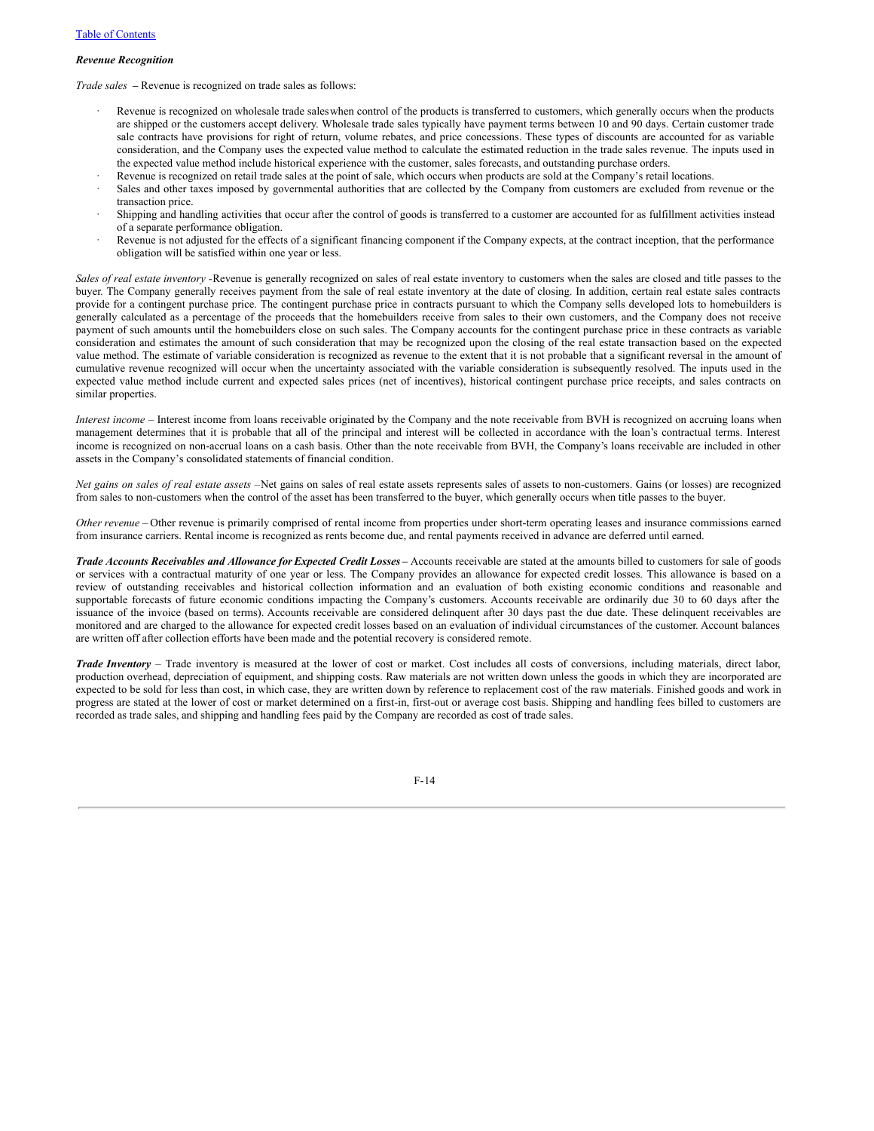## *Revenue Recognition*

*Trade sales –* Revenue is recognized on trade sales as follows:

- · Revenue is recognized on wholesale trade saleswhen control of the products is transferred to customers, which generally occurs when the products are shipped or the customers accept delivery. Wholesale trade sales typically have payment terms between 10 and 90 days. Certain customer trade sale contracts have provisions for right of return, volume rebates, and price concessions. These types of discounts are accounted for as variable consideration, and the Company uses the expected value method to calculate the estimated reduction in the trade sales revenue. The inputs used in the expected value method include historical experience with the customer, sales forecasts, and outstanding purchase orders.
- Revenue is recognized on retail trade sales at the point of sale, which occurs when products are sold at the Company's retail locations.
- Sales and other taxes imposed by governmental authorities that are collected by the Company from customers are excluded from revenue or the transaction price.
- · Shipping and handling activities that occur after the control of goods is transferred to a customer are accounted for as fulfillment activities instead of a separate performance obligation.
- Revenue is not adjusted for the effects of a significant financing component if the Company expects, at the contract inception, that the performance obligation will be satisfied within one year or less.

*Sales of real estate inventory -*Revenue is generally recognized on sales of real estate inventory to customers when the sales are closed and title passes to the buyer. The Company generally receives payment from the sale of real estate inventory at the date of closing. In addition, certain real estate sales contracts provide for a contingent purchase price. The contingent purchase price in contracts pursuant to which the Company sells developed lots to homebuilders is generally calculated as a percentage of the proceeds that the homebuilders receive from sales to their own customers, and the Company does not receive payment of such amounts until the homebuilders close on such sales. The Company accounts for the contingent purchase price in these contracts as variable consideration and estimates the amount of such consideration that may be recognized upon the closing of the real estate transaction based on the expected value method. The estimate of variable consideration is recognized as revenue to the extent that it is not probable that a significant reversal in the amount of cumulative revenue recognized will occur when the uncertainty associated with the variable consideration is subsequently resolved. The inputs used in the expected value method include current and expected sales prices (net of incentives), historical contingent purchase price receipts, and sales contracts on similar properties.

*Interest income –* Interest income from loans receivable originated by the Company and the note receivable from BVH is recognized on accruing loans when management determines that it is probable that all of the principal and interest will be collected in accordance with the loan's contractual terms. Interest income is recognized on non-accrual loans on a cash basis. Other than the note receivable from BVH, the Company's loans receivable are included in other assets in the Company's consolidated statements of financial condition.

*Net gains on sales of real estate assets –*Net gains on sales of real estate assets represents sales of assets to non-customers. Gains (or losses) are recognized from sales to non-customers when the control of the asset has been transferred to the buyer, which generally occurs when title passes to the buyer.

*Other revenue –* Other revenue is primarily comprised of rental income from properties under short-term operating leases and insurance commissions earned from insurance carriers. Rental income is recognized as rents become due, and rental payments received in advance are deferred until earned.

*Trade Accounts Receivables and Allowance for Expected Credit Losses – Accounts receivable are stated at the amounts billed to customers for sale of goods* or services with a contractual maturity of one year or less. The Company provides an allowance for expected credit losses. This allowance is based on a review of outstanding receivables and historical collection information and an evaluation of both existing economic conditions and reasonable and supportable forecasts of future economic conditions impacting the Company's customers. Accounts receivable are ordinarily due 30 to 60 days after the issuance of the invoice (based on terms). Accounts receivable are considered delinquent after 30 days past the due date. These delinquent receivables are monitored and are charged to the allowance for expected credit losses based on an evaluation of individual circumstances of the customer. Account balances are written off after collection efforts have been made and the potential recovery is considered remote.

*Trade Inventory* – Trade inventory is measured at the lower of cost or market. Cost includes all costs of conversions, including materials, direct labor, production overhead, depreciation of equipment, and shipping costs. Raw materials are not written down unless the goods in which they are incorporated are expected to be sold for less than cost, in which case, they are written down by reference to replacement cost of the raw materials. Finished goods and work in progress are stated at the lower of cost or market determined on a first-in, first-out or average cost basis. Shipping and handling fees billed to customers are recorded as trade sales, and shipping and handling fees paid by the Company are recorded as cost of trade sales.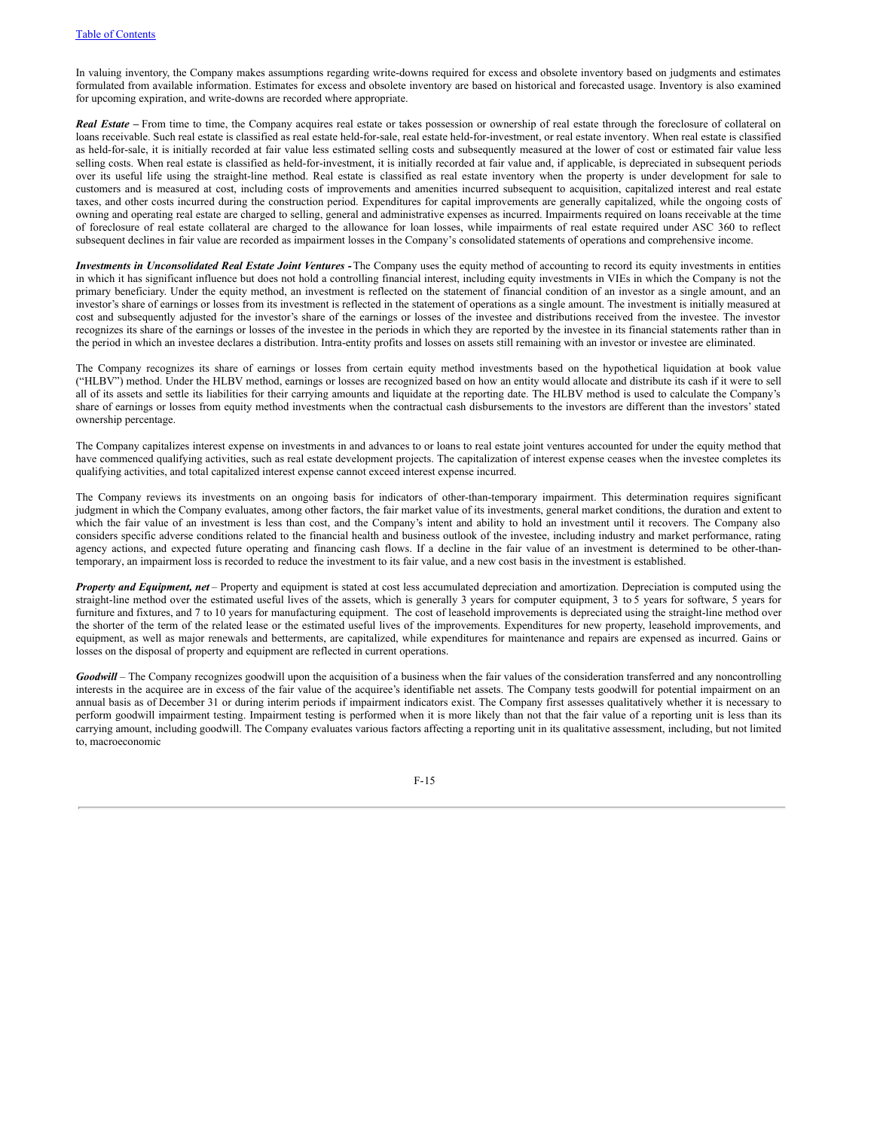In valuing inventory, the Company makes assumptions regarding write-downs required for excess and obsolete inventory based on judgments and estimates formulated from available information. Estimates for excess and obsolete inventory are based on historical and forecasted usage. Inventory is also examined for upcoming expiration, and write-downs are recorded where appropriate.

*Real Estate* – From time to time, the Company acquires real estate or takes possession or ownership of real estate through the foreclosure of collateral on loans receivable. Such real estate is classified as real estate held-for-sale, real estate held-for-investment, or real estate inventory. When real estate is classified as held-for-sale, it is initially recorded at fair value less estimated selling costs and subsequently measured at the lower of cost or estimated fair value less selling costs. When real estate is classified as held-for-investment, it is initially recorded at fair value and, if applicable, is depreciated in subsequent periods over its useful life using the straight-line method. Real estate is classified as real estate inventory when the property is under development for sale to customers and is measured at cost, including costs of improvements and amenities incurred subsequent to acquisition, capitalized interest and real estate taxes, and other costs incurred during the construction period. Expenditures for capital improvements are generally capitalized, while the ongoing costs of owning and operating real estate are charged to selling, general and administrative expenses as incurred. Impairments required on loans receivable at the time of foreclosure of real estate collateral are charged to the allowance for loan losses, while impairments of real estate required under ASC 360 to reflect subsequent declines in fair value are recorded as impairment losses in the Company's consolidated statements of operations and comprehensive income.

*Investments in Unconsolidated Real Estate Joint Ventures -*The Company uses the equity method of accounting to record its equity investments in entities in which it has significant influence but does not hold a controlling financial interest, including equity investments in VIEs in which the Company is not the primary beneficiary. Under the equity method, an investment is reflected on the statement of financial condition of an investor as a single amount, and an investor's share of earnings or losses from its investment is reflected in the statement of operations as a single amount. The investment is initially measured at cost and subsequently adjusted for the investor's share of the earnings or losses of the investee and distributions received from the investee. The investor recognizes its share of the earnings or losses of the investee in the periods in which they are reported by the investee in its financial statements rather than in the period in which an investee declares a distribution. Intra-entity profits and losses on assets still remaining with an investor or investee are eliminated.

The Company recognizes its share of earnings or losses from certain equity method investments based on the hypothetical liquidation at book value ("HLBV") method. Under the HLBV method, earnings or losses are recognized based on how an entity would allocate and distribute its cash if it were to sell all of its assets and settle its liabilities for their carrying amounts and liquidate at the reporting date. The HLBV method is used to calculate the Company's share of earnings or losses from equity method investments when the contractual cash disbursements to the investors are different than the investors' stated ownership percentage.

The Company capitalizes interest expense on investments in and advances to or loans to real estate joint ventures accounted for under the equity method that have commenced qualifying activities, such as real estate development projects. The capitalization of interest expense ceases when the investee completes its qualifying activities, and total capitalized interest expense cannot exceed interest expense incurred.

The Company reviews its investments on an ongoing basis for indicators of other-than-temporary impairment. This determination requires significant judgment in which the Company evaluates, among other factors, the fair market value of its investments, general market conditions, the duration and extent to which the fair value of an investment is less than cost, and the Company's intent and ability to hold an investment until it recovers. The Company also considers specific adverse conditions related to the financial health and business outlook of the investee, including industry and market performance, rating agency actions, and expected future operating and financing cash flows. If a decline in the fair value of an investment is determined to be other-thantemporary, an impairment loss is recorded to reduce the investment to its fair value, and a new cost basis in the investment is established.

*Property and Equipment, net* – Property and equipment is stated at cost less accumulated depreciation and amortization. Depreciation is computed using the straight-line method over the estimated useful lives of the assets, which is generally 3 years for computer equipment, 3 to 5 years for software, 5 years for furniture and fixtures, and 7 to 10 years for manufacturing equipment. The cost of leasehold improvements is depreciated using the straight-line method over the shorter of the term of the related lease or the estimated useful lives of the improvements. Expenditures for new property, leasehold improvements, and equipment, as well as major renewals and betterments, are capitalized, while expenditures for maintenance and repairs are expensed as incurred. Gains or losses on the disposal of property and equipment are reflected in current operations.

*Goodwill* – The Company recognizes goodwill upon the acquisition of a business when the fair values of the consideration transferred and any noncontrolling interests in the acquiree are in excess of the fair value of the acquiree's identifiable net assets. The Company tests goodwill for potential impairment on an annual basis as of December 31 or during interim periods if impairment indicators exist. The Company first assesses qualitatively whether it is necessary to perform goodwill impairment testing. Impairment testing is performed when it is more likely than not that the fair value of a reporting unit is less than its carrying amount, including goodwill. The Company evaluates various factors affecting a reporting unit in its qualitative assessment, including, but not limited to, macroeconomic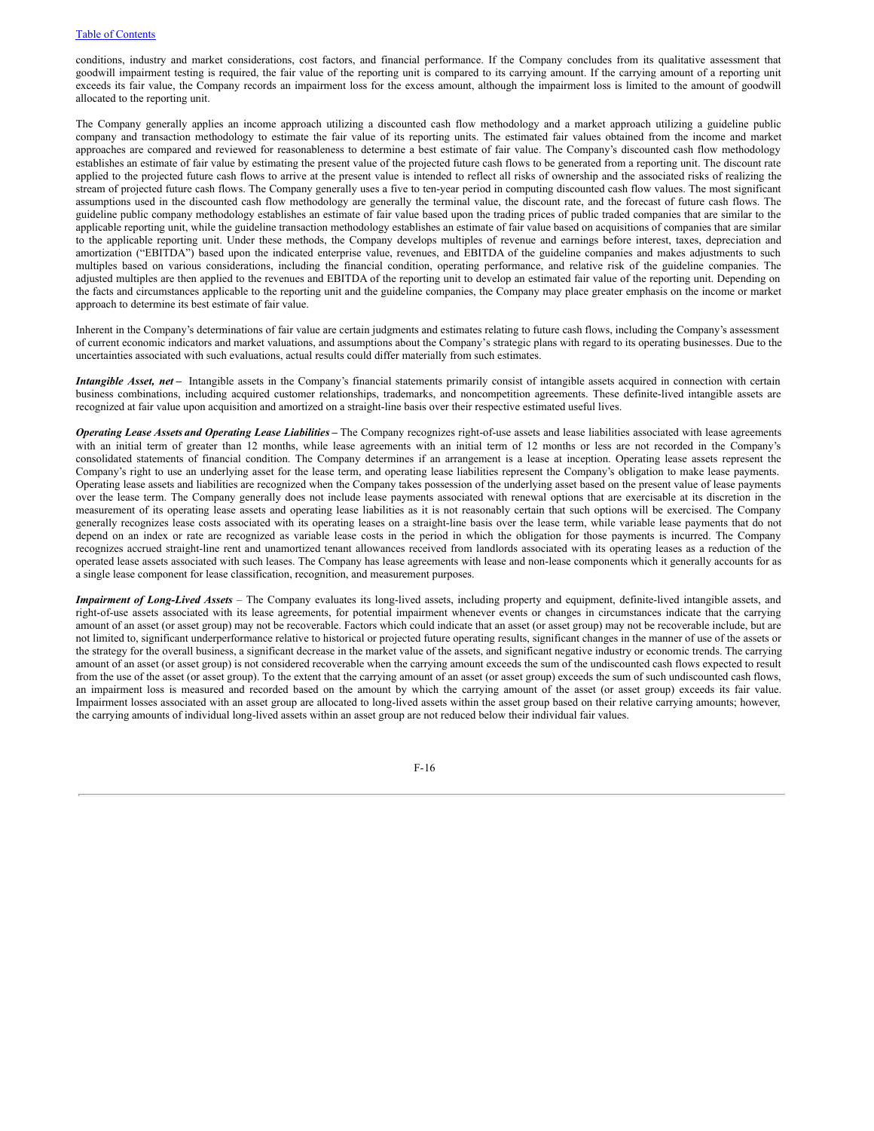conditions, industry and market considerations, cost factors, and financial performance. If the Company concludes from its qualitative assessment that goodwill impairment testing is required, the fair value of the reporting unit is compared to its carrying amount. If the carrying amount of a reporting unit exceeds its fair value, the Company records an impairment loss for the excess amount, although the impairment loss is limited to the amount of goodwill allocated to the reporting unit.

The Company generally applies an income approach utilizing a discounted cash flow methodology and a market approach utilizing a guideline public company and transaction methodology to estimate the fair value of its reporting units. The estimated fair values obtained from the income and market approaches are compared and reviewed for reasonableness to determine a best estimate of fair value. The Company's discounted cash flow methodology establishes an estimate of fair value by estimating the present value of the projected future cash flows to be generated from a reporting unit. The discount rate applied to the projected future cash flows to arrive at the present value is intended to reflect all risks of ownership and the associated risks of realizing the stream of projected future cash flows. The Company generally uses a five to ten-year period in computing discounted cash flow values. The most significant assumptions used in the discounted cash flow methodology are generally the terminal value, the discount rate, and the forecast of future cash flows. The guideline public company methodology establishes an estimate of fair value based upon the trading prices of public traded companies that are similar to the applicable reporting unit, while the guideline transaction methodology establishes an estimate of fair value based on acquisitions of companies that are similar to the applicable reporting unit. Under these methods, the Company develops multiples of revenue and earnings before interest, taxes, depreciation and amortization ("EBITDA") based upon the indicated enterprise value, revenues, and EBITDA of the guideline companies and makes adjustments to such multiples based on various considerations, including the financial condition, operating performance, and relative risk of the guideline companies. The adjusted multiples are then applied to the revenues and EBITDA of the reporting unit to develop an estimated fair value of the reporting unit. Depending on the facts and circumstances applicable to the reporting unit and the guideline companies, the Company may place greater emphasis on the income or market approach to determine its best estimate of fair value.

Inherent in the Company's determinations of fair value are certain judgments and estimates relating to future cash flows, including the Company's assessment of current economic indicators and market valuations, and assumptions about the Company's strategic plans with regard to its operating businesses. Due to the uncertainties associated with such evaluations, actual results could differ materially from such estimates.

*Intangible Asset, net* **–** Intangible assets in the Company's financial statements primarily consist of intangible assets acquired in connection with certain business combinations, including acquired customer relationships, trademarks, and noncompetition agreements. These definite-lived intangible assets are recognized at fair value upon acquisition and amortized on a straight-line basis over their respective estimated useful lives.

*Operating Lease Assets and Operating Lease Liabilities* **–** The Company recognizes right-of-use assets and lease liabilities associated with lease agreements with an initial term of greater than 12 months, while lease agreements with an initial term of 12 months or less are not recorded in the Company's consolidated statements of financial condition. The Company determines if an arrangement is a lease at inception. Operating lease assets represent the Company's right to use an underlying asset for the lease term, and operating lease liabilities represent the Company's obligation to make lease payments. Operating lease assets and liabilities are recognized when the Company takes possession of the underlying asset based on the present value of lease payments over the lease term. The Company generally does not include lease payments associated with renewal options that are exercisable at its discretion in the measurement of its operating lease assets and operating lease liabilities as it is not reasonably certain that such options will be exercised. The Company generally recognizes lease costs associated with its operating leases on a straight-line basis over the lease term, while variable lease payments that do not depend on an index or rate are recognized as variable lease costs in the period in which the obligation for those payments is incurred. The Company recognizes accrued straight-line rent and unamortized tenant allowances received from landlords associated with its operating leases as a reduction of the operated lease assets associated with such leases. The Company has lease agreements with lease and non-lease components which it generally accounts for as a single lease component for lease classification, recognition, and measurement purposes.

*Impairment of Long-Lived Assets* – The Company evaluates its long-lived assets, including property and equipment, definite-lived intangible assets, and right-of-use assets associated with its lease agreements, for potential impairment whenever events or changes in circumstances indicate that the carrying amount of an asset (or asset group) may not be recoverable. Factors which could indicate that an asset (or asset group) may not be recoverable include, but are not limited to, significant underperformance relative to historical or projected future operating results, significant changes in the manner of use of the assets or the strategy for the overall business, a significant decrease in the market value of the assets, and significant negative industry or economic trends. The carrying amount of an asset (or asset group) is not considered recoverable when the carrying amount exceeds the sum of the undiscounted cash flows expected to result from the use of the asset (or asset group). To the extent that the carrying amount of an asset (or asset group) exceeds the sum of such undiscounted cash flows, an impairment loss is measured and recorded based on the amount by which the carrying amount of the asset (or asset group) exceeds its fair value. Impairment losses associated with an asset group are allocated to long-lived assets within the asset group based on their relative carrying amounts; however, the carrying amounts of individual long-lived assets within an asset group are not reduced below their individual fair values.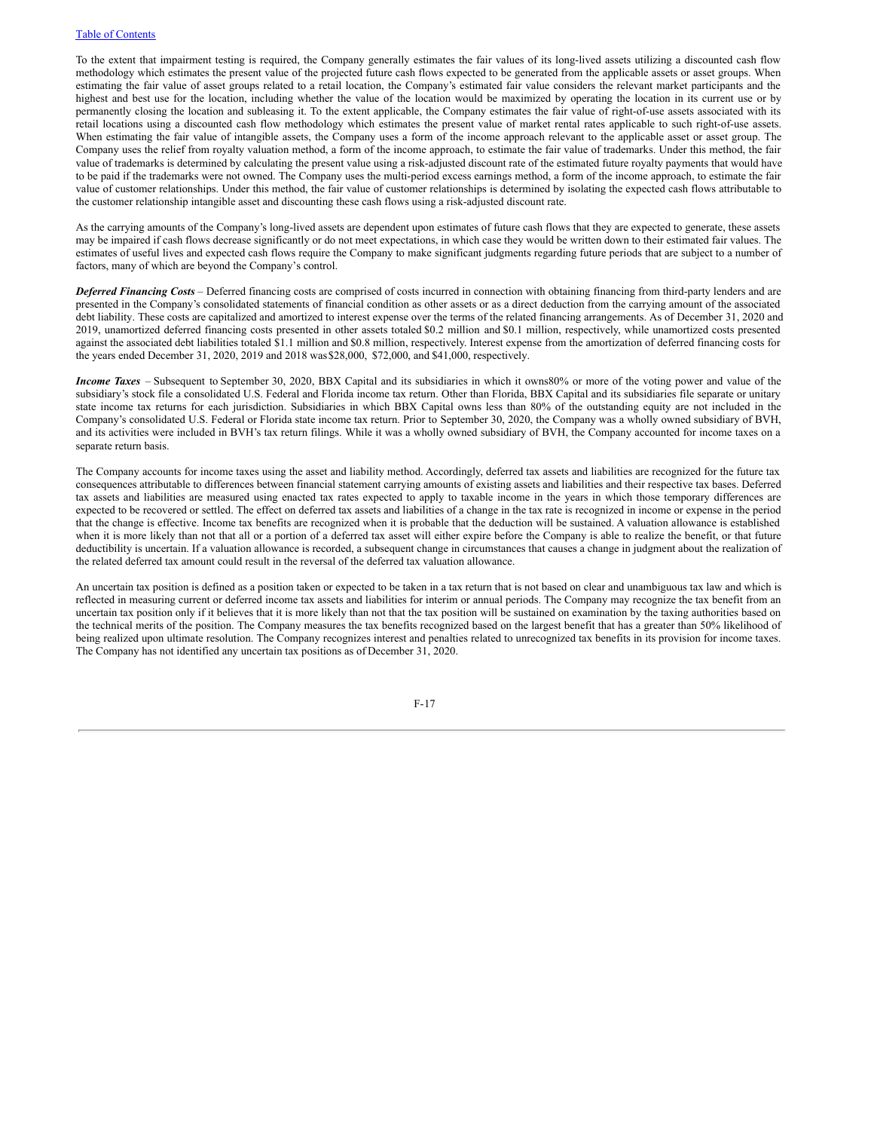To the extent that impairment testing is required, the Company generally estimates the fair values of its long-lived assets utilizing a discounted cash flow methodology which estimates the present value of the projected future cash flows expected to be generated from the applicable assets or asset groups. When estimating the fair value of asset groups related to a retail location, the Company's estimated fair value considers the relevant market participants and the highest and best use for the location, including whether the value of the location would be maximized by operating the location in its current use or by permanently closing the location and subleasing it. To the extent applicable, the Company estimates the fair value of right-of-use assets associated with its retail locations using a discounted cash flow methodology which estimates the present value of market rental rates applicable to such right-of-use assets. When estimating the fair value of intangible assets, the Company uses a form of the income approach relevant to the applicable asset or asset group. The Company uses the relief from royalty valuation method, a form of the income approach, to estimate the fair value of trademarks. Under this method, the fair value of trademarks is determined by calculating the present value using a risk-adjusted discount rate of the estimated future royalty payments that would have to be paid if the trademarks were not owned. The Company uses the multi-period excess earnings method, a form of the income approach, to estimate the fair value of customer relationships. Under this method, the fair value of customer relationships is determined by isolating the expected cash flows attributable to the customer relationship intangible asset and discounting these cash flows using a risk-adjusted discount rate.

As the carrying amounts of the Company's long-lived assets are dependent upon estimates of future cash flows that they are expected to generate, these assets may be impaired if cash flows decrease significantly or do not meet expectations, in which case they would be written down to their estimated fair values. The estimates of useful lives and expected cash flows require the Company to make significant judgments regarding future periods that are subject to a number of factors, many of which are beyond the Company's control.

*Deferred Financing Costs* – Deferred financing costs are comprised of costs incurred in connection with obtaining financing from third-party lenders and are presented in the Company's consolidated statements of financial condition as other assets or as a direct deduction from the carrying amount of the associated debt liability. These costs are capitalized and amortized to interest expense over the terms of the related financing arrangements. As of December 31, 2020 and 2019, unamortized deferred financing costs presented in other assets totaled \$0.2 million and \$0.1 million, respectively, while unamortized costs presented against the associated debt liabilities totaled \$1.1 million and \$0.8 million, respectively. Interest expense from the amortization of deferred financing costs for the years ended December 31, 2020, 2019 and 2018 was\$28,000, \$72,000, and \$41,000, respectively.

*Income Taxes* – Subsequent to September 30, 2020, BBX Capital and its subsidiaries in which it owns80% or more of the voting power and value of the subsidiary's stock file a consolidated U.S. Federal and Florida income tax return. Other than Florida, BBX Capital and its subsidiaries file separate or unitary state income tax returns for each jurisdiction. Subsidiaries in which BBX Capital owns less than 80% of the outstanding equity are not included in the Company's consolidated U.S. Federal or Florida state income tax return. Prior to September 30, 2020, the Company was a wholly owned subsidiary of BVH, and its activities were included in BVH's tax return filings. While it was a wholly owned subsidiary of BVH, the Company accounted for income taxes on a separate return basis.

The Company accounts for income taxes using the asset and liability method. Accordingly, deferred tax assets and liabilities are recognized for the future tax consequences attributable to differences between financial statement carrying amounts of existing assets and liabilities and their respective tax bases. Deferred tax assets and liabilities are measured using enacted tax rates expected to apply to taxable income in the years in which those temporary differences are expected to be recovered or settled. The effect on deferred tax assets and liabilities of a change in the tax rate is recognized in income or expense in the period that the change is effective. Income tax benefits are recognized when it is probable that the deduction will be sustained. A valuation allowance is established when it is more likely than not that all or a portion of a deferred tax asset will either expire before the Company is able to realize the benefit, or that future deductibility is uncertain. If a valuation allowance is recorded, a subsequent change in circumstances that causes a change in judgment about the realization of the related deferred tax amount could result in the reversal of the deferred tax valuation allowance.

An uncertain tax position is defined as a position taken or expected to be taken in a tax return that is not based on clear and unambiguous tax law and which is reflected in measuring current or deferred income tax assets and liabilities for interim or annual periods. The Company may recognize the tax benefit from an uncertain tax position only if it believes that it is more likely than not that the tax position will be sustained on examination by the taxing authorities based on the technical merits of the position. The Company measures the tax benefits recognized based on the largest benefit that has a greater than 50% likelihood of being realized upon ultimate resolution. The Company recognizes interest and penalties related to unrecognized tax benefits in its provision for income taxes. The Company has not identified any uncertain tax positions as of December 31, 2020.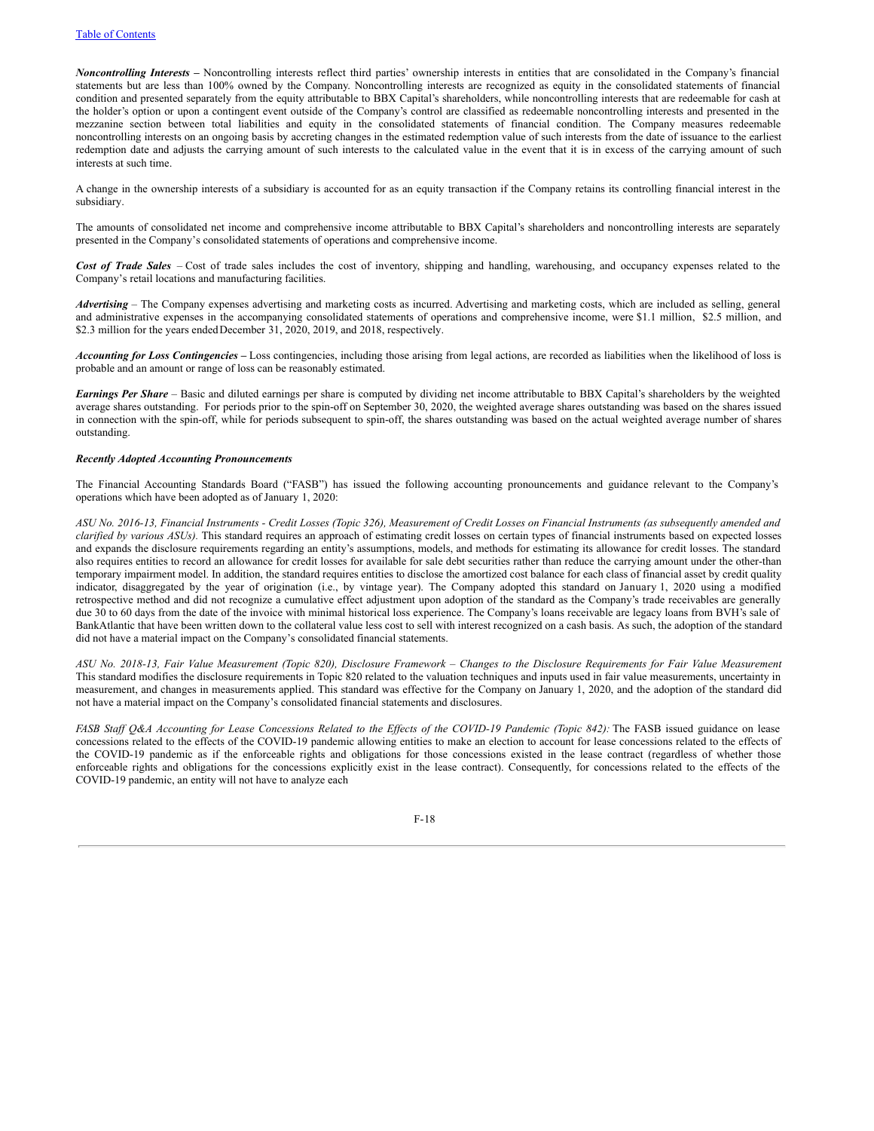*Noncontrolling Interests –* Noncontrolling interests reflect third parties' ownership interests in entities that are consolidated in the Company's financial statements but are less than 100% owned by the Company. Noncontrolling interests are recognized as equity in the consolidated statements of financial condition and presented separately from the equity attributable to BBX Capital's shareholders, while noncontrolling interests that are redeemable for cash at the holder's option or upon a contingent event outside of the Company's control are classified as redeemable noncontrolling interests and presented in the mezzanine section between total liabilities and equity in the consolidated statements of financial condition. The Company measures redeemable noncontrolling interests on an ongoing basis by accreting changes in the estimated redemption value of such interests from the date of issuance to the earliest redemption date and adjusts the carrying amount of such interests to the calculated value in the event that it is in excess of the carrying amount of such interests at such time.

A change in the ownership interests of a subsidiary is accounted for as an equity transaction if the Company retains its controlling financial interest in the subsidiary.

The amounts of consolidated net income and comprehensive income attributable to BBX Capital's shareholders and noncontrolling interests are separately presented in the Company's consolidated statements of operations and comprehensive income.

*Cost of Trade Sales* – Cost of trade sales includes the cost of inventory, shipping and handling, warehousing, and occupancy expenses related to the Company's retail locations and manufacturing facilities.

*Advertising* – The Company expenses advertising and marketing costs as incurred. Advertising and marketing costs, which are included as selling, general and administrative expenses in the accompanying consolidated statements of operations and comprehensive income, were \$1.1 million, \$2.5 million, and \$2.3 million for the years endedDecember 31, 2020, 2019, and 2018, respectively.

*Accounting for Loss Contingencies –* Loss contingencies, including those arising from legal actions, are recorded as liabilities when the likelihood of loss is probable and an amount or range of loss can be reasonably estimated.

*Earnings Per Share* – Basic and diluted earnings per share is computed by dividing net income attributable to BBX Capital's shareholders by the weighted average shares outstanding. For periods prior to the spin-off on September 30, 2020, the weighted average shares outstanding was based on the shares issued in connection with the spin-off, while for periods subsequent to spin-off, the shares outstanding was based on the actual weighted average number of shares outstanding.

#### *Recently Adopted Accounting Pronouncements*

The Financial Accounting Standards Board ("FASB") has issued the following accounting pronouncements and guidance relevant to the Company's operations which have been adopted as of January 1, 2020:

ASU No. 2016-13, Financial Instruments - Credit Losses (Topic 326), Measurement of Credit Losses on Financial Instruments (as subsequently amended and *clarified by various ASUs).* This standard requires an approach of estimating credit losses on certain types of financial instruments based on expected losses and expands the disclosure requirements regarding an entity's assumptions, models, and methods for estimating its allowance for credit losses. The standard also requires entities to record an allowance for credit losses for available for sale debt securities rather than reduce the carrying amount under the other-than temporary impairment model. In addition, the standard requires entities to disclose the amortized cost balance for each class of financial asset by credit quality indicator, disaggregated by the year of origination (i.e., by vintage year). The Company adopted this standard on January 1, 2020 using a modified retrospective method and did not recognize a cumulative effect adjustment upon adoption of the standard as the Company's trade receivables are generally due 30 to 60 days from the date of the invoice with minimal historical loss experience. The Company's loans receivable are legacy loans from BVH's sale of BankAtlantic that have been written down to the collateral value less cost to sell with interest recognized on a cash basis. As such, the adoption of the standard did not have a material impact on the Company's consolidated financial statements.

ASU No. 2018-13, Fair Value Measurement (Topic 820), Disclosure Framework – Changes to the Disclosure Requirements for Fair Value Measurement This standard modifies the disclosure requirements in Topic 820 related to the valuation techniques and inputs used in fair value measurements, uncertainty in measurement, and changes in measurements applied. This standard was effective for the Company on January 1, 2020, and the adoption of the standard did not have a material impact on the Company's consolidated financial statements and disclosures.

FASB Staff Q&A Accounting for Lease Concessions Related to the Effects of the COVID-19 Pandemic (Topic 842): The FASB issued guidance on lease concessions related to the effects of the COVID-19 pandemic allowing entities to make an election to account for lease concessions related to the effects of the COVID-19 pandemic as if the enforceable rights and obligations for those concessions existed in the lease contract (regardless of whether those enforceable rights and obligations for the concessions explicitly exist in the lease contract). Consequently, for concessions related to the effects of the COVID-19 pandemic, an entity will not have to analyze each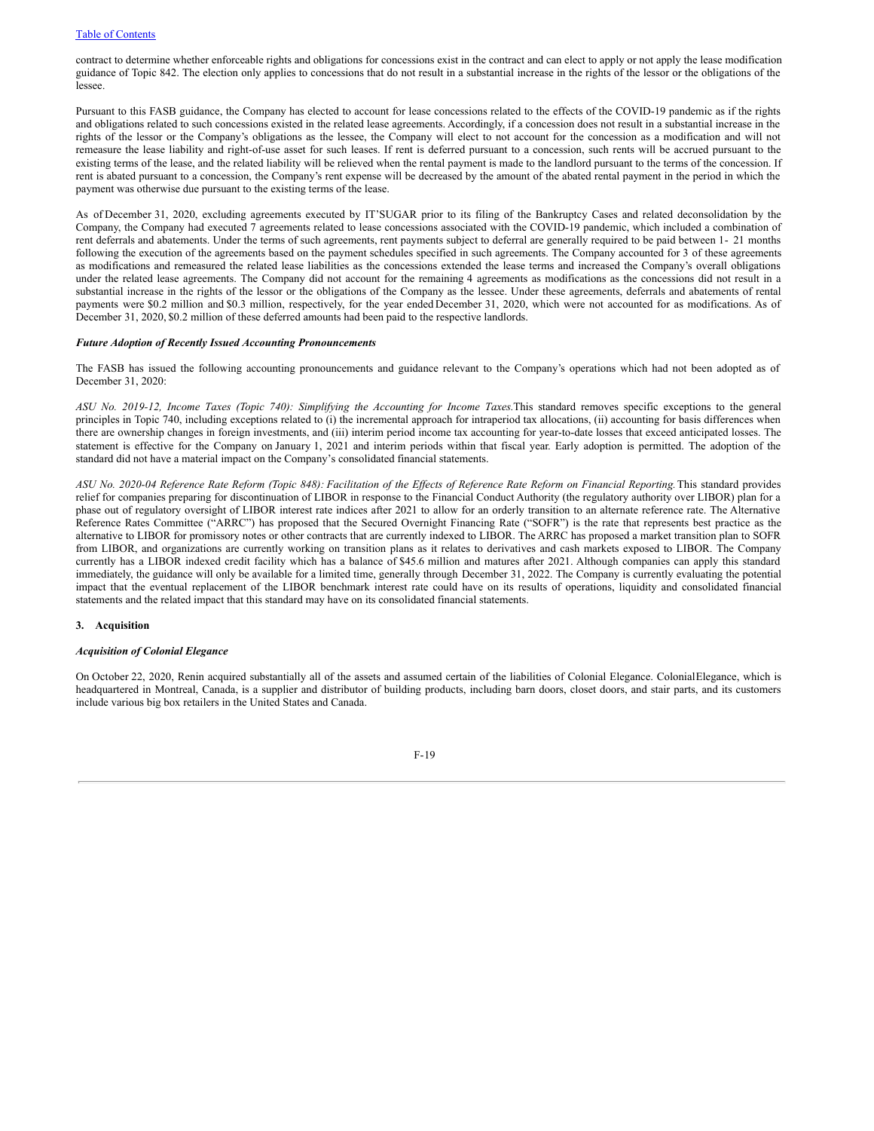contract to determine whether enforceable rights and obligations for concessions exist in the contract and can elect to apply or not apply the lease modification guidance of Topic 842. The election only applies to concessions that do not result in a substantial increase in the rights of the lessor or the obligations of the lessee.

Pursuant to this FASB guidance, the Company has elected to account for lease concessions related to the effects of the COVID-19 pandemic as if the rights and obligations related to such concessions existed in the related lease agreements. Accordingly, if a concession does not result in a substantial increase in the rights of the lessor or the Company's obligations as the lessee, the Company will elect to not account for the concession as a modification and will not remeasure the lease liability and right-of-use asset for such leases. If rent is deferred pursuant to a concession, such rents will be accrued pursuant to the existing terms of the lease, and the related liability will be relieved when the rental payment is made to the landlord pursuant to the terms of the concession. If rent is abated pursuant to a concession, the Company's rent expense will be decreased by the amount of the abated rental payment in the period in which the payment was otherwise due pursuant to the existing terms of the lease.

As of December 31, 2020, excluding agreements executed by IT'SUGAR prior to its filing of the Bankruptcy Cases and related deconsolidation by the Company, the Company had executed 7 agreements related to lease concessions associated with the COVID-19 pandemic, which included a combination of rent deferrals and abatements. Under the terms of such agreements, rent payments subject to deferral are generally required to be paid between 1- 21 months following the execution of the agreements based on the payment schedules specified in such agreements. The Company accounted for 3 of these agreements as modifications and remeasured the related lease liabilities as the concessions extended the lease terms and increased the Company's overall obligations under the related lease agreements. The Company did not account for the remaining 4 agreements as modifications as the concessions did not result in a substantial increase in the rights of the lessor or the obligations of the Company as the lessee. Under these agreements, deferrals and abatements of rental payments were \$0.2 million and \$0.3 million, respectively, for the year ended December 31, 2020, which were not accounted for as modifications. As of December 31, 2020, \$0.2 million of these deferred amounts had been paid to the respective landlords.

### *Future Adoption of Recently Issued Accounting Pronouncements*

The FASB has issued the following accounting pronouncements and guidance relevant to the Company's operations which had not been adopted as of December 31, 2020:

ASU No. 2019-12, Income Taxes (Topic 740): Simplifying the Accounting for Income Taxes. This standard removes specific exceptions to the general principles in Topic 740, including exceptions related to (i) the incremental approach for intraperiod tax allocations, (ii) accounting for basis differences when there are ownership changes in foreign investments, and (iii) interim period income tax accounting for year-to-date losses that exceed anticipated losses. The statement is effective for the Company on January 1, 2021 and interim periods within that fiscal year. Early adoption is permitted. The adoption of the standard did not have a material impact on the Company's consolidated financial statements.

ASU No. 2020-04 Reference Rate Reform (Topic 848): Facilitation of the Effects of Reference Rate Reform on Financial Reporting. This standard provides relief for companies preparing for discontinuation of LIBOR in response to the Financial Conduct Authority (the regulatory authority over LIBOR) plan for a phase out of regulatory oversight of LIBOR interest rate indices after 2021 to allow for an orderly transition to an alternate reference rate. The Alternative Reference Rates Committee ("ARRC") has proposed that the Secured Overnight Financing Rate ("SOFR") is the rate that represents best practice as the alternative to LIBOR for promissory notes or other contracts that are currently indexed to LIBOR. The ARRC has proposed a market transition plan to SOFR from LIBOR, and organizations are currently working on transition plans as it relates to derivatives and cash markets exposed to LIBOR. The Company currently has a LIBOR indexed credit facility which has a balance of \$45.6 million and matures after 2021. Although companies can apply this standard immediately, the guidance will only be available for a limited time, generally through December 31, 2022. The Company is currently evaluating the potential impact that the eventual replacement of the LIBOR benchmark interest rate could have on its results of operations, liquidity and consolidated financial statements and the related impact that this standard may have on its consolidated financial statements.

#### **3. Acquisition**

#### *Acquisition of Colonial Elegance*

On October 22, 2020, Renin acquired substantially all of the assets and assumed certain of the liabilities of Colonial Elegance. ColonialElegance, which is headquartered in Montreal, Canada, is a supplier and distributor of building products, including barn doors, closet doors, and stair parts, and its customers include various big box retailers in the United States and Canada.

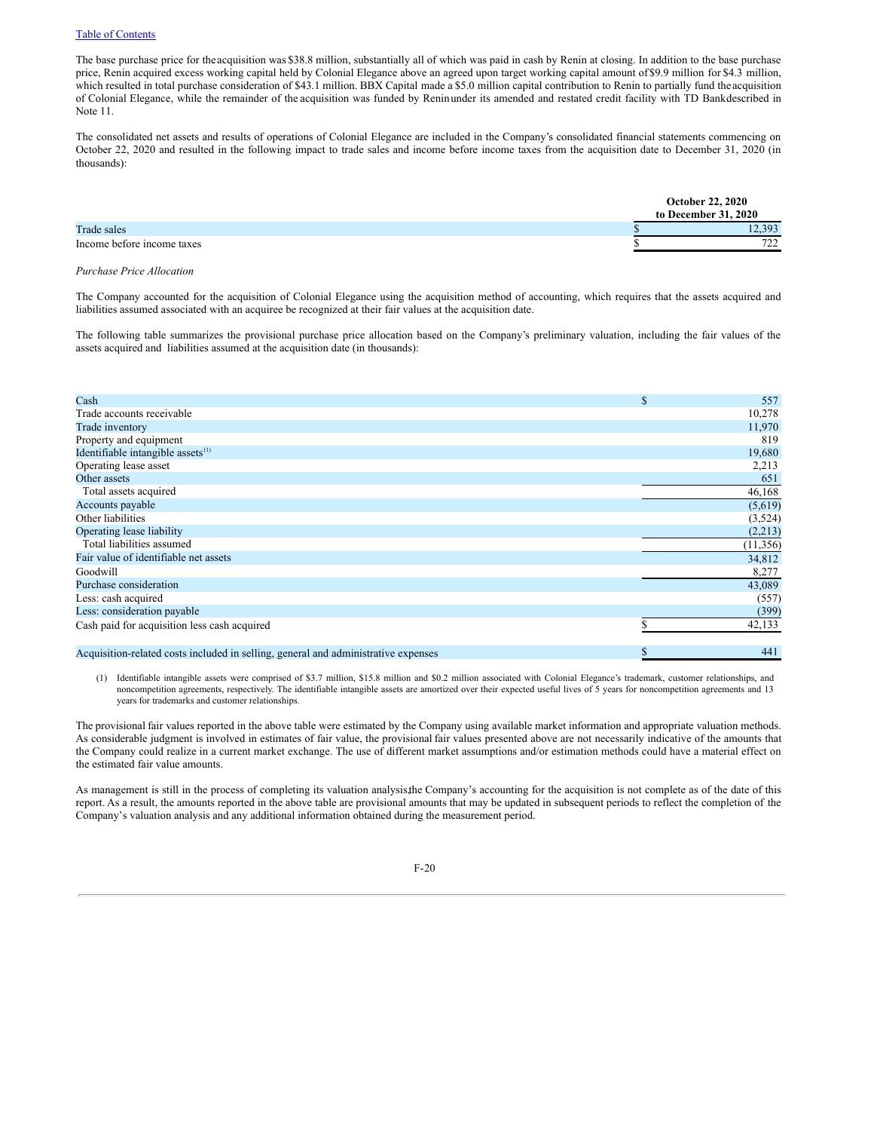The base purchase price for theacquisition was \$38.8 million, substantially all of which was paid in cash by Renin at closing. In addition to the base purchase price, Renin acquired excess working capital held by Colonial Elegance above an agreed upon target working capital amount of \$9.9 million for \$4.3 million, which resulted in total purchase consideration of \$43.1 million. BBX Capital made a \$5.0 million capital contribution to Renin to partially fund the acquisition of Colonial Elegance, while the remainder of the acquisition was funded by Reninunder its amended and restated credit facility with TD Bankdescribed in Note 11.

The consolidated net assets and results of operations of Colonial Elegance are included in the Company's consolidated financial statements commencing on October 22, 2020 and resulted in the following impact to trade sales and income before income taxes from the acquisition date to December 31, 2020 (in thousands):

|                            | <b>October 22, 2020</b><br>to December 31, 2020 |
|----------------------------|-------------------------------------------------|
| Trade sales                | 12.393                                          |
| Income before income taxes | ררד<br>ے ت                                      |

#### *Purchase Price Allocation*

The Company accounted for the acquisition of Colonial Elegance using the acquisition method of accounting, which requires that the assets acquired and liabilities assumed associated with an acquiree be recognized at their fair values at the acquisition date.

The following table summarizes the provisional purchase price allocation based on the Company's preliminary valuation, including the fair values of the assets acquired and liabilities assumed at the acquisition date (in thousands):

| Cash                                                                               | S | 557       |
|------------------------------------------------------------------------------------|---|-----------|
| Trade accounts receivable                                                          |   | 10,278    |
| Trade inventory                                                                    |   | 11,970    |
| Property and equipment                                                             |   | 819       |
| Identifiable intangible assets <sup>(1)</sup>                                      |   | 19,680    |
| Operating lease asset                                                              |   | 2,213     |
| Other assets                                                                       |   | 651       |
| Total assets acquired                                                              |   | 46,168    |
| Accounts payable                                                                   |   | (5,619)   |
| Other liabilities                                                                  |   | (3,524)   |
| Operating lease liability                                                          |   | (2,213)   |
| Total liabilities assumed                                                          |   | (11, 356) |
| Fair value of identifiable net assets                                              |   | 34,812    |
| Goodwill                                                                           |   | 8,277     |
| Purchase consideration                                                             |   | 43,089    |
| Less: cash acquired                                                                |   | (557)     |
| Less: consideration payable                                                        |   | (399)     |
| Cash paid for acquisition less cash acquired                                       |   | 42,133    |
| Acquisition-related costs included in selling, general and administrative expenses |   | 441       |

(1) Identifiable intangible assets were comprised of \$3.7 million, \$15.8 million and \$0.2 million associated with Colonial Elegance's trademark, customer relationships, and noncompetition agreements, respectively. The identifiable intangible assets are amortized over their expected useful lives of 5 years for noncompetition agreements and 13 years for trademarks and customer relationships.

The provisional fair values reported in the above table were estimated by the Company using available market information and appropriate valuation methods. As considerable judgment is involved in estimates of fair value, the provisional fair values presented above are not necessarily indicative of the amounts that the Company could realize in a current market exchange. The use of different market assumptions and/or estimation methods could have a material effect on the estimated fair value amounts.

As management is still in the process of completing its valuation analysis,the Company's accounting for the acquisition is not complete as of the date of this report. As a result, the amounts reported in the above table are provisional amounts that may be updated in subsequent periods to reflect the completion of the Company's valuation analysis and any additional information obtained during the measurement period.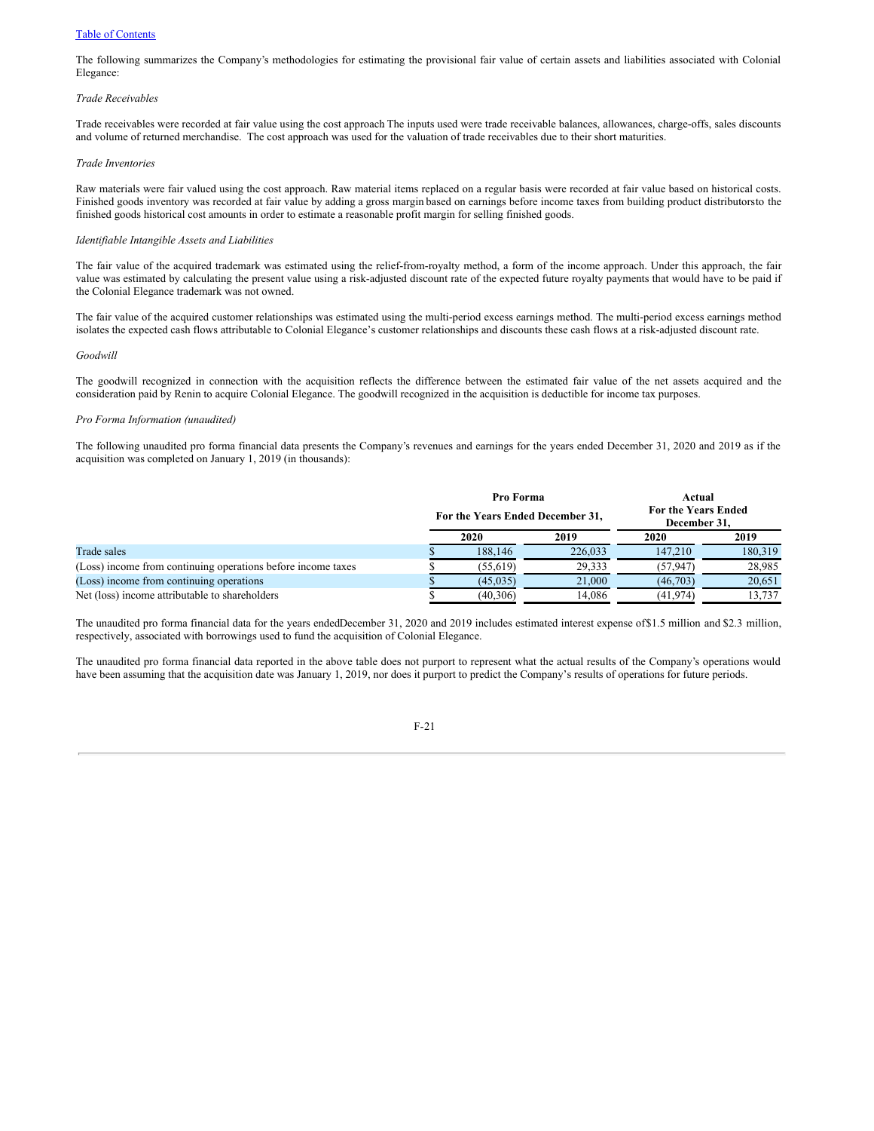The following summarizes the Company's methodologies for estimating the provisional fair value of certain assets and liabilities associated with Colonial Elegance:

# *Trade Receivables*

Trade receivables were recorded at fair value using the cost approach The inputs used were trade receivable balances, allowances, charge-offs, sales discounts and volume of returned merchandise. The cost approach was used for the valuation of trade receivables due to their short maturities.

# *Trade Inventories*

Raw materials were fair valued using the cost approach. Raw material items replaced on a regular basis were recorded at fair value based on historical costs. Finished goods inventory was recorded at fair value by adding a gross margin based on earnings before income taxes from building product distributorsto the finished goods historical cost amounts in order to estimate a reasonable profit margin for selling finished goods.

#### *Identifiable Intangible Assets and Liabilities*

The fair value of the acquired trademark was estimated using the relief-from-royalty method, a form of the income approach. Under this approach, the fair value was estimated by calculating the present value using a risk-adjusted discount rate of the expected future royalty payments that would have to be paid if the Colonial Elegance trademark was not owned.

The fair value of the acquired customer relationships was estimated using the multi-period excess earnings method. The multi-period excess earnings method isolates the expected cash flows attributable to Colonial Elegance's customer relationships and discounts these cash flows at a risk-adjusted discount rate.

#### *Goodwill*

The goodwill recognized in connection with the acquisition reflects the difference between the estimated fair value of the net assets acquired and the consideration paid by Renin to acquire Colonial Elegance. The goodwill recognized in the acquisition is deductible for income tax purposes.

#### *Pro Forma Information (unaudited)*

The following unaudited pro forma financial data presents the Company's revenues and earnings for the years ended December 31, 2020 and 2019 as if the acquisition was completed on January 1, 2019 (in thousands):

|                                                              | Pro Forma                        |         | Actual<br><b>For the Years Ended</b><br>December 31. |         |  |
|--------------------------------------------------------------|----------------------------------|---------|------------------------------------------------------|---------|--|
|                                                              | For the Years Ended December 31, |         |                                                      |         |  |
|                                                              | 2020                             | 2019    | 2020                                                 | 2019    |  |
| Trade sales                                                  | 188.146                          | 226,033 | 147,210                                              | 180,319 |  |
| (Loss) income from continuing operations before income taxes | (55, 619)                        | 29.333  | (57.947)                                             | 28,985  |  |
| (Loss) income from continuing operations                     | (45,035)                         | 21,000  | (46,703)                                             | 20,651  |  |
| Net (loss) income attributable to shareholders               | (40,306)                         | 14.086  | (41, 974)                                            | 13.737  |  |

The unaudited pro forma financial data for the years endedDecember 31, 2020 and 2019 includes estimated interest expense of\$1.5 million and \$2.3 million, respectively, associated with borrowings used to fund the acquisition of Colonial Elegance.

The unaudited pro forma financial data reported in the above table does not purport to represent what the actual results of the Company's operations would have been assuming that the acquisition date was January 1, 2019, nor does it purport to predict the Company's results of operations for future periods.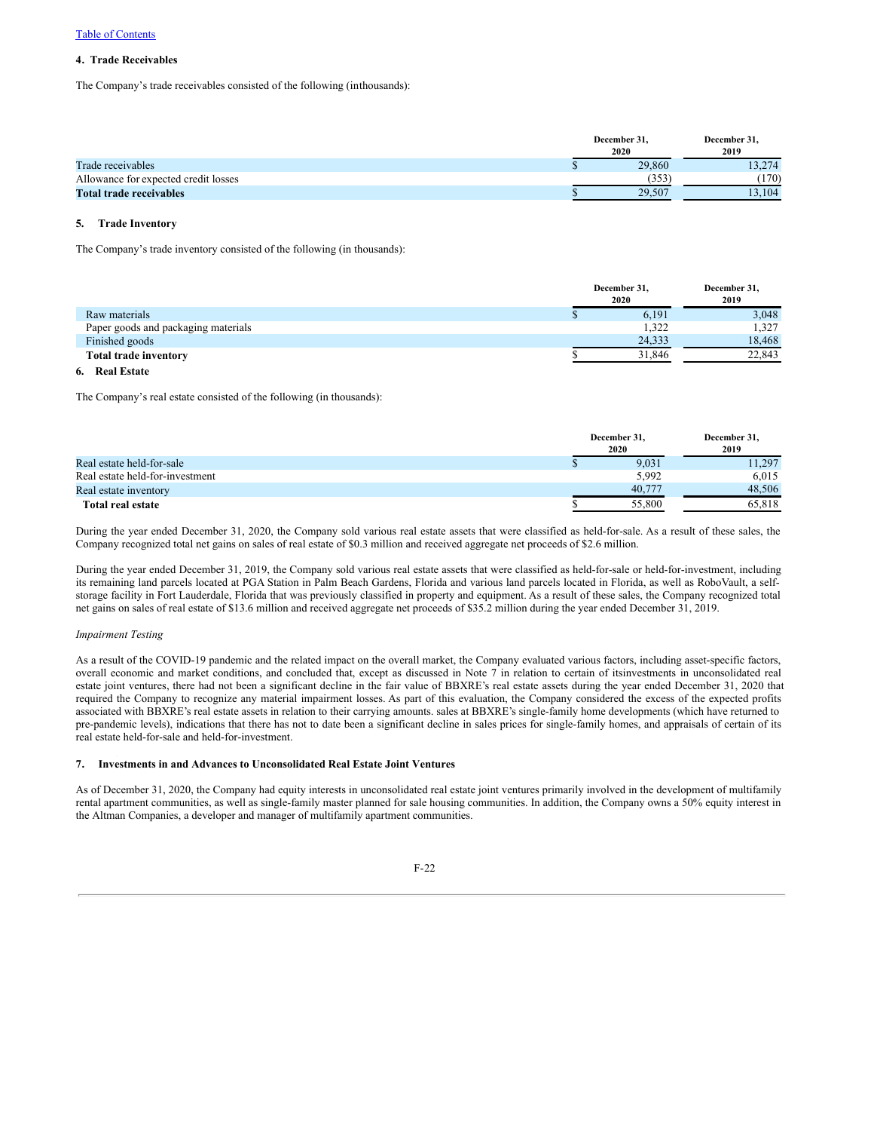# **4. Trade Receivables**

The Company's trade receivables consisted of the following (inthousands):

|                                      | December 31. | December 31. |  |
|--------------------------------------|--------------|--------------|--|
|                                      | 2020         | 2019         |  |
| Trade receivables                    | 29.860       | 13.274       |  |
| Allowance for expected credit losses | 353'         | (170)        |  |
| <b>Total trade receivables</b>       | 29.507       | 13.104       |  |

# **5. Trade Inventory**

The Company's trade inventory consisted of the following (in thousands):

|                                     | December 31,<br>2020 | December 31,<br>2019 |
|-------------------------------------|----------------------|----------------------|
| Raw materials                       | 6,191                | 3,048                |
| Paper goods and packaging materials | 1,322                | 1,327                |
| Finished goods                      | 24,333               | 18.468               |
| <b>Total trade inventory</b>        | 31.846               | 22.843               |

**6. Real Estate**

The Company's real estate consisted of the following (in thousands):

| Real estate held-for-sale       |  | December 31,<br>2020 | December 31,<br>2019 |
|---------------------------------|--|----------------------|----------------------|
|                                 |  | 9,031                | 11.297               |
| Real estate held-for-investment |  | 5.992                | 6.015                |
| Real estate inventory           |  | 40,777               | 48.506               |
| Total real estate               |  | 55,800               | 65.818               |

During the year ended December 31, 2020, the Company sold various real estate assets that were classified as held-for-sale. As a result of these sales, the Company recognized total net gains on sales of real estate of \$0.3 million and received aggregate net proceeds of \$2.6 million.

During the year ended December 31, 2019, the Company sold various real estate assets that were classified as held-for-sale or held-for-investment, including its remaining land parcels located at PGA Station in Palm Beach Gardens, Florida and various land parcels located in Florida, as well as RoboVault, a selfstorage facility in Fort Lauderdale, Florida that was previously classified in property and equipment. As a result of these sales, the Company recognized total net gains on sales of real estate of \$13.6 million and received aggregate net proceeds of \$35.2 million during the year ended December 31, 2019.

# *Impairment Testing*

As a result of the COVID-19 pandemic and the related impact on the overall market, the Company evaluated various factors, including asset-specific factors, overall economic and market conditions, and concluded that, except as discussed in Note 7 in relation to certain of itsinvestments in unconsolidated real estate joint ventures, there had not been a significant decline in the fair value of BBXRE's real estate assets during the year ended December 31, 2020 that required the Company to recognize any material impairment losses. As part of this evaluation, the Company considered the excess of the expected profits associated with BBXRE's real estate assets in relation to their carrying amounts. sales at BBXRE's single-family home developments (which have returned to pre-pandemic levels), indications that there has not to date been a significant decline in sales prices for single-family homes, and appraisals of certain of its real estate held-for-sale and held-for-investment.

# **7. Investments in and Advances to Unconsolidated Real Estate Joint Ventures**

As of December 31, 2020, the Company had equity interests in unconsolidated real estate joint ventures primarily involved in the development of multifamily rental apartment communities, as well as single-family master planned for sale housing communities. In addition, the Company owns a 50% equity interest in the Altman Companies, a developer and manager of multifamily apartment communities.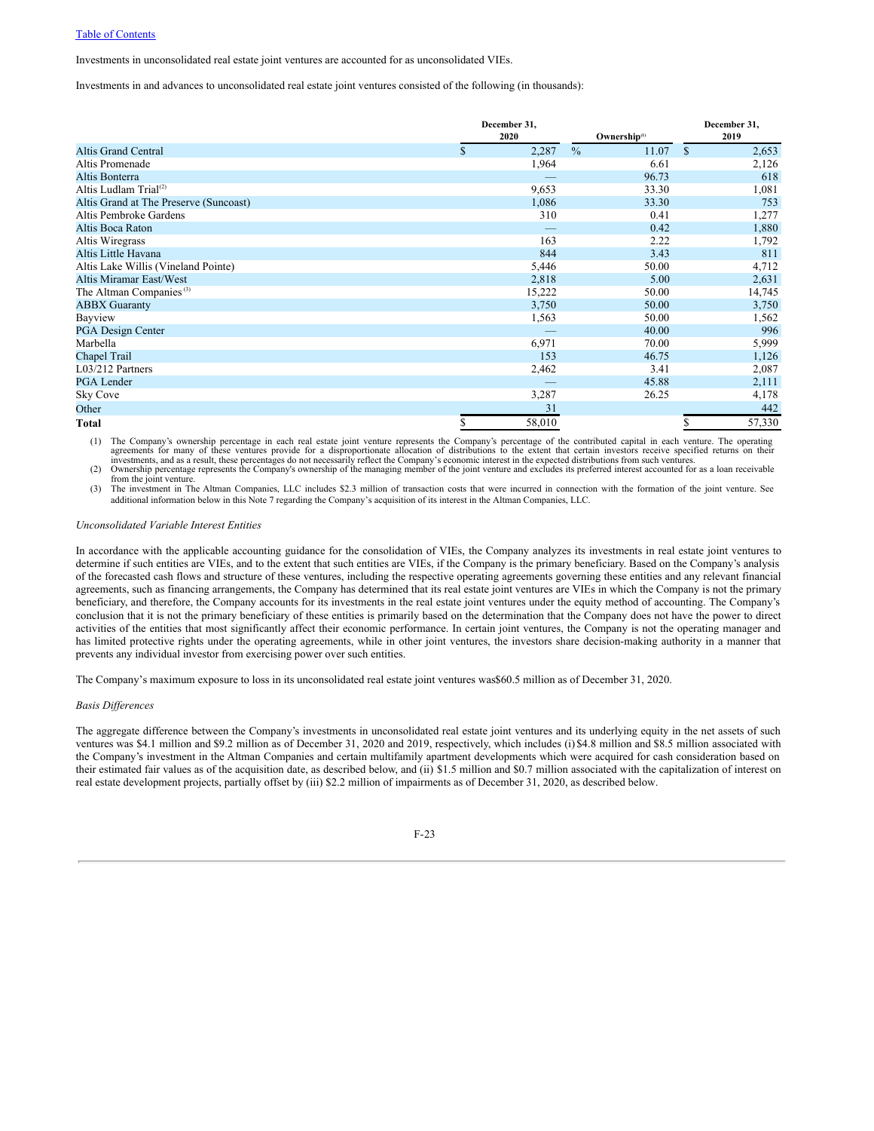Investments in unconsolidated real estate joint ventures are accounted for as unconsolidated VIEs.

Investments in and advances to unconsolidated real estate joint ventures consisted of the following (in thousands):

|                                        |              | December 31, |                          |               | December 31, |  |
|----------------------------------------|--------------|--------------|--------------------------|---------------|--------------|--|
|                                        |              | 2020         | Ownership <sup>(1)</sup> |               | 2019         |  |
| <b>Altis Grand Central</b>             | $\mathbb{S}$ | 2,287        | $\frac{0}{0}$<br>11.07   | $\mathcal{S}$ | 2,653        |  |
| Altis Promenade                        |              | 1,964        | 6.61                     |               | 2,126        |  |
| Altis Bonterra                         |              |              | 96.73                    |               | 618          |  |
| Altis Ludlam Trial <sup>(2)</sup>      |              | 9,653        | 33.30                    |               | 1,081        |  |
| Altis Grand at The Preserve (Suncoast) |              | 1,086        | 33.30                    |               | 753          |  |
| Altis Pembroke Gardens                 |              | 310          | 0.41                     |               | 1,277        |  |
| Altis Boca Raton                       |              | –            | 0.42                     |               | 1,880        |  |
| Altis Wiregrass                        |              | 163          | 2.22                     |               | 1,792        |  |
| Altis Little Havana                    |              | 844          | 3.43                     |               | 811          |  |
| Altis Lake Willis (Vineland Pointe)    |              | 5,446        | 50.00                    |               | 4,712        |  |
| Altis Miramar East/West                |              | 2,818        | 5.00                     |               | 2,631        |  |
| The Altman Companies <sup>(3)</sup>    |              | 15,222       | 50.00                    |               | 14,745       |  |
| <b>ABBX Guaranty</b>                   |              | 3,750        | 50.00                    |               | 3,750        |  |
| Bayview                                |              | 1,563        | 50.00                    |               | 1,562        |  |
| PGA Design Center                      |              |              | 40.00                    |               | 996          |  |
| Marbella                               |              | 6,971        | 70.00                    |               | 5,999        |  |
| Chapel Trail                           |              | 153          | 46.75                    |               | 1,126        |  |
| L03/212 Partners                       |              | 2,462        | 3.41                     |               | 2,087        |  |
| <b>PGA</b> Lender                      |              |              | 45.88                    |               | 2,111        |  |
| Sky Cove                               |              | 3,287        | 26.25                    |               | 4,178        |  |
| Other                                  |              | 31           |                          |               | 442          |  |
| Total                                  |              | 58,010       |                          |               | 57,330       |  |

(1) The Company's ownership percentage in each real estate joint venture represents the Company's percentage of the contributed capital in each venture. The operating agreements for many of these ventures provide for a disproportionate allocation of distributions to the extent that certain investors receive specified returns on their<br>investments, and as a result, these percentages do no (2) Ownership percentage represents the Company's ownership of the managing member of the joint venture and excludes its preferred interest accounted for as a loan receivable

from the joint venture.

(3) The investment in The Altman Companies, LLC includes \$2.3 million of transaction costs that were incurred in connection with the formation of the joint venture. See additional information below in this Note 7 regarding the Company's acquisition of its interest in the Altman Companies, LLC.

*Unconsolidated Variable Interest Entities*

In accordance with the applicable accounting guidance for the consolidation of VIEs, the Company analyzes its investments in real estate joint ventures to determine if such entities are VIEs, and to the extent that such entities are VIEs, if the Company is the primary beneficiary. Based on the Company's analysis of the forecasted cash flows and structure of these ventures, including the respective operating agreements governing these entities and any relevant financial agreements, such as financing arrangements, the Company has determined that its real estate joint ventures are VIEs in which the Company is not the primary beneficiary, and therefore, the Company accounts for its investments in the real estate joint ventures under the equity method of accounting. The Company's conclusion that it is not the primary beneficiary of these entities is primarily based on the determination that the Company does not have the power to direct activities of the entities that most significantly affect their economic performance. In certain joint ventures, the Company is not the operating manager and has limited protective rights under the operating agreements, while in other joint ventures, the investors share decision-making authority in a manner that prevents any individual investor from exercising power over such entities.

The Company's maximum exposure to loss in its unconsolidated real estate joint ventures was\$60.5 million as of December 31, 2020.

### *Basis Dif erences*

The aggregate difference between the Company's investments in unconsolidated real estate joint ventures and its underlying equity in the net assets of such ventures was \$4.1 million and \$9.2 million as of December 31, 2020 and 2019, respectively, which includes (i) \$4.8 million and \$8.5 million associated with the Company's investment in the Altman Companies and certain multifamily apartment developments which were acquired for cash consideration based on their estimated fair values as of the acquisition date, as described below, and (ii) \$1.5 million and \$0.7 million associated with the capitalization of interest on real estate development projects, partially offset by (iii) \$2.2 million of impairments as of December 31, 2020, as described below.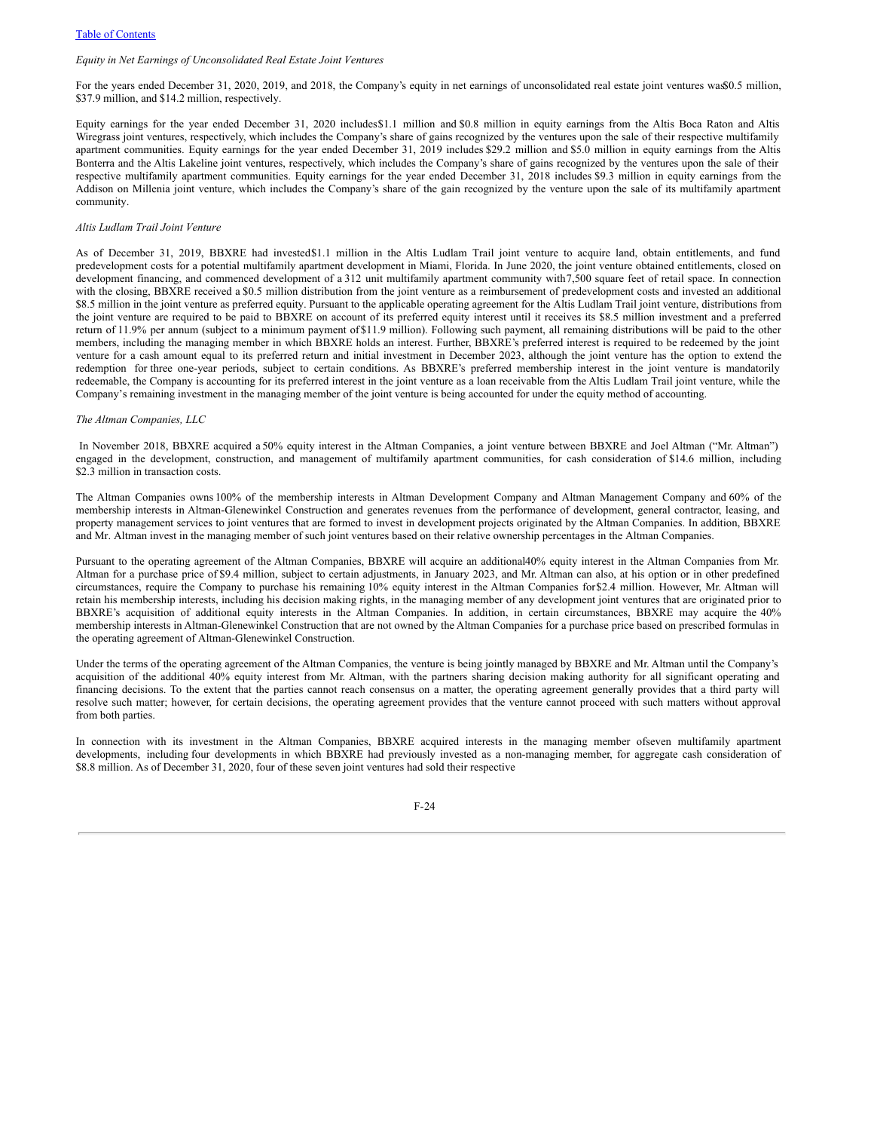# *Equity in Net Earnings of Unconsolidated Real Estate Joint Ventures*

For the years ended December 31, 2020, 2019, and 2018, the Company's equity in net earnings of unconsolidated real estate joint ventures was\$0.5 million, \$37.9 million, and \$14.2 million, respectively.

Equity earnings for the year ended December 31, 2020 includes\$1.1 million and \$0.8 million in equity earnings from the Altis Boca Raton and Altis Wiregrass joint ventures, respectively, which includes the Company's share of gains recognized by the ventures upon the sale of their respective multifamily apartment communities. Equity earnings for the year ended December 31, 2019 includes \$29.2 million and \$5.0 million in equity earnings from the Altis Bonterra and the Altis Lakeline joint ventures, respectively, which includes the Company's share of gains recognized by the ventures upon the sale of their respective multifamily apartment communities. Equity earnings for the year ended December 31, 2018 includes \$9.3 million in equity earnings from the Addison on Millenia joint venture, which includes the Company's share of the gain recognized by the venture upon the sale of its multifamily apartment community.

## *Altis Ludlam Trail Joint Venture*

As of December 31, 2019, BBXRE had invested\$1.1 million in the Altis Ludlam Trail joint venture to acquire land, obtain entitlements, and fund predevelopment costs for a potential multifamily apartment development in Miami, Florida. In June 2020, the joint venture obtained entitlements, closed on development financing, and commenced development of a 312 unit multifamily apartment community with7,500 square feet of retail space. In connection with the closing, BBXRE received a \$0.5 million distribution from the joint venture as a reimbursement of predevelopment costs and invested an additional \$8.5 million in the joint venture as preferred equity. Pursuant to the applicable operating agreement for the Altis Ludlam Trail joint venture, distributions from the joint venture are required to be paid to BBXRE on account of its preferred equity interest until it receives its \$8.5 million investment and a preferred return of 11.9% per annum (subject to a minimum payment of \$11.9 million). Following such payment, all remaining distributions will be paid to the other members, including the managing member in which BBXRE holds an interest. Further, BBXRE's preferred interest is required to be redeemed by the joint venture for a cash amount equal to its preferred return and initial investment in December 2023, although the joint venture has the option to extend the redemption for three one-year periods, subject to certain conditions. As BBXRE's preferred membership interest in the joint venture is mandatorily redeemable, the Company is accounting for its preferred interest in the joint venture as a loan receivable from the Altis Ludlam Trail joint venture, while the Company's remaining investment in the managing member of the joint venture is being accounted for under the equity method of accounting.

#### *The Altman Companies, LLC*

In November 2018, BBXRE acquired a 50% equity interest in the Altman Companies, a joint venture between BBXRE and Joel Altman ("Mr. Altman") engaged in the development, construction, and management of multifamily apartment communities, for cash consideration of \$14.6 million, including \$2.3 million in transaction costs.

The Altman Companies owns 100% of the membership interests in Altman Development Company and Altman Management Company and 60% of the membership interests in Altman-Glenewinkel Construction and generates revenues from the performance of development, general contractor, leasing, and property management services to joint ventures that are formed to invest in development projects originated by the Altman Companies. In addition, BBXRE and Mr. Altman invest in the managing member of such joint ventures based on their relative ownership percentages in the Altman Companies.

Pursuant to the operating agreement of the Altman Companies, BBXRE will acquire an additional40% equity interest in the Altman Companies from Mr. Altman for a purchase price of \$9.4 million, subject to certain adjustments, in January 2023, and Mr. Altman can also, at his option or in other predefined circumstances, require the Company to purchase his remaining 10% equity interest in the Altman Companies for\$2.4 million. However, Mr. Altman will retain his membership interests, including his decision making rights, in the managing member of any development joint ventures that are originated prior to BBXRE's acquisition of additional equity interests in the Altman Companies. In addition, in certain circumstances, BBXRE may acquire the 40% membership interests in Altman-Glenewinkel Construction that are not owned by the Altman Companies for a purchase price based on prescribed formulas in the operating agreement of Altman-Glenewinkel Construction.

Under the terms of the operating agreement of the Altman Companies, the venture is being jointly managed by BBXRE and Mr. Altman until the Company's acquisition of the additional 40% equity interest from Mr. Altman, with the partners sharing decision making authority for all significant operating and financing decisions. To the extent that the parties cannot reach consensus on a matter, the operating agreement generally provides that a third party will resolve such matter; however, for certain decisions, the operating agreement provides that the venture cannot proceed with such matters without approval from both parties.

In connection with its investment in the Altman Companies, BBXRE acquired interests in the managing member ofseven multifamily apartment developments, including four developments in which BBXRE had previously invested as a non-managing member, for aggregate cash consideration of \$8.8 million. As of December 31, 2020, four of these seven joint ventures had sold their respective

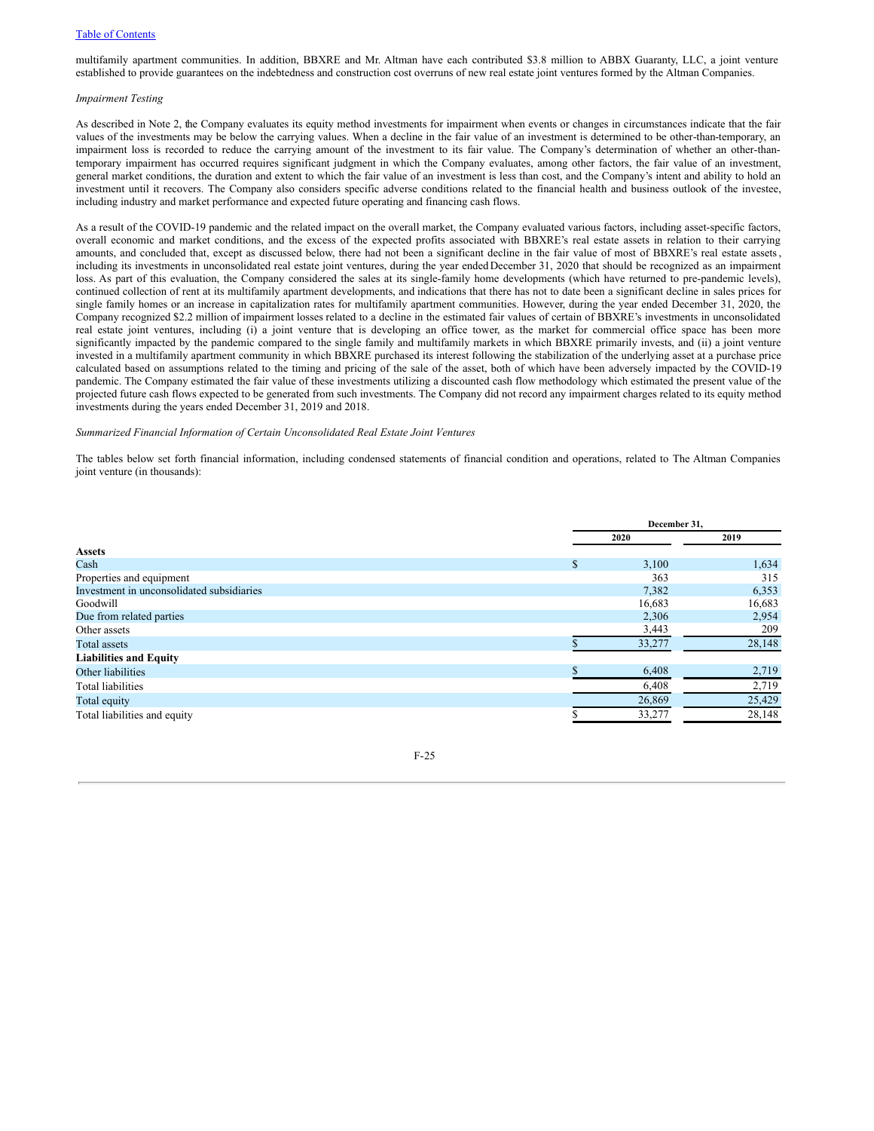multifamily apartment communities. In addition, BBXRE and Mr. Altman have each contributed \$3.8 million to ABBX Guaranty, LLC, a joint venture established to provide guarantees on the indebtedness and construction cost overruns of new real estate joint ventures formed by the Altman Companies.

#### *Impairment Testing*

As described in Note 2, the Company evaluates its equity method investments for impairment when events or changes in circumstances indicate that the fair values of the investments may be below the carrying values. When a decline in the fair value of an investment is determined to be other-than-temporary, an impairment loss is recorded to reduce the carrying amount of the investment to its fair value. The Company's determination of whether an other-thantemporary impairment has occurred requires significant judgment in which the Company evaluates, among other factors, the fair value of an investment, general market conditions, the duration and extent to which the fair value of an investment is less than cost, and the Company's intent and ability to hold an investment until it recovers. The Company also considers specific adverse conditions related to the financial health and business outlook of the investee, including industry and market performance and expected future operating and financing cash flows.

As a result of the COVID-19 pandemic and the related impact on the overall market, the Company evaluated various factors, including asset-specific factors, overall economic and market conditions, and the excess of the expected profits associated with BBXRE's real estate assets in relation to their carrying amounts, and concluded that, except as discussed below, there had not been a significant decline in the fair value of most of BBXRE's real estate assets, including its investments in unconsolidated real estate joint ventures, during the year endedDecember 31, 2020 that should be recognized as an impairment loss. As part of this evaluation, the Company considered the sales at its single-family home developments (which have returned to pre-pandemic levels), continued collection of rent at its multifamily apartment developments, and indications that there has not to date been a significant decline in sales prices for single family homes or an increase in capitalization rates for multifamily apartment communities. However, during the year ended December 31, 2020, the Company recognized \$2.2 million of impairment losses related to a decline in the estimated fair values of certain of BBXRE's investments in unconsolidated real estate joint ventures, including (i) a joint venture that is developing an office tower, as the market for commercial office space has been more significantly impacted by the pandemic compared to the single family and multifamily markets in which BBXRE primarily invests, and (ii) a joint venture invested in a multifamily apartment community in which BBXRE purchased its interest following the stabilization of the underlying asset at a purchase price calculated based on assumptions related to the timing and pricing of the sale of the asset, both of which have been adversely impacted by the COVID-19 pandemic. The Company estimated the fair value of these investments utilizing a discounted cash flow methodology which estimated the present value of the projected future cash flows expected to be generated from such investments. The Company did not record any impairment charges related to its equity method investments during the years ended December 31, 2019 and 2018.

# *Summarized Financial Information of Certain Unconsolidated Real Estate Joint Ventures*

The tables below set forth financial information, including condensed statements of financial condition and operations, related to The Altman Companies joint venture (in thousands):

|                                           | December 31. |        |  |
|-------------------------------------------|--------------|--------|--|
|                                           | 2020         |        |  |
| <b>Assets</b>                             |              |        |  |
| Cash                                      | \$<br>3,100  | 1,634  |  |
| Properties and equipment                  | 363          | 315    |  |
| Investment in unconsolidated subsidiaries | 7,382        | 6,353  |  |
| Goodwill                                  | 16,683       | 16,683 |  |
| Due from related parties                  | 2,306        | 2,954  |  |
| Other assets                              | 3,443        | 209    |  |
| Total assets                              | 33,277       | 28,148 |  |
| <b>Liabilities and Equity</b>             |              |        |  |
| Other liabilities                         | 6,408        | 2,719  |  |
| Total liabilities                         | 6,408        | 2,719  |  |
| Total equity                              | 26,869       | 25,429 |  |
| Total liabilities and equity              | 33,277       | 28,148 |  |

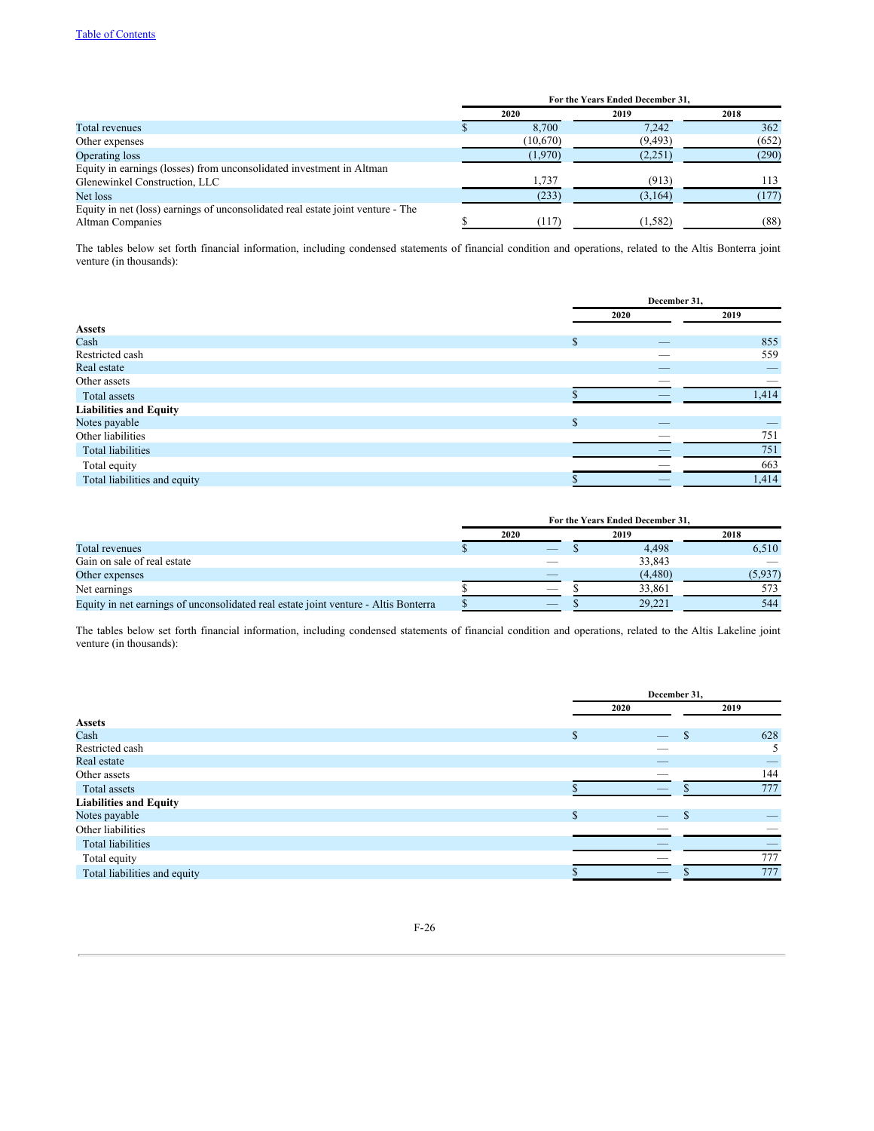|                                                                                 | For the Years Ended December 31, |             |          |       |  |
|---------------------------------------------------------------------------------|----------------------------------|-------------|----------|-------|--|
|                                                                                 |                                  | <b>2020</b> | 2019     | 2018  |  |
| Total revenues                                                                  |                                  | 8.700       | 7.242    | 362   |  |
| Other expenses                                                                  |                                  | (10,670)    | (9, 493) | (652) |  |
| Operating loss                                                                  |                                  | (1,970)     | (2,251)  | (290) |  |
| Equity in earnings (losses) from unconsolidated investment in Altman            |                                  |             |          |       |  |
| Glenewinkel Construction, LLC                                                   |                                  | 1,737       | (913)    | 113   |  |
| Net loss                                                                        |                                  | (233)       | (3,164)  | (177) |  |
| Equity in net (loss) earnings of unconsolidated real estate joint venture - The |                                  |             |          |       |  |
| Altman Companies                                                                |                                  | (117)       | (1, 582) | (88)  |  |

The tables below set forth financial information, including condensed statements of financial condition and operations, related to the Altis Bonterra joint venture (in thousands):

|                               |               | December 31, |       |  |  |
|-------------------------------|---------------|--------------|-------|--|--|
|                               | 2020          |              | 2019  |  |  |
| <b>Assets</b>                 |               |              |       |  |  |
| Cash                          | <sup>\$</sup> |              | 855   |  |  |
| Restricted cash               |               |              | 559   |  |  |
| Real estate                   |               | _            |       |  |  |
| Other assets                  |               |              |       |  |  |
| Total assets                  |               |              | 1,414 |  |  |
| <b>Liabilities and Equity</b> |               |              |       |  |  |
| Notes payable                 | \$            |              |       |  |  |
| Other liabilities             |               |              | 751   |  |  |
| <b>Total liabilities</b>      |               |              | 751   |  |  |
| Total equity                  |               |              | 663   |  |  |
| Total liabilities and equity  |               |              | 1,414 |  |  |

|                                                                                     | For the Years Ended December 31. |      |  |         |         |
|-------------------------------------------------------------------------------------|----------------------------------|------|--|---------|---------|
|                                                                                     |                                  | 2020 |  | 2019    | 2018    |
| Total revenues                                                                      |                                  |      |  | 4.498   | 6,510   |
| Gain on sale of real estate                                                         |                                  |      |  | 33,843  |         |
| Other expenses                                                                      |                                  |      |  | (4,480) | (5,937) |
| Net earnings                                                                        |                                  | --   |  | 33.861  |         |
| Equity in net earnings of unconsolidated real estate joint venture - Altis Bonterra |                                  | _    |  | 29.221  | 544     |

The tables below set forth financial information, including condensed statements of financial condition and operations, related to the Altis Lakeline joint venture (in thousands):

|                               |               | December 31,            |      |  |
|-------------------------------|---------------|-------------------------|------|--|
|                               |               | 2020                    | 2019 |  |
| <b>Assets</b>                 |               |                         |      |  |
| Cash                          | $\mathbb{S}$  | \$<br>$\qquad \qquad -$ | 628  |  |
| Restricted cash               |               |                         |      |  |
| Real estate                   |               | _                       | _    |  |
| Other assets                  |               | __                      | 144  |  |
| Total assets                  |               |                         | 777  |  |
| <b>Liabilities and Equity</b> |               |                         |      |  |
| Notes payable                 | <sup>\$</sup> | \$<br>$-$               | _    |  |
| Other liabilities             |               |                         |      |  |
| Total liabilities             |               |                         |      |  |
| Total equity                  |               |                         | 777  |  |
| Total liabilities and equity  |               |                         | 777  |  |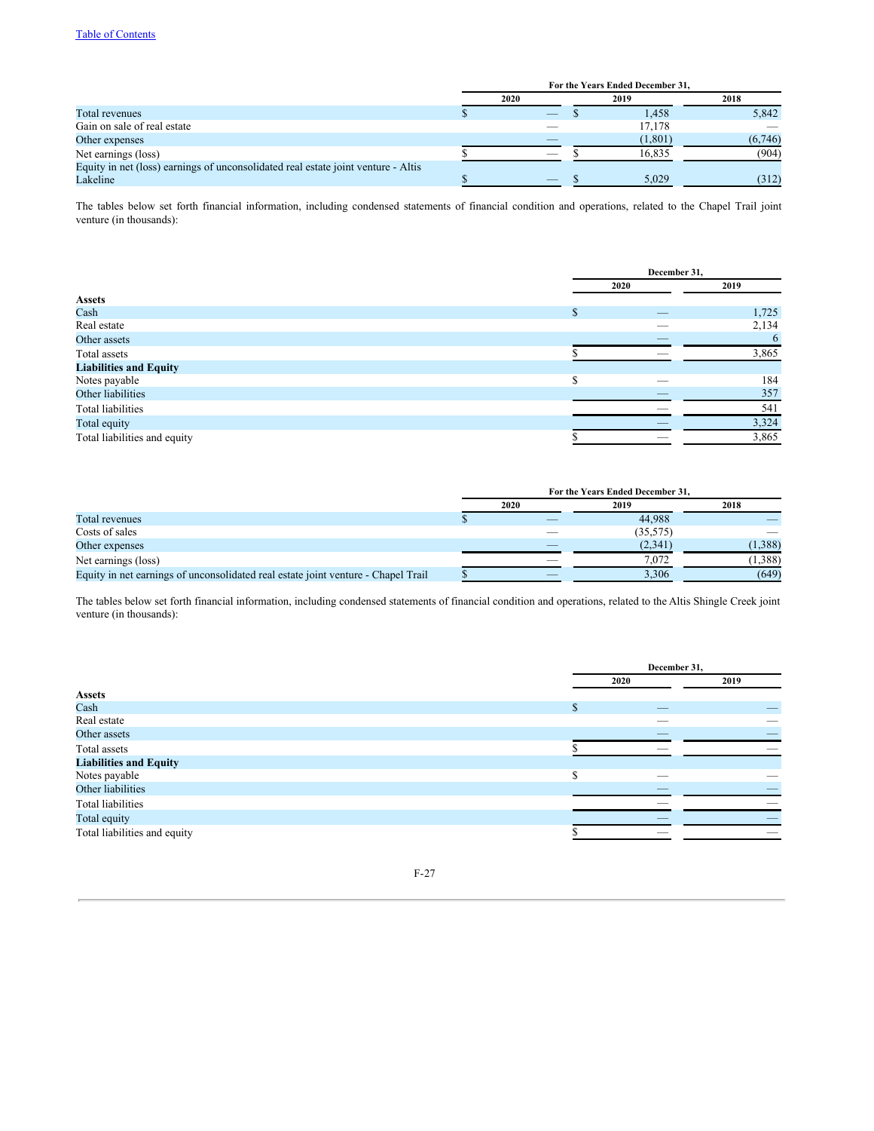|                                                                                   | For the Years Ended December 31. |      |  |          |         |  |
|-----------------------------------------------------------------------------------|----------------------------------|------|--|----------|---------|--|
|                                                                                   |                                  | 2020 |  | 2019     | 2018    |  |
| Total revenues                                                                    |                                  | _    |  | 1.458    | 5,842   |  |
| Gain on sale of real estate                                                       |                                  |      |  | 17.178   |         |  |
| Other expenses                                                                    |                                  |      |  | (1, 801) | (6,746) |  |
| Net earnings (loss)                                                               |                                  |      |  | 16.835   | (904)   |  |
| Equity in net (loss) earnings of unconsolidated real estate joint venture - Altis |                                  |      |  |          |         |  |
| Lakeline                                                                          |                                  | _    |  | 5.029    | (312)   |  |

The tables below set forth financial information, including condensed statements of financial condition and operations, related to the Chapel Trail joint venture (in thousands):

|                               |    | December 31,             |       |  |
|-------------------------------|----|--------------------------|-------|--|
|                               |    | 2020                     | 2019  |  |
| <b>Assets</b>                 |    |                          |       |  |
| Cash                          | \$ | $\overline{\phantom{a}}$ | 1,725 |  |
| Real estate                   |    | --                       | 2,134 |  |
| Other assets                  |    |                          | 6     |  |
| Total assets                  |    |                          | 3,865 |  |
| <b>Liabilities and Equity</b> |    |                          |       |  |
| Notes payable                 | ٠ħ |                          | 184   |  |
| Other liabilities             |    |                          | 357   |  |
| Total liabilities             |    |                          | 541   |  |
| Total equity                  |    |                          | 3,324 |  |
| Total liabilities and equity  |    |                          | 3,865 |  |

|                                                                                   | For the Years Ended December 31. |      |          |          |  |
|-----------------------------------------------------------------------------------|----------------------------------|------|----------|----------|--|
|                                                                                   |                                  | 2020 | 2019     | 2018     |  |
| Total revenues                                                                    |                                  |      | 44,988   |          |  |
| Costs of sales                                                                    |                                  |      | (35,575) |          |  |
| Other expenses                                                                    |                                  |      | (2,341)  | (1, 388) |  |
| Net earnings (loss)                                                               |                                  |      | 7.072    | (1,388)  |  |
| Equity in net earnings of unconsolidated real estate joint venture - Chapel Trail |                                  |      | 3.306    | (649)    |  |

The tables below set forth financial information, including condensed statements of financial condition and operations, related to the Altis Shingle Creek joint venture (in thousands):

|                               | December 31,  |      |      |
|-------------------------------|---------------|------|------|
|                               |               | 2020 | 2019 |
| <b>Assets</b>                 |               |      |      |
| Cash                          | <sup>\$</sup> | _    | _    |
| Real estate                   |               | __   |      |
| Other assets                  |               |      |      |
| Total assets                  |               |      |      |
| <b>Liabilities and Equity</b> |               |      |      |
| Notes payable                 | S             |      |      |
| Other liabilities             |               |      |      |
| Total liabilities             |               |      |      |
| Total equity                  |               |      |      |
| Total liabilities and equity  |               |      |      |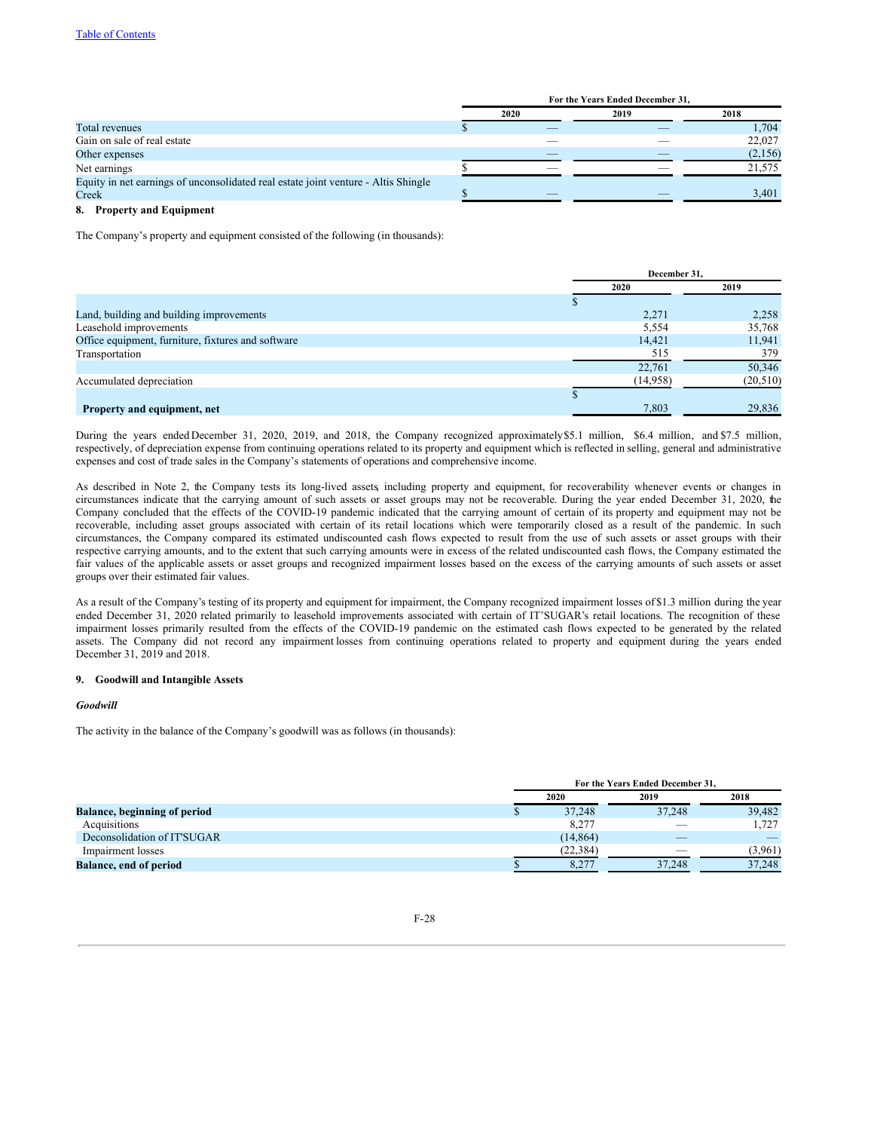| For the Years Ended December 31. |                          |      |         |  |  |
|----------------------------------|--------------------------|------|---------|--|--|
|                                  |                          | 2019 | 2018    |  |  |
|                                  | $\overline{\phantom{a}}$ |      | 1,704   |  |  |
|                                  |                          |      | 22,027  |  |  |
|                                  | $\overline{\phantom{a}}$ |      | (2,156) |  |  |
|                                  |                          |      | 21.575  |  |  |
|                                  |                          |      |         |  |  |
|                                  | $\overline{\phantom{a}}$ | __   | 3,401   |  |  |
|                                  |                          | 2020 |         |  |  |

**8. Property and Equipment**

The Company's property and equipment consisted of the following (in thousands):

|                                                    |          | December 31. |  |  |  |
|----------------------------------------------------|----------|--------------|--|--|--|
|                                                    | 2020     | 2019         |  |  |  |
|                                                    |          |              |  |  |  |
| Land, building and building improvements           | 2,271    | 2,258        |  |  |  |
| Leasehold improvements                             | 5,554    | 35,768       |  |  |  |
| Office equipment, furniture, fixtures and software | 14,421   | 11,941       |  |  |  |
| Transportation                                     | 515      | 379          |  |  |  |
|                                                    | 22,761   | 50,346       |  |  |  |
| Accumulated depreciation                           | (14,958) | (20, 510)    |  |  |  |
|                                                    |          |              |  |  |  |
| Property and equipment, net                        | 7,803    | 29,836       |  |  |  |

During the years ended December 31, 2020, 2019, and 2018, the Company recognized approximately\$5.1 million, \$6.4 million, and \$7.5 million, respectively, of depreciation expense from continuing operations related to its property and equipment which is reflected in selling, general and administrative expenses and cost of trade sales in the Company's statements of operations and comprehensive income.

As described in Note 2, the Company tests its long-lived assets, including property and equipment, for recoverability whenever events or changes in circumstances indicate that the carrying amount of such assets or asset groups may not be recoverable. During the year ended December 31, 2020, the Company concluded that the effects of the COVID-19 pandemic indicated that the carrying amount of certain of its property and equipment may not be recoverable, including asset groups associated with certain of its retail locations which were temporarily closed as a result of the pandemic. In such circumstances, the Company compared its estimated undiscounted cash flows expected to result from the use of such assets or asset groups with their respective carrying amounts, and to the extent that such carrying amounts were in excess of the related undiscounted cash flows, the Company estimated the fair values of the applicable assets or asset groups and recognized impairment losses based on the excess of the carrying amounts of such assets or asset groups over their estimated fair values.

As a result of the Company's testing of its property and equipment for impairment, the Company recognized impairment losses of \$1.3 million during the year ended December 31, 2020 related primarily to leasehold improvements associated with certain of IT'SUGAR's retail locations. The recognition of these impairment losses primarily resulted from the effects of the COVID-19 pandemic on the estimated cash flows expected to be generated by the related assets. The Company did not record any impairment losses from continuing operations related to property and equipment during the years ended December 31, 2019 and 2018.

#### **9. Goodwill and Intangible Assets**

# *Goodwill*

The activity in the balance of the Company's goodwill was as follows (in thousands):

|                                     | For the Years Ended December 31. |                          |         |  |  |  |
|-------------------------------------|----------------------------------|--------------------------|---------|--|--|--|
|                                     | 2020                             | 2019                     | 2018    |  |  |  |
| <b>Balance, beginning of period</b> | 37,248                           | 37,248                   | 39,482  |  |  |  |
| Acquisitions                        | 8.277                            | $\overline{\phantom{a}}$ | 1.727   |  |  |  |
| Deconsolidation of IT'SUGAR         | (14, 864)                        |                          |         |  |  |  |
| Impairment losses                   | (22, 384)                        | _                        | (3,961) |  |  |  |
| <b>Balance, end of period</b>       | 8,277                            | 37.248                   | 37.248  |  |  |  |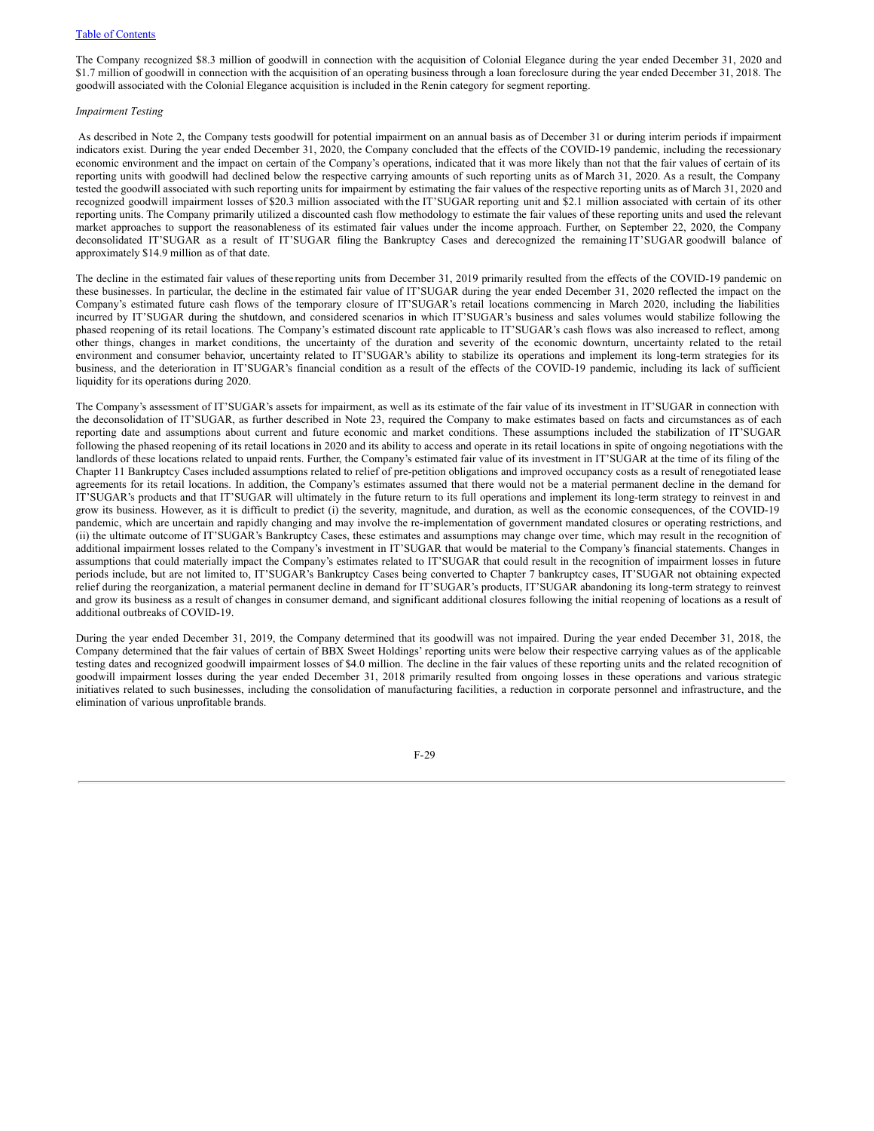The Company recognized \$8.3 million of goodwill in connection with the acquisition of Colonial Elegance during the year ended December 31, 2020 and \$1.7 million of goodwill in connection with the acquisition of an operating business through a loan foreclosure during the year ended December 31, 2018. The goodwill associated with the Colonial Elegance acquisition is included in the Renin category for segment reporting.

#### *Impairment Testing*

As described in Note 2, the Company tests goodwill for potential impairment on an annual basis as of December 31 or during interim periods if impairment indicators exist. During the year ended December 31, 2020, the Company concluded that the effects of the COVID-19 pandemic, including the recessionary economic environment and the impact on certain of the Company's operations, indicated that it was more likely than not that the fair values of certain of its reporting units with goodwill had declined below the respective carrying amounts of such reporting units as of March 31, 2020. As a result, the Company tested the goodwill associated with such reporting units for impairment by estimating the fair values of the respective reporting units as of March 31, 2020 and recognized goodwill impairment losses of \$20.3 million associated with the IT'SUGAR reporting unit and \$2.1 million associated with certain of its other reporting units. The Company primarily utilized a discounted cash flow methodology to estimate the fair values of these reporting units and used the relevant market approaches to support the reasonableness of its estimated fair values under the income approach. Further, on September 22, 2020, the Company deconsolidated IT'SUGAR as a result of IT'SUGAR filing the Bankruptcy Cases and derecognized the remaining IT'SUGAR goodwill balance of approximately \$14.9 million as of that date.

The decline in the estimated fair values of these reporting units from December 31, 2019 primarily resulted from the effects of the COVID-19 pandemic on these businesses. In particular, the decline in the estimated fair value of IT'SUGAR during the year ended December 31, 2020 reflected the impact on the Company's estimated future cash flows of the temporary closure of IT'SUGAR's retail locations commencing in March 2020, including the liabilities incurred by IT'SUGAR during the shutdown, and considered scenarios in which IT'SUGAR's business and sales volumes would stabilize following the phased reopening of its retail locations. The Company's estimated discount rate applicable to IT'SUGAR's cash flows was also increased to reflect, among other things, changes in market conditions, the uncertainty of the duration and severity of the economic downturn, uncertainty related to the retail environment and consumer behavior, uncertainty related to IT'SUGAR's ability to stabilize its operations and implement its long-term strategies for its business, and the deterioration in IT'SUGAR's financial condition as a result of the effects of the COVID-19 pandemic, including its lack of sufficient liquidity for its operations during 2020.

The Company's assessment of IT'SUGAR's assets for impairment, as well as its estimate of the fair value of its investment in IT'SUGAR in connection with the deconsolidation of IT'SUGAR, as further described in Note 23, required the Company to make estimates based on facts and circumstances as of each reporting date and assumptions about current and future economic and market conditions. These assumptions included the stabilization of IT'SUGAR following the phased reopening of its retail locations in 2020 and its ability to access and operate in its retail locations in spite of ongoing negotiations with the landlords of these locations related to unpaid rents. Further, the Company's estimated fair value of its investment in IT'SUGAR at the time of its filing of the Chapter 11 Bankruptcy Cases included assumptions related to relief of pre-petition obligations and improved occupancy costs as a result of renegotiated lease agreements for its retail locations. In addition, the Company's estimates assumed that there would not be a material permanent decline in the demand for IT'SUGAR's products and that IT'SUGAR will ultimately in the future return to its full operations and implement its long-term strategy to reinvest in and grow its business. However, as it is difficult to predict (i) the severity, magnitude, and duration, as well as the economic consequences, of the COVID-19 pandemic, which are uncertain and rapidly changing and may involve the re-implementation of government mandated closures or operating restrictions, and (ii) the ultimate outcome of IT'SUGAR's Bankruptcy Cases, these estimates and assumptions may change over time, which may result in the recognition of additional impairment losses related to the Company's investment in IT'SUGAR that would be material to the Company's financial statements. Changes in assumptions that could materially impact the Company's estimates related to IT'SUGAR that could result in the recognition of impairment losses in future periods include, but are not limited to, IT'SUGAR's Bankruptcy Cases being converted to Chapter 7 bankruptcy cases, IT'SUGAR not obtaining expected relief during the reorganization, a material permanent decline in demand for IT'SUGAR's products, IT'SUGAR abandoning its long-term strategy to reinvest and grow its business as a result of changes in consumer demand, and significant additional closures following the initial reopening of locations as a result of additional outbreaks of COVID-19.

During the year ended December 31, 2019, the Company determined that its goodwill was not impaired. During the year ended December 31, 2018, the Company determined that the fair values of certain of BBX Sweet Holdings' reporting units were below their respective carrying values as of the applicable testing dates and recognized goodwill impairment losses of \$4.0 million. The decline in the fair values of these reporting units and the related recognition of goodwill impairment losses during the year ended December 31, 2018 primarily resulted from ongoing losses in these operations and various strategic initiatives related to such businesses, including the consolidation of manufacturing facilities, a reduction in corporate personnel and infrastructure, and the elimination of various unprofitable brands.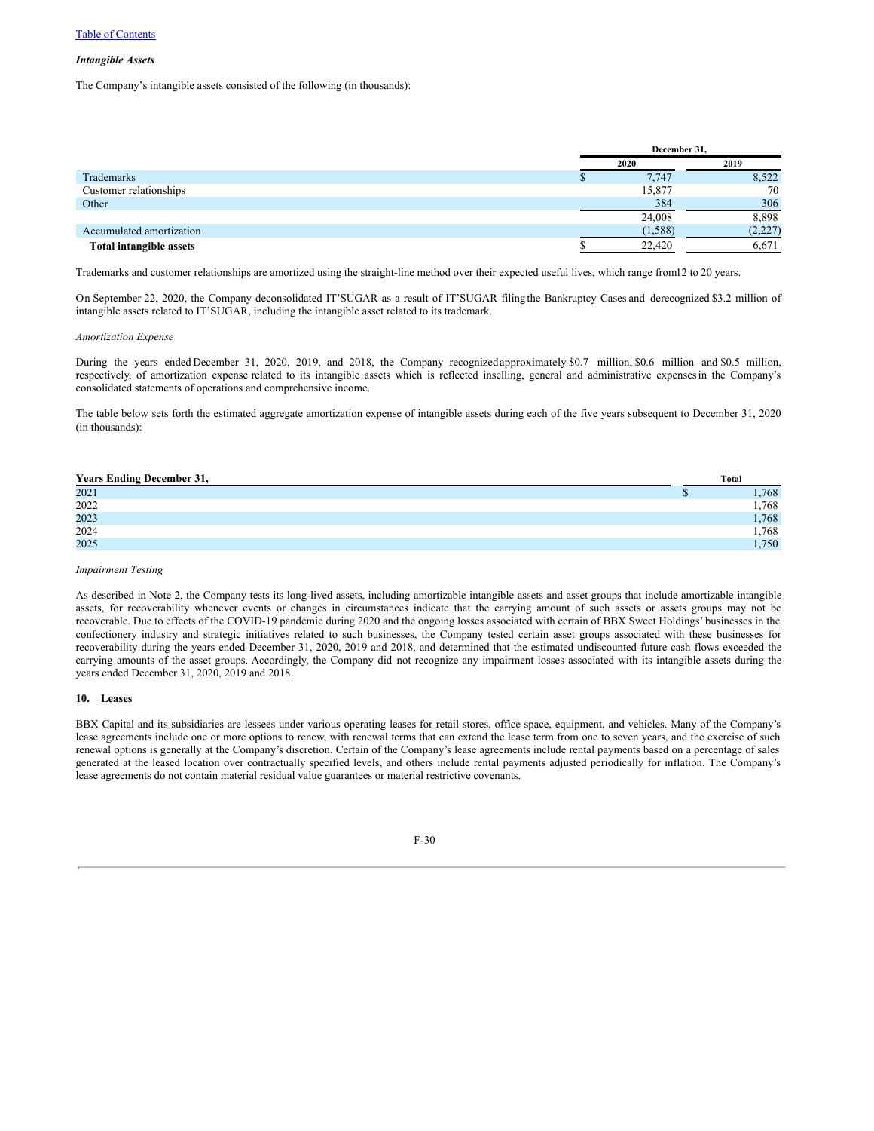# *Intangible Assets*

The Company's intangible assets consisted of the following (in thousands):

|                                | December 31. |         |  |  |
|--------------------------------|--------------|---------|--|--|
|                                | 2020         | 2019    |  |  |
| Trademarks                     | 7,747        | 8,522   |  |  |
| Customer relationships         | 15,877       | 70      |  |  |
| Other                          | 384          | 306     |  |  |
|                                | 24,008       | 8,898   |  |  |
| Accumulated amortization       | (1,588)      | (2,227) |  |  |
| <b>Total intangible assets</b> | 22,420       | 6,671   |  |  |

Trademarks and customer relationships are amortized using the straight-line method over their expected useful lives, which range from12 to 20 years.

On September 22, 2020, the Company deconsolidated IT'SUGAR as a result of IT'SUGAR filing the Bankruptcy Cases and derecognized \$3.2 million of intangible assets related to IT'SUGAR, including the intangible asset related to its trademark.

#### *Amortization Expense*

During the years ended December 31, 2020, 2019, and 2018, the Company recognizedapproximately \$0.7 million, \$0.6 million and \$0.5 million, respectively, of amortization expense related to its intangible assets which is reflected inselling, general and administrative expensesin the Company's consolidated statements of operations and comprehensive income.

The table below sets forth the estimated aggregate amortization expense of intangible assets during each of the five years subsequent to December 31, 2020 (in thousands):

| <b>Years Ending December 31,</b> | Total |
|----------------------------------|-------|
| 2021                             | 1,768 |
| 2022                             | .768  |
| 2023                             | 1,768 |
| 2024                             | .768  |
| 2025                             | 1,750 |

#### *Impairment Testing*

As described in Note 2, the Company tests its long-lived assets, including amortizable intangible assets and asset groups that include amortizable intangible assets, for recoverability whenever events or changes in circumstances indicate that the carrying amount of such assets or assets groups may not be recoverable. Due to effects of the COVID-19 pandemic during 2020 and the ongoing losses associated with certain of BBX Sweet Holdings' businesses in the confectionery industry and strategic initiatives related to such businesses, the Company tested certain asset groups associated with these businesses for recoverability during the years ended December 31, 2020, 2019 and 2018, and determined that the estimated undiscounted future cash flows exceeded the carrying amounts of the asset groups. Accordingly, the Company did not recognize any impairment losses associated with its intangible assets during the years ended December 31, 2020, 2019 and 2018.

# **10. Leases**

BBX Capital and its subsidiaries are lessees under various operating leases for retail stores, office space, equipment, and vehicles. Many of the Company's lease agreements include one or more options to renew, with renewal terms that can extend the lease term from one to seven years, and the exercise of such renewal options is generally at the Company's discretion. Certain of the Company's lease agreements include rental payments based on a percentage of sales generated at the leased location over contractually specified levels, and others include rental payments adjusted periodically for inflation. The Company's lease agreements do not contain material residual value guarantees or material restrictive covenants.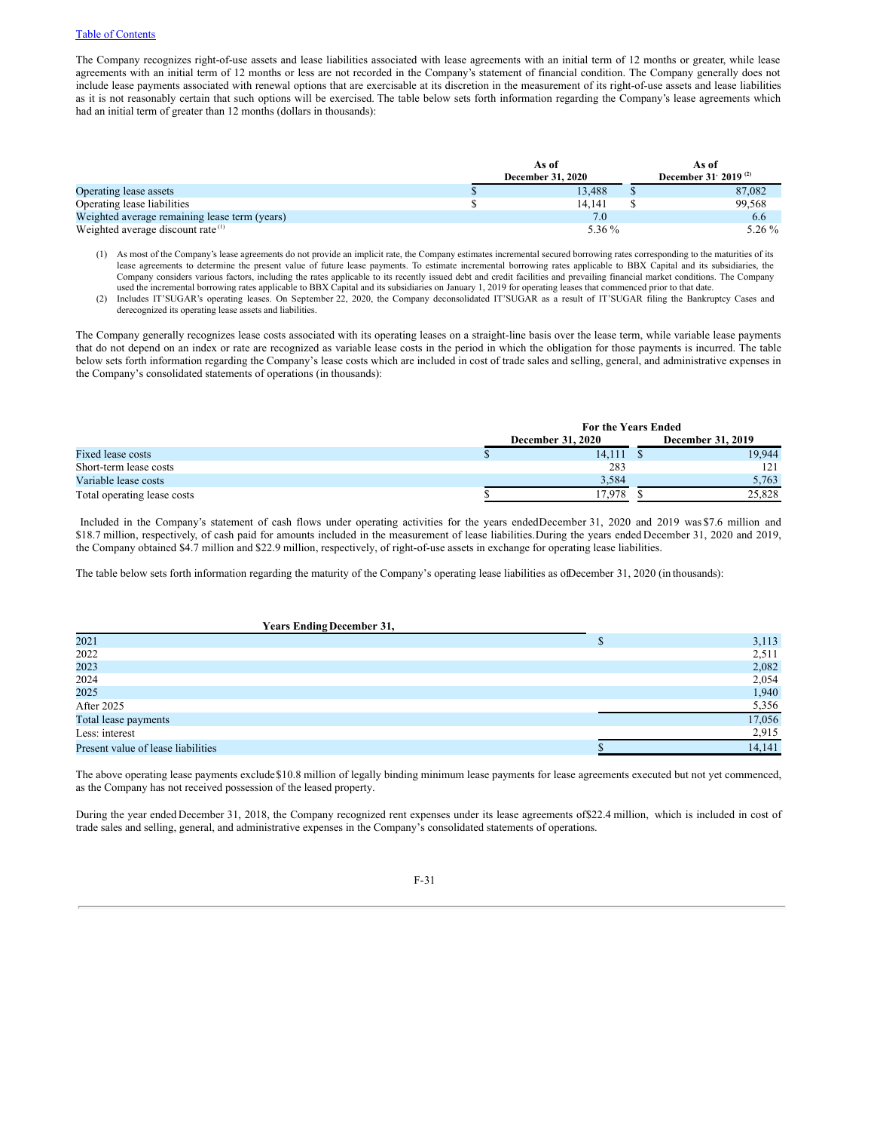The Company recognizes right-of-use assets and lease liabilities associated with lease agreements with an initial term of 12 months or greater, while lease agreements with an initial term of 12 months or less are not recorded in the Company's statement of financial condition. The Company generally does not include lease payments associated with renewal options that are exercisable at its discretion in the measurement of its right-of-use assets and lease liabilities as it is not reasonably certain that such options will be exercised. The table below sets forth information regarding the Company's lease agreements which had an initial term of greater than 12 months (dollars in thousands):

|                                               | As of                    |  | As of                            |
|-----------------------------------------------|--------------------------|--|----------------------------------|
|                                               | <b>December 31, 2020</b> |  | December 31' 2019 <sup>(2)</sup> |
| Operating lease assets                        | 13.488                   |  | 87,082                           |
| Operating lease liabilities                   | 14.141                   |  | 99.568                           |
| Weighted average remaining lease term (years) | 7.0                      |  | 6.6                              |
| Weighted average discount rate <sup>(1)</sup> | 5.36 %                   |  | 5.26 %                           |

- (1) As most of the Company's lease agreements do not provide an implicit rate, the Company estimates incremental secured borrowing rates corresponding to the maturities of its lease agreements to determine the present value of future lease payments. To estimate incremental borrowing rates applicable to BBX Capital and its subsidiaries, the Company considers various factors, including the rates applicable to its recently issued debt and credit facilities and prevailing financial market conditions. The Company
- used the incremental borrowing rates applicable to BBX Capital and its subsidiaries on January 1, 2019 for operating leases that commenced prior to that date.<br>(2) Includes IT'SUGAR's operating leases. On September 22, 2020 derecognized its operating lease assets and liabilities.

The Company generally recognizes lease costs associated with its operating leases on a straight-line basis over the lease term, while variable lease payments that do not depend on an index or rate are recognized as variable lease costs in the period in which the obligation for those payments is incurred. The table below sets forth information regarding the Company's lease costs which are included in cost of trade sales and selling, general, and administrative expenses in the Company's consolidated statements of operations (in thousands):

|                             | <b>For the Years Ended</b> |  |                          |  |
|-----------------------------|----------------------------|--|--------------------------|--|
|                             | <b>December 31, 2020</b>   |  | <b>December 31, 2019</b> |  |
| Fixed lease costs           | 14.111                     |  | 19.944                   |  |
| Short-term lease costs      | 283                        |  | 121                      |  |
| Variable lease costs        | 3.584                      |  | 5.763                    |  |
| Total operating lease costs | 17.978                     |  | 25,828                   |  |

Included in the Company's statement of cash flows under operating activities for the years endedDecember 31, 2020 and 2019 was \$7.6 million and \$18.7 million, respectively, of cash paid for amounts included in the measurement of lease liabilities.During the years ended December 31, 2020 and 2019, the Company obtained \$4.7 million and \$22.9 million, respectively, of right-of-use assets in exchange for operating lease liabilities.

The table below sets forth information regarding the maturity of the Company's operating lease liabilities as ofDecember 31, 2020 (in thousands):

| <b>Years Ending December 31,</b>   |        |
|------------------------------------|--------|
| 2021                               | 3,113  |
| 2022                               | 2,511  |
| 2023                               | 2,082  |
| 2024                               | 2,054  |
| 2025                               | 1,940  |
| After 2025                         | 5,356  |
| Total lease payments               | 17,056 |
| Less: interest                     | 2,915  |
| Present value of lease liabilities | 14,141 |

The above operating lease payments exclude\$10.8 million of legally binding minimum lease payments for lease agreements executed but not yet commenced, as the Company has not received possession of the leased property.

During the year ended December 31, 2018, the Company recognized rent expenses under its lease agreements of\$22.4 million, which is included in cost of trade sales and selling, general, and administrative expenses in the Company's consolidated statements of operations.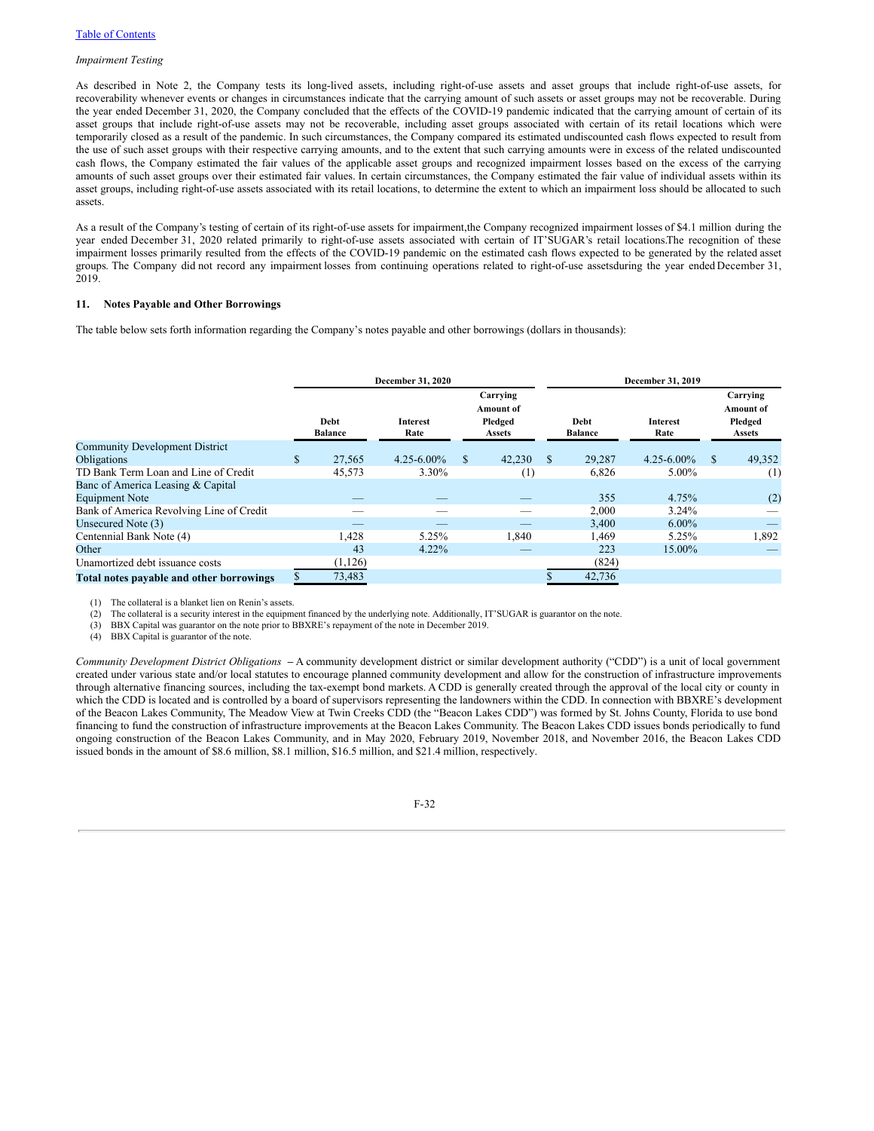# *Impairment Testing*

As described in Note 2, the Company tests its long-lived assets, including right-of-use assets and asset groups that include right-of-use assets, for recoverability whenever events or changes in circumstances indicate that the carrying amount of such assets or asset groups may not be recoverable. During the year ended December 31, 2020, the Company concluded that the effects of the COVID-19 pandemic indicated that the carrying amount of certain of its asset groups that include right-of-use assets may not be recoverable, including asset groups associated with certain of its retail locations which were temporarily closed as a result of the pandemic. In such circumstances, the Company compared its estimated undiscounted cash flows expected to result from the use of such asset groups with their respective carrying amounts, and to the extent that such carrying amounts were in excess of the related undiscounted cash flows, the Company estimated the fair values of the applicable asset groups and recognized impairment losses based on the excess of the carrying amounts of such asset groups over their estimated fair values. In certain circumstances, the Company estimated the fair value of individual assets within its asset groups, including right-of-use assets associated with its retail locations, to determine the extent to which an impairment loss should be allocated to such assets.

As a result of the Company's testing of certain of its right-of-use assets for impairment,the Company recognized impairment losses of \$4.1 million during the year ended December 31, 2020 related primarily to right-of-use assets associated with certain of IT'SUGAR's retail locations.The recognition of these impairment losses primarily resulted from the effects of the COVID-19 pandemic on the estimated cash flows expected to be generated by the related asset groups. The Company did not record any impairment losses from continuing operations related to right-of-use assetsduring the year ended December 31, 2019.

# **11. Notes Payable and Other Borrowings**

The table below sets forth information regarding the Company's notes payable and other borrowings (dollars in thousands):

|                                          |                        | December 31, 2020 |                  |                                                   |          |                        | December 31, 2019 |                  |     |                                                          |
|------------------------------------------|------------------------|-------------------|------------------|---------------------------------------------------|----------|------------------------|-------------------|------------------|-----|----------------------------------------------------------|
|                                          | Debt<br><b>Balance</b> |                   | Interest<br>Rate | Carrying<br><b>Amount</b> of<br>Pledged<br>Assets |          | Debt<br><b>Balance</b> |                   | Interest<br>Rate |     | Carrying<br><b>Amount</b> of<br>Pledged<br><b>Assets</b> |
| <b>Community Development District</b>    |                        |                   |                  |                                                   |          |                        |                   |                  |     |                                                          |
| <b>Obligations</b>                       | \$                     | 27,565            | $4.25 - 6.00\%$  | \$                                                | 42,230   | <sup>S</sup>           | 29,287            | $4.25 - 6.00\%$  | \$. | 49,352                                                   |
| TD Bank Term Loan and Line of Credit     |                        | 45,573            | 3.30%            |                                                   | $^{(1)}$ |                        | 6,826             | $5.00\%$         |     | (1)                                                      |
| Banc of America Leasing & Capital        |                        |                   |                  |                                                   |          |                        |                   |                  |     |                                                          |
| <b>Equipment Note</b>                    |                        |                   |                  |                                                   |          |                        | 355               | 4.75%            |     | (2)                                                      |
| Bank of America Revolving Line of Credit |                        |                   |                  |                                                   |          |                        | 2.000             | $3.24\%$         |     |                                                          |
| Unsecured Note (3)                       |                        |                   |                  |                                                   |          |                        | 3.400             | $6.00\%$         |     |                                                          |
| Centennial Bank Note (4)                 |                        | 1,428             | 5.25%            |                                                   | 1,840    |                        | 1,469             | 5.25%            |     | 1,892                                                    |
| Other                                    |                        | 43                | $4.22\%$         |                                                   |          |                        | 223               | 15.00%           |     |                                                          |
| Unamortized debt issuance costs          |                        | (1, 126)          |                  |                                                   |          |                        | (824)             |                  |     |                                                          |
| Total notes payable and other borrowings |                        | 73,483            |                  |                                                   |          |                        | 42,736            |                  |     |                                                          |

(1) The collateral is a blanket lien on Renin's assets.

(2) The collateral is a security interest in the equipment financed by the underlying note. Additionally, IT'SUGAR is guarantor on the note.<br>
(3) BBX Capital was guarantor on the note prior to BBXRE's repayment of the note

BBX Capital was guarantor on the note prior to BBXRE's repayment of the note in December 2019.

(4) BBX Capital is guarantor of the note.

*Community Development District Obligations –* A community development district or similar development authority ("CDD") is a unit of local government created under various state and/or local statutes to encourage planned community development and allow for the construction of infrastructure improvements through alternative financing sources, including the tax-exempt bond markets. A CDD is generally created through the approval of the local city or county in which the CDD is located and is controlled by a board of supervisors representing the landowners within the CDD. In connection with BBXRE's development of the Beacon Lakes Community, The Meadow View at Twin Creeks CDD (the "Beacon Lakes CDD") was formed by St. Johns County, Florida to use bond financing to fund the construction of infrastructure improvements at the Beacon Lakes Community. The Beacon Lakes CDD issues bonds periodically to fund ongoing construction of the Beacon Lakes Community, and in May 2020, February 2019, November 2018, and November 2016, the Beacon Lakes CDD issued bonds in the amount of \$8.6 million, \$8.1 million, \$16.5 million, and \$21.4 million, respectively.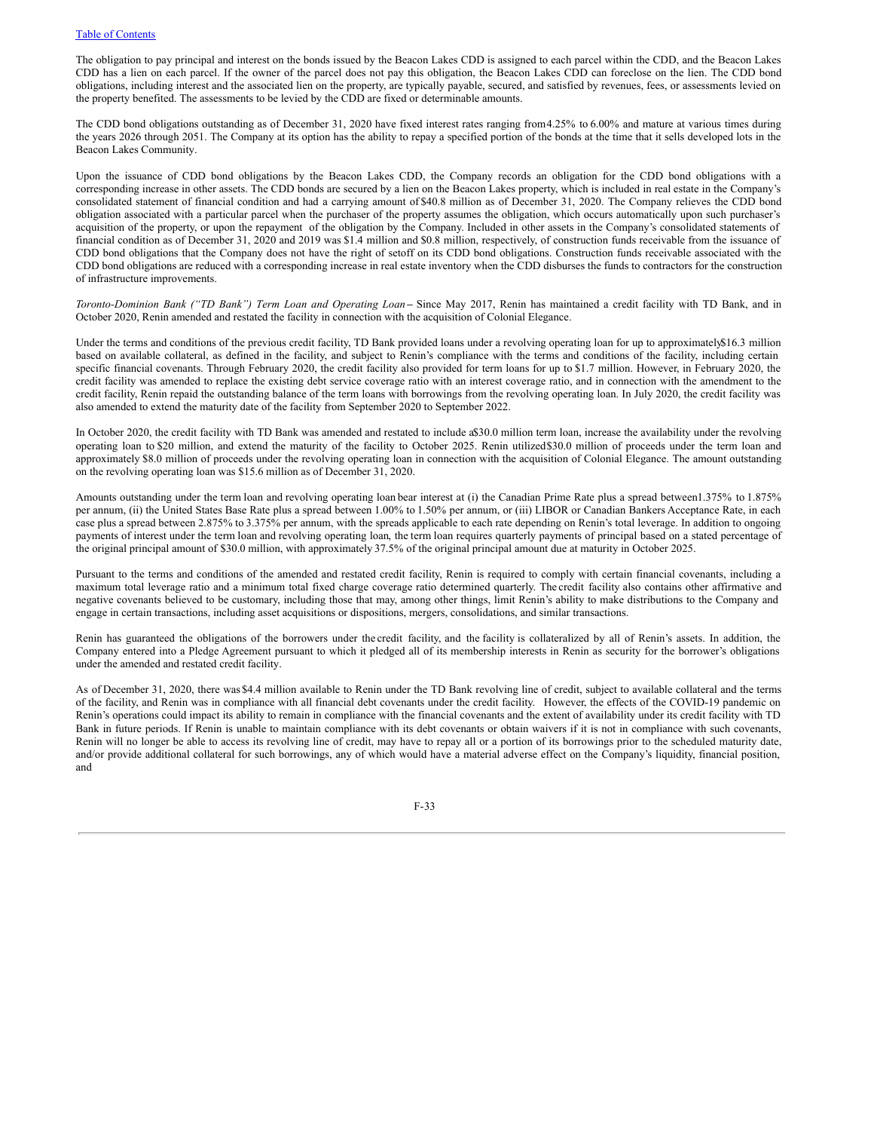The obligation to pay principal and interest on the bonds issued by the Beacon Lakes CDD is assigned to each parcel within the CDD, and the Beacon Lakes CDD has a lien on each parcel. If the owner of the parcel does not pay this obligation, the Beacon Lakes CDD can foreclose on the lien. The CDD bond obligations, including interest and the associated lien on the property, are typically payable, secured, and satisfied by revenues, fees, or assessments levied on the property benefited. The assessments to be levied by the CDD are fixed or determinable amounts.

The CDD bond obligations outstanding as of December 31, 2020 have fixed interest rates ranging from4.25% to 6.00% and mature at various times during the years 2026 through 2051. The Company at its option has the ability to repay a specified portion of the bonds at the time that it sells developed lots in the Beacon Lakes Community.

Upon the issuance of CDD bond obligations by the Beacon Lakes CDD, the Company records an obligation for the CDD bond obligations with a corresponding increase in other assets. The CDD bonds are secured by a lien on the Beacon Lakes property, which is included in real estate in the Company's consolidated statement of financial condition and had a carrying amount of \$40.8 million as of December 31, 2020. The Company relieves the CDD bond obligation associated with a particular parcel when the purchaser of the property assumes the obligation, which occurs automatically upon such purchaser's acquisition of the property, or upon the repayment of the obligation by the Company. Included in other assets in the Company's consolidated statements of financial condition as of December 31, 2020 and 2019 was \$1.4 million and \$0.8 million, respectively, of construction funds receivable from the issuance of CDD bond obligations that the Company does not have the right of setoff on its CDD bond obligations. Construction funds receivable associated with the CDD bond obligations are reduced with a corresponding increase in real estate inventory when the CDD disburses the funds to contractors for the construction of infrastructure improvements.

*Toronto-Dominion Bank ("TD Bank") Term Loan and Operating Loan –* Since May 2017, Renin has maintained a credit facility with TD Bank, and in October 2020, Renin amended and restated the facility in connection with the acquisition of Colonial Elegance.

Under the terms and conditions of the previous credit facility, TD Bank provided loans under a revolving operating loan for up to approximately\$16.3 million based on available collateral, as defined in the facility, and subject to Renin's compliance with the terms and conditions of the facility, including certain specific financial covenants. Through February 2020, the credit facility also provided for term loans for up to \$1.7 million. However, in February 2020, the credit facility was amended to replace the existing debt service coverage ratio with an interest coverage ratio, and in connection with the amendment to the credit facility, Renin repaid the outstanding balance of the term loans with borrowings from the revolving operating loan. In July 2020, the credit facility was also amended to extend the maturity date of the facility from September 2020 to September 2022.

In October 2020, the credit facility with TD Bank was amended and restated to include a\$30.0 million term loan, increase the availability under the revolving operating loan to \$20 million, and extend the maturity of the facility to October 2025. Renin utilized\$30.0 million of proceeds under the term loan and approximately \$8.0 million of proceeds under the revolving operating loan in connection with the acquisition of Colonial Elegance. The amount outstanding on the revolving operating loan was \$15.6 million as of December 31, 2020.

Amounts outstanding under the term loan and revolving operating loan bear interest at (i) the Canadian Prime Rate plus a spread between1.375% to 1.875% per annum, (ii) the United States Base Rate plus a spread between 1.00% to 1.50% per annum, or (iii) LIBOR or Canadian Bankers Acceptance Rate, in each case plus a spread between 2.875% to 3.375% per annum, with the spreads applicable to each rate depending on Renin's total leverage. In addition to ongoing payments of interest under the term loan and revolving operating loan, the term loan requires quarterly payments of principal based on a stated percentage of the original principal amount of \$30.0 million, with approximately 37.5% of the original principal amount due at maturity in October 2025.

Pursuant to the terms and conditions of the amended and restated credit facility, Renin is required to comply with certain financial covenants, including a maximum total leverage ratio and a minimum total fixed charge coverage ratio determined quarterly. The credit facility also contains other affirmative and negative covenants believed to be customary, including those that may, among other things, limit Renin's ability to make distributions to the Company and engage in certain transactions, including asset acquisitions or dispositions, mergers, consolidations, and similar transactions.

Renin has guaranteed the obligations of the borrowers under the credit facility, and the facility is collateralized by all of Renin's assets. In addition, the Company entered into a Pledge Agreement pursuant to which it pledged all of its membership interests in Renin as security for the borrower's obligations under the amended and restated credit facility.

As of December 31, 2020, there was \$4.4 million available to Renin under the TD Bank revolving line of credit, subject to available collateral and the terms of the facility, and Renin was in compliance with all financial debt covenants under the credit facility. However, the effects of the COVID-19 pandemic on Renin's operations could impact its ability to remain in compliance with the financial covenants and the extent of availability under its credit facility with TD Bank in future periods. If Renin is unable to maintain compliance with its debt covenants or obtain waivers if it is not in compliance with such covenants, Renin will no longer be able to access its revolving line of credit, may have to repay all or a portion of its borrowings prior to the scheduled maturity date, and/or provide additional collateral for such borrowings, any of which would have a material adverse effect on the Company's liquidity, financial position, and

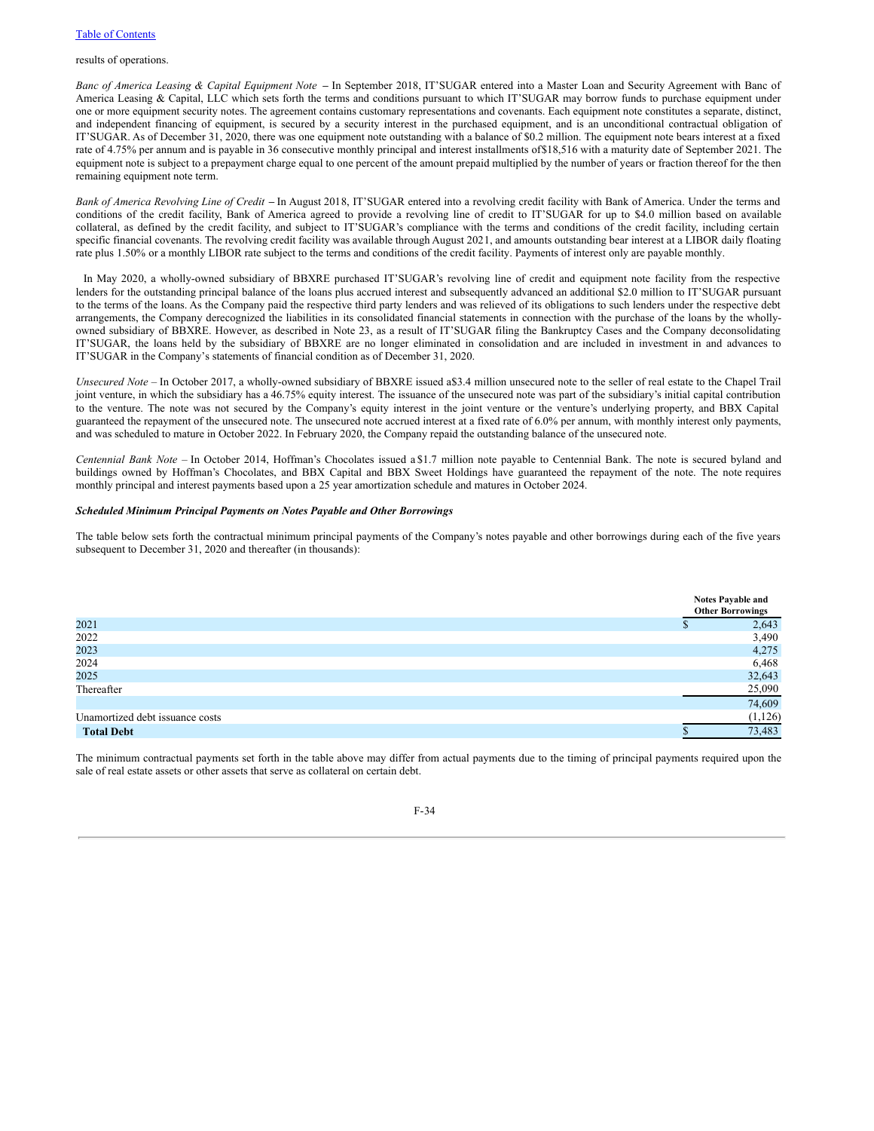# results of operations.

*Banc of America Leasing & Capital Equipment Note –* In September 2018, IT'SUGAR entered into a Master Loan and Security Agreement with Banc of America Leasing & Capital, LLC which sets forth the terms and conditions pursuant to which IT'SUGAR may borrow funds to purchase equipment under one or more equipment security notes. The agreement contains customary representations and covenants. Each equipment note constitutes a separate, distinct, and independent financing of equipment, is secured by a security interest in the purchased equipment, and is an unconditional contractual obligation of IT'SUGAR. As of December 31, 2020, there was one equipment note outstanding with a balance of \$0.2 million. The equipment note bears interest at a fixed rate of 4.75% per annum and is payable in 36 consecutive monthly principal and interest installments of\$18,516 with a maturity date of September 2021. The equipment note is subject to a prepayment charge equal to one percent of the amount prepaid multiplied by the number of years or fraction thereof for the then remaining equipment note term.

*Bank of America Revolving Line of Credit –* In August 2018, IT'SUGAR entered into a revolving credit facility with Bank of America. Under the terms and conditions of the credit facility, Bank of America agreed to provide a revolving line of credit to IT'SUGAR for up to \$4.0 million based on available collateral, as defined by the credit facility, and subject to IT'SUGAR's compliance with the terms and conditions of the credit facility, including certain specific financial covenants. The revolving credit facility was available through August 2021, and amounts outstanding bear interest at a LIBOR daily floating rate plus 1.50% or a monthly LIBOR rate subject to the terms and conditions of the credit facility. Payments of interest only are payable monthly.

In May 2020, a wholly-owned subsidiary of BBXRE purchased IT'SUGAR's revolving line of credit and equipment note facility from the respective lenders for the outstanding principal balance of the loans plus accrued interest and subsequently advanced an additional \$2.0 million to IT'SUGAR pursuant to the terms of the loans. As the Company paid the respective third party lenders and was relieved of its obligations to such lenders under the respective debt arrangements, the Company derecognized the liabilities in its consolidated financial statements in connection with the purchase of the loans by the whollyowned subsidiary of BBXRE. However, as described in Note 23, as a result of IT'SUGAR filing the Bankruptcy Cases and the Company deconsolidating IT'SUGAR, the loans held by the subsidiary of BBXRE are no longer eliminated in consolidation and are included in investment in and advances to IT'SUGAR in the Company's statements of financial condition as of December 31, 2020.

*Unsecured Note –* In October 2017, a wholly-owned subsidiary of BBXRE issued a\$3.4 million unsecured note to the seller of real estate to the Chapel Trail joint venture, in which the subsidiary has a 46.75% equity interest. The issuance of the unsecured note was part of the subsidiary's initial capital contribution to the venture. The note was not secured by the Company's equity interest in the joint venture or the venture's underlying property, and BBX Capital guaranteed the repayment of the unsecured note. The unsecured note accrued interest at a fixed rate of 6.0% per annum, with monthly interest only payments, and was scheduled to mature in October 2022. In February 2020, the Company repaid the outstanding balance of the unsecured note.

*Centennial Bank Note –* In October 2014, Hoffman's Chocolates issued a \$1.7 million note payable to Centennial Bank. The note is secured byland and buildings owned by Hoffman's Chocolates, and BBX Capital and BBX Sweet Holdings have guaranteed the repayment of the note. The note requires monthly principal and interest payments based upon a 25 year amortization schedule and matures in October 2024.

#### *Scheduled Minimum Principal Payments on Notes Payable and Other Borrowings*

The table below sets forth the contractual minimum principal payments of the Company's notes payable and other borrowings during each of the five years subsequent to December 31, 2020 and thereafter (in thousands):

|                                 | Notes Payable and<br><b>Other Borrowings</b> |
|---------------------------------|----------------------------------------------|
| 2021                            | 2,643                                        |
| 2022                            | 3,490                                        |
| 2023                            | 4,275                                        |
| 2024                            | 6,468                                        |
| 2025                            | 32,643                                       |
| Thereafter                      | 25,090                                       |
|                                 | 74,609                                       |
| Unamortized debt issuance costs | (1, 126)                                     |
| <b>Total Debt</b>               | 73,483                                       |

The minimum contractual payments set forth in the table above may differ from actual payments due to the timing of principal payments required upon the sale of real estate assets or other assets that serve as collateral on certain debt.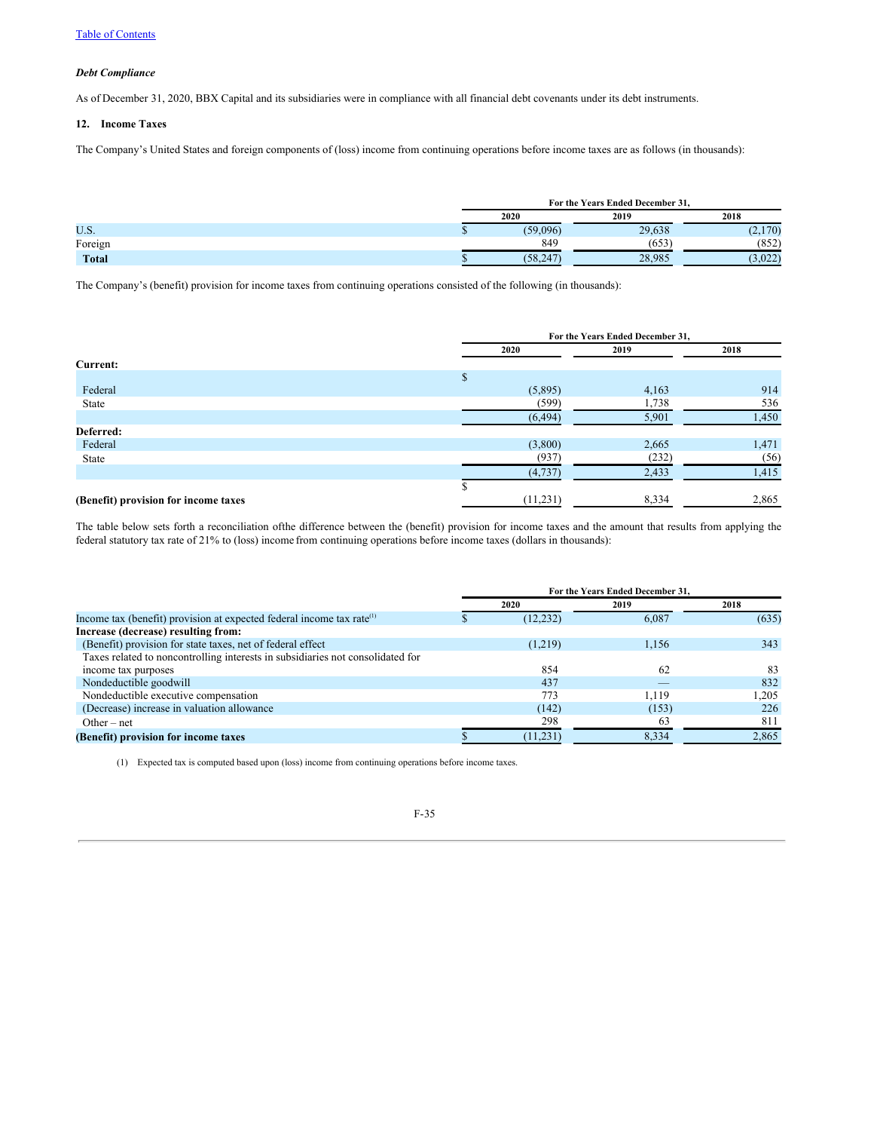# *Debt Compliance*

As of December 31, 2020, BBX Capital and its subsidiaries were in compliance with all financial debt covenants under its debt instruments.

# **12. Income Taxes**

The Company's United States and foreign components of (loss) income from continuing operations before income taxes are as follows (in thousands):

|              | For the Years Ended December 31. |        |       |  |  |
|--------------|----------------------------------|--------|-------|--|--|
|              | 2020                             | 2019   | 2018  |  |  |
| U.S.         | (59.096)                         | 29,638 | 170)  |  |  |
| Foreign      | 849                              | (653)  | (852) |  |  |
| <b>Total</b> | 58.247                           | 28.985 | 3.022 |  |  |

The Company's (benefit) provision for income taxes from continuing operations consisted of the following (in thousands):

|                                      | For the Years Ended December 31, |       |       |  |  |  |  |
|--------------------------------------|----------------------------------|-------|-------|--|--|--|--|
|                                      | 2020                             | 2019  | 2018  |  |  |  |  |
| <b>Current:</b>                      |                                  |       |       |  |  |  |  |
|                                      | œ<br>D                           |       |       |  |  |  |  |
| Federal                              | (5,895)                          | 4,163 | 914   |  |  |  |  |
| State                                | (599)                            | 1,738 | 536   |  |  |  |  |
|                                      | (6, 494)                         | 5,901 | 1,450 |  |  |  |  |
| Deferred:                            |                                  |       |       |  |  |  |  |
| Federal                              | (3,800)                          | 2,665 | 1,471 |  |  |  |  |
| State                                | (937)                            | (232) | (56)  |  |  |  |  |
|                                      | (4, 737)                         | 2,433 | 1,415 |  |  |  |  |
|                                      |                                  |       |       |  |  |  |  |
| (Benefit) provision for income taxes | (11,231)                         | 8,334 | 2,865 |  |  |  |  |

The table below sets forth a reconciliation ofthe difference between the (benefit) provision for income taxes and the amount that results from applying the federal statutory tax rate of 21% to (loss) income from continuing operations before income taxes (dollars in thousands):

|                                                                                   | For the Years Ended December 31, |           |       |       |  |
|-----------------------------------------------------------------------------------|----------------------------------|-----------|-------|-------|--|
|                                                                                   | 2020                             |           | 2019  | 2018  |  |
| Income tax (benefit) provision at expected federal income tax rate <sup>(1)</sup> |                                  | (12, 232) | 6,087 | (635) |  |
| Increase (decrease) resulting from:                                               |                                  |           |       |       |  |
| (Benefit) provision for state taxes, net of federal effect                        |                                  | (1,219)   | 1.156 | 343   |  |
| Taxes related to noncontrolling interests in subsidiaries not consolidated for    |                                  |           |       |       |  |
| income tax purposes                                                               |                                  | 854       | 62    | 83    |  |
| Nondeductible goodwill                                                            |                                  | 437       | _     | 832   |  |
| Nondeductible executive compensation                                              |                                  | 773       | 1.119 | 1,205 |  |
| (Decrease) increase in valuation allowance                                        |                                  | (142)     | (153) | 226   |  |
| Other $-$ net                                                                     |                                  | 298       | 63    | 811   |  |
| (Benefit) provision for income taxes                                              |                                  | (11, 231) | 8.334 | 2,865 |  |

(1) Expected tax is computed based upon (loss) income from continuing operations before income taxes.

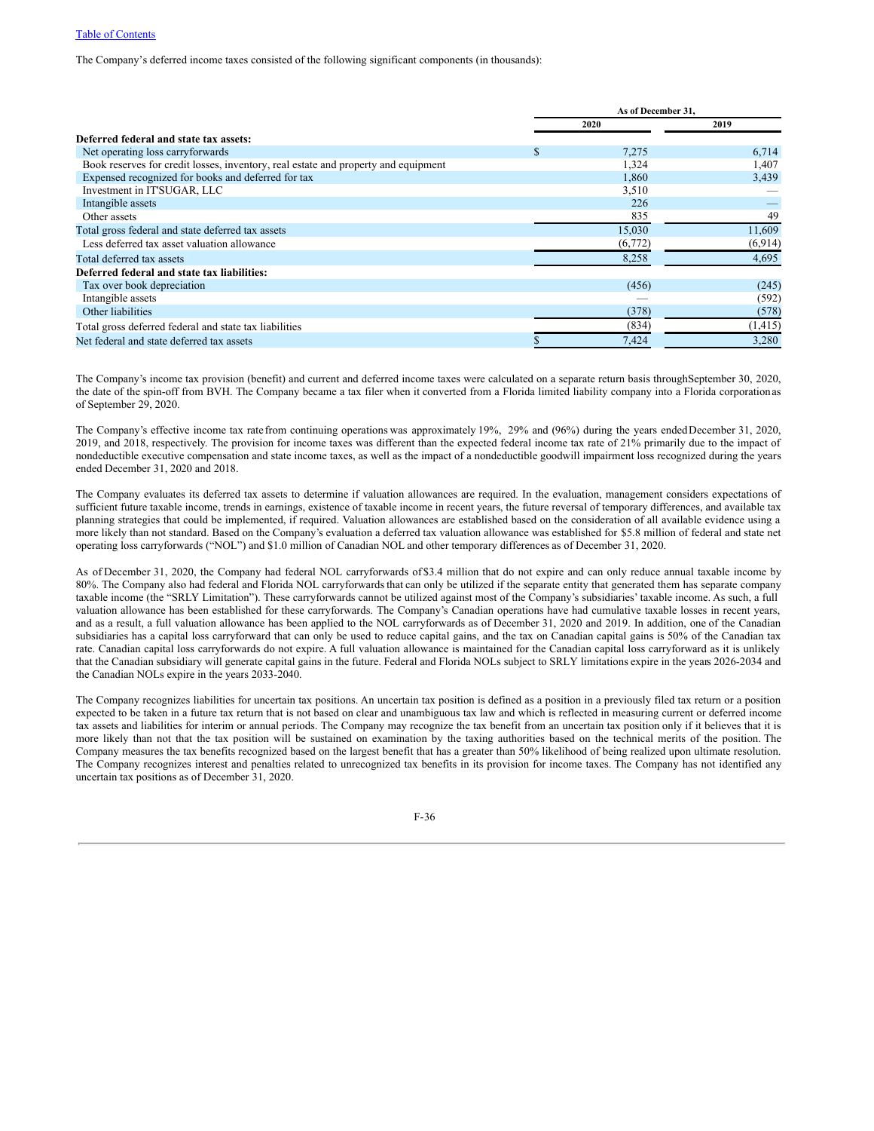The Company's deferred income taxes consisted of the following significant components (in thousands):

|                                                                                    |   | As of December 31. |          |  |  |
|------------------------------------------------------------------------------------|---|--------------------|----------|--|--|
|                                                                                    |   | 2020               | 2019     |  |  |
| Deferred federal and state tax assets:                                             |   |                    |          |  |  |
| Net operating loss carryforwards                                                   | S | 7.275              | 6,714    |  |  |
| Book reserves for credit losses, inventory, real estate and property and equipment |   | 1,324              | 1,407    |  |  |
| Expensed recognized for books and deferred for tax                                 |   | 1.860              | 3,439    |  |  |
| Investment in IT'SUGAR, LLC                                                        |   | 3,510              |          |  |  |
| Intangible assets                                                                  |   | 226                |          |  |  |
| Other assets                                                                       |   | 835                | 49       |  |  |
| Total gross federal and state deferred tax assets                                  |   | 15,030             | 11,609   |  |  |
| Less deferred tax asset valuation allowance                                        |   | (6,772)            | (6,914)  |  |  |
| Total deferred tax assets                                                          |   | 8.258              | 4,695    |  |  |
| Deferred federal and state tax liabilities:                                        |   |                    |          |  |  |
| Tax over book depreciation                                                         |   | (456)              | (245)    |  |  |
| Intangible assets                                                                  |   |                    | (592)    |  |  |
| Other liabilities                                                                  |   | (378)              | (578)    |  |  |
| Total gross deferred federal and state tax liabilities                             |   | (834)              | (1, 415) |  |  |
| Net federal and state deferred tax assets                                          |   | 7.424              | 3,280    |  |  |

The Company's income tax provision (benefit) and current and deferred income taxes were calculated on a separate return basis throughSeptember 30, 2020, the date of the spin-off from BVH. The Company became a tax filer when it converted from a Florida limited liability company into a Florida corporationas of September 29, 2020.

The Company's effective income tax rate from continuing operations was approximately 19%, 29% and (96%) during the years endedDecember 31, 2020, 2019, and 2018, respectively. The provision for income taxes was different than the expected federal income tax rate of 21% primarily due to the impact of nondeductible executive compensation and state income taxes, as well as the impact of a nondeductible goodwill impairment loss recognized during the years ended December 31, 2020 and 2018.

The Company evaluates its deferred tax assets to determine if valuation allowances are required. In the evaluation, management considers expectations of sufficient future taxable income, trends in earnings, existence of taxable income in recent years, the future reversal of temporary differences, and available tax planning strategies that could be implemented, if required. Valuation allowances are established based on the consideration of all available evidence using a more likely than not standard. Based on the Company's evaluation a deferred tax valuation allowance was established for \$5.8 million of federal and state net operating loss carryforwards ("NOL") and \$1.0 million of Canadian NOL and other temporary differences as of December 31, 2020.

As of December 31, 2020, the Company had federal NOL carryforwards of \$3.4 million that do not expire and can only reduce annual taxable income by 80%. The Company also had federal and Florida NOL carryforwardsthat can only be utilized if the separate entity that generated them has separate company taxable income (the "SRLY Limitation"). These carryforwards cannot be utilized against most of the Company's subsidiaries' taxable income. As such, a full valuation allowance has been established for these carryforwards. The Company's Canadian operations have had cumulative taxable losses in recent years, and as a result, a full valuation allowance has been applied to the NOL carryforwards as of December 31, 2020 and 2019. In addition, one of the Canadian subsidiaries has a capital loss carryforward that can only be used to reduce capital gains, and the tax on Canadian capital gains is 50% of the Canadian tax rate. Canadian capital loss carryforwards do not expire. A full valuation allowance is maintained for the Canadian capital loss carryforward as it is unlikely that the Canadian subsidiary will generate capital gains in the future. Federal and Florida NOLs subject to SRLY limitations expire in the years 2026-2034 and the Canadian NOLs expire in the years 2033-2040.

The Company recognizes liabilities for uncertain tax positions. An uncertain tax position is defined as a position in a previously filed tax return or a position expected to be taken in a future tax return that is not based on clear and unambiguous tax law and which is reflected in measuring current or deferred income tax assets and liabilities for interim or annual periods. The Company may recognize the tax benefit from an uncertain tax position only if it believes that it is more likely than not that the tax position will be sustained on examination by the taxing authorities based on the technical merits of the position. The Company measures the tax benefits recognized based on the largest benefit that has a greater than 50% likelihood of being realized upon ultimate resolution. The Company recognizes interest and penalties related to unrecognized tax benefits in its provision for income taxes. The Company has not identified any uncertain tax positions as of December 31, 2020.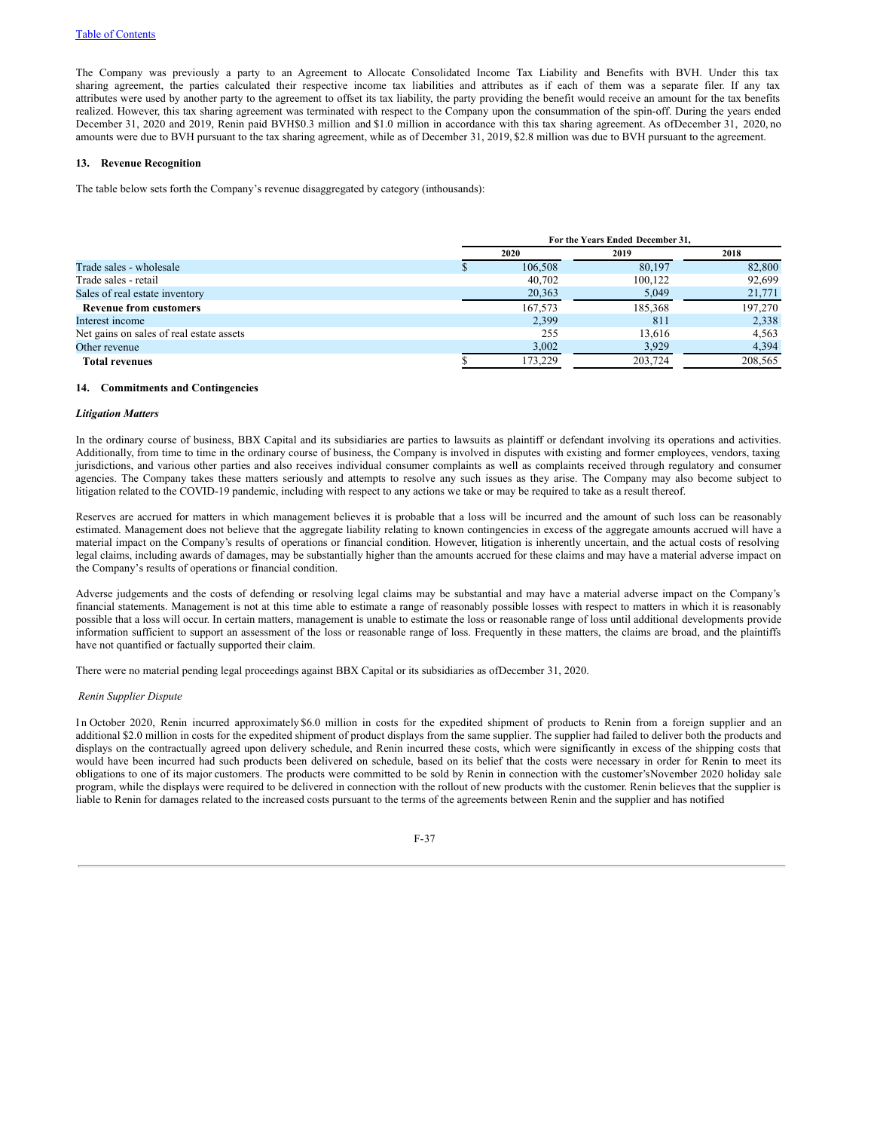The Company was previously a party to an Agreement to Allocate Consolidated Income Tax Liability and Benefits with BVH. Under this tax sharing agreement, the parties calculated their respective income tax liabilities and attributes as if each of them was a separate filer. If any tax attributes were used by another party to the agreement to offset its tax liability, the party providing the benefit would receive an amount for the tax benefits realized. However, this tax sharing agreement was terminated with respect to the Company upon the consummation of the spin-off. During the years ended December 31, 2020 and 2019, Renin paid BVH\$0.3 million and \$1.0 million in accordance with this tax sharing agreement. As ofDecember 31, 2020, no amounts were due to BVH pursuant to the tax sharing agreement, while as of December 31, 2019, \$2.8 million was due to BVH pursuant to the agreement.

# **13. Revenue Recognition**

The table below sets forth the Company's revenue disaggregated by category (inthousands):

|                                          |      | For the Years Ended December 31. |         |         |  |  |
|------------------------------------------|------|----------------------------------|---------|---------|--|--|
|                                          | 2020 |                                  | 2019    | 2018    |  |  |
| Trade sales - wholesale                  |      | 106.508                          | 80,197  | 82,800  |  |  |
| Trade sales - retail                     |      | 40,702                           | 100,122 | 92,699  |  |  |
| Sales of real estate inventory           |      | 20,363                           | 5,049   | 21,771  |  |  |
| <b>Revenue from customers</b>            |      | 167,573                          | 185,368 | 197,270 |  |  |
| Interest income                          |      | 2,399                            | 811     | 2,338   |  |  |
| Net gains on sales of real estate assets |      | 255                              | 13,616  | 4,563   |  |  |
| Other revenue                            |      | 3,002                            | 3,929   | 4,394   |  |  |
| <b>Total revenues</b>                    |      | 173.229                          | 203.724 | 208,565 |  |  |

#### **14. Commitments and Contingencies**

#### *Litigation Matters*

In the ordinary course of business, BBX Capital and its subsidiaries are parties to lawsuits as plaintiff or defendant involving its operations and activities. Additionally, from time to time in the ordinary course of business, the Company is involved in disputes with existing and former employees, vendors, taxing jurisdictions, and various other parties and also receives individual consumer complaints as well as complaints received through regulatory and consumer agencies. The Company takes these matters seriously and attempts to resolve any such issues as they arise. The Company may also become subject to litigation related to the COVID-19 pandemic, including with respect to any actions we take or may be required to take as a result thereof.

Reserves are accrued for matters in which management believes it is probable that a loss will be incurred and the amount of such loss can be reasonably estimated. Management does not believe that the aggregate liability relating to known contingencies in excess of the aggregate amounts accrued will have a material impact on the Company's results of operations or financial condition. However, litigation is inherently uncertain, and the actual costs of resolving legal claims, including awards of damages, may be substantially higher than the amounts accrued for these claims and may have a material adverse impact on the Company's results of operations or financial condition.

Adverse judgements and the costs of defending or resolving legal claims may be substantial and may have a material adverse impact on the Company's financial statements. Management is not at this time able to estimate a range of reasonably possible losses with respect to matters in which it is reasonably possible that a loss will occur. In certain matters, management is unable to estimate the loss or reasonable range of loss until additional developments provide information sufficient to support an assessment of the loss or reasonable range of loss. Frequently in these matters, the claims are broad, and the plaintiffs have not quantified or factually supported their claim.

There were no material pending legal proceedings against BBX Capital or its subsidiaries as ofDecember 31, 2020.

# *Renin Supplier Dispute*

In October 2020, Renin incurred approximately \$6.0 million in costs for the expedited shipment of products to Renin from a foreign supplier and an additional \$2.0 million in costs for the expedited shipment of product displays from the same supplier. The supplier had failed to deliver both the products and displays on the contractually agreed upon delivery schedule, and Renin incurred these costs, which were significantly in excess of the shipping costs that would have been incurred had such products been delivered on schedule, based on its belief that the costs were necessary in order for Renin to meet its obligations to one of its major customers. The products were committed to be sold by Renin in connection with the customer'sNovember 2020 holiday sale program, while the displays were required to be delivered in connection with the rollout of new products with the customer. Renin believes that the supplier is liable to Renin for damages related to the increased costs pursuant to the terms of the agreements between Renin and the supplier and has notified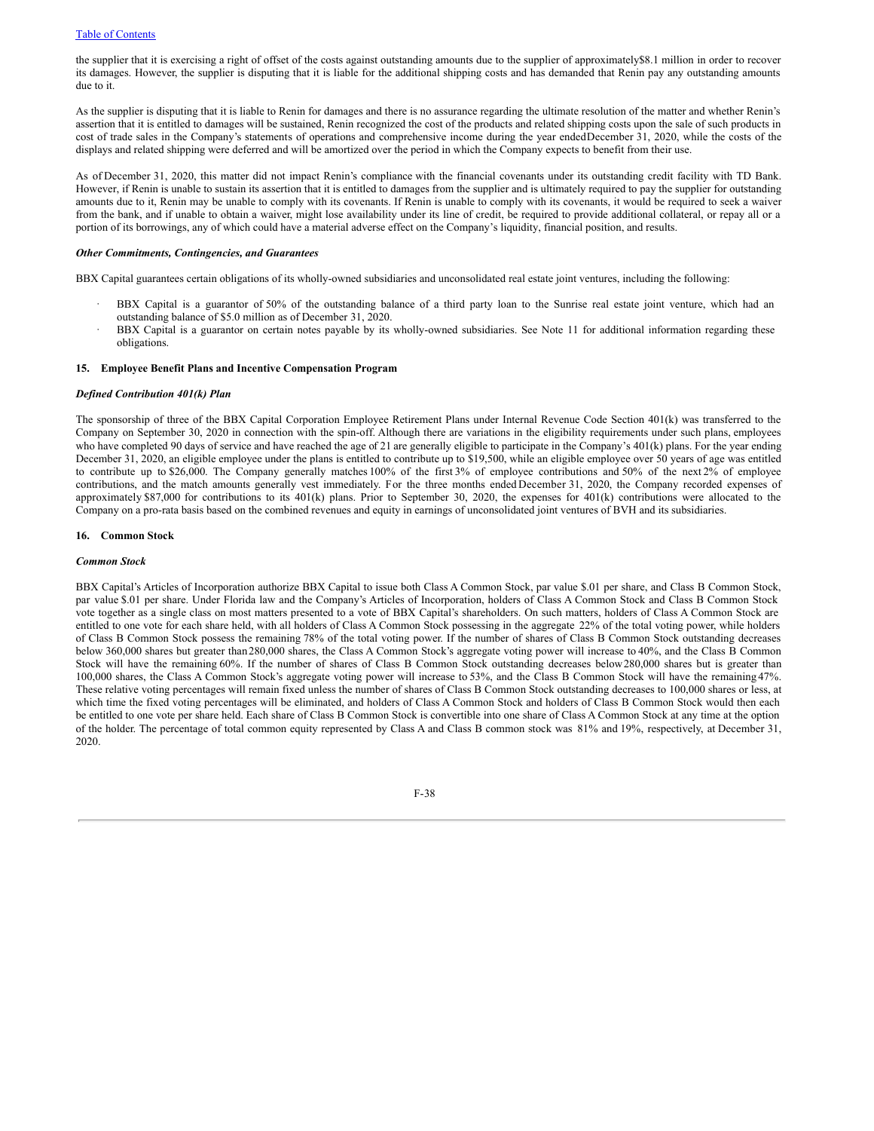the supplier that it is exercising a right of offset of the costs against outstanding amounts due to the supplier of approximately\$8.1 million in order to recover its damages. However, the supplier is disputing that it is liable for the additional shipping costs and has demanded that Renin pay any outstanding amounts due to it.

As the supplier is disputing that it is liable to Renin for damages and there is no assurance regarding the ultimate resolution of the matter and whether Renin's assertion that it is entitled to damages will be sustained, Renin recognized the cost of the products and related shipping costs upon the sale of such products in cost of trade sales in the Company's statements of operations and comprehensive income during the year endedDecember 31, 2020, while the costs of the displays and related shipping were deferred and will be amortized over the period in which the Company expects to benefit from their use.

As of December 31, 2020, this matter did not impact Renin's compliance with the financial covenants under its outstanding credit facility with TD Bank. However, if Renin is unable to sustain its assertion that it is entitled to damages from the supplier and is ultimately required to pay the supplier for outstanding amounts due to it, Renin may be unable to comply with its covenants. If Renin is unable to comply with its covenants, it would be required to seek a waiver from the bank, and if unable to obtain a waiver, might lose availability under its line of credit, be required to provide additional collateral, or repay all or a portion of its borrowings, any of which could have a material adverse effect on the Company's liquidity, financial position, and results.

# *Other Commitments, Contingencies, and Guarantees*

BBX Capital guarantees certain obligations of its wholly-owned subsidiaries and unconsolidated real estate joint ventures, including the following:

- BBX Capital is a guarantor of 50% of the outstanding balance of a third party loan to the Sunrise real estate joint venture, which had an outstanding balance of \$5.0 million as of December 31, 2020.
- BBX Capital is a guarantor on certain notes payable by its wholly-owned subsidiaries. See Note 11 for additional information regarding these obligations.

#### **15. Employee Benefit Plans and Incentive Compensation Program**

#### *Defined Contribution 401(k) Plan*

The sponsorship of three of the BBX Capital Corporation Employee Retirement Plans under Internal Revenue Code Section 401(k) was transferred to the Company on September 30, 2020 in connection with the spin-off. Although there are variations in the eligibility requirements under such plans, employees who have completed 90 days of service and have reached the age of 21 are generally eligible to participate in the Company's 401(k) plans. For the year ending December 31, 2020, an eligible employee under the plans is entitled to contribute up to \$19,500, while an eligible employee over 50 years of age was entitled to contribute up to \$26,000. The Company generally matches 100% of the first 3% of employee contributions and 50% of the next 2% of employee contributions, and the match amounts generally vest immediately. For the three months ended December 31, 2020, the Company recorded expenses of approximately \$87,000 for contributions to its  $401(k)$  plans. Prior to September 30, 2020, the expenses for  $401(k)$  contributions were allocated to the Company on a pro-rata basis based on the combined revenues and equity in earnings of unconsolidated joint ventures of BVH and its subsidiaries.

# **16. Common Stock**

#### *Common Stock*

BBX Capital's Articles of Incorporation authorize BBX Capital to issue both Class A Common Stock, par value \$.01 per share, and Class B Common Stock, par value \$.01 per share. Under Florida law and the Company's Articles of Incorporation, holders of Class A Common Stock and Class B Common Stock vote together as a single class on most matters presented to a vote of BBX Capital's shareholders. On such matters, holders of Class A Common Stock are entitled to one vote for each share held, with all holders of Class A Common Stock possessing in the aggregate 22% of the total voting power, while holders of Class B Common Stock possess the remaining 78% of the total voting power. If the number of shares of Class B Common Stock outstanding decreases below 360,000 shares but greater than280,000 shares, the Class A Common Stock's aggregate voting power will increase to 40%, and the Class B Common Stock will have the remaining 60%. If the number of shares of Class B Common Stock outstanding decreases below280,000 shares but is greater than 100,000 shares, the Class A Common Stock's aggregate voting power will increase to 53%, and the Class B Common Stock will have the remaining 47%. These relative voting percentages will remain fixed unless the number of shares of Class B Common Stock outstanding decreases to 100,000 shares or less, at which time the fixed voting percentages will be eliminated, and holders of Class A Common Stock and holders of Class B Common Stock would then each be entitled to one vote per share held. Each share of Class B Common Stock is convertible into one share of Class A Common Stock at any time at the option of the holder. The percentage of total common equity represented by Class A and Class B common stock was 81% and 19%, respectively, at December 31, 2020.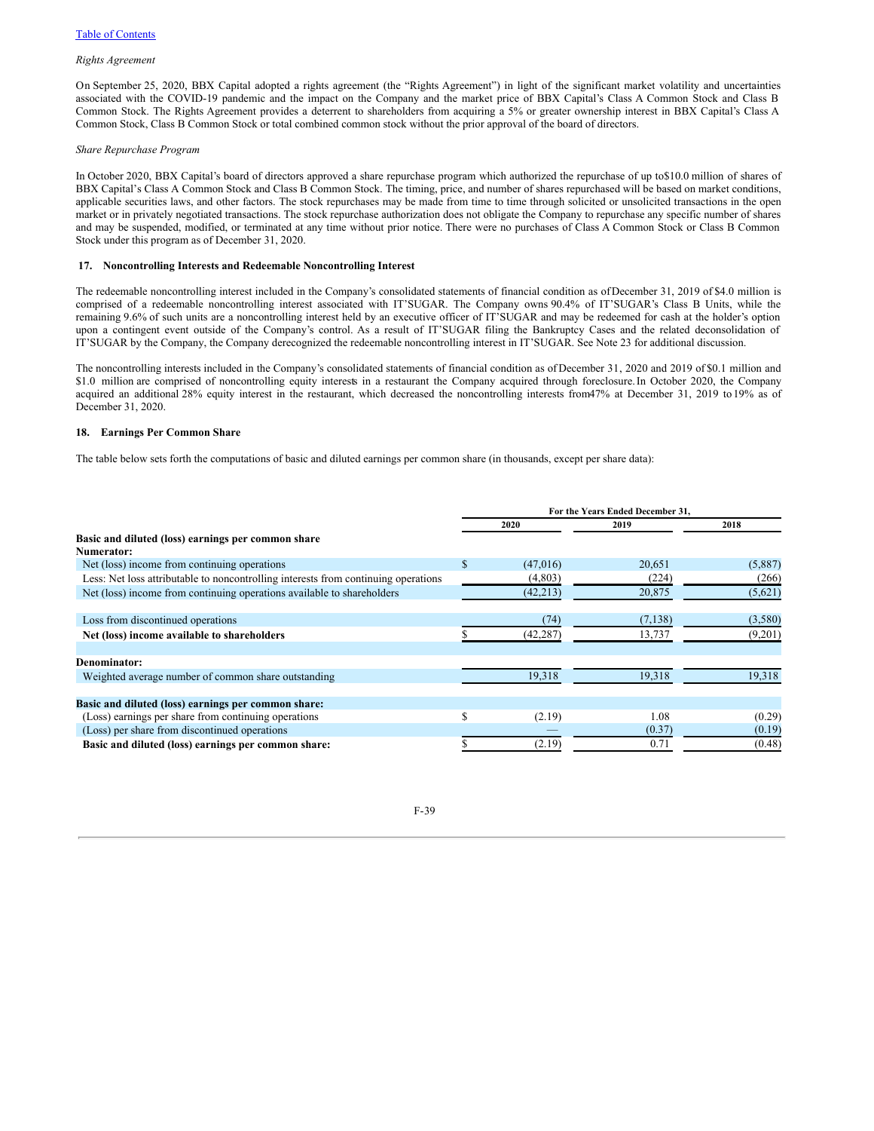# *Rights Agreement*

On September 25, 2020, BBX Capital adopted a rights agreement (the "Rights Agreement") in light of the significant market volatility and uncertainties associated with the COVID-19 pandemic and the impact on the Company and the market price of BBX Capital's Class A Common Stock and Class B Common Stock. The Rights Agreement provides a deterrent to shareholders from acquiring a 5% or greater ownership interest in BBX Capital's Class A Common Stock, Class B Common Stock or total combined common stock without the prior approval of the board of directors.

#### *Share Repurchase Program*

In October 2020, BBX Capital's board of directors approved a share repurchase program which authorized the repurchase of up to\$10.0 million of shares of BBX Capital's Class A Common Stock and Class B Common Stock. The timing, price, and number of shares repurchased will be based on market conditions, applicable securities laws, and other factors. The stock repurchases may be made from time to time through solicited or unsolicited transactions in the open market or in privately negotiated transactions. The stock repurchase authorization does not obligate the Company to repurchase any specific number of shares and may be suspended, modified, or terminated at any time without prior notice. There were no purchases of Class A Common Stock or Class B Common Stock under this program as of December 31, 2020.

#### **17. Noncontrolling Interests and Redeemable Noncontrolling Interest**

The redeemable noncontrolling interest included in the Company's consolidated statements of financial condition as ofDecember 31, 2019 of \$4.0 million is comprised of a redeemable noncontrolling interest associated with IT'SUGAR. The Company owns 90.4% of IT'SUGAR's Class B Units, while the remaining 9.6% of such units are a noncontrolling interest held by an executive officer of IT'SUGAR and may be redeemed for cash at the holder's option upon a contingent event outside of the Company's control. As a result of IT'SUGAR filing the Bankruptcy Cases and the related deconsolidation of IT'SUGAR by the Company, the Company derecognized the redeemable noncontrolling interest in IT'SUGAR. See Note 23 for additional discussion.

The noncontrolling interests included in the Company's consolidated statements of financial condition as of December 31, 2020 and 2019 of \$0.1 million and \$1.0 million are comprised of noncontrolling equity interests in a restaurant the Company acquired through foreclosure.In October 2020, the Company acquired an additional 28% equity interest in the restaurant, which decreased the noncontrolling interests from47% at December 31, 2019 to 19% as of December 31, 2020.

# **18. Earnings Per Common Share**

The table below sets forth the computations of basic and diluted earnings per common share (in thousands, except per share data):

|                                                                                    | For the Years Ended December 31, |           |         |         |  |
|------------------------------------------------------------------------------------|----------------------------------|-----------|---------|---------|--|
|                                                                                    | 2020                             |           | 2019    | 2018    |  |
| Basic and diluted (loss) earnings per common share                                 |                                  |           |         |         |  |
| Numerator:                                                                         |                                  |           |         |         |  |
| Net (loss) income from continuing operations                                       | S.                               | (47,016)  | 20,651  | (5,887) |  |
| Less: Net loss attributable to noncontrolling interests from continuing operations |                                  | (4,803)   | (224)   | (266)   |  |
| Net (loss) income from continuing operations available to shareholders             |                                  | (42,213)  | 20,875  | (5,621) |  |
| Loss from discontinued operations                                                  |                                  | (74)      | (7,138) | (3,580) |  |
| Net (loss) income available to shareholders                                        |                                  | (42, 287) | 13,737  | (9,201) |  |
| Denominator:                                                                       |                                  |           |         |         |  |
| Weighted average number of common share outstanding                                |                                  | 19,318    | 19,318  | 19,318  |  |
| Basic and diluted (loss) earnings per common share:                                |                                  |           |         |         |  |
| (Loss) earnings per share from continuing operations                               | ъ                                | (2.19)    | 1.08    | (0.29)  |  |
| (Loss) per share from discontinued operations                                      |                                  |           | (0.37)  | (0.19)  |  |
| Basic and diluted (loss) earnings per common share:                                |                                  | (2.19)    | 0.71    | (0.48)  |  |

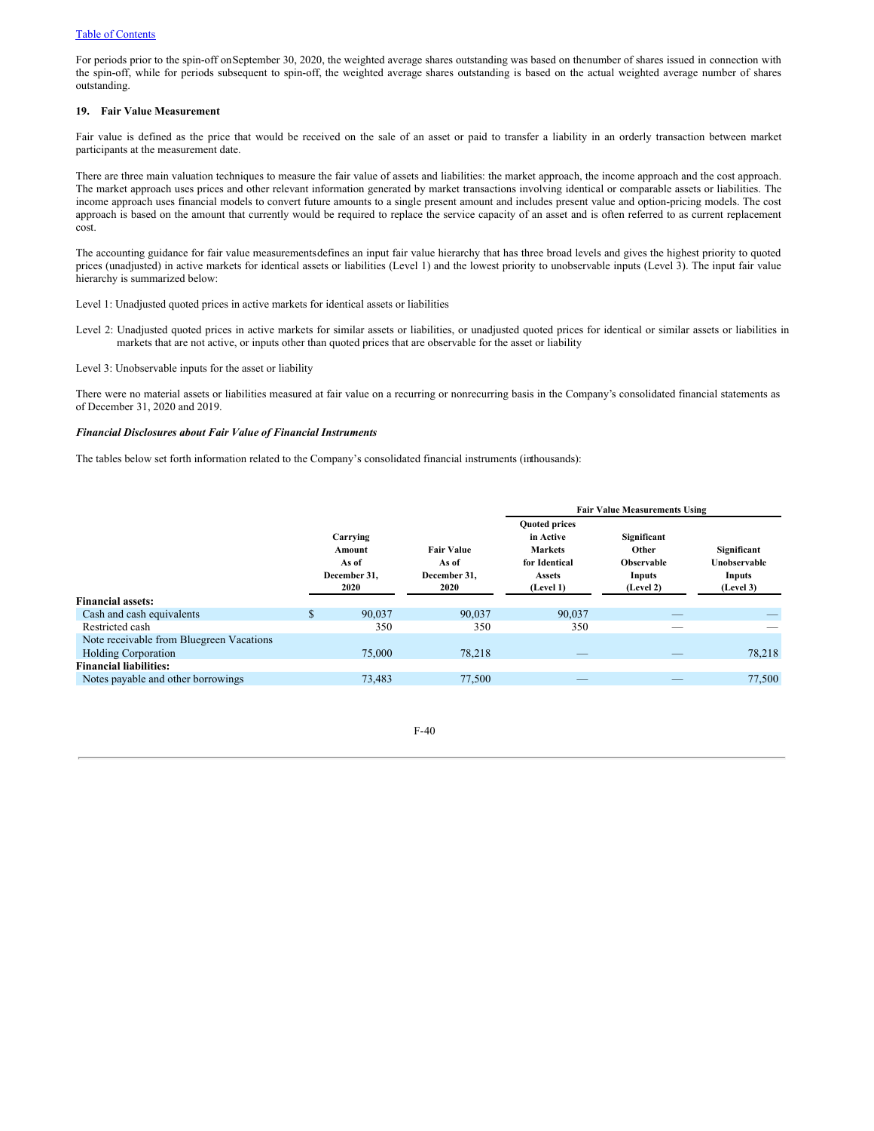For periods prior to the spin-off onSeptember 30, 2020, the weighted average shares outstanding was based on thenumber of shares issued in connection with the spin-off, while for periods subsequent to spin-off, the weighted average shares outstanding is based on the actual weighted average number of shares outstanding.

#### **19. Fair Value Measurement**

Fair value is defined as the price that would be received on the sale of an asset or paid to transfer a liability in an orderly transaction between market participants at the measurement date.

There are three main valuation techniques to measure the fair value of assets and liabilities: the market approach, the income approach and the cost approach. The market approach uses prices and other relevant information generated by market transactions involving identical or comparable assets or liabilities. The income approach uses financial models to convert future amounts to a single present amount and includes present value and option-pricing models. The cost approach is based on the amount that currently would be required to replace the service capacity of an asset and is often referred to as current replacement cost.

The accounting guidance for fair value measurementsdefines an input fair value hierarchy that has three broad levels and gives the highest priority to quoted prices (unadjusted) in active markets for identical assets or liabilities (Level 1) and the lowest priority to unobservable inputs (Level 3). The input fair value hierarchy is summarized below:

Level 1: Unadjusted quoted prices in active markets for identical assets or liabilities

- Level 2: Unadjusted quoted prices in active markets for similar assets or liabilities, or unadjusted quoted prices for identical or similar assets or liabilities in markets that are not active, or inputs other than quoted prices that are observable for the asset or liability
- Level 3: Unobservable inputs for the asset or liability

There were no material assets or liabilities measured at fair value on a recurring or nonrecurring basis in the Company's consolidated financial statements as of December 31, 2020 and 2019.

# *Financial Disclosures about Fair Value of Financial Instruments*

The tables below set forth information related to the Company's consolidated financial instruments (inthousands):

|                                                                        |                                                     |        |                                                    | <b>Fair Value Measurements Using</b>                                                               |                                                                  |                                                    |  |
|------------------------------------------------------------------------|-----------------------------------------------------|--------|----------------------------------------------------|----------------------------------------------------------------------------------------------------|------------------------------------------------------------------|----------------------------------------------------|--|
|                                                                        | Carrying<br>Amount<br>As of<br>December 31.<br>2020 |        | <b>Fair Value</b><br>As of<br>December 31.<br>2020 | <b>Ouoted prices</b><br>in Active<br><b>Markets</b><br>for Identical<br><b>Assets</b><br>(Level 1) | Significant<br>Other<br><b>Observable</b><br>Inputs<br>(Level 2) | Significant<br>Unobservable<br>Inputs<br>(Level 3) |  |
| <b>Financial assets:</b>                                               |                                                     |        |                                                    |                                                                                                    |                                                                  |                                                    |  |
| Cash and cash equivalents                                              | \$.                                                 | 90.037 | 90.037                                             | 90.037                                                                                             |                                                                  |                                                    |  |
| Restricted cash                                                        |                                                     | 350    | 350                                                | 350                                                                                                | _                                                                |                                                    |  |
| Note receivable from Bluegreen Vacations<br><b>Holding Corporation</b> |                                                     | 75,000 | 78.218                                             |                                                                                                    |                                                                  | 78,218                                             |  |
| <b>Financial liabilities:</b>                                          |                                                     |        |                                                    |                                                                                                    |                                                                  |                                                    |  |
| Notes payable and other borrowings                                     |                                                     | 73,483 | 77,500                                             | _                                                                                                  |                                                                  | 77,500                                             |  |

$$
F-40
$$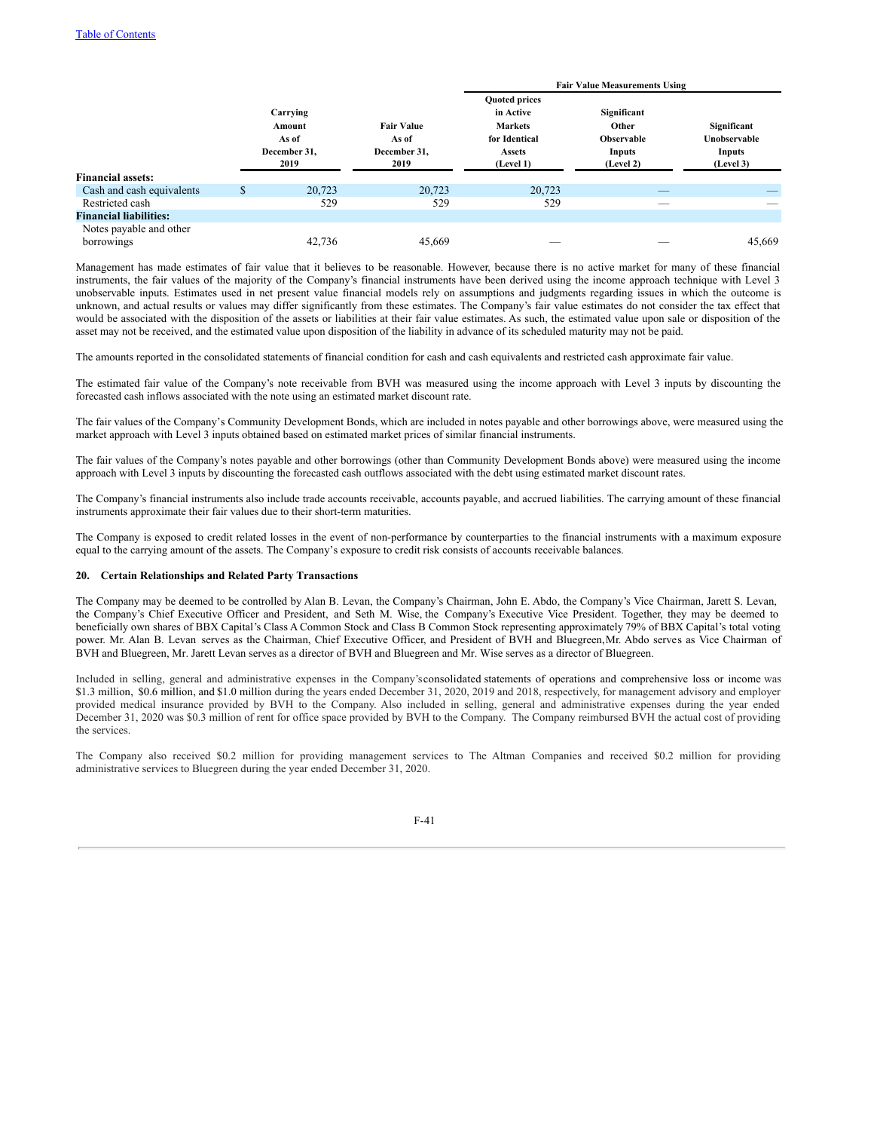|                                       |     |                                                     |                                                    | <b>Fair Value Measurements Using</b>                                                               |                                                                  |                                                    |  |  |
|---------------------------------------|-----|-----------------------------------------------------|----------------------------------------------------|----------------------------------------------------------------------------------------------------|------------------------------------------------------------------|----------------------------------------------------|--|--|
|                                       |     | Carrying<br>Amount<br>As of<br>December 31,<br>2019 | <b>Fair Value</b><br>As of<br>December 31,<br>2019 | <b>Quoted prices</b><br>in Active<br><b>Markets</b><br>for Identical<br><b>Assets</b><br>(Level 1) | Significant<br>Other<br><b>Observable</b><br>Inputs<br>(Level 2) | Significant<br>Unobservable<br>Inputs<br>(Level 3) |  |  |
| <b>Financial assets:</b>              |     |                                                     |                                                    |                                                                                                    |                                                                  |                                                    |  |  |
| Cash and cash equivalents             | \$. | 20,723                                              | 20,723                                             | 20,723                                                                                             |                                                                  |                                                    |  |  |
| Restricted cash                       |     | 529                                                 | 529                                                | 529                                                                                                |                                                                  |                                                    |  |  |
| <b>Financial liabilities:</b>         |     |                                                     |                                                    |                                                                                                    |                                                                  |                                                    |  |  |
| Notes payable and other<br>borrowings |     | 42.736                                              | 45,669                                             |                                                                                                    |                                                                  | 45,669                                             |  |  |

Management has made estimates of fair value that it believes to be reasonable. However, because there is no active market for many of these financial instruments, the fair values of the majority of the Company's financial instruments have been derived using the income approach technique with Level 3 unobservable inputs. Estimates used in net present value financial models rely on assumptions and judgments regarding issues in which the outcome is unknown, and actual results or values may differ significantly from these estimates. The Company's fair value estimates do not consider the tax effect that would be associated with the disposition of the assets or liabilities at their fair value estimates. As such, the estimated value upon sale or disposition of the asset may not be received, and the estimated value upon disposition of the liability in advance of its scheduled maturity may not be paid.

The amounts reported in the consolidated statements of financial condition for cash and cash equivalents and restricted cash approximate fair value.

The estimated fair value of the Company's note receivable from BVH was measured using the income approach with Level 3 inputs by discounting the forecasted cash inflows associated with the note using an estimated market discount rate.

The fair values of the Company's Community Development Bonds, which are included in notes payable and other borrowings above, were measured using the market approach with Level 3 inputs obtained based on estimated market prices of similar financial instruments.

The fair values of the Company's notes payable and other borrowings (other than Community Development Bonds above) were measured using the income approach with Level 3 inputs by discounting the forecasted cash outflows associated with the debt using estimated market discount rates.

The Company's financial instruments also include trade accounts receivable, accounts payable, and accrued liabilities. The carrying amount of these financial instruments approximate their fair values due to their short-term maturities.

The Company is exposed to credit related losses in the event of non-performance by counterparties to the financial instruments with a maximum exposure equal to the carrying amount of the assets. The Company's exposure to credit risk consists of accounts receivable balances.

#### **20. Certain Relationships and Related Party Transactions**

The Company may be deemed to be controlled by Alan B. Levan, the Company's Chairman, John E. Abdo, the Company's Vice Chairman, Jarett S. Levan, the Company's Chief Executive Officer and President, and Seth M. Wise, the Company's Executive Vice President. Together, they may be deemed to beneficially own shares of BBX Capital's Class A Common Stock and Class B Common Stock representing approximately 79% of BBX Capital's total voting power. Mr. Alan B. Levan serves as the Chairman, Chief Executive Officer, and President of BVH and Bluegreen,Mr. Abdo serves as Vice Chairman of BVH and Bluegreen, Mr. Jarett Levan serves as a director of BVH and Bluegreen and Mr. Wise serves as a director of Bluegreen.

Included in selling, general and administrative expenses in the Company'sconsolidated statements of operations and comprehensive loss or income was \$1.3 million, \$0.6 million, and \$1.0 million during the years ended December 31, 2020, 2019 and 2018, respectively, for management advisory and employer provided medical insurance provided by BVH to the Company. Also included in selling, general and administrative expenses during the year ended December 31, 2020 was \$0.3 million of rent for office space provided by BVH to the Company. The Company reimbursed BVH the actual cost of providing the services.

The Company also received \$0.2 million for providing management services to The Altman Companies and received \$0.2 million for providing administrative services to Bluegreen during the year ended December 31, 2020.

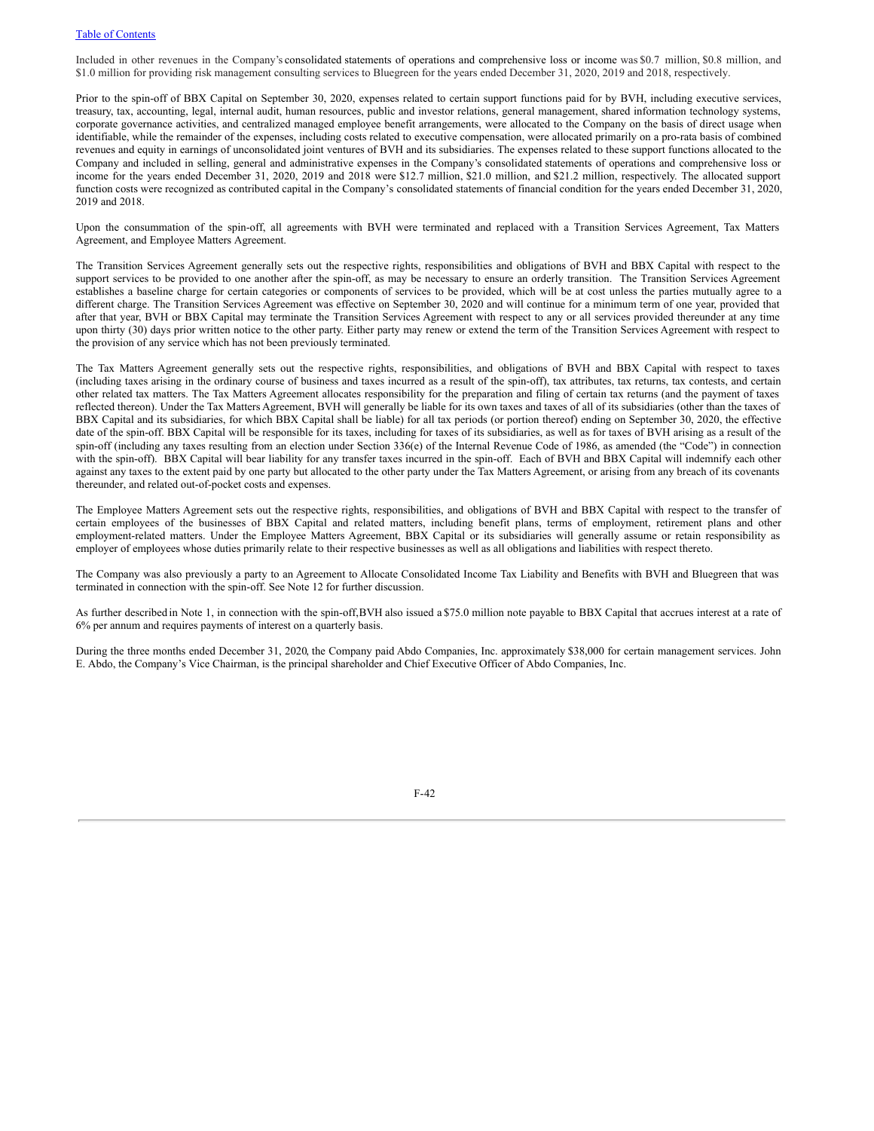Included in other revenues in the Company's consolidated statements of operations and comprehensive loss or income was \$0.7 million, \$0.8 million, and \$1.0 million for providing risk management consulting services to Bluegreen for the years ended December 31, 2020, 2019 and 2018, respectively.

Prior to the spin-off of BBX Capital on September 30, 2020, expenses related to certain support functions paid for by BVH, including executive services, treasury, tax, accounting, legal, internal audit, human resources, public and investor relations, general management, shared information technology systems, corporate governance activities, and centralized managed employee benefit arrangements, were allocated to the Company on the basis of direct usage when identifiable, while the remainder of the expenses, including costs related to executive compensation, were allocated primarily on a pro-rata basis of combined revenues and equity in earnings of unconsolidated joint ventures of BVH and its subsidiaries. The expenses related to these support functions allocated to the Company and included in selling, general and administrative expenses in the Company's consolidated statements of operations and comprehensive loss or income for the years ended December 31, 2020, 2019 and 2018 were \$12.7 million, \$21.0 million, and \$21.2 million, respectively. The allocated support function costs were recognized as contributed capital in the Company's consolidated statements of financial condition for the years ended December 31, 2020, 2019 and 2018.

Upon the consummation of the spin-off, all agreements with BVH were terminated and replaced with a Transition Services Agreement, Tax Matters Agreement, and Employee Matters Agreement.

The Transition Services Agreement generally sets out the respective rights, responsibilities and obligations of BVH and BBX Capital with respect to the support services to be provided to one another after the spin-off, as may be necessary to ensure an orderly transition. The Transition Services Agreement establishes a baseline charge for certain categories or components of services to be provided, which will be at cost unless the parties mutually agree to a different charge. The Transition Services Agreement was effective on September 30, 2020 and will continue for a minimum term of one year, provided that after that year, BVH or BBX Capital may terminate the Transition Services Agreement with respect to any or all services provided thereunder at any time upon thirty (30) days prior written notice to the other party. Either party may renew or extend the term of the Transition Services Agreement with respect to the provision of any service which has not been previously terminated.

The Tax Matters Agreement generally sets out the respective rights, responsibilities, and obligations of BVH and BBX Capital with respect to taxes (including taxes arising in the ordinary course of business and taxes incurred as a result of the spin-off), tax attributes, tax returns, tax contests, and certain other related tax matters. The Tax Matters Agreement allocates responsibility for the preparation and filing of certain tax returns (and the payment of taxes reflected thereon). Under the Tax Matters Agreement, BVH will generally be liable for its own taxes and taxes of all of its subsidiaries (other than the taxes of BBX Capital and its subsidiaries, for which BBX Capital shall be liable) for all tax periods (or portion thereof) ending on September 30, 2020, the effective date of the spin-off. BBX Capital will be responsible for its taxes, including for taxes of its subsidiaries, as well as for taxes of BVH arising as a result of the spin-off (including any taxes resulting from an election under Section 336(e) of the Internal Revenue Code of 1986, as amended (the "Code") in connection with the spin-off). BBX Capital will bear liability for any transfer taxes incurred in the spin-off. Each of BVH and BBX Capital will indemnify each other against any taxes to the extent paid by one party but allocated to the other party under the Tax Matters Agreement, or arising from any breach of its covenants thereunder, and related out-of-pocket costs and expenses.

The Employee Matters Agreement sets out the respective rights, responsibilities, and obligations of BVH and BBX Capital with respect to the transfer of certain employees of the businesses of BBX Capital and related matters, including benefit plans, terms of employment, retirement plans and other employment-related matters. Under the Employee Matters Agreement, BBX Capital or its subsidiaries will generally assume or retain responsibility as employer of employees whose duties primarily relate to their respective businesses as well as all obligations and liabilities with respect thereto.

The Company was also previously a party to an Agreement to Allocate Consolidated Income Tax Liability and Benefits with BVH and Bluegreen that was terminated in connection with the spin-off. See Note 12 for further discussion.

As further described in Note 1, in connection with the spin-off,BVH also issued a \$75.0 million note payable to BBX Capital that accrues interest at a rate of 6% per annum and requires payments of interest on a quarterly basis.

During the three months ended December 31, 2020, the Company paid Abdo Companies, Inc. approximately \$38,000 for certain management services. John E. Abdo, the Company's Vice Chairman, is the principal shareholder and Chief Executive Officer of Abdo Companies, Inc.

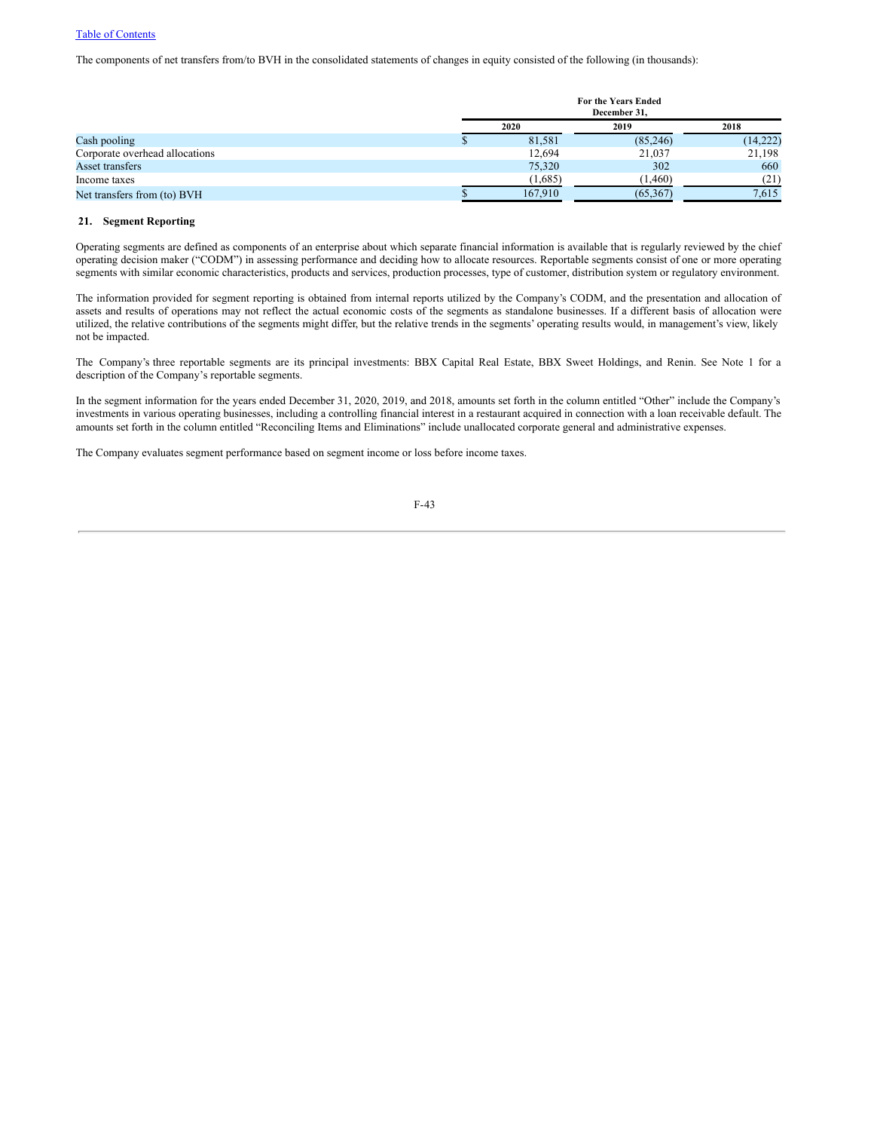The components of net transfers from/to BVH in the consolidated statements of changes in equity consisted of the following (in thousands):

|                                |      | For the Years Ended<br>December 31. |          |           |  |  |
|--------------------------------|------|-------------------------------------|----------|-----------|--|--|
|                                | 2020 |                                     | 2019     | 2018      |  |  |
| Cash pooling                   |      | 81,581                              | (85,246) | (14, 222) |  |  |
| Corporate overhead allocations |      | 12,694                              | 21,037   | 21,198    |  |  |
| Asset transfers                |      | 75,320                              | 302      | 660       |  |  |
| Income taxes                   |      | (1,685)                             | (1,460)  | (21)      |  |  |
| Net transfers from (to) BVH    |      | 167,910                             | (65,367) | 7,615     |  |  |

# **21. Segment Reporting**

Operating segments are defined as components of an enterprise about which separate financial information is available that is regularly reviewed by the chief operating decision maker ("CODM") in assessing performance and deciding how to allocate resources. Reportable segments consist of one or more operating segments with similar economic characteristics, products and services, production processes, type of customer, distribution system or regulatory environment.

The information provided for segment reporting is obtained from internal reports utilized by the Company's CODM, and the presentation and allocation of assets and results of operations may not reflect the actual economic costs of the segments as standalone businesses. If a different basis of allocation were utilized, the relative contributions of the segments might differ, but the relative trends in the segments' operating results would, in management's view, likely not be impacted.

The Company's three reportable segments are its principal investments: BBX Capital Real Estate, BBX Sweet Holdings, and Renin. See Note 1 for a description of the Company's reportable segments.

In the segment information for the years ended December 31, 2020, 2019, and 2018, amounts set forth in the column entitled "Other" include the Company's investments in various operating businesses, including a controlling financial interest in a restaurant acquired in connection with a loan receivable default. The amounts set forth in the column entitled "Reconciling Items and Eliminations" include unallocated corporate general and administrative expenses.

The Company evaluates segment performance based on segment income or loss before income taxes.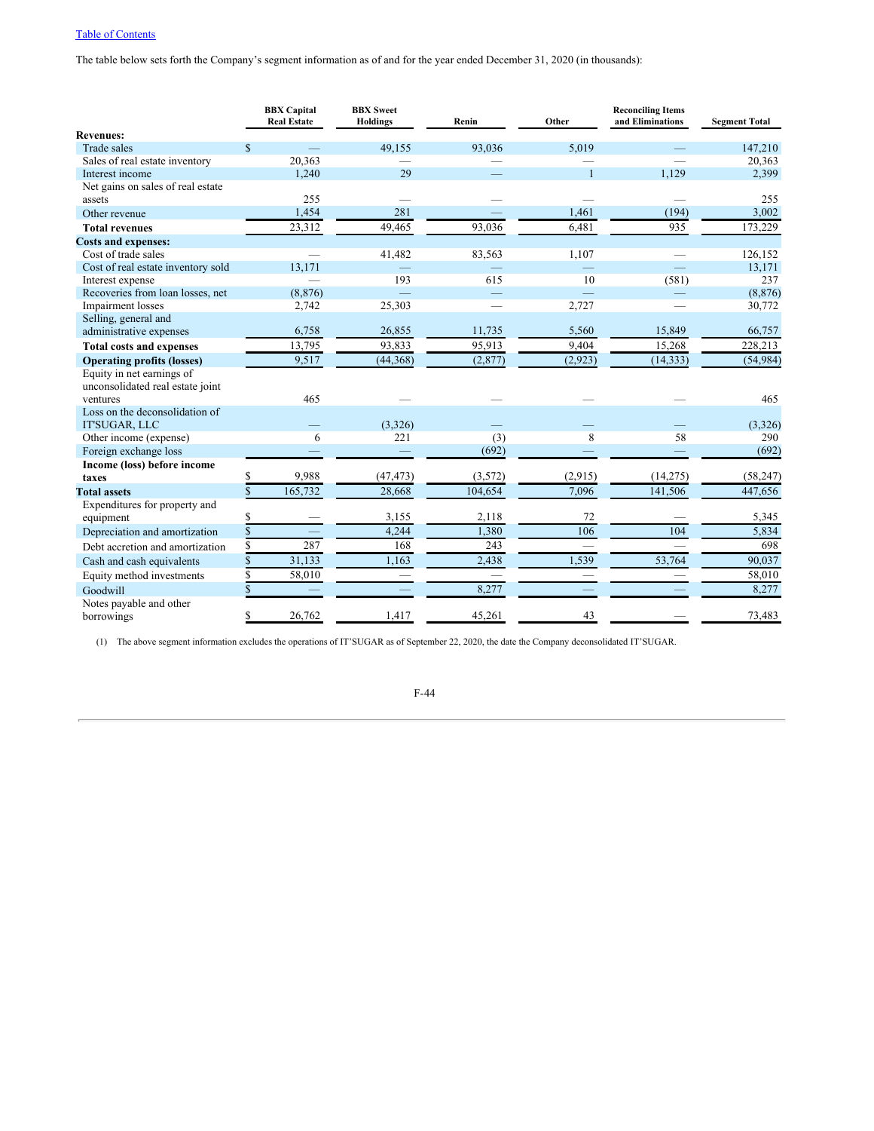The table below sets forth the Company's segment information as of and for the year ended December 31, 2020 (in thousands):

|                                                               |                 | <b>BBX</b> Capital<br><b>Real Estate</b> | <b>BBX</b> Sweet<br><b>Holdings</b> | Renin        | Other        | <b>Reconciling Items</b><br>and Eliminations | <b>Segment Total</b> |
|---------------------------------------------------------------|-----------------|------------------------------------------|-------------------------------------|--------------|--------------|----------------------------------------------|----------------------|
| <b>Revenues:</b>                                              |                 |                                          |                                     |              |              |                                              |                      |
| Trade sales                                                   | \$              |                                          | 49,155                              | 93,036       | 5,019        |                                              | 147,210              |
| Sales of real estate inventory                                |                 | 20,363                                   |                                     |              |              |                                              | 20,363               |
| Interest income                                               |                 | 1,240                                    | 29                                  |              | $\mathbf{1}$ | 1,129                                        | 2,399                |
| Net gains on sales of real estate                             |                 |                                          |                                     |              |              |                                              |                      |
| assets                                                        |                 | 255                                      |                                     |              |              |                                              | 255                  |
| Other revenue                                                 |                 | 1,454                                    | 281                                 |              | 1,461        | (194)                                        | 3,002                |
| <b>Total revenues</b>                                         |                 | 23,312                                   | 49,465                              | 93,036       | 6,481        | 935                                          | 173,229              |
| <b>Costs and expenses:</b>                                    |                 |                                          |                                     |              |              |                                              |                      |
| Cost of trade sales                                           |                 |                                          | 41,482                              | 83,563       | 1,107        |                                              | 126,152              |
| Cost of real estate inventory sold                            |                 | 13,171                                   |                                     |              |              |                                              | 13,171               |
| Interest expense                                              |                 |                                          | 193                                 | 615          | 10           | (581)                                        | 237                  |
| Recoveries from loan losses, net                              |                 | (8, 876)                                 |                                     |              |              |                                              | (8, 876)             |
| Impairment losses                                             |                 | 2,742                                    | 25,303                              |              | 2,727        |                                              | 30,772               |
| Selling, general and                                          |                 |                                          |                                     |              |              |                                              |                      |
| administrative expenses                                       |                 | 6,758                                    | 26,855                              | 11,735       | 5,560        | 15,849                                       | 66,757               |
| <b>Total costs and expenses</b>                               |                 | 13,795                                   | 93,833                              | 95,913       | 9,404        | 15,268                                       | 228,213              |
| <b>Operating profits (losses)</b>                             |                 | 9,517                                    | (44, 368)                           | (2,877)      | (2, 923)     | (14, 333)                                    | (54, 984)            |
| Equity in net earnings of<br>unconsolidated real estate joint |                 |                                          |                                     |              |              |                                              |                      |
| ventures                                                      |                 | 465                                      |                                     |              |              |                                              | 465                  |
| Loss on the deconsolidation of                                |                 |                                          |                                     |              |              |                                              |                      |
| <b>IT'SUGAR, LLC</b>                                          |                 | 6                                        | (3,326)<br>221                      |              | 8            | 58                                           | (3,326)<br>290       |
| Other income (expense)<br>Foreign exchange loss               |                 |                                          |                                     | (3)<br>(692) |              |                                              | (692)                |
|                                                               |                 |                                          |                                     |              |              |                                              |                      |
| Income (loss) before income<br>taxes                          | \$              | 9,988                                    | (47, 473)                           | (3,572)      | (2,915)      | (14,275)                                     | (58, 247)            |
|                                                               | $\mathbf S$     | 165,732                                  | 28,668                              | 104,654      | 7,096        | 141,506                                      | 447,656              |
| <b>Total assets</b>                                           |                 |                                          |                                     |              |              |                                              |                      |
| Expenditures for property and                                 | \$              |                                          | 3,155                               | 2,118        | 72           |                                              | 5,345                |
| equipment                                                     | $\overline{\$}$ |                                          |                                     |              |              |                                              |                      |
| Depreciation and amortization                                 |                 |                                          | 4,244                               | 1,380        | 106          | 104                                          | 5,834                |
| Debt accretion and amortization                               | \$              | 287                                      | 168                                 | 243          |              |                                              | 698                  |
| Cash and cash equivalents                                     | \$              | 31,133                                   | 1,163                               | 2,438        | 1,539        | 53,764                                       | 90,037               |
| Equity method investments                                     | \$              | 58,010                                   |                                     |              |              |                                              | 58,010               |
| Goodwill                                                      | $\mathbf S$     |                                          |                                     | 8,277        |              |                                              | 8,277                |
| Notes payable and other                                       |                 |                                          |                                     |              |              |                                              |                      |
| borrowings                                                    | \$              | 26,762                                   | 1,417                               | 45,261       | 43           |                                              | 73,483               |

(1) The above segment information excludes the operations of IT'SUGAR as of September 22, 2020, the date the Company deconsolidated IT'SUGAR.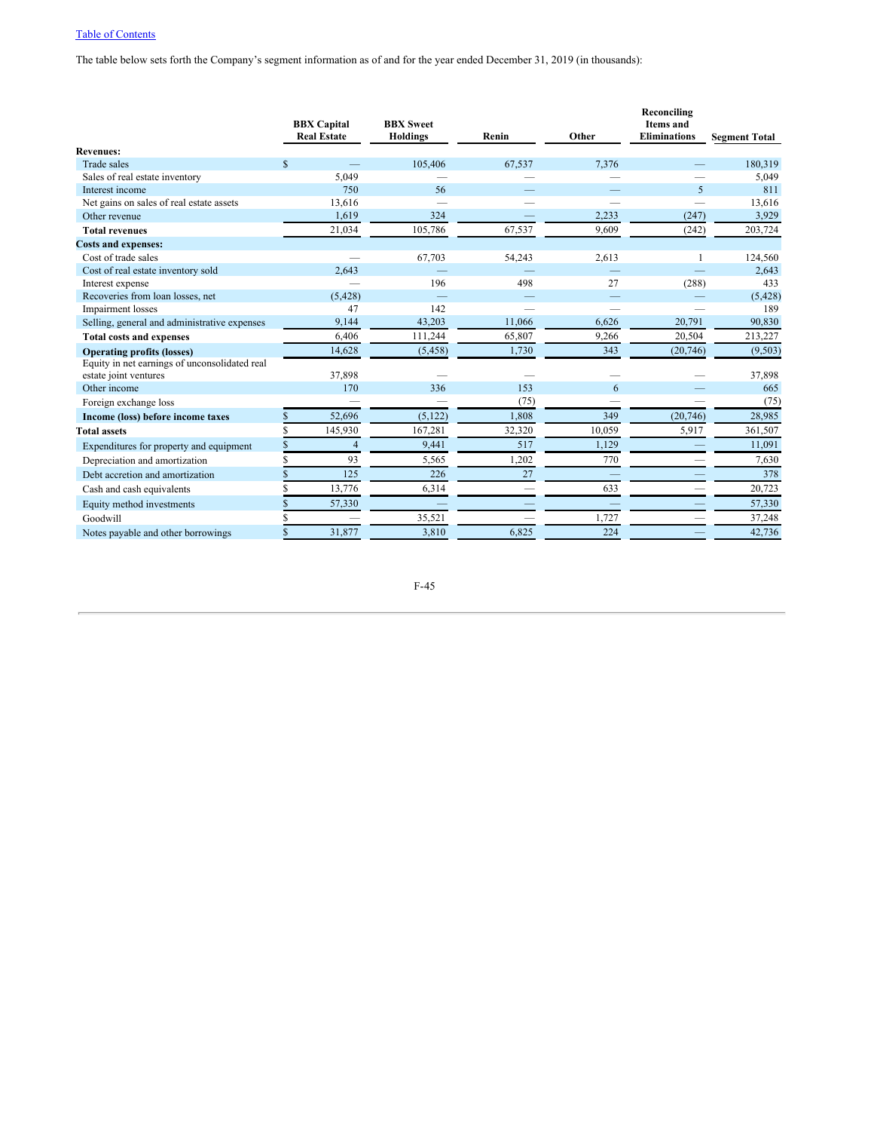The table below sets forth the Company's segment information as of and for the year ended December 31, 2019 (in thousands):

|                                                                        | <b>BBX</b> Capital<br><b>Real Estate</b> | <b>BBX</b> Sweet<br><b>Holdings</b> | Renin  | Other  | Reconciling<br><b>Items</b> and<br><b>Eliminations</b> | <b>Segment Total</b> |
|------------------------------------------------------------------------|------------------------------------------|-------------------------------------|--------|--------|--------------------------------------------------------|----------------------|
| <b>Revenues:</b>                                                       |                                          |                                     |        |        |                                                        |                      |
| Trade sales                                                            | \$                                       | 105,406                             | 67,537 | 7,376  |                                                        | 180,319              |
| Sales of real estate inventory                                         | 5,049                                    |                                     |        |        |                                                        | 5,049                |
| Interest income                                                        | 750                                      | 56                                  |        |        | 5                                                      | 811                  |
| Net gains on sales of real estate assets                               | 13,616                                   |                                     |        |        |                                                        | 13,616               |
| Other revenue                                                          | 1,619                                    | 324                                 |        | 2,233  | (247)                                                  | 3,929                |
| <b>Total revenues</b>                                                  | 21,034                                   | 105,786                             | 67,537 | 9,609  | (242)                                                  | 203,724              |
| <b>Costs and expenses:</b>                                             |                                          |                                     |        |        |                                                        |                      |
| Cost of trade sales                                                    |                                          | 67,703                              | 54,243 | 2,613  |                                                        | 124,560              |
| Cost of real estate inventory sold                                     | 2.643                                    |                                     |        |        |                                                        | 2,643                |
| Interest expense                                                       |                                          | 196                                 | 498    | 27     | (288)                                                  | 433                  |
| Recoveries from loan losses, net                                       | (5, 428)                                 |                                     |        |        |                                                        | (5,428)              |
| Impairment losses                                                      | 47                                       | 142                                 |        |        |                                                        | 189                  |
| Selling, general and administrative expenses                           | 9,144                                    | 43,203                              | 11,066 | 6,626  | 20,791                                                 | 90,830               |
| <b>Total costs and expenses</b>                                        | 6,406                                    | 111,244                             | 65,807 | 9,266  | 20,504                                                 | 213,227              |
| <b>Operating profits (losses)</b>                                      | 14,628                                   | (5, 458)                            | 1,730  | 343    | (20,746)                                               | (9,503)              |
| Equity in net earnings of unconsolidated real<br>estate joint ventures | 37,898                                   |                                     |        |        |                                                        | 37,898               |
| Other income                                                           | 170                                      | 336                                 | 153    | 6      |                                                        | 665                  |
| Foreign exchange loss                                                  |                                          |                                     | (75)   |        |                                                        | (75)                 |
| Income (loss) before income taxes                                      | 52,696<br>\$                             | (5, 122)                            | 1,808  | 349    | (20,746)                                               | 28,985               |
| <b>Total assets</b>                                                    | S<br>145,930                             | 167,281                             | 32,320 | 10,059 | 5,917                                                  | 361,507              |
| Expenditures for property and equipment                                | \$<br>$\overline{4}$                     | 9,441                               | 517    | 1,129  |                                                        | 11,091               |
| Depreciation and amortization                                          | \$<br>93                                 | 5,565                               | 1,202  | 770    |                                                        | 7,630                |
| Debt accretion and amortization                                        | 125                                      | 226                                 | 27     |        |                                                        | 378                  |
| Cash and cash equivalents                                              | 13,776                                   | 6,314                               |        | 633    |                                                        | 20,723               |
| Equity method investments                                              | 57,330                                   |                                     |        |        |                                                        | 57,330               |
| Goodwill                                                               |                                          | 35,521                              |        | 1,727  |                                                        | 37,248               |
| Notes payable and other borrowings                                     | 31,877                                   | 3,810                               | 6.825  | 224    |                                                        | 42,736               |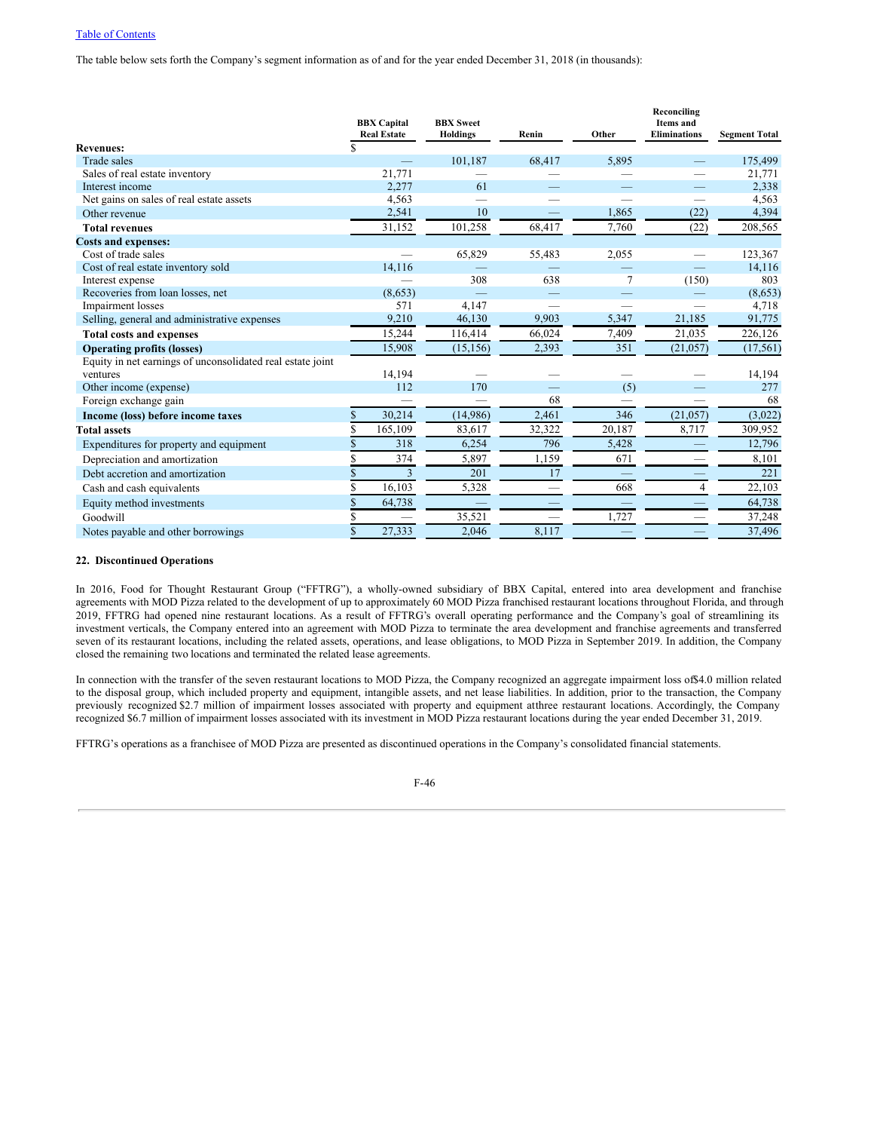The table below sets forth the Company's segment information as of and for the year ended December 31, 2018 (in thousands):

|                                                                        |    | <b>BBX</b> Capital<br><b>Real Estate</b> | <b>BBX</b> Sweet<br><b>Holdings</b> | Renin  | Other  | Reconciling<br><b>Items</b> and<br><b>Eliminations</b> | <b>Segment Total</b> |
|------------------------------------------------------------------------|----|------------------------------------------|-------------------------------------|--------|--------|--------------------------------------------------------|----------------------|
| <b>Revenues:</b>                                                       | S  |                                          |                                     |        |        |                                                        |                      |
| <b>Trade sales</b>                                                     |    |                                          | 101,187                             | 68,417 | 5,895  |                                                        | 175,499              |
| Sales of real estate inventory                                         |    | 21,771                                   |                                     |        |        |                                                        | 21,771               |
| Interest income                                                        |    | 2,277                                    | 61                                  |        |        |                                                        | 2,338                |
| Net gains on sales of real estate assets                               |    | 4,563                                    |                                     |        | -      | --                                                     | 4,563                |
| Other revenue                                                          |    | 2,541                                    | 10                                  |        | 1.865  | (22)                                                   | 4,394                |
| <b>Total revenues</b>                                                  |    | 31,152                                   | 101,258                             | 68,417 | 7,760  | (22)                                                   | 208,565              |
| <b>Costs and expenses:</b>                                             |    |                                          |                                     |        |        |                                                        |                      |
| Cost of trade sales                                                    |    |                                          | 65,829                              | 55,483 | 2,055  |                                                        | 123,367              |
| Cost of real estate inventory sold                                     |    | 14,116                                   |                                     |        |        |                                                        | 14,116               |
| Interest expense                                                       |    |                                          | 308                                 | 638    | 7      | (150)                                                  | 803                  |
| Recoveries from loan losses, net                                       |    | (8,653)                                  |                                     |        |        |                                                        | (8,653)              |
| Impairment losses                                                      |    | 571                                      | 4,147                               |        |        |                                                        | 4,718                |
| Selling, general and administrative expenses                           |    | 9,210                                    | 46,130                              | 9,903  | 5,347  | 21,185                                                 | 91,775               |
| <b>Total costs and expenses</b>                                        |    | 15,244                                   | 116,414                             | 66,024 | 7,409  | 21,035                                                 | 226,126              |
| <b>Operating profits (losses)</b>                                      |    | 15,908                                   | (15, 156)                           | 2,393  | 351    | (21, 057)                                              | (17, 561)            |
| Equity in net earnings of unconsolidated real estate joint<br>ventures |    | 14,194                                   |                                     |        |        |                                                        | 14,194               |
| Other income (expense)                                                 |    | 112                                      | 170                                 |        | (5)    |                                                        | 277                  |
| Foreign exchange gain                                                  |    |                                          |                                     | 68     |        |                                                        | 68                   |
| Income (loss) before income taxes                                      |    | 30,214                                   | (14,986)                            | 2,461  | 346    | (21, 057)                                              | (3,022)              |
| <b>Total assets</b>                                                    |    | 165,109                                  | 83,617                              | 32,322 | 20,187 | 8,717                                                  | 309,952              |
| Expenditures for property and equipment                                |    | 318                                      | 6,254                               | 796    | 5,428  |                                                        | 12,796               |
| Depreciation and amortization                                          |    | 374                                      | 5,897                               | 1,159  | 671    |                                                        | 8,101                |
| Debt accretion and amortization                                        |    | 3                                        | 201                                 | 17     |        |                                                        | 221                  |
| Cash and cash equivalents                                              |    | 16,103                                   | 5,328                               |        | 668    | 4                                                      | 22,103               |
| Equity method investments                                              |    | 64,738                                   |                                     |        |        |                                                        | 64,738               |
| Goodwill                                                               |    |                                          | 35,521                              |        | 1,727  |                                                        | 37,248               |
| Notes payable and other borrowings                                     | \$ | 27,333                                   | 2,046                               | 8,117  |        |                                                        | 37,496               |

### **22. Discontinued Operations**

In 2016, Food for Thought Restaurant Group ("FFTRG"), a wholly-owned subsidiary of BBX Capital, entered into area development and franchise agreements with MOD Pizza related to the development of up to approximately 60 MOD Pizza franchised restaurant locations throughout Florida, and through 2019, FFTRG had opened nine restaurant locations. As a result of FFTRG's overall operating performance and the Company's goal of streamlining its investment verticals, the Company entered into an agreement with MOD Pizza to terminate the area development and franchise agreements and transferred seven of its restaurant locations, including the related assets, operations, and lease obligations, to MOD Pizza in September 2019. In addition, the Company closed the remaining two locations and terminated the related lease agreements.

In connection with the transfer of the seven restaurant locations to MOD Pizza, the Company recognized an aggregate impairment loss of\$4.0 million related to the disposal group, which included property and equipment, intangible assets, and net lease liabilities. In addition, prior to the transaction, the Company previously recognized \$2.7 million of impairment losses associated with property and equipment atthree restaurant locations. Accordingly, the Company recognized \$6.7 million of impairment losses associated with its investment in MOD Pizza restaurant locations during the year ended December 31, 2019.

FFTRG's operations as a franchisee of MOD Pizza are presented as discontinued operations in the Company's consolidated financial statements.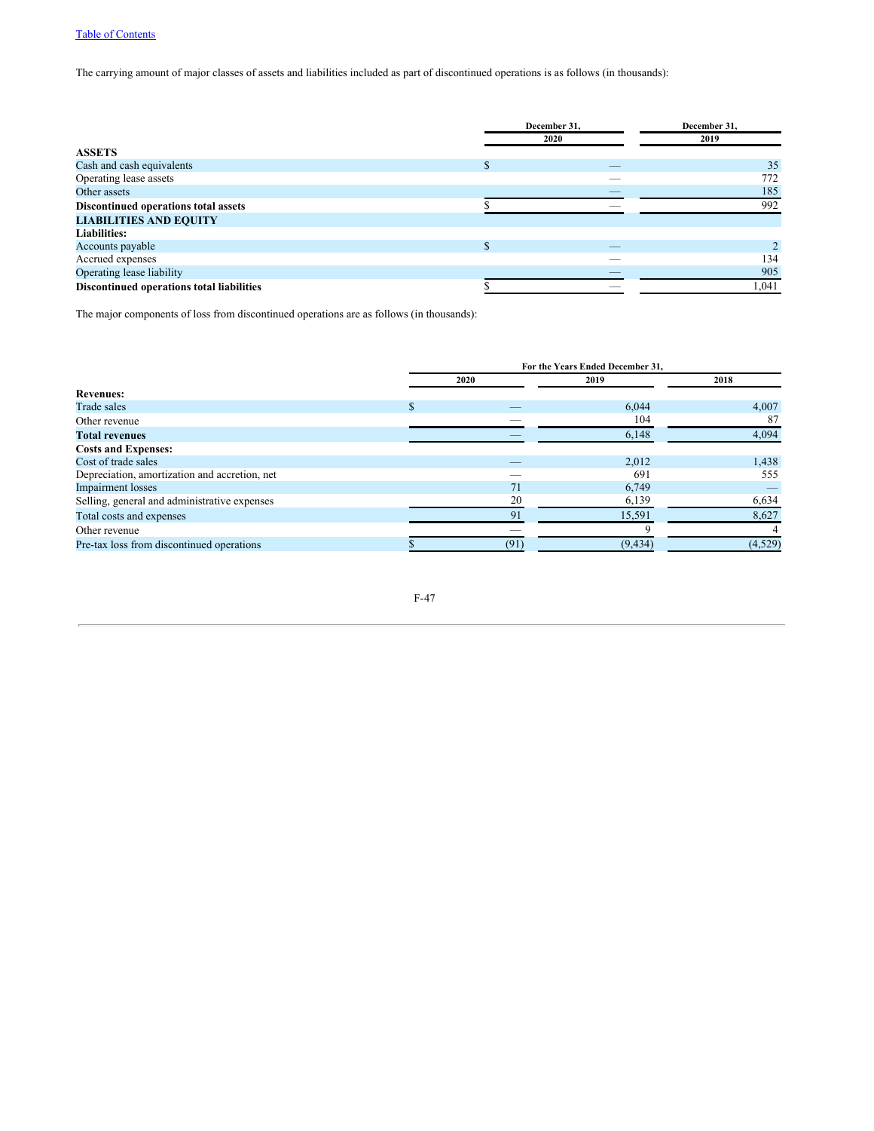The carrying amount of major classes of assets and liabilities included as part of discontinued operations is as follows (in thousands):

|                                                  |              | December 31. | December 31, |
|--------------------------------------------------|--------------|--------------|--------------|
|                                                  |              | 2020         | 2019         |
| <b>ASSETS</b>                                    |              |              |              |
| Cash and cash equivalents                        | $\mathbf{s}$ |              | 35           |
| Operating lease assets                           |              |              | 772          |
| Other assets                                     |              |              | 185          |
| Discontinued operations total assets             |              |              | 992          |
| <b>LIABILITIES AND EQUITY</b>                    |              |              |              |
| <b>Liabilities:</b>                              |              |              |              |
| Accounts payable                                 | \$           |              |              |
| Accrued expenses                                 |              |              | 134          |
| Operating lease liability                        |              |              | 905          |
| <b>Discontinued operations total liabilities</b> |              |              | 1,041        |

The major components of loss from discontinued operations are as follows (in thousands):

|                                               |      | For the Years Ended December 31, |         |
|-----------------------------------------------|------|----------------------------------|---------|
|                                               | 2020 | 2019                             | 2018    |
| <b>Revenues:</b>                              |      |                                  |         |
| Trade sales                                   |      | 6,044                            | 4,007   |
| Other revenue                                 |      | 104                              | 87      |
| <b>Total revenues</b>                         |      | 6,148                            | 4,094   |
| <b>Costs and Expenses:</b>                    |      |                                  |         |
| Cost of trade sales                           |      | 2,012                            | 1,438   |
| Depreciation, amortization and accretion, net |      | 691                              | 555     |
| <b>Impairment</b> losses                      | 71   | 6,749                            |         |
| Selling, general and administrative expenses  | 20   | 6,139                            | 6,634   |
| Total costs and expenses                      | 91   | 15,591                           | 8,627   |
| Other revenue                                 |      |                                  |         |
| Pre-tax loss from discontinued operations     | (91) | (9, 434)                         | (4,529) |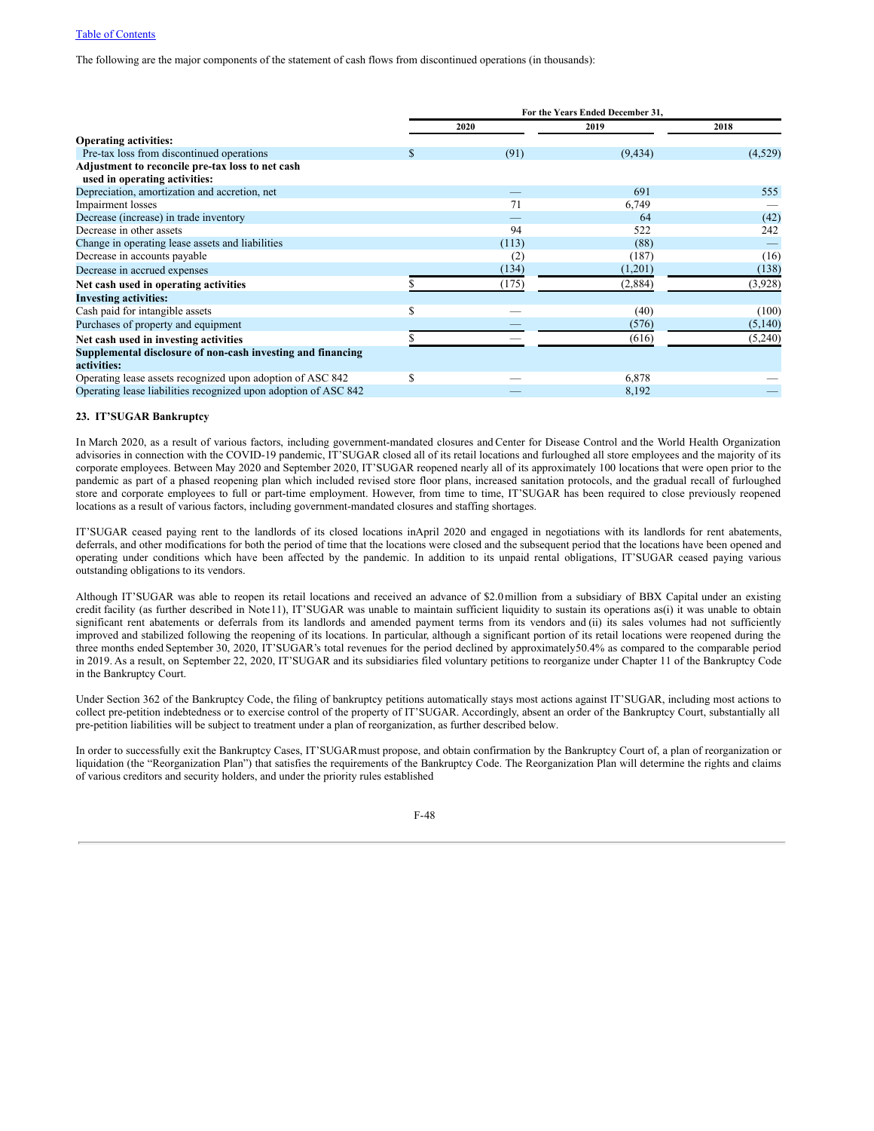The following are the major components of the statement of cash flows from discontinued operations (in thousands):

|                                                                            |   |       | For the Years Ended December 31, |         |
|----------------------------------------------------------------------------|---|-------|----------------------------------|---------|
|                                                                            |   | 2020  | 2019                             | 2018    |
| <b>Operating activities:</b>                                               |   |       |                                  |         |
| Pre-tax loss from discontinued operations                                  | S | (91)  | (9, 434)                         | (4,529) |
| Adjustment to reconcile pre-tax loss to net cash                           |   |       |                                  |         |
| used in operating activities:                                              |   |       |                                  |         |
| Depreciation, amortization and accretion, net                              |   |       | 691                              | 555     |
| Impairment losses                                                          |   | 71    | 6,749                            |         |
| Decrease (increase) in trade inventory                                     |   |       | 64                               | (42)    |
| Decrease in other assets                                                   |   | 94    | 522                              | 242     |
| Change in operating lease assets and liabilities                           |   | (113) | (88)                             |         |
| Decrease in accounts payable                                               |   | (2)   | (187)                            | (16)    |
| Decrease in accrued expenses                                               |   | (134) | (1,201)                          | (138)   |
| Net cash used in operating activities                                      |   | (175) | (2,884)                          | (3,928) |
| <b>Investing activities:</b>                                               |   |       |                                  |         |
| Cash paid for intangible assets                                            | S |       | (40)                             | (100)   |
| Purchases of property and equipment                                        |   |       | (576)                            | (5,140) |
| Net cash used in investing activities                                      |   |       | (616)                            | (5,240) |
| Supplemental disclosure of non-cash investing and financing<br>activities: |   |       |                                  |         |
| Operating lease assets recognized upon adoption of ASC 842                 | S |       | 6,878                            |         |
| Operating lease liabilities recognized upon adoption of ASC 842            |   |       | 8,192                            |         |

# **23. IT'SUGAR Bankruptcy**

In March 2020, as a result of various factors, including government-mandated closures and Center for Disease Control and the World Health Organization advisories in connection with the COVID-19 pandemic, IT'SUGAR closed all of its retail locations and furloughed all store employees and the majority of its corporate employees. Between May 2020 and September 2020, IT'SUGAR reopened nearly all of its approximately 100 locations that were open prior to the pandemic as part of a phased reopening plan which included revised store floor plans, increased sanitation protocols, and the gradual recall of furloughed store and corporate employees to full or part-time employment. However, from time to time, IT'SUGAR has been required to close previously reopened locations as a result of various factors, including government-mandated closures and staffing shortages.

IT'SUGAR ceased paying rent to the landlords of its closed locations inApril 2020 and engaged in negotiations with its landlords for rent abatements, deferrals, and other modifications for both the period of time that the locations were closed and the subsequent period that the locations have been opened and operating under conditions which have been affected by the pandemic. In addition to its unpaid rental obligations, IT'SUGAR ceased paying various outstanding obligations to its vendors.

Although IT'SUGAR was able to reopen its retail locations and received an advance of \$2.0million from a subsidiary of BBX Capital under an existing credit facility (as further described in Note11), IT'SUGAR was unable to maintain sufficient liquidity to sustain its operations as(i) it was unable to obtain significant rent abatements or deferrals from its landlords and amended payment terms from its vendors and (ii) its sales volumes had not sufficiently improved and stabilized following the reopening of its locations. In particular, although a significant portion of its retail locations were reopened during the three months ended September 30, 2020, IT'SUGAR's total revenues for the period declined by approximately50.4% as compared to the comparable period in 2019. As a result, on September 22, 2020, IT'SUGAR and its subsidiaries filed voluntary petitions to reorganize under Chapter 11 of the Bankruptcy Code in the Bankruptcy Court.

Under Section 362 of the Bankruptcy Code, the filing of bankruptcy petitions automatically stays most actions against IT'SUGAR, including most actions to collect pre-petition indebtedness or to exercise control of the property of IT'SUGAR. Accordingly, absent an order of the Bankruptcy Court, substantially all pre-petition liabilities will be subject to treatment under a plan of reorganization, as further described below.

In order to successfully exit the Bankruptcy Cases, IT'SUGARmust propose, and obtain confirmation by the Bankruptcy Court of, a plan of reorganization or liquidation (the "Reorganization Plan") that satisfies the requirements of the Bankruptcy Code. The Reorganization Plan will determine the rights and claims of various creditors and security holders, and under the priority rules established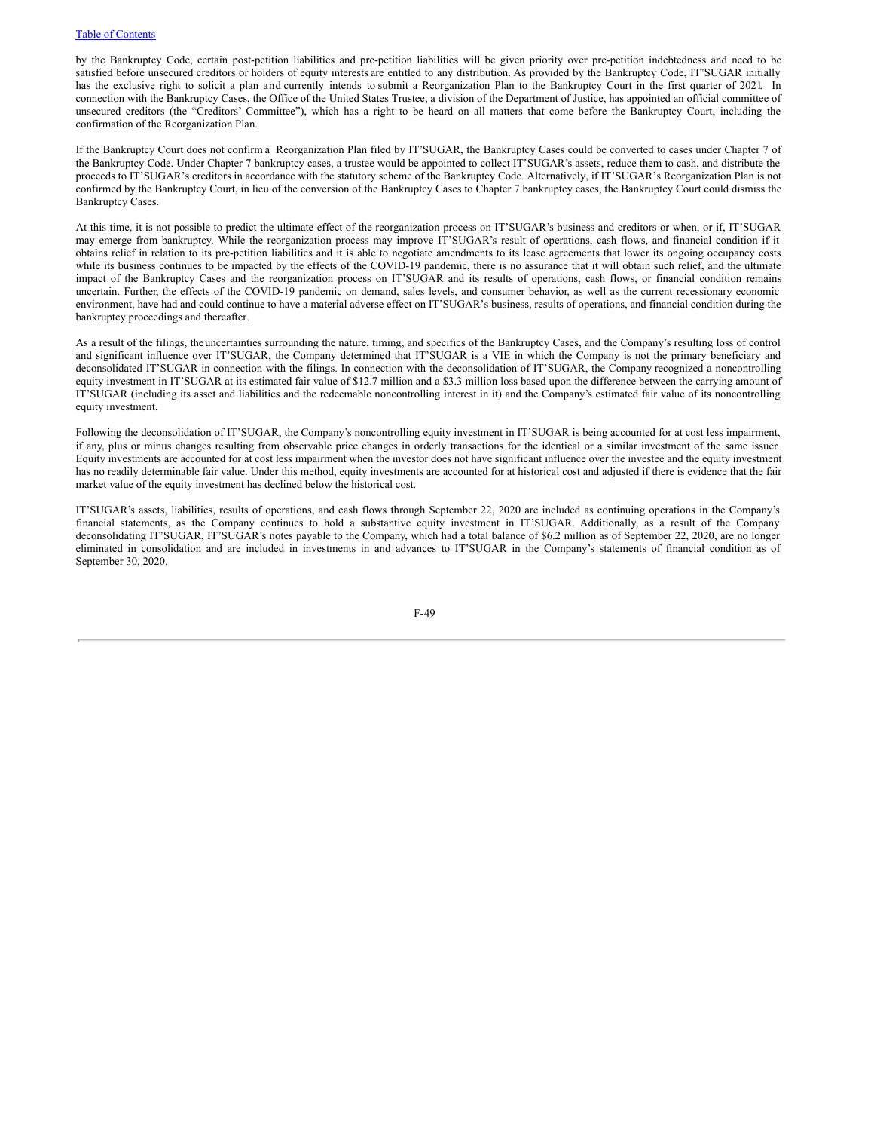by the Bankruptcy Code, certain post-petition liabilities and pre-petition liabilities will be given priority over pre-petition indebtedness and need to be satisfied before unsecured creditors or holders of equity interests are entitled to any distribution. As provided by the Bankruptcy Code, IT'SUGAR initially has the exclusive right to solicit a plan and currently intends to submit a Reorganization Plan to the Bankruptcy Court in the first quarter of 2021. In connection with the Bankruptcy Cases, the Office of the United States Trustee, a division of the Department of Justice, has appointed an official committee of unsecured creditors (the "Creditors' Committee"), which has a right to be heard on all matters that come before the Bankruptcy Court, including the confirmation of the Reorganization Plan.

If the Bankruptcy Court does not confirm a Reorganization Plan filed by IT'SUGAR, the Bankruptcy Cases could be converted to cases under Chapter 7 of the Bankruptcy Code. Under Chapter 7 bankruptcy cases, a trustee would be appointed to collect IT'SUGAR's assets, reduce them to cash, and distribute the proceeds to IT'SUGAR's creditors in accordance with the statutory scheme of the Bankruptcy Code. Alternatively, if IT'SUGAR's Reorganization Plan is not confirmed by the Bankruptcy Court, in lieu of the conversion of the Bankruptcy Cases to Chapter 7 bankruptcy cases, the Bankruptcy Court could dismiss the Bankruptcy Cases.

At this time, it is not possible to predict the ultimate effect of the reorganization process on IT'SUGAR's business and creditors or when, or if, IT'SUGAR may emerge from bankruptcy. While the reorganization process may improve IT'SUGAR's result of operations, cash flows, and financial condition if it obtains relief in relation to its pre-petition liabilities and it is able to negotiate amendments to its lease agreements that lower its ongoing occupancy costs while its business continues to be impacted by the effects of the COVID-19 pandemic, there is no assurance that it will obtain such relief, and the ultimate impact of the Bankruptcy Cases and the reorganization process on IT'SUGAR and its results of operations, cash flows, or financial condition remains uncertain. Further, the effects of the COVID-19 pandemic on demand, sales levels, and consumer behavior, as well as the current recessionary economic environment, have had and could continue to have a material adverse effect on IT'SUGAR's business, results of operations, and financial condition during the bankruptcy proceedings and thereafter.

As a result of the filings, theuncertainties surrounding the nature, timing, and specifics of the Bankruptcy Cases, and the Company's resulting loss of control and significant influence over IT'SUGAR, the Company determined that IT'SUGAR is a VIE in which the Company is not the primary beneficiary and deconsolidated IT'SUGAR in connection with the filings. In connection with the deconsolidation of IT'SUGAR, the Company recognized a noncontrolling equity investment in IT'SUGAR at its estimated fair value of \$12.7 million and a \$3.3 million loss based upon the difference between the carrying amount of IT'SUGAR (including its asset and liabilities and the redeemable noncontrolling interest in it) and the Company's estimated fair value of its noncontrolling equity investment.

Following the deconsolidation of IT'SUGAR, the Company's noncontrolling equity investment in IT'SUGAR is being accounted for at cost less impairment, if any, plus or minus changes resulting from observable price changes in orderly transactions for the identical or a similar investment of the same issuer. Equity investments are accounted for at cost less impairment when the investor does not have significant influence over the investee and the equity investment has no readily determinable fair value. Under this method, equity investments are accounted for at historical cost and adjusted if there is evidence that the fair market value of the equity investment has declined below the historical cost.

IT'SUGAR's assets, liabilities, results of operations, and cash flows through September 22, 2020 are included as continuing operations in the Company's financial statements, as the Company continues to hold a substantive equity investment in IT'SUGAR. Additionally, as a result of the Company deconsolidating IT'SUGAR, IT'SUGAR's notes payable to the Company, which had a total balance of \$6.2 million as of September 22, 2020, are no longer eliminated in consolidation and are included in investments in and advances to IT'SUGAR in the Company's statements of financial condition as of September 30, 2020.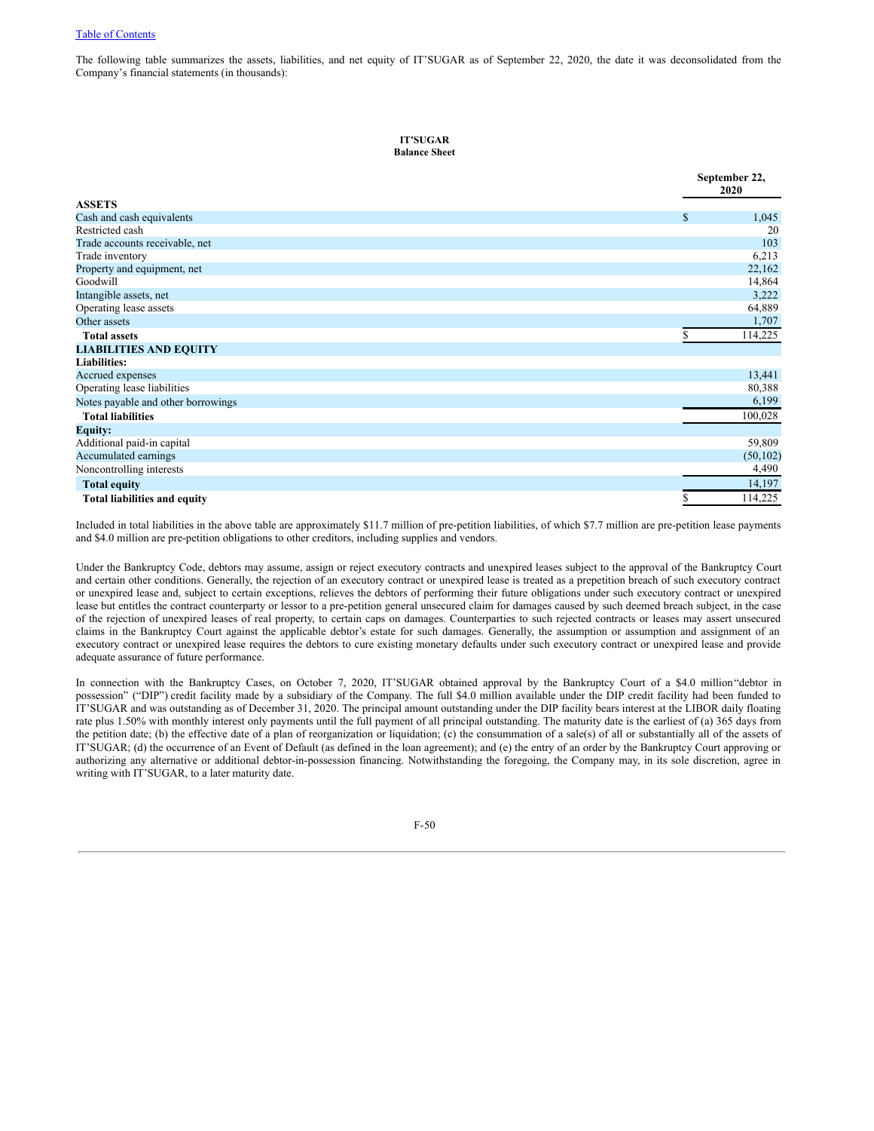The following table summarizes the assets, liabilities, and net equity of IT'SUGAR as of September 22, 2020, the date it was deconsolidated from the Company's financial statements (in thousands):

# **IT'SUGAR**

|  |  | ----------           |
|--|--|----------------------|
|  |  | <b>Balance Sheet</b> |

|                                     | September 22,<br>2020 |
|-------------------------------------|-----------------------|
| <b>ASSETS</b>                       |                       |
| Cash and cash equivalents           | S<br>1,045            |
| Restricted cash                     | 20                    |
| Trade accounts receivable, net      | 103                   |
| Trade inventory                     | 6,213                 |
| Property and equipment, net         | 22,162                |
| Goodwill                            | 14,864                |
| Intangible assets, net              | 3,222                 |
| Operating lease assets              | 64,889                |
| Other assets                        | 1,707                 |
| <b>Total assets</b>                 | 114,225               |
| <b>LIABILITIES AND EQUITY</b>       |                       |
| <b>Liabilities:</b>                 |                       |
| Accrued expenses                    | 13,441                |
| Operating lease liabilities         | 80,388                |
| Notes payable and other borrowings  | 6,199                 |
| <b>Total liabilities</b>            | 100,028               |
| <b>Equity:</b>                      |                       |
| Additional paid-in capital          | 59,809                |
| Accumulated earnings                | (50, 102)             |
| Noncontrolling interests            | 4,490                 |
| <b>Total equity</b>                 | 14,197                |
| <b>Total liabilities and equity</b> | 114,225               |

Included in total liabilities in the above table are approximately \$11.7 million of pre-petition liabilities, of which \$7.7 million are pre-petition lease payments and \$4.0 million are pre-petition obligations to other creditors, including supplies and vendors.

Under the Bankruptcy Code, debtors may assume, assign or reject executory contracts and unexpired leases subject to the approval of the Bankruptcy Court and certain other conditions. Generally, the rejection of an executory contract or unexpired lease is treated as a prepetition breach of such executory contract or unexpired lease and, subject to certain exceptions, relieves the debtors of performing their future obligations under such executory contract or unexpired lease but entitles the contract counterparty or lessor to a pre-petition general unsecured claim for damages caused by such deemed breach subject, in the case of the rejection of unexpired leases of real property, to certain caps on damages. Counterparties to such rejected contracts or leases may assert unsecured claims in the Bankruptcy Court against the applicable debtor's estate for such damages. Generally, the assumption or assumption and assignment of an executory contract or unexpired lease requires the debtors to cure existing monetary defaults under such executory contract or unexpired lease and provide adequate assurance of future performance.

In connection with the Bankruptcy Cases, on October 7, 2020, IT'SUGAR obtained approval by the Bankruptcy Court of a \$4.0 million"debtor in possession" ("DIP") credit facility made by a subsidiary of the Company. The full \$4.0 million available under the DIP credit facility had been funded to IT'SUGAR and was outstanding as of December 31, 2020. The principal amount outstanding under the DIP facility bears interest at the LIBOR daily floating rate plus 1.50% with monthly interest only payments until the full payment of all principal outstanding. The maturity date is the earliest of (a) 365 days from the petition date; (b) the effective date of a plan of reorganization or liquidation; (c) the consummation of a sale(s) of all or substantially all of the assets of IT'SUGAR; (d) the occurrence of an Event of Default (as defined in the loan agreement); and (e) the entry of an order by the Bankruptcy Court approving or authorizing any alternative or additional debtor-in-possession financing. Notwithstanding the foregoing, the Company may, in its sole discretion, agree in writing with IT'SUGAR, to a later maturity date.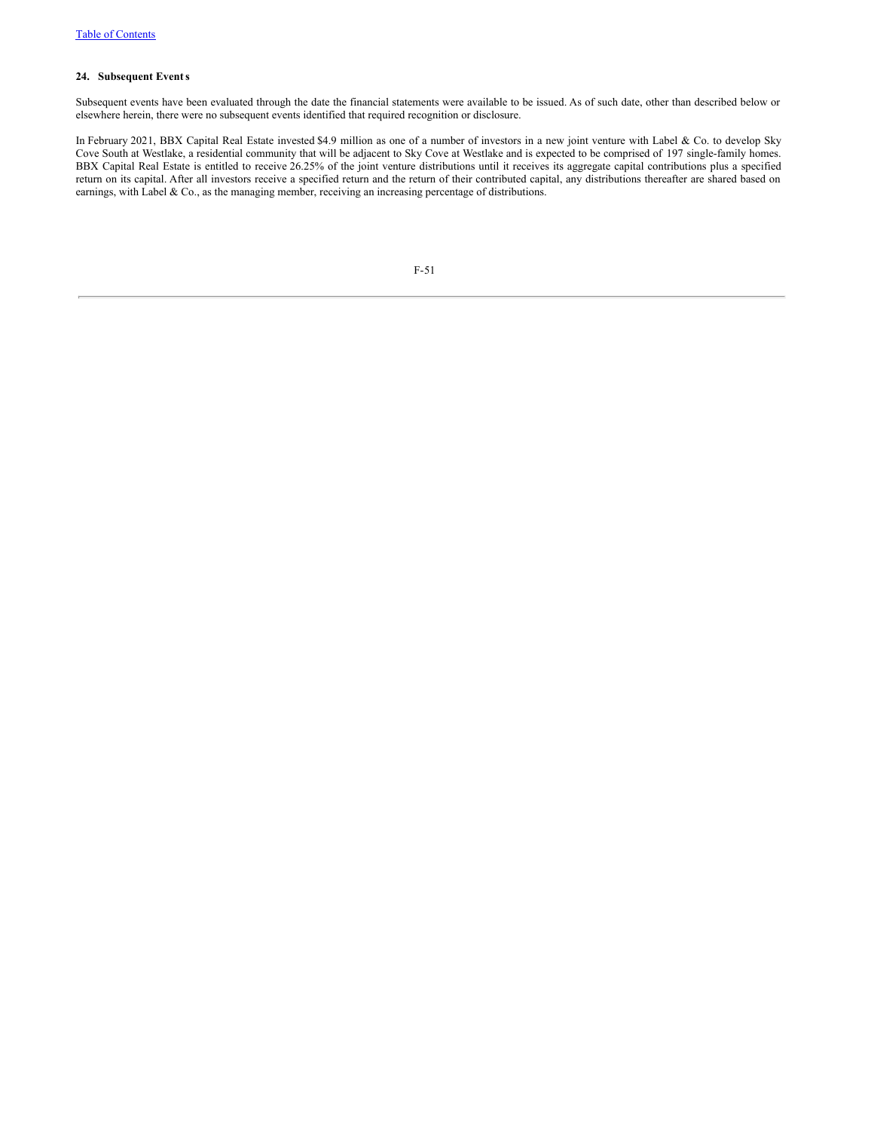# **24. Subsequent Events**

Subsequent events have been evaluated through the date the financial statements were available to be issued. As of such date, other than described below or elsewhere herein, there were no subsequent events identified that required recognition or disclosure.

In February 2021, BBX Capital Real Estate invested \$4.9 million as one of a number of investors in a new joint venture with Label & Co. to develop Sky Cove South at Westlake, a residential community that will be adjacent to Sky Cove at Westlake and is expected to be comprised of 197 single-family homes. BBX Capital Real Estate is entitled to receive 26.25% of the joint venture distributions until it receives its aggregate capital contributions plus a specified return on its capital. After all investors receive a specified return and the return of their contributed capital, any distributions thereafter are shared based on earnings, with Label & Co., as the managing member, receiving an increasing percentage of distributions.

| ٦<br>$\sim$ |
|-------------|
|-------------|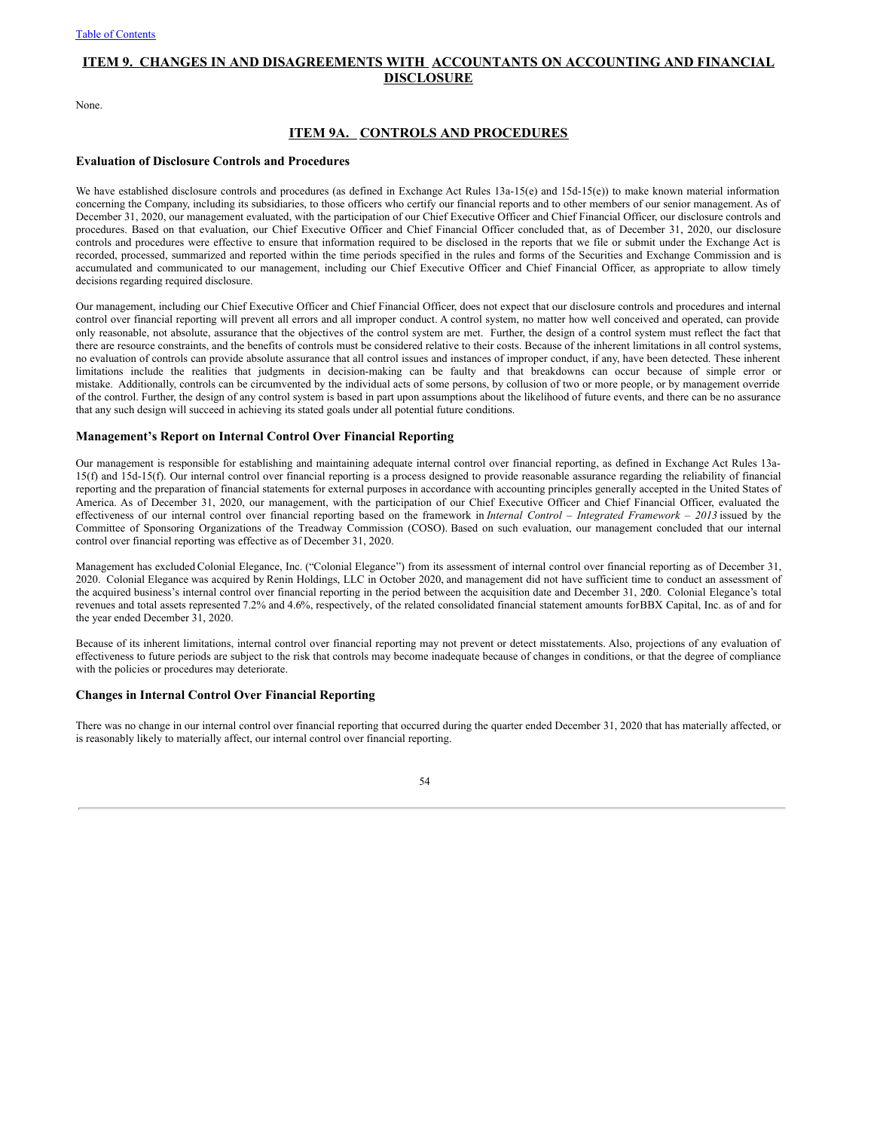# **ITEM 9. CHANGES IN AND DISAGREEMENTS WITH ACCOUNTANTS ON ACCOUNTING AND FINANCIAL DISCLOSURE**

None.

# **ITEM 9A. CONTROLS AND PROCEDURES**

# **Evaluation of Disclosure Controls and Procedures**

We have established disclosure controls and procedures (as defined in Exchange Act Rules 13a-15(e) and 15d-15(e)) to make known material information concerning the Company, including its subsidiaries, to those officers who certify our financial reports and to other members of our senior management. As of December 31, 2020, our management evaluated, with the participation of our Chief Executive Officer and Chief Financial Officer, our disclosure controls and procedures. Based on that evaluation, our Chief Executive Officer and Chief Financial Officer concluded that, as of December 31, 2020, our disclosure controls and procedures were effective to ensure that information required to be disclosed in the reports that we file or submit under the Exchange Act is recorded, processed, summarized and reported within the time periods specified in the rules and forms of the Securities and Exchange Commission and is accumulated and communicated to our management, including our Chief Executive Officer and Chief Financial Officer, as appropriate to allow timely decisions regarding required disclosure.

Our management, including our Chief Executive Officer and Chief Financial Officer, does not expect that our disclosure controls and procedures and internal control over financial reporting will prevent all errors and all improper conduct. A control system, no matter how well conceived and operated, can provide only reasonable, not absolute, assurance that the objectives of the control system are met. Further, the design of a control system must reflect the fact that there are resource constraints, and the benefits of controls must be considered relative to their costs. Because of the inherent limitations in all control systems, no evaluation of controls can provide absolute assurance that all control issues and instances of improper conduct, if any, have been detected. These inherent limitations include the realities that judgments in decision-making can be faulty and that breakdowns can occur because of simple error or mistake. Additionally, controls can be circumvented by the individual acts of some persons, by collusion of two or more people, or by management override of the control. Further, the design of any control system is based in part upon assumptions about the likelihood of future events, and there can be no assurance that any such design will succeed in achieving its stated goals under all potential future conditions.

# **Management's Report on Internal Control Over Financial Reporting**

Our management is responsible for establishing and maintaining adequate internal control over financial reporting, as defined in Exchange Act Rules 13a-15(f) and 15d-15(f). Our internal control over financial reporting is a process designed to provide reasonable assurance regarding the reliability of financial reporting and the preparation of financial statements for external purposes in accordance with accounting principles generally accepted in the United States of America. As of December 31, 2020, our management, with the participation of our Chief Executive Officer and Chief Financial Officer, evaluated the effectiveness of our internal control over financial reporting based on the framework in *Internal Control – Integrated Framework – 2013* issued by the Committee of Sponsoring Organizations of the Treadway Commission (COSO). Based on such evaluation, our management concluded that our internal control over financial reporting was effective as of December 31, 2020.

Management has excluded Colonial Elegance, Inc. ("Colonial Elegance") from its assessment of internal control over financial reporting as of December 31, 2020. Colonial Elegance was acquired by Renin Holdings, LLC in October 2020, and management did not have sufficient time to conduct an assessment of the acquired business's internal control over financial reporting in the period between the acquisition date and December 31, 2020. Colonial Elegance's total revenues and total assets represented 7.2% and 4.6%, respectively, of the related consolidated financial statement amounts forBBX Capital, Inc. as of and for the year ended December 31, 2020.

Because of its inherent limitations, internal control over financial reporting may not prevent or detect misstatements. Also, projections of any evaluation of effectiveness to future periods are subject to the risk that controls may become inadequate because of changes in conditions, or that the degree of compliance with the policies or procedures may deteriorate.

# **Changes in Internal Control Over Financial Reporting**

There was no change in our internal control over financial reporting that occurred during the quarter ended December 31, 2020 that has materially affected, or is reasonably likely to materially affect, our internal control over financial reporting.

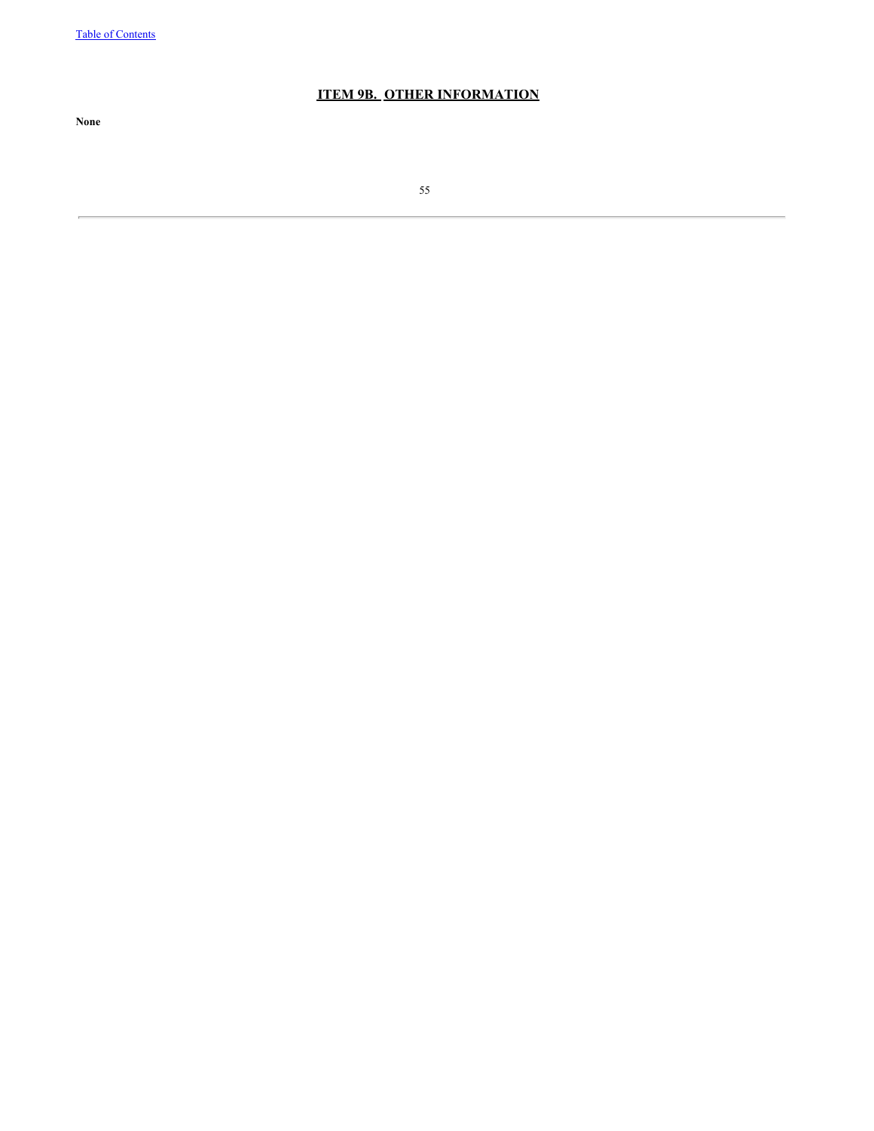# **ITEM 9B. OTHER INFORMATION**

**None**

55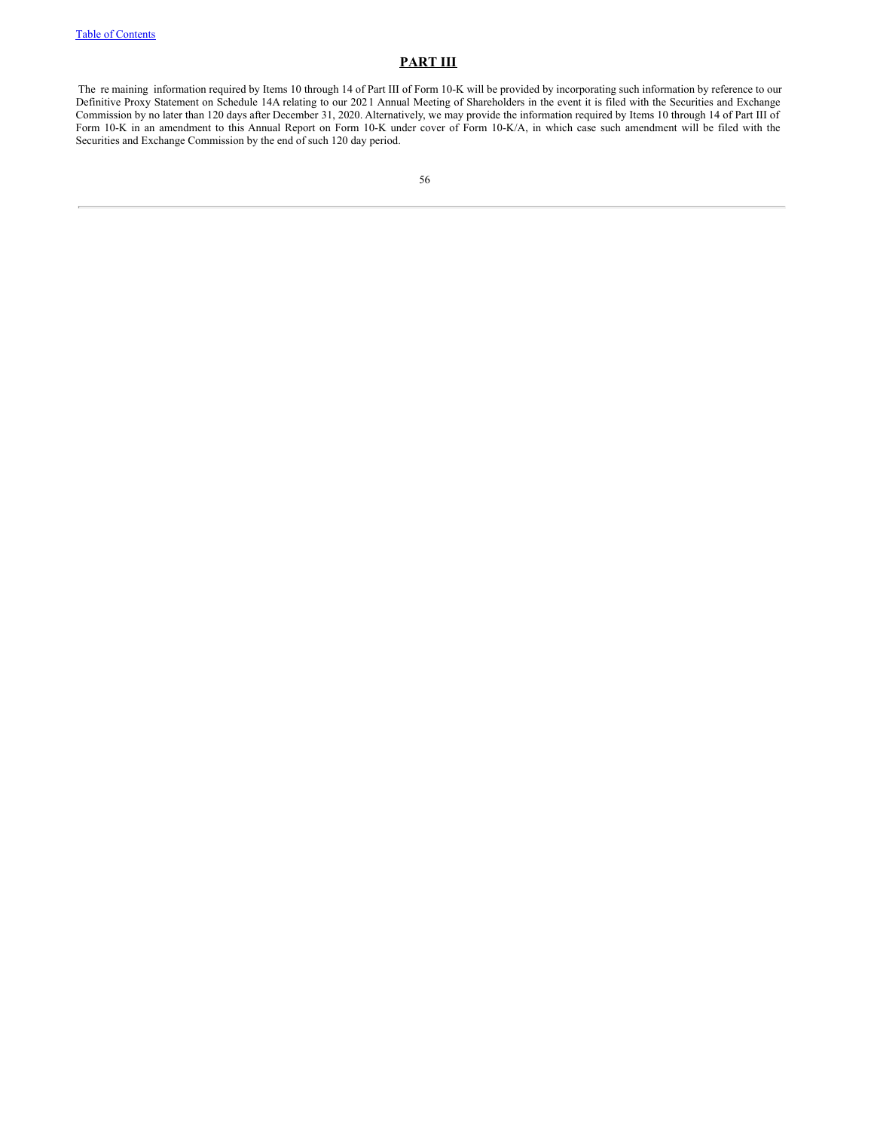# **PART III**

The re maining information required by Items 10 through 14 of Part III of Form 10-K will be provided by incorporating such information by reference to our Definitive Proxy Statement on Schedule 14A relating to our 2021 Annual Meeting of Shareholders in the event it is filed with the Securities and Exchange Commission by no later than 120 days after December 31, 2020. Alternatively, we may provide the information required by Items 10 through 14 of Part III of Form 10-K in an amendment to this Annual Report on Form 10-K under cover of Form 10-K/A, in which case such amendment will be filed with the Securities and Exchange Commission by the end of such 120 day period.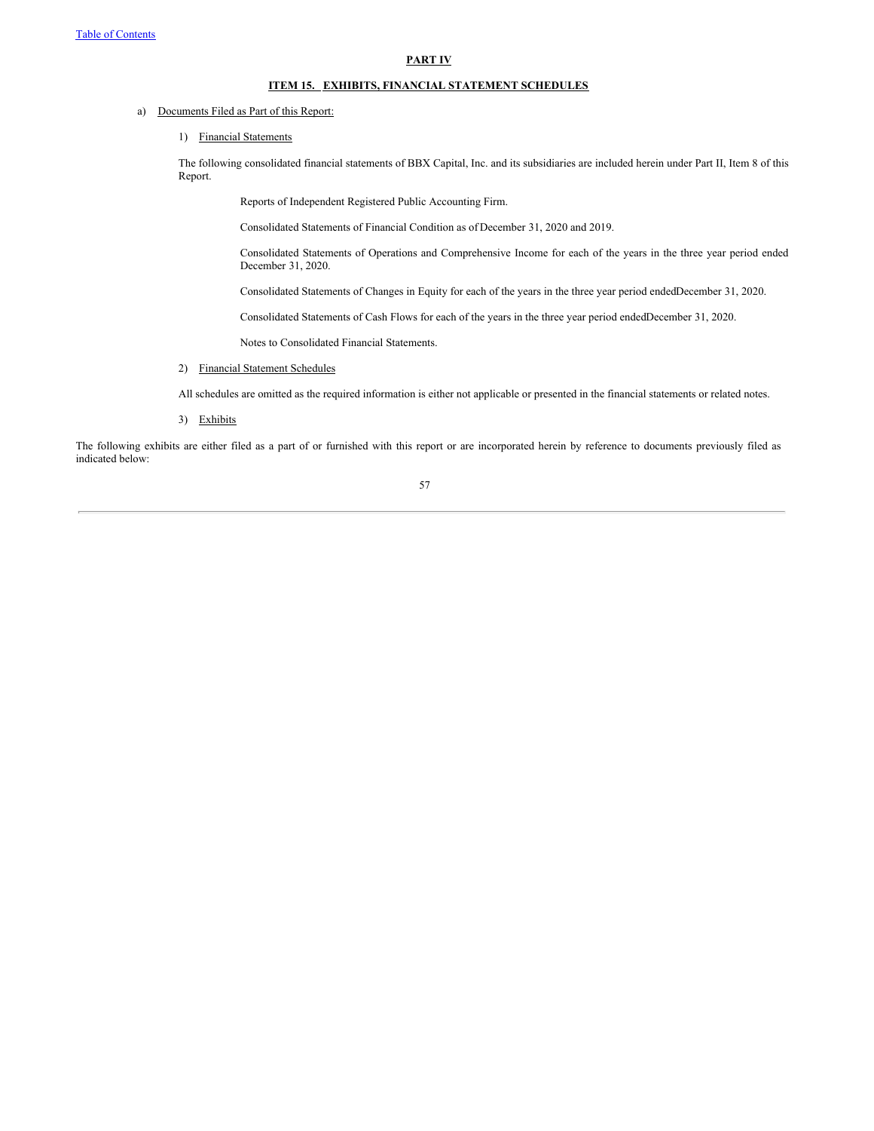### **PART IV**

### **ITEM 15. EXHIBITS, FINANCIAL STATEMENT SCHEDULES**

### a) Documents Filed as Part of this Report:

### 1) Financial Statements

The following consolidated financial statements of BBX Capital, Inc. and its subsidiaries are included herein under Part II, Item 8 of this Report.

Reports of Independent Registered Public Accounting Firm.

Consolidated Statements of Financial Condition as of December 31, 2020 and 2019.

Consolidated Statements of Operations and Comprehensive Income for each of the years in the three year period ended December 31, 2020.

Consolidated Statements of Changes in Equity for each of the years in the three year period endedDecember 31, 2020.

Consolidated Statements of Cash Flows for each of the years in the three year period endedDecember 31, 2020.

Notes to Consolidated Financial Statements.

### 2) Financial Statement Schedules

All schedules are omitted as the required information is either not applicable or presented in the financial statements or related notes.

3) Exhibits

The following exhibits are either filed as a part of or furnished with this report or are incorporated herein by reference to documents previously filed as indicated below: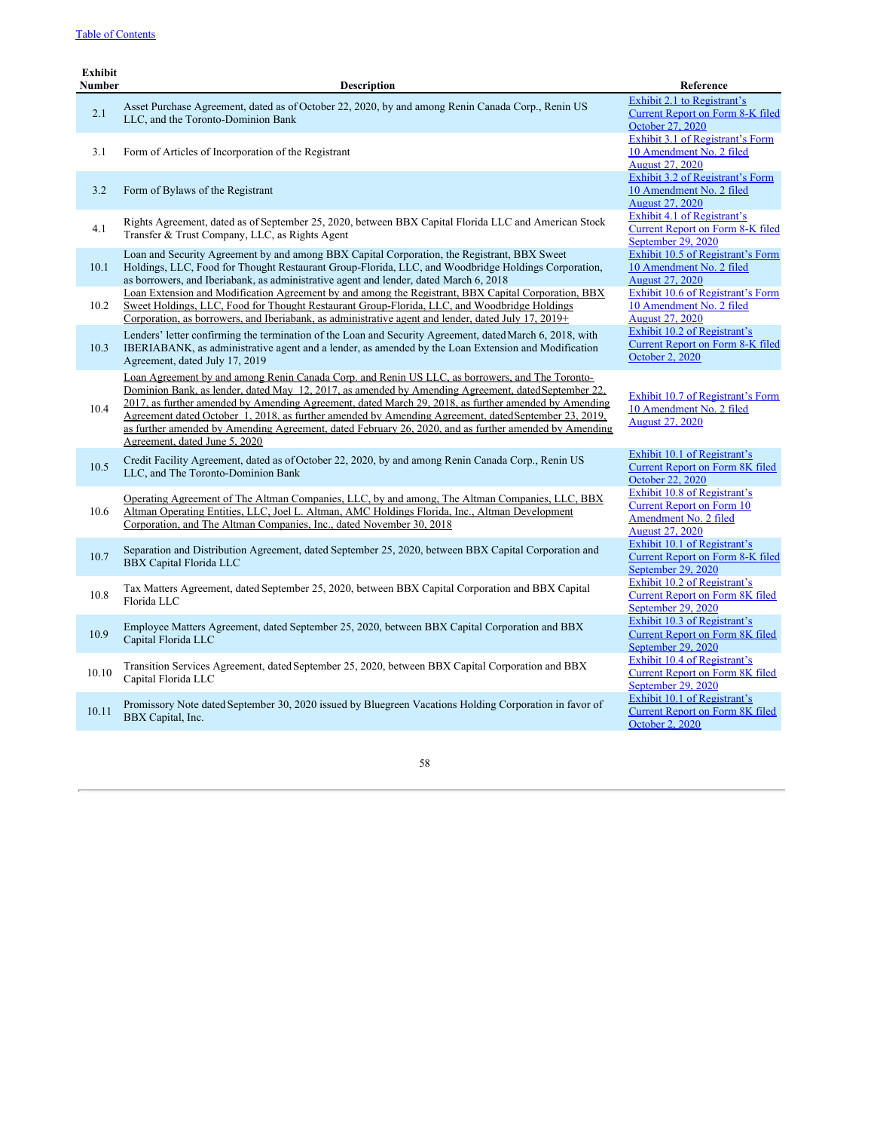| <b>Exhibit</b><br><b>Number</b> | Description                                                                                                                                                                                                                                                                                                                                                                                                                                                                                                                                                      | Reference                                                                                                           |
|---------------------------------|------------------------------------------------------------------------------------------------------------------------------------------------------------------------------------------------------------------------------------------------------------------------------------------------------------------------------------------------------------------------------------------------------------------------------------------------------------------------------------------------------------------------------------------------------------------|---------------------------------------------------------------------------------------------------------------------|
| 2.1                             | Asset Purchase Agreement, dated as of October 22, 2020, by and among Renin Canada Corp., Renin US<br>LLC, and the Toronto-Dominion Bank                                                                                                                                                                                                                                                                                                                                                                                                                          | Exhibit 2.1 to Registrant's<br>Current Report on Form 8-K filed<br>October 27, 2020                                 |
| 3.1                             | Form of Articles of Incorporation of the Registrant                                                                                                                                                                                                                                                                                                                                                                                                                                                                                                              | Exhibit 3.1 of Registrant's Form<br>10 Amendment No. 2 filed<br><b>August 27, 2020</b>                              |
| 3.2                             | Form of Bylaws of the Registrant                                                                                                                                                                                                                                                                                                                                                                                                                                                                                                                                 | Exhibit 3.2 of Registrant's Form<br>10 Amendment No. 2 filed<br><b>August 27, 2020</b>                              |
| 4.1                             | Rights Agreement, dated as of September 25, 2020, between BBX Capital Florida LLC and American Stock<br>Transfer & Trust Company, LLC, as Rights Agent                                                                                                                                                                                                                                                                                                                                                                                                           | Exhibit 4.1 of Registrant's<br>Current Report on Form 8-K filed<br>September 29, 2020                               |
| 10.1                            | Loan and Security Agreement by and among BBX Capital Corporation, the Registrant, BBX Sweet<br>Holdings, LLC, Food for Thought Restaurant Group-Florida, LLC, and Woodbridge Holdings Corporation,<br>as borrowers, and Iberiabank, as administrative agent and lender, dated March 6, 2018                                                                                                                                                                                                                                                                      | Exhibit 10.5 of Registrant's Form<br>10 Amendment No. 2 filed<br><b>August 27, 2020</b>                             |
| 10.2                            | Loan Extension and Modification Agreement by and among the Registrant, BBX Capital Corporation, BBX<br>Sweet Holdings, LLC, Food for Thought Restaurant Group-Florida, LLC, and Woodbridge Holdings<br>Corporation, as borrowers, and Iberiabank, as administrative agent and lender, dated July 17, 2019+                                                                                                                                                                                                                                                       | Exhibit 10.6 of Registrant's Form<br>10 Amendment No. 2 filed<br><b>August 27, 2020</b>                             |
| 10.3                            | Lenders' letter confirming the termination of the Loan and Security Agreement, dated March 6, 2018, with<br>IBERIABANK, as administrative agent and a lender, as amended by the Loan Extension and Modification<br>Agreement, dated July 17, 2019                                                                                                                                                                                                                                                                                                                | Exhibit 10.2 of Registrant's<br><b>Current Report on Form 8-K filed</b><br>October 2, 2020                          |
| 10.4                            | Loan Agreement by and among Renin Canada Corp. and Renin US LLC, as borrowers, and The Toronto-<br>Dominion Bank, as lender, dated May 12, 2017, as amended by Amending Agreement, dated September 22,<br>2017, as further amended by Amending Agreement, dated March 29, 2018, as further amended by Amending<br>Agreement dated October 1, 2018, as further amended by Amending Agreement, dated September 23, 2019,<br>as further amended by Amending Agreement, dated February 26, 2020, and as further amended by Amending<br>Agreement, dated June 5, 2020 | Exhibit 10.7 of Registrant's Form<br>10 Amendment No. 2 filed<br><b>August 27, 2020</b>                             |
| 10.5                            | Credit Facility Agreement, dated as of October 22, 2020, by and among Renin Canada Corp., Renin US<br>LLC, and The Toronto-Dominion Bank                                                                                                                                                                                                                                                                                                                                                                                                                         | Exhibit 10.1 of Registrant's<br>Current Report on Form 8K filed<br>October 22, 2020                                 |
| 10.6                            | Operating Agreement of The Altman Companies, LLC, by and among, The Altman Companies, LLC, BBX<br>Altman Operating Entities, LLC, Joel L. Altman, AMC Holdings Florida, Inc., Altman Development<br>Corporation, and The Altman Companies, Inc., dated November 30, 2018                                                                                                                                                                                                                                                                                         | Exhibit 10.8 of Registrant's<br><b>Current Report on Form 10</b><br>Amendment No. 2 filed<br><b>August 27, 2020</b> |
| 10.7                            | Separation and Distribution Agreement, dated September 25, 2020, between BBX Capital Corporation and<br><b>BBX</b> Capital Florida LLC                                                                                                                                                                                                                                                                                                                                                                                                                           | Exhibit 10.1 of Registrant's<br><b>Current Report on Form 8-K filed</b><br>September 29, 2020                       |
| 10.8                            | Tax Matters Agreement, dated September 25, 2020, between BBX Capital Corporation and BBX Capital<br>Florida LLC                                                                                                                                                                                                                                                                                                                                                                                                                                                  | Exhibit 10.2 of Registrant's<br><b>Current Report on Form 8K filed</b><br>September 29, 2020                        |
| 10.9                            | Employee Matters Agreement, dated September 25, 2020, between BBX Capital Corporation and BBX<br>Capital Florida LLC                                                                                                                                                                                                                                                                                                                                                                                                                                             | Exhibit 10.3 of Registrant's<br><b>Current Report on Form 8K filed</b><br>September 29, 2020                        |
| 10.10                           | Transition Services Agreement, dated September 25, 2020, between BBX Capital Corporation and BBX<br>Capital Florida LLC                                                                                                                                                                                                                                                                                                                                                                                                                                          | Exhibit 10.4 of Registrant's<br>Current Report on Form 8K filed<br>September 29, 2020                               |
| 10.11                           | Promissory Note dated September 30, 2020 issued by Bluegreen Vacations Holding Corporation in favor of<br>BBX Capital, Inc.                                                                                                                                                                                                                                                                                                                                                                                                                                      | Exhibit 10.1 of Registrant's<br>Current Report on Form 8K filed<br>October 2, 2020                                  |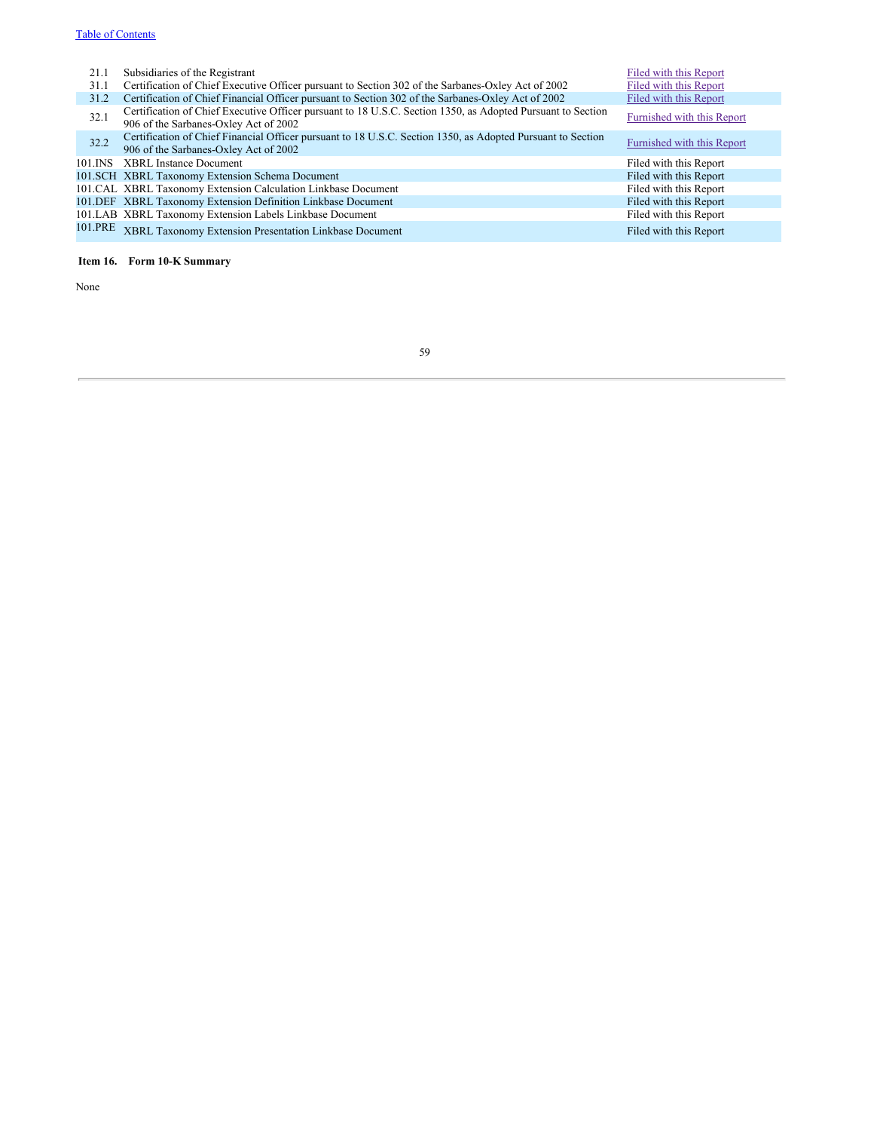- 21.1 Subsidiaries of the Registrant **Filed with the [Report](#page-114-0)** Filed with this Report
- 31.1 Certification of Chief Executive Officer pursuant to Section 302 of the Sarbanes-Oxley Act of 2002 Filed with this [Report](#page-116-0) 31.2 Certification of Chief Financial Officer pursuant to Section 302 of the Sarbanes-Oxley Act 31.2 Certification of Chief Financial Officer pursuant to Section 302 of the Sarbanes-Oxley Act of 2002
- 
- 32.1 Certification of Chief Executive Officer pursuant to <sup>18</sup> U.S.C. Section 1350, as Adopted Pursuant to Section 906 of the Sarbanes-Oxley Act of 2002

| 32.1 | Certification of Chief Executive Officer pursuant to 18 U.S.C. Section 1350, as Adopted Pursuant to Section<br>906 of the Sarbanes-Oxley Act of 2002 | Furnished with this Report |
|------|------------------------------------------------------------------------------------------------------------------------------------------------------|----------------------------|
| 32.2 | Certification of Chief Financial Officer pursuant to 18 U.S.C. Section 1350, as Adopted Pursuant to Section<br>906 of the Sarbanes-Oxley Act of 2002 | Furnished with this Report |
|      | 101. INS XBRL Instance Document                                                                                                                      | Filed with this Report     |
|      | 101.SCH XBRL Taxonomy Extension Schema Document                                                                                                      | Filed with this Report     |
|      | 101. CAL XBRL Taxonomy Extension Calculation Linkbase Document                                                                                       | Filed with this Report     |
|      | 101.DEF XBRL Taxonomy Extension Definition Linkbase Document                                                                                         | Filed with this Report     |
|      | 101. LAB XBRL Taxonomy Extension Labels Linkbase Document                                                                                            | Filed with this Report     |
|      | 101.PRE XBRL Taxonomy Extension Presentation Linkbase Document                                                                                       | Filed with this Report     |

## **Item 16. Form 10-K Summary**

None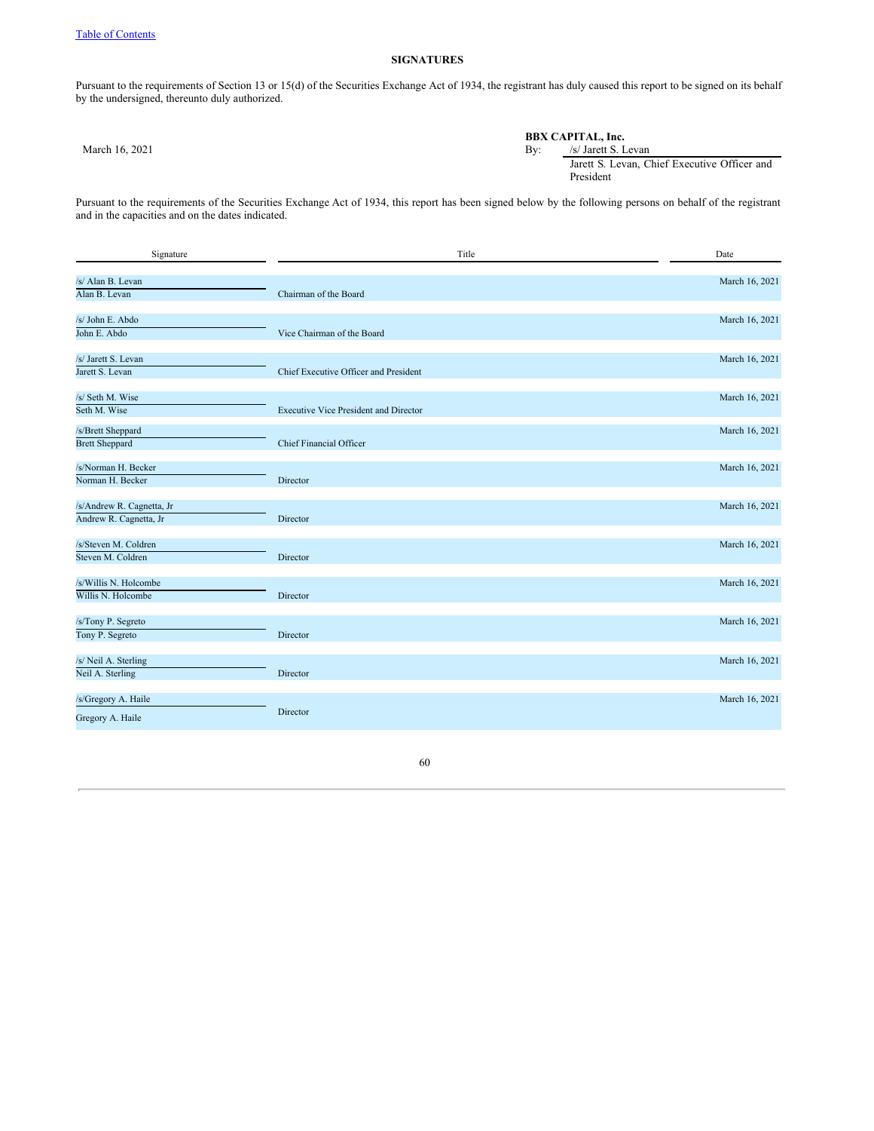### **SIGNATURES**

Pursuant to the requirements of Section 13 or 15(d) of the Securities Exchange Act of 1934, the registrant has duly caused this report to be signed on its behalf by the undersigned, thereunto duly authorized.

|                | BBX CAPITAL, Inc.                            |
|----------------|----------------------------------------------|
| March 16, 2021 | /s/ Jarett S. Levan<br>Bv:                   |
|                | Jarett S. Levan, Chief Executive Officer and |
|                | President                                    |

Pursuant to the requirements of the Securities Exchange Act of 1934, this report has been signed below by the following persons on behalf of the registrant and in the capacities and on the dates indicated.

| Signature                                           | Title                                        | Date           |
|-----------------------------------------------------|----------------------------------------------|----------------|
| /s/ Alan B. Levan<br>Alan B. Levan                  | Chairman of the Board                        | March 16, 2021 |
| /s/ John E. Abdo<br>John E. Abdo                    | Vice Chairman of the Board                   | March 16, 2021 |
| /s/ Jarett S. Levan<br>Jarett S. Levan              | Chief Executive Officer and President        | March 16, 2021 |
| /s/ Seth M. Wise<br>Seth M. Wise                    | <b>Executive Vice President and Director</b> | March 16, 2021 |
| /s/Brett Sheppard<br><b>Brett Sheppard</b>          | Chief Financial Officer                      | March 16, 2021 |
| /s/Norman H. Becker<br>Norman H. Becker             | Director                                     | March 16, 2021 |
| /s/Andrew R. Cagnetta, Jr<br>Andrew R. Cagnetta, Jr | Director                                     | March 16, 2021 |
| /s/Steven M. Coldren<br>Steven M. Coldren           | Director                                     | March 16, 2021 |
| /s/Willis N. Holcombe<br>Willis N. Holcombe         | Director                                     | March 16, 2021 |
| /s/Tony P. Segreto<br>Tony P. Segreto               | Director                                     | March 16, 2021 |
| /s/ Neil A. Sterling<br>Neil A. Sterling            | Director                                     | March 16, 2021 |
| /s/Gregory A. Haile<br>Gregory A. Haile             | Director                                     | March 16, 2021 |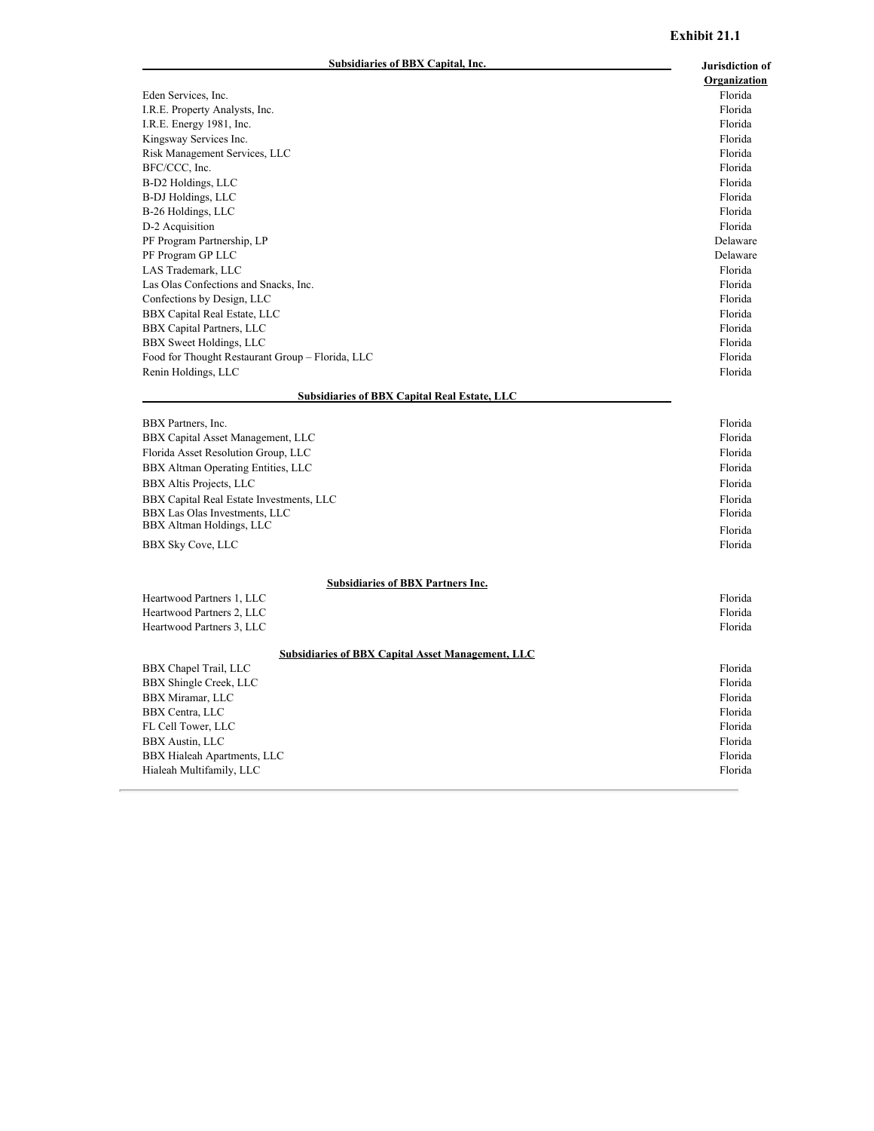# **Exhibit 21.1**

| Organization<br>Florida<br>Eden Services, Inc.<br>I.R.E. Property Analysts, Inc.<br>Florida<br>I.R.E. Energy 1981, Inc.<br>Florida<br>Kingsway Services Inc.<br>Florida<br>Risk Management Services, LLC<br>Florida<br>BFC/CCC, Inc.<br>Florida<br>B-D2 Holdings, LLC<br>Florida<br><b>B-DJ</b> Holdings, LLC<br>Florida<br>B-26 Holdings, LLC<br>Florida<br>D-2 Acquisition<br>Florida<br>PF Program Partnership, LP<br>Delaware<br>PF Program GP LLC<br>Delaware<br>Florida<br>LAS Trademark, LLC<br>Las Olas Confections and Snacks, Inc.<br>Florida<br>Confections by Design, LLC<br>Florida<br>Florida<br>BBX Capital Real Estate, LLC<br>BBX Capital Partners, LLC<br>Florida<br>BBX Sweet Holdings, LLC<br>Florida<br>Florida<br>Food for Thought Restaurant Group - Florida, LLC<br>Renin Holdings, LLC<br>Florida<br><b>Subsidiaries of BBX Capital Real Estate, LLC</b><br>BBX Partners, Inc.<br>Florida<br>Florida<br>BBX Capital Asset Management, LLC<br>Florida Asset Resolution Group, LLC<br>Florida<br>BBX Altman Operating Entities, LLC<br>Florida<br>BBX Altis Projects, LLC<br>Florida<br>BBX Capital Real Estate Investments, LLC<br>Florida<br>BBX Las Olas Investments, LLC<br>Florida<br>BBX Altman Holdings, LLC<br>Florida<br><b>BBX Sky Cove, LLC</b><br>Florida<br><b>Subsidiaries of BBX Partners Inc.</b><br>Heartwood Partners 1, LLC<br>Florida<br>Heartwood Partners 2, LLC<br>Florida<br>Heartwood Partners 3, LLC<br>Florida<br><b>Subsidiaries of BBX Capital Asset Management, LLC</b><br>BBX Chapel Trail, LLC<br>Florida<br>BBX Shingle Creek, LLC<br>Florida<br>BBX Miramar, LLC<br>Florida<br>Florida<br>BBX Centra, LLC<br>FL Cell Tower, LLC<br>Florida<br>BBX Austin, LLC<br>Florida<br>BBX Hialeah Apartments, LLC<br>Florida<br>Hialeah Multifamily, LLC<br>Florida | Subsidiaries of BBX Capital, Inc. | Jurisdiction of |
|--------------------------------------------------------------------------------------------------------------------------------------------------------------------------------------------------------------------------------------------------------------------------------------------------------------------------------------------------------------------------------------------------------------------------------------------------------------------------------------------------------------------------------------------------------------------------------------------------------------------------------------------------------------------------------------------------------------------------------------------------------------------------------------------------------------------------------------------------------------------------------------------------------------------------------------------------------------------------------------------------------------------------------------------------------------------------------------------------------------------------------------------------------------------------------------------------------------------------------------------------------------------------------------------------------------------------------------------------------------------------------------------------------------------------------------------------------------------------------------------------------------------------------------------------------------------------------------------------------------------------------------------------------------------------------------------------------------------------------------------------------------------------------------------------------------------|-----------------------------------|-----------------|
|                                                                                                                                                                                                                                                                                                                                                                                                                                                                                                                                                                                                                                                                                                                                                                                                                                                                                                                                                                                                                                                                                                                                                                                                                                                                                                                                                                                                                                                                                                                                                                                                                                                                                                                                                                                                                    |                                   |                 |
|                                                                                                                                                                                                                                                                                                                                                                                                                                                                                                                                                                                                                                                                                                                                                                                                                                                                                                                                                                                                                                                                                                                                                                                                                                                                                                                                                                                                                                                                                                                                                                                                                                                                                                                                                                                                                    |                                   |                 |
|                                                                                                                                                                                                                                                                                                                                                                                                                                                                                                                                                                                                                                                                                                                                                                                                                                                                                                                                                                                                                                                                                                                                                                                                                                                                                                                                                                                                                                                                                                                                                                                                                                                                                                                                                                                                                    |                                   |                 |
|                                                                                                                                                                                                                                                                                                                                                                                                                                                                                                                                                                                                                                                                                                                                                                                                                                                                                                                                                                                                                                                                                                                                                                                                                                                                                                                                                                                                                                                                                                                                                                                                                                                                                                                                                                                                                    |                                   |                 |
|                                                                                                                                                                                                                                                                                                                                                                                                                                                                                                                                                                                                                                                                                                                                                                                                                                                                                                                                                                                                                                                                                                                                                                                                                                                                                                                                                                                                                                                                                                                                                                                                                                                                                                                                                                                                                    |                                   |                 |
|                                                                                                                                                                                                                                                                                                                                                                                                                                                                                                                                                                                                                                                                                                                                                                                                                                                                                                                                                                                                                                                                                                                                                                                                                                                                                                                                                                                                                                                                                                                                                                                                                                                                                                                                                                                                                    |                                   |                 |
|                                                                                                                                                                                                                                                                                                                                                                                                                                                                                                                                                                                                                                                                                                                                                                                                                                                                                                                                                                                                                                                                                                                                                                                                                                                                                                                                                                                                                                                                                                                                                                                                                                                                                                                                                                                                                    |                                   |                 |
|                                                                                                                                                                                                                                                                                                                                                                                                                                                                                                                                                                                                                                                                                                                                                                                                                                                                                                                                                                                                                                                                                                                                                                                                                                                                                                                                                                                                                                                                                                                                                                                                                                                                                                                                                                                                                    |                                   |                 |
|                                                                                                                                                                                                                                                                                                                                                                                                                                                                                                                                                                                                                                                                                                                                                                                                                                                                                                                                                                                                                                                                                                                                                                                                                                                                                                                                                                                                                                                                                                                                                                                                                                                                                                                                                                                                                    |                                   |                 |
|                                                                                                                                                                                                                                                                                                                                                                                                                                                                                                                                                                                                                                                                                                                                                                                                                                                                                                                                                                                                                                                                                                                                                                                                                                                                                                                                                                                                                                                                                                                                                                                                                                                                                                                                                                                                                    |                                   |                 |
|                                                                                                                                                                                                                                                                                                                                                                                                                                                                                                                                                                                                                                                                                                                                                                                                                                                                                                                                                                                                                                                                                                                                                                                                                                                                                                                                                                                                                                                                                                                                                                                                                                                                                                                                                                                                                    |                                   |                 |
|                                                                                                                                                                                                                                                                                                                                                                                                                                                                                                                                                                                                                                                                                                                                                                                                                                                                                                                                                                                                                                                                                                                                                                                                                                                                                                                                                                                                                                                                                                                                                                                                                                                                                                                                                                                                                    |                                   |                 |
|                                                                                                                                                                                                                                                                                                                                                                                                                                                                                                                                                                                                                                                                                                                                                                                                                                                                                                                                                                                                                                                                                                                                                                                                                                                                                                                                                                                                                                                                                                                                                                                                                                                                                                                                                                                                                    |                                   |                 |
|                                                                                                                                                                                                                                                                                                                                                                                                                                                                                                                                                                                                                                                                                                                                                                                                                                                                                                                                                                                                                                                                                                                                                                                                                                                                                                                                                                                                                                                                                                                                                                                                                                                                                                                                                                                                                    |                                   |                 |
|                                                                                                                                                                                                                                                                                                                                                                                                                                                                                                                                                                                                                                                                                                                                                                                                                                                                                                                                                                                                                                                                                                                                                                                                                                                                                                                                                                                                                                                                                                                                                                                                                                                                                                                                                                                                                    |                                   |                 |
|                                                                                                                                                                                                                                                                                                                                                                                                                                                                                                                                                                                                                                                                                                                                                                                                                                                                                                                                                                                                                                                                                                                                                                                                                                                                                                                                                                                                                                                                                                                                                                                                                                                                                                                                                                                                                    |                                   |                 |
|                                                                                                                                                                                                                                                                                                                                                                                                                                                                                                                                                                                                                                                                                                                                                                                                                                                                                                                                                                                                                                                                                                                                                                                                                                                                                                                                                                                                                                                                                                                                                                                                                                                                                                                                                                                                                    |                                   |                 |
|                                                                                                                                                                                                                                                                                                                                                                                                                                                                                                                                                                                                                                                                                                                                                                                                                                                                                                                                                                                                                                                                                                                                                                                                                                                                                                                                                                                                                                                                                                                                                                                                                                                                                                                                                                                                                    |                                   |                 |
|                                                                                                                                                                                                                                                                                                                                                                                                                                                                                                                                                                                                                                                                                                                                                                                                                                                                                                                                                                                                                                                                                                                                                                                                                                                                                                                                                                                                                                                                                                                                                                                                                                                                                                                                                                                                                    |                                   |                 |
|                                                                                                                                                                                                                                                                                                                                                                                                                                                                                                                                                                                                                                                                                                                                                                                                                                                                                                                                                                                                                                                                                                                                                                                                                                                                                                                                                                                                                                                                                                                                                                                                                                                                                                                                                                                                                    |                                   |                 |
|                                                                                                                                                                                                                                                                                                                                                                                                                                                                                                                                                                                                                                                                                                                                                                                                                                                                                                                                                                                                                                                                                                                                                                                                                                                                                                                                                                                                                                                                                                                                                                                                                                                                                                                                                                                                                    |                                   |                 |
|                                                                                                                                                                                                                                                                                                                                                                                                                                                                                                                                                                                                                                                                                                                                                                                                                                                                                                                                                                                                                                                                                                                                                                                                                                                                                                                                                                                                                                                                                                                                                                                                                                                                                                                                                                                                                    |                                   |                 |
|                                                                                                                                                                                                                                                                                                                                                                                                                                                                                                                                                                                                                                                                                                                                                                                                                                                                                                                                                                                                                                                                                                                                                                                                                                                                                                                                                                                                                                                                                                                                                                                                                                                                                                                                                                                                                    |                                   |                 |
|                                                                                                                                                                                                                                                                                                                                                                                                                                                                                                                                                                                                                                                                                                                                                                                                                                                                                                                                                                                                                                                                                                                                                                                                                                                                                                                                                                                                                                                                                                                                                                                                                                                                                                                                                                                                                    |                                   |                 |
|                                                                                                                                                                                                                                                                                                                                                                                                                                                                                                                                                                                                                                                                                                                                                                                                                                                                                                                                                                                                                                                                                                                                                                                                                                                                                                                                                                                                                                                                                                                                                                                                                                                                                                                                                                                                                    |                                   |                 |
|                                                                                                                                                                                                                                                                                                                                                                                                                                                                                                                                                                                                                                                                                                                                                                                                                                                                                                                                                                                                                                                                                                                                                                                                                                                                                                                                                                                                                                                                                                                                                                                                                                                                                                                                                                                                                    |                                   |                 |
|                                                                                                                                                                                                                                                                                                                                                                                                                                                                                                                                                                                                                                                                                                                                                                                                                                                                                                                                                                                                                                                                                                                                                                                                                                                                                                                                                                                                                                                                                                                                                                                                                                                                                                                                                                                                                    |                                   |                 |
|                                                                                                                                                                                                                                                                                                                                                                                                                                                                                                                                                                                                                                                                                                                                                                                                                                                                                                                                                                                                                                                                                                                                                                                                                                                                                                                                                                                                                                                                                                                                                                                                                                                                                                                                                                                                                    |                                   |                 |
|                                                                                                                                                                                                                                                                                                                                                                                                                                                                                                                                                                                                                                                                                                                                                                                                                                                                                                                                                                                                                                                                                                                                                                                                                                                                                                                                                                                                                                                                                                                                                                                                                                                                                                                                                                                                                    |                                   |                 |
|                                                                                                                                                                                                                                                                                                                                                                                                                                                                                                                                                                                                                                                                                                                                                                                                                                                                                                                                                                                                                                                                                                                                                                                                                                                                                                                                                                                                                                                                                                                                                                                                                                                                                                                                                                                                                    |                                   |                 |
|                                                                                                                                                                                                                                                                                                                                                                                                                                                                                                                                                                                                                                                                                                                                                                                                                                                                                                                                                                                                                                                                                                                                                                                                                                                                                                                                                                                                                                                                                                                                                                                                                                                                                                                                                                                                                    |                                   |                 |
|                                                                                                                                                                                                                                                                                                                                                                                                                                                                                                                                                                                                                                                                                                                                                                                                                                                                                                                                                                                                                                                                                                                                                                                                                                                                                                                                                                                                                                                                                                                                                                                                                                                                                                                                                                                                                    |                                   |                 |
|                                                                                                                                                                                                                                                                                                                                                                                                                                                                                                                                                                                                                                                                                                                                                                                                                                                                                                                                                                                                                                                                                                                                                                                                                                                                                                                                                                                                                                                                                                                                                                                                                                                                                                                                                                                                                    |                                   |                 |
|                                                                                                                                                                                                                                                                                                                                                                                                                                                                                                                                                                                                                                                                                                                                                                                                                                                                                                                                                                                                                                                                                                                                                                                                                                                                                                                                                                                                                                                                                                                                                                                                                                                                                                                                                                                                                    |                                   |                 |
|                                                                                                                                                                                                                                                                                                                                                                                                                                                                                                                                                                                                                                                                                                                                                                                                                                                                                                                                                                                                                                                                                                                                                                                                                                                                                                                                                                                                                                                                                                                                                                                                                                                                                                                                                                                                                    |                                   |                 |
|                                                                                                                                                                                                                                                                                                                                                                                                                                                                                                                                                                                                                                                                                                                                                                                                                                                                                                                                                                                                                                                                                                                                                                                                                                                                                                                                                                                                                                                                                                                                                                                                                                                                                                                                                                                                                    |                                   |                 |
|                                                                                                                                                                                                                                                                                                                                                                                                                                                                                                                                                                                                                                                                                                                                                                                                                                                                                                                                                                                                                                                                                                                                                                                                                                                                                                                                                                                                                                                                                                                                                                                                                                                                                                                                                                                                                    |                                   |                 |
|                                                                                                                                                                                                                                                                                                                                                                                                                                                                                                                                                                                                                                                                                                                                                                                                                                                                                                                                                                                                                                                                                                                                                                                                                                                                                                                                                                                                                                                                                                                                                                                                                                                                                                                                                                                                                    |                                   |                 |
|                                                                                                                                                                                                                                                                                                                                                                                                                                                                                                                                                                                                                                                                                                                                                                                                                                                                                                                                                                                                                                                                                                                                                                                                                                                                                                                                                                                                                                                                                                                                                                                                                                                                                                                                                                                                                    |                                   |                 |
|                                                                                                                                                                                                                                                                                                                                                                                                                                                                                                                                                                                                                                                                                                                                                                                                                                                                                                                                                                                                                                                                                                                                                                                                                                                                                                                                                                                                                                                                                                                                                                                                                                                                                                                                                                                                                    |                                   |                 |
|                                                                                                                                                                                                                                                                                                                                                                                                                                                                                                                                                                                                                                                                                                                                                                                                                                                                                                                                                                                                                                                                                                                                                                                                                                                                                                                                                                                                                                                                                                                                                                                                                                                                                                                                                                                                                    |                                   |                 |
|                                                                                                                                                                                                                                                                                                                                                                                                                                                                                                                                                                                                                                                                                                                                                                                                                                                                                                                                                                                                                                                                                                                                                                                                                                                                                                                                                                                                                                                                                                                                                                                                                                                                                                                                                                                                                    |                                   |                 |
|                                                                                                                                                                                                                                                                                                                                                                                                                                                                                                                                                                                                                                                                                                                                                                                                                                                                                                                                                                                                                                                                                                                                                                                                                                                                                                                                                                                                                                                                                                                                                                                                                                                                                                                                                                                                                    |                                   |                 |
|                                                                                                                                                                                                                                                                                                                                                                                                                                                                                                                                                                                                                                                                                                                                                                                                                                                                                                                                                                                                                                                                                                                                                                                                                                                                                                                                                                                                                                                                                                                                                                                                                                                                                                                                                                                                                    |                                   |                 |
|                                                                                                                                                                                                                                                                                                                                                                                                                                                                                                                                                                                                                                                                                                                                                                                                                                                                                                                                                                                                                                                                                                                                                                                                                                                                                                                                                                                                                                                                                                                                                                                                                                                                                                                                                                                                                    |                                   |                 |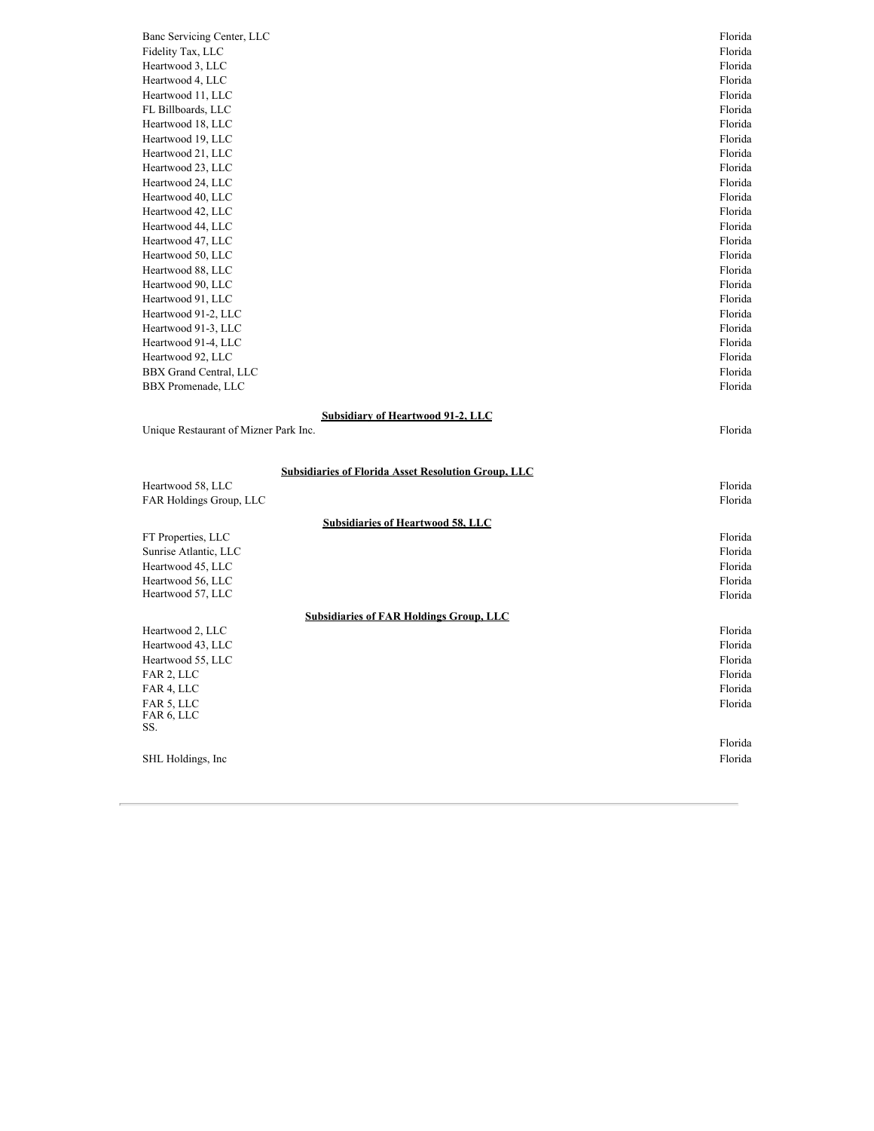<span id="page-114-0"></span>

|                                                            | Florida |
|------------------------------------------------------------|---------|
| Banc Servicing Center, LLC<br>Fidelity Tax, LLC            | Florida |
|                                                            |         |
| Heartwood 3, LLC                                           | Florida |
| Heartwood 4, LLC                                           | Florida |
| Heartwood 11, LLC                                          | Florida |
| FL Billboards, LLC                                         | Florida |
| Heartwood 18, LLC                                          | Florida |
| Heartwood 19, LLC                                          | Florida |
| Heartwood 21, LLC                                          | Florida |
| Heartwood 23, LLC                                          | Florida |
| Heartwood 24, LLC                                          | Florida |
| Heartwood 40, LLC                                          | Florida |
| Heartwood 42, LLC                                          | Florida |
| Heartwood 44, LLC                                          | Florida |
| Heartwood 47, LLC                                          | Florida |
| Heartwood 50, LLC                                          | Florida |
| Heartwood 88, LLC                                          | Florida |
| Heartwood 90, LLC                                          | Florida |
| Heartwood 91, LLC                                          | Florida |
| Heartwood 91-2, LLC                                        | Florida |
| Heartwood 91-3, LLC                                        | Florida |
| Heartwood 91-4, LLC                                        | Florida |
| Heartwood 92, LLC                                          | Florida |
| BBX Grand Central, LLC                                     | Florida |
| BBX Promenade, LLC                                         | Florida |
|                                                            |         |
|                                                            |         |
| Subsidiary of Heartwood 91-2, LLC                          |         |
| Unique Restaurant of Mizner Park Inc.                      | Florida |
|                                                            |         |
|                                                            |         |
| <b>Subsidiaries of Florida Asset Resolution Group, LLC</b> |         |
| Heartwood 58, LLC                                          | Florida |
| FAR Holdings Group, LLC                                    | Florida |
|                                                            |         |
| <b>Subsidiaries of Heartwood 58, LLC</b>                   |         |
| FT Properties, LLC                                         | Florida |
| Sunrise Atlantic, LLC                                      | Florida |
| Heartwood 45, LLC                                          | Florida |
| Heartwood 56, LLC                                          | Florida |
| Heartwood 57, LLC                                          | Florida |
| <b>Subsidiaries of FAR Holdings Group, LLC</b>             |         |
| Heartwood 2, LLC                                           | Florida |
| Heartwood 43, LLC                                          | Florida |
| Heartwood 55, LLC                                          | Florida |
| FAR 2, LLC                                                 | Florida |
| FAR 4, LLC                                                 | Florida |
| FAR 5, LLC                                                 | Florida |
| FAR 6, LLC                                                 |         |
| SS.                                                        |         |
|                                                            | Florida |
| SHL Holdings, Inc.                                         | Florida |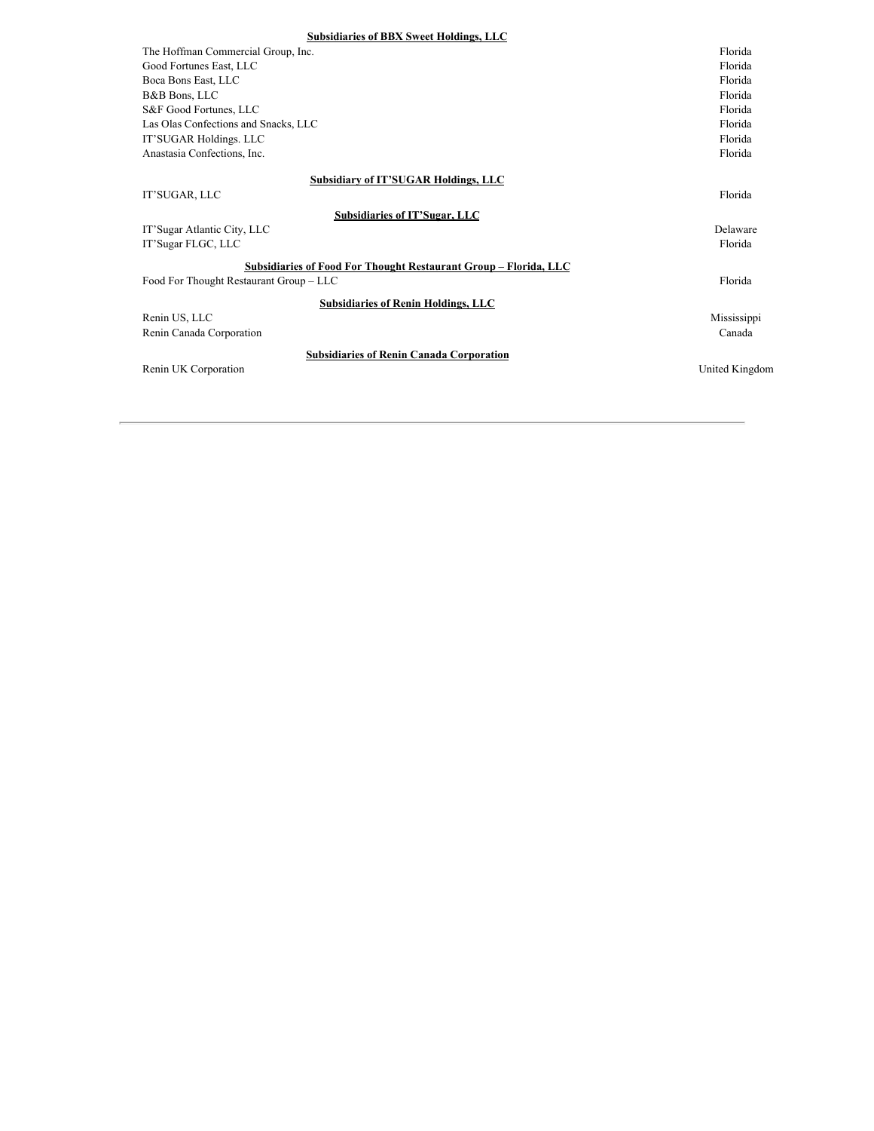## **Subsidiaries of BBX Sweet Holdings, LLC**

| The Hoffman Commercial Group, Inc.                                      | Florida        |
|-------------------------------------------------------------------------|----------------|
| Good Fortunes East, LLC                                                 | Florida        |
| Boca Bons East, LLC                                                     | Florida        |
| B&B Bons, LLC                                                           | Florida        |
| S&F Good Fortunes, LLC                                                  | Florida        |
| Las Olas Confections and Snacks, LLC                                    | Florida        |
| IT'SUGAR Holdings. LLC                                                  | Florida        |
| Anastasia Confections, Inc.                                             | Florida        |
| Subsidiary of IT'SUGAR Holdings, LLC                                    |                |
| IT'SUGAR, LLC                                                           | Florida        |
| Subsidiaries of IT'Sugar, LLC                                           |                |
| IT'Sugar Atlantic City, LLC                                             | Delaware       |
| IT'Sugar FLGC, LLC                                                      | Florida        |
| Subsidiaries of Food For Thought Restaurant Group - Florida, LLC        |                |
| Food For Thought Restaurant Group - LLC                                 | Florida        |
| <b>Subsidiaries of Renin Holdings, LLC</b>                              |                |
| Renin US, LLC                                                           | Mississippi    |
| Renin Canada Corporation                                                | Canada         |
| <b>Subsidiaries of Renin Canada Corporation</b><br>Renin UK Corporation | United Kingdom |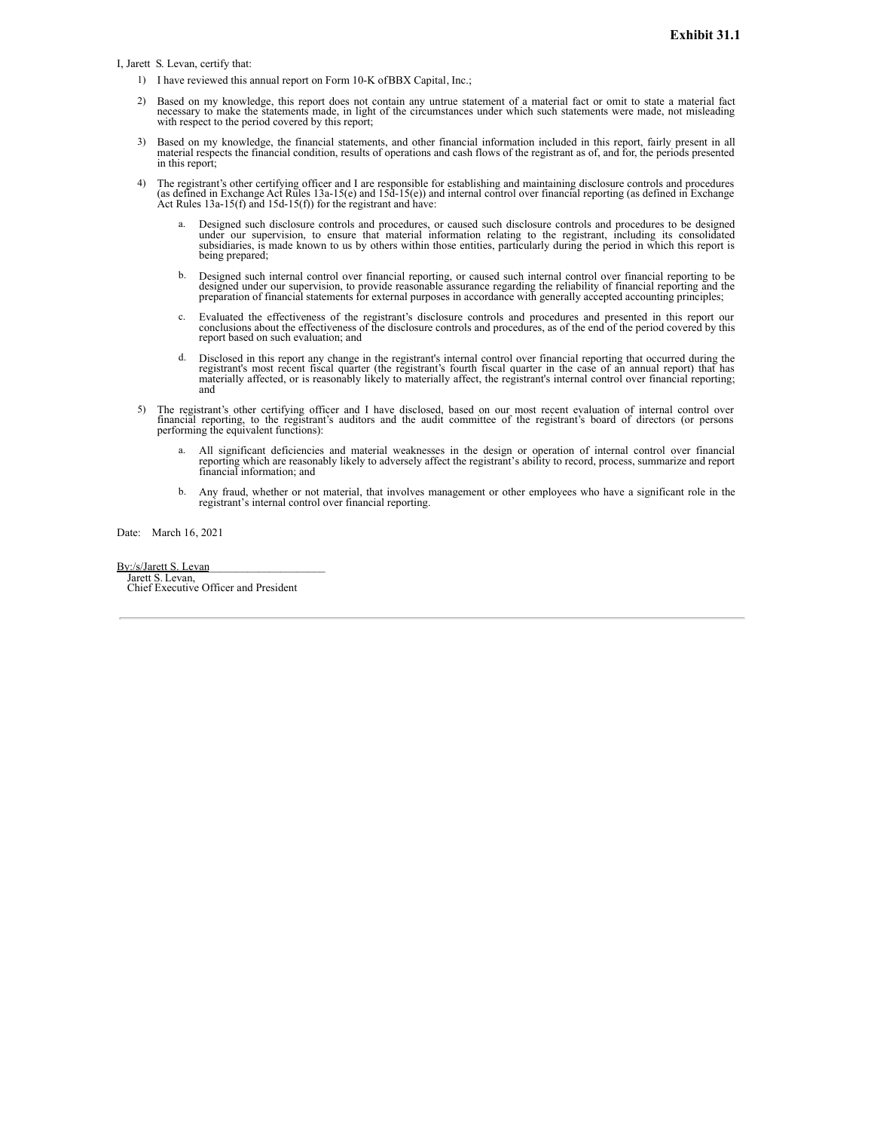<span id="page-116-0"></span>I, Jarett S. Levan, certify that:

- 1) I have reviewed this annual report on Form 10-K ofBBX Capital, Inc.;
- 2) Based on my knowledge, this report does not contain any untrue statement of a material fact or omit to state a material fact necessary to make the statements made, in light of the circumstances under which such statements were made, not misleading with respect to the period covered by this report;
- 3) Based on my knowledge, the financial statements, and other financial information included in this report, fairly present in all material respects the financial condition, results of operations and cash flows of the regi in this report;
- 4) The registrant's other certifying officer and I are responsible for establishing and maintaining disclosure controls and procedures (as defined in Exchange Act Rules 13a-15(e) and 15d-15(e)) and internal control over fi Act Rules  $13a-15(f)$  and  $15d-15(f)$ ) for the registrant and have:
	- Designed such disclosure controls and procedures, or caused such disclosure controls and procedures to be designed under our supervision, to ensure that material information relating to the registrant, including its consolidated<br>subsidiaries, is made known to us by others within those entities, particularly during the period in which t being prepared;
	- b. Designed such internal control over financial reporting, or caused such internal control over financial reporting to be designed under our supervision, to provide reasonable assurance regarding the reliability of financ
	- c. Evaluated the effectiveness of the registrant's disclosure controls and procedures and presented in this report our conclusions about the effectiveness of the disclosure controls and procedures, as of the end of the per report based on such evaluation; and
	- Disclosed in this report any change in the registrant's internal control over financial reporting that occurred during the Discovered in this recent fiscal quarter (the registrant's fourth fiscal quarter in the case of an annual report) that has<br>materially affected, or is reasonably likely to materially affect, the registrant's internal contro and
- 5) The registrant's other certifying officer and I have disclosed, based on our most recent evaluation of internal control over financial reporting, to the registrant's auditors and the audit committee of the registrant's board of directors (or persons performing the equivalent functions):
	- a. All significant deficiencies and material weaknesses in the design or operation of internal control over financial reporting which are reasonably likely to adversely affect the registrant's ability to record, process, s
	- b. Any fraud, whether or not material, that involves management or other employees who have a significant role in the registrant's internal control over financial reporting.

Date: March 16, 2021

By:/s/Jarett S. Levan Jarett S. Levan, Chief Executive Officer and President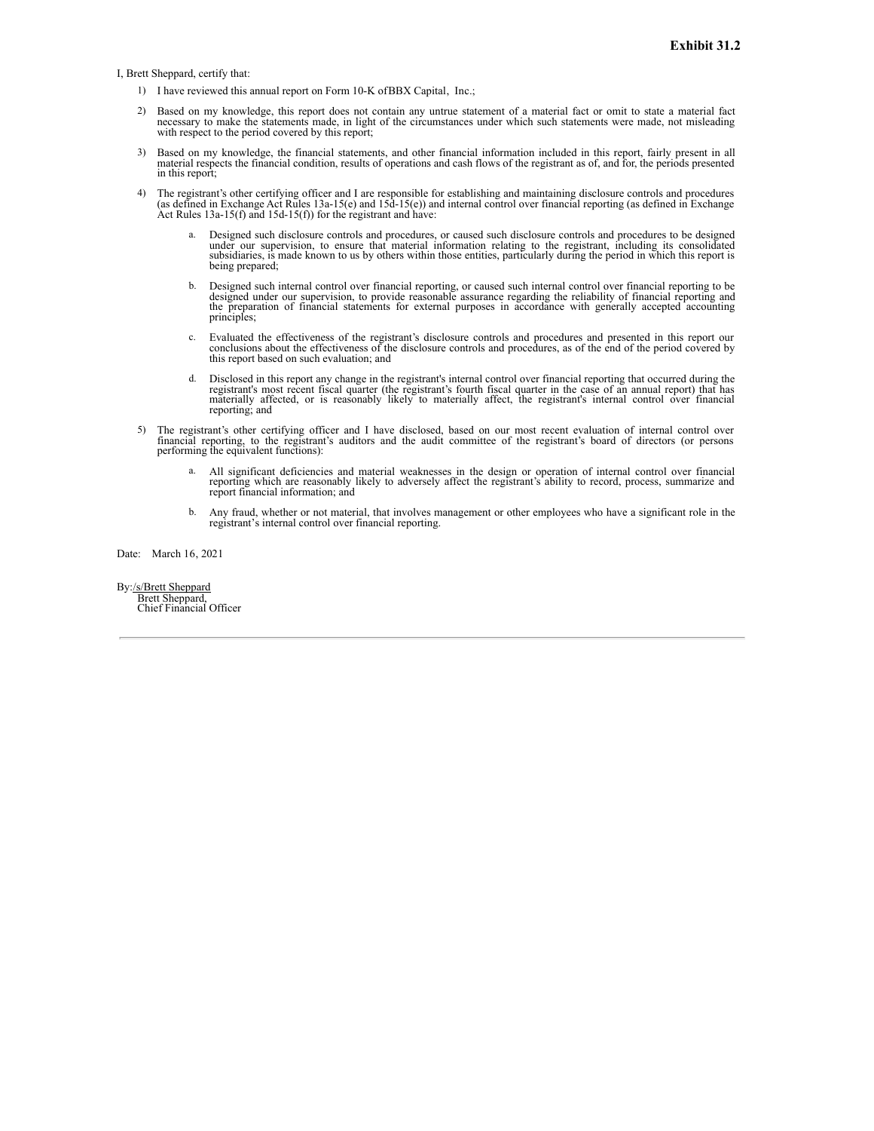<span id="page-117-0"></span>I, Brett Sheppard, certify that:

- 1) I have reviewed this annual report on Form 10-K ofBBX Capital, Inc.;
- 2) Based on my knowledge, this report does not contain any untrue statement of a material fact or omit to state a material fact necessary to make the statements made, in light of the circumstances under which such statemen
- 3) Based on my knowledge, the financial statements, and other financial information included in this report, fairly present in all material respects the financial condition, results of operations and cash flows of the registrant as of, and for, the periods presented in this report;
- 4) The registrant's other certifying officer and I are responsible for establishing and maintaining disclosure controls and procedures (as defined in Exchange Act Rules 13a-15(e) and 15d-15(e)) and internal control over fi Act Rules 13a-15(f) and 15d-15(f)) for the registrant and have:
	- a. Designed such disclosure controls and procedures, or caused such disclosure controls and procedures to be designed under our supervision, to ensure that material information relating to the registrant, including its con subsidiaries, is made known to us by others within those entities, particularly during the period in which this report is being prepared;
	- b. Designed such internal control over financial reporting, or caused such internal control over financial reporting to be designed under our supervision, to provide reasonable assurance regarding the reliability of financ the preparation of financial statements for external purposes in accordance with generally accepted accounting principles;
	- c. Evaluated the effectiveness of the registrant's disclosure controls and procedures and presented in this report our conclusions about the effectiveness of the disclosure controls and procedures, as of the end of the per this report based on such evaluation; and
	- d. Disclosed in this report any change in the registrant's internal control over financial reporting that occurred during the registrant's most recent fiscal quarter (the registrant's fourth fiscal quarter in the case of an annual report) that has materially affected, or is reasonably likely to materially affect, the registrant's internal control reporting; and
- 5) The registrant's other certifying officer and I have disclosed, based on our most recent evaluation of internal control over financial reporting, to the registrant's auditors and the audit committee of the registrant's board of directors (or persons performing the equivalent functions):
	- a. All significant deficiencies and material weaknesses in the design or operation of internal control over financial reporting which are reasonably likely to adversely affect the registrant's ability to record, process, s report financial information; and
	- b. Any fraud, whether or not material, that involves management or other employees who have a significant role in the registrant's internal control over financial reporting.

Date: March 16, 2021

By:/s/Brett Sheppard Brett Sheppard, Chief Financial Officer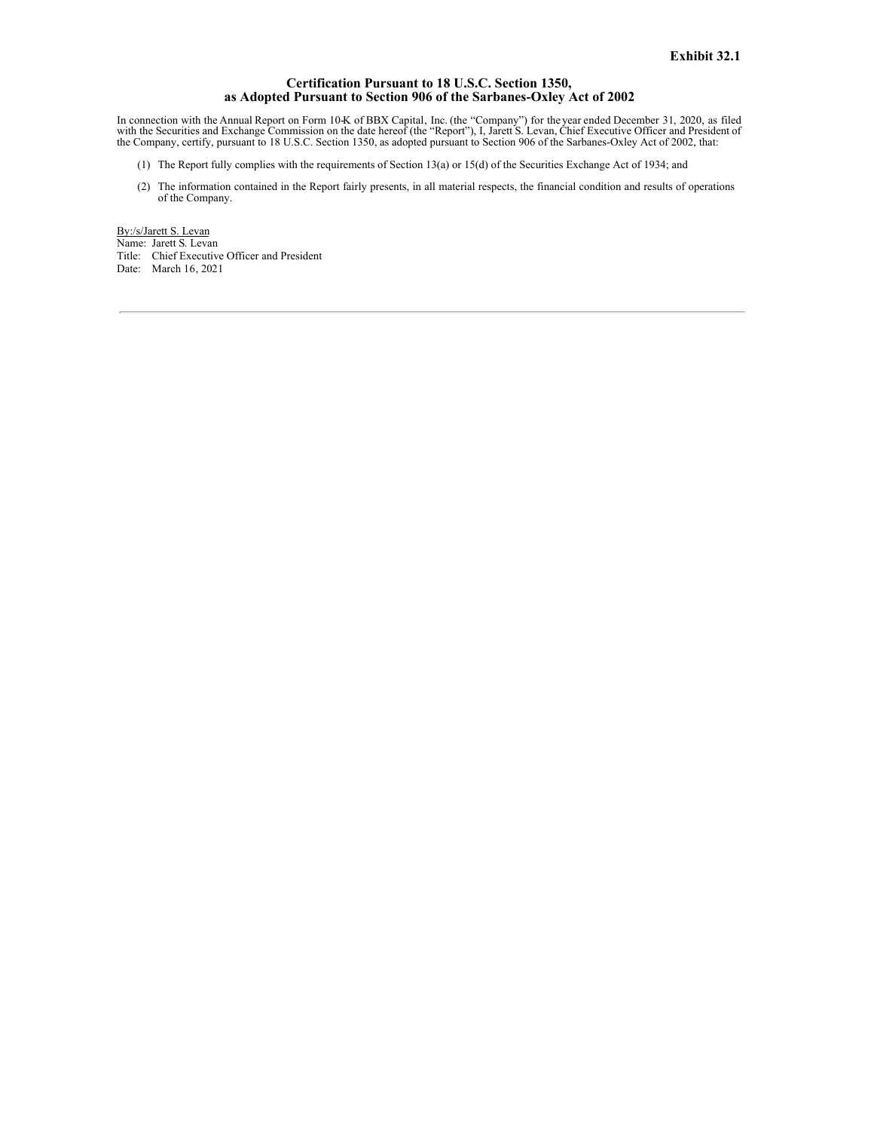## **Certification Pursuant to 18 U.S.C. Section 1350, as Adopted Pursuant to Section 906 of the Sarbanes-Oxley Act of 2002**

<span id="page-118-0"></span>In connection with the Annual Report on Form 10-K of BBX Capital, Inc. (the "Company") for the year ended December 31, 2020, as filed<br>with the Securities and Exchange Commission on the date hereof (the "Report"), I, Jarett

- (1) The Report fully complies with the requirements of Section 13(a) or 15(d) of the Securities Exchange Act of 1934; and
- (2) The information contained in the Report fairly presents, in all material respects, the financial condition and results of operations of the Company.

By:/s/Jarett S. Levan

Name: Jarett S. Levan

Title: Chief Executive Officer and President

Date: March 16, 2021